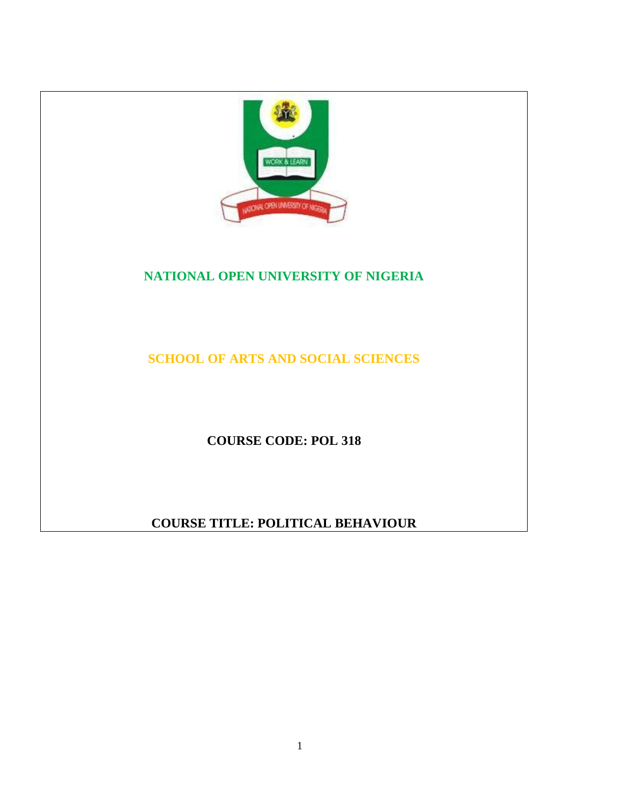

# **NATIONAL OPEN UNIVERSITY OF NIGERIA**

**SCHOOL OF ARTS AND SOCIAL SCIENCES**

**COURSE CODE: POL 318**

**COURSE TITLE: POLITICAL BEHAVIOUR**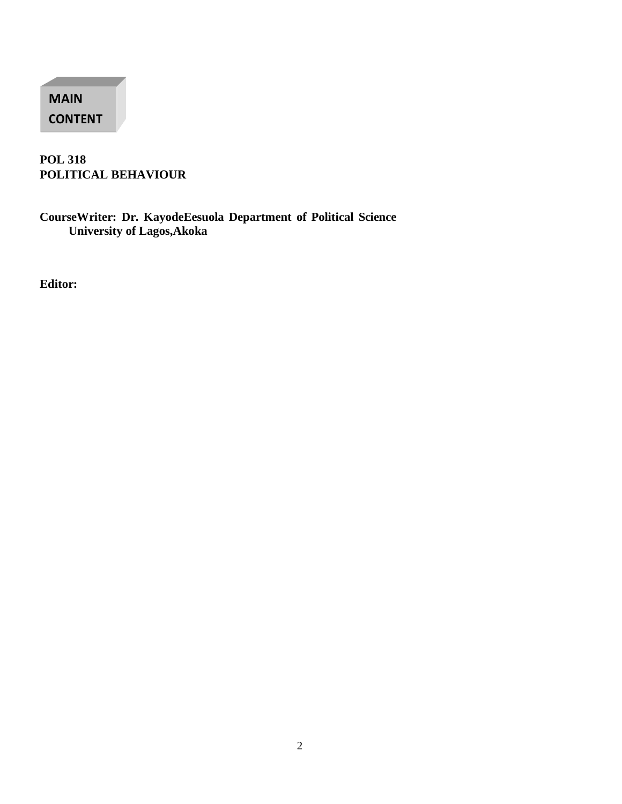# **MAIN**

a ka

# **CONTENT**

# **POL 318 POLITICAL BEHAVIOUR**

## **CourseWriter: Dr. KayodeEesuola Department of Political Science University of Lagos,Akoka**

**Editor:**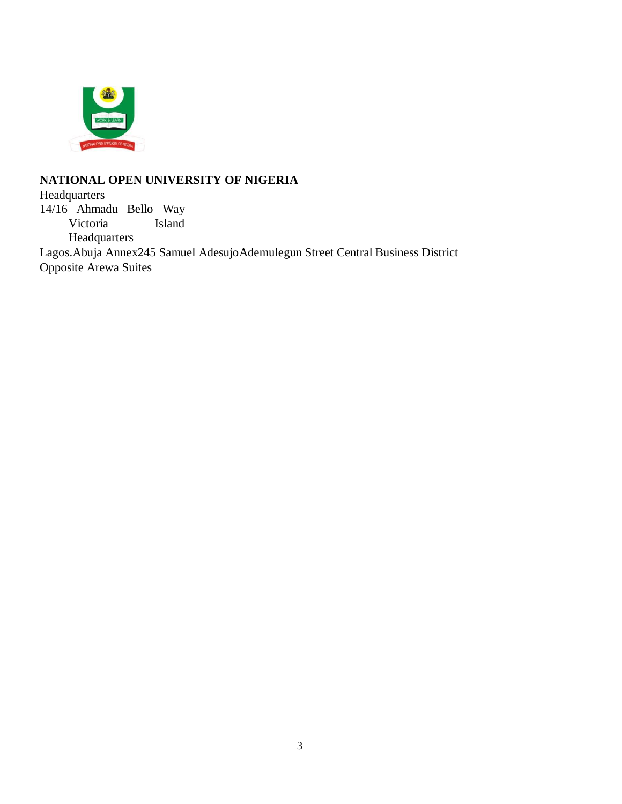

## **NATIONAL OPEN UNIVERSITY OF NIGERIA**

Headquarters 14/16 Ahmadu Bello Way<br>Victoria Island Victoria Headquarters Lagos.Abuja Annex245 Samuel AdesujoAdemulegun Street Central Business District Opposite Arewa Suites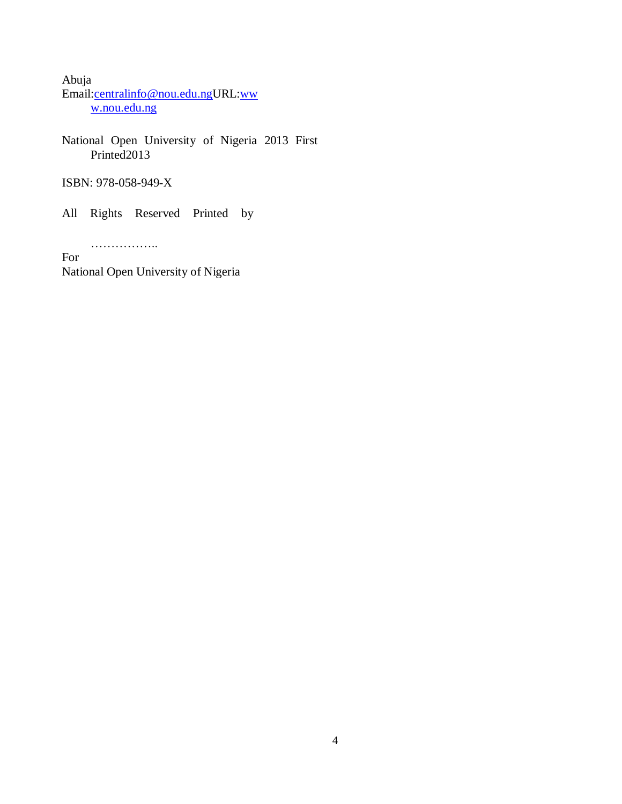Abuja Email[:centralinfo@nou.edu.ngU](mailto:centralinfo@nou.edu.ng)RL[:ww](http://www.nou.edu.ng/) [w.nou.edu.ng](http://www.nou.edu.ng/)

National Open University of Nigeria 2013 First Printed2013

ISBN: 978-058-949-X

All Rights Reserved Printed by

……………..

For National Open University of Nigeria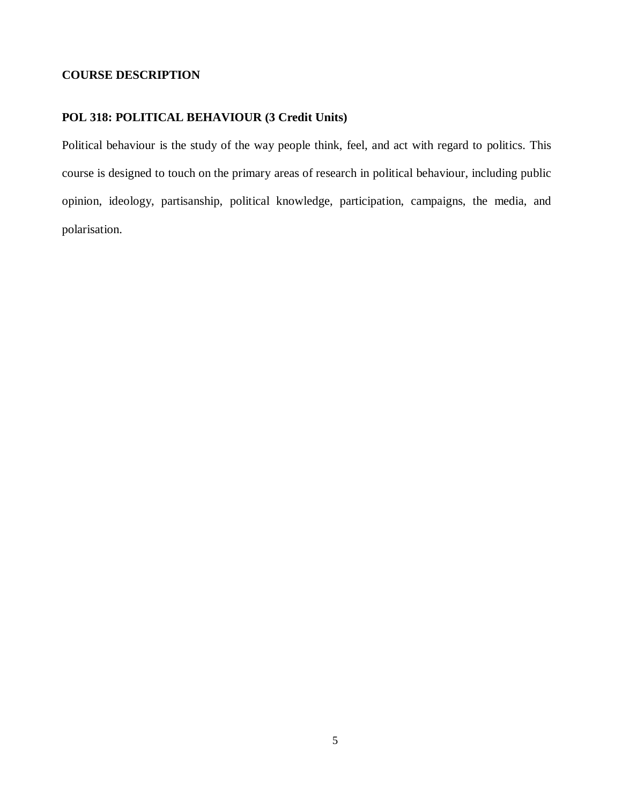## **COURSE DESCRIPTION**

#### **POL 318: POLITICAL BEHAVIOUR (3 Credit Units)**

Political behaviour is the study of the way people think, feel, and act with regard to politics. This course is designed to touch on the primary areas of research in political behaviour, including public opinion, ideology, partisanship, political knowledge, participation, campaigns, the media, and polarisation.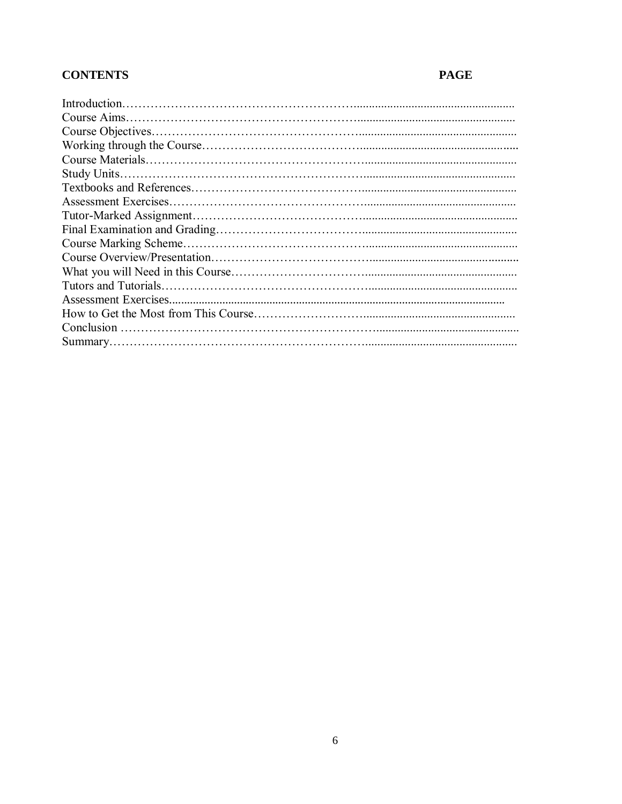# **CONTENTS**

# **PAGE**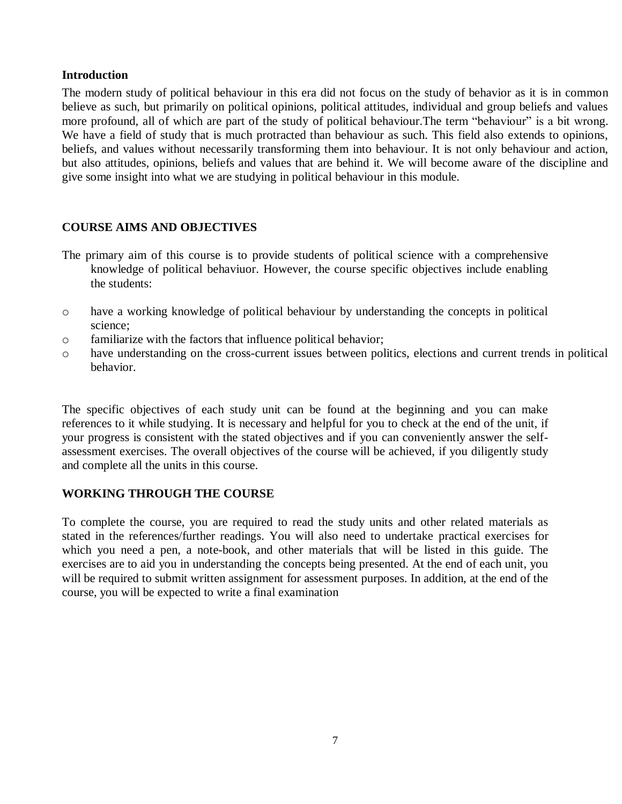#### **Introduction**

The modern study of political behaviour in this era did not focus on the study of behavior as it is in common believe as such, but primarily on political opinions, political attitudes, individual and group beliefs and values more profound, all of which are part of the study of political behaviour. The term "behaviour" is a bit wrong. We have a field of study that is much protracted than behaviour as such. This field also extends to opinions, beliefs, and values without necessarily transforming them into behaviour. It is not only behaviour and action, but also attitudes, opinions, beliefs and values that are behind it. We will become aware of the discipline and give some insight into what we are studying in political behaviour in this module.

## **COURSE AIMS AND OBJECTIVES**

- The primary aim of this course is to provide students of political science with a comprehensive knowledge of political behaviuor. However, the course specific objectives include enabling the students:
- o have a working knowledge of political behaviour by understanding the concepts in political science;
- o familiarize with the factors that influence political behavior;
- o have understanding on the cross-current issues between politics, elections and current trends in political behavior.

The specific objectives of each study unit can be found at the beginning and you can make references to it while studying. It is necessary and helpful for you to check at the end of the unit, if your progress is consistent with the stated objectives and if you can conveniently answer the selfassessment exercises. The overall objectives of the course will be achieved, if you diligently study and complete all the units in this course.

## **WORKING THROUGH THE COURSE**

To complete the course, you are required to read the study units and other related materials as stated in the references/further readings. You will also need to undertake practical exercises for which you need a pen, a note-book, and other materials that will be listed in this guide. The exercises are to aid you in understanding the concepts being presented. At the end of each unit, you will be required to submit written assignment for assessment purposes. In addition, at the end of the course, you will be expected to write a final examination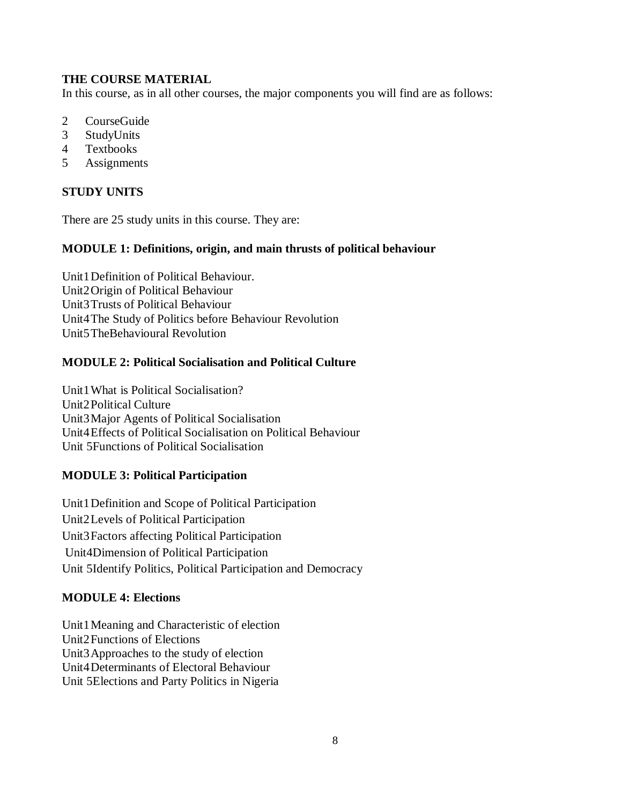## **THE COURSE MATERIAL**

In this course, as in all other courses, the major components you will find are as follows:

- 2 CourseGuide
- 3 StudyUnits
- 4 Textbooks
- 5 Assignments

## **STUDY UNITS**

There are 25 study units in this course. They are:

## **MODULE 1: Definitions, origin, and main thrusts of political behaviour**

Unit1Definition of Political Behaviour. Unit2Origin of Political Behaviour Unit3Trusts of Political Behaviour Unit4The Study of Politics before Behaviour Revolution Unit5TheBehavioural Revolution

## **MODULE 2: Political Socialisation and Political Culture**

Unit1What is Political Socialisation? Unit2Political Culture Unit3Major Agents of Political Socialisation Unit4Effects of Political Socialisation on Political Behaviour Unit 5Functions of Political Socialisation

## **MODULE 3: Political Participation**

Unit1Definition and Scope of Political Participation Unit2Levels of Political Participation Unit3Factors affecting Political Participation Unit4Dimension of Political Participation Unit 5Identify Politics, Political Participation and Democracy

## **MODULE 4: Elections**

Unit1Meaning and Characteristic of election Unit2Functions of Elections Unit3Approaches to the study of election Unit4Determinants of Electoral Behaviour Unit 5Elections and Party Politics in Nigeria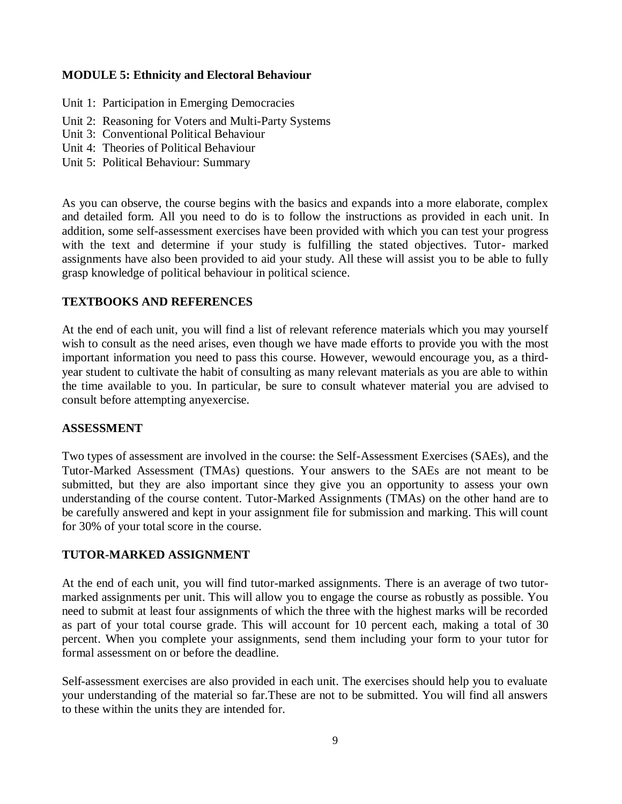#### **MODULE 5: Ethnicity and Electoral Behaviour**

- Unit 1: Participation in Emerging Democracies
- Unit 2: Reasoning for Voters and Multi-Party Systems
- Unit 3: Conventional Political Behaviour
- Unit 4: Theories of Political Behaviour
- Unit 5: Political Behaviour: Summary

As you can observe, the course begins with the basics and expands into a more elaborate, complex and detailed form. All you need to do is to follow the instructions as provided in each unit. In addition, some self-assessment exercises have been provided with which you can test your progress with the text and determine if your study is fulfilling the stated objectives. Tutor- marked assignments have also been provided to aid your study. All these will assist you to be able to fully grasp knowledge of political behaviour in political science.

#### **TEXTBOOKS AND REFERENCES**

At the end of each unit, you will find a list of relevant reference materials which you may yourself wish to consult as the need arises, even though we have made efforts to provide you with the most important information you need to pass this course. However, wewould encourage you, as a thirdyear student to cultivate the habit of consulting as many relevant materials as you are able to within the time available to you. In particular, be sure to consult whatever material you are advised to consult before attempting anyexercise.

#### **ASSESSMENT**

Two types of assessment are involved in the course: the Self-Assessment Exercises (SAEs), and the Tutor-Marked Assessment (TMAs) questions. Your answers to the SAEs are not meant to be submitted, but they are also important since they give you an opportunity to assess your own understanding of the course content. Tutor-Marked Assignments (TMAs) on the other hand are to be carefully answered and kept in your assignment file for submission and marking. This will count for 30% of your total score in the course.

#### **TUTOR-MARKED ASSIGNMENT**

At the end of each unit, you will find tutor-marked assignments. There is an average of two tutormarked assignments per unit. This will allow you to engage the course as robustly as possible. You need to submit at least four assignments of which the three with the highest marks will be recorded as part of your total course grade. This will account for 10 percent each, making a total of 30 percent. When you complete your assignments, send them including your form to your tutor for formal assessment on or before the deadline.

Self-assessment exercises are also provided in each unit. The exercises should help you to evaluate your understanding of the material so far.These are not to be submitted. You will find all answers to these within the units they are intended for.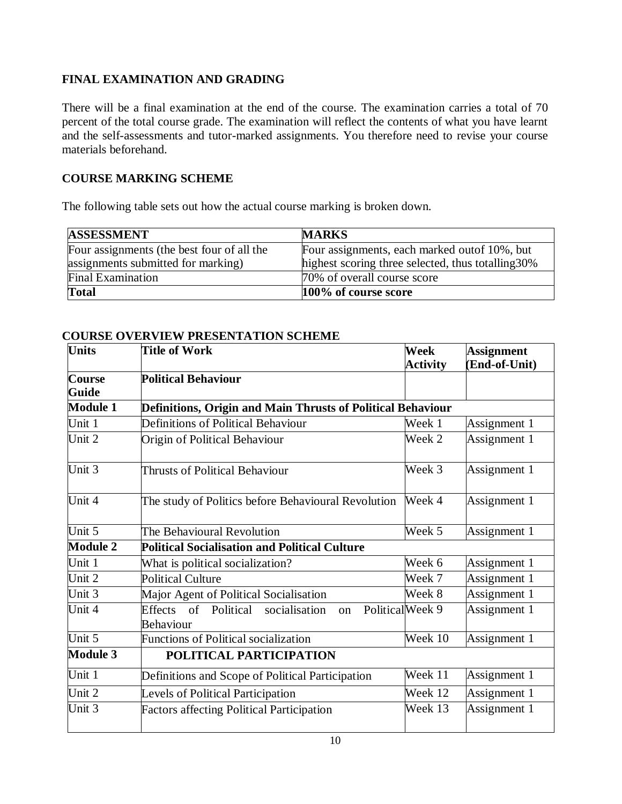## **FINAL EXAMINATION AND GRADING**

There will be a final examination at the end of the course. The examination carries a total of 70 percent of the total course grade. The examination will reflect the contents of what you have learnt and the self-assessments and tutor-marked assignments. You therefore need to revise your course materials beforehand.

#### **COURSE MARKING SCHEME**

The following table sets out how the actual course marking is broken down.

| <b>ASSESSMENT</b>                          | <b>MARKS</b>                                       |
|--------------------------------------------|----------------------------------------------------|
| Four assignments (the best four of all the | Four assignments, each marked outof 10%, but       |
| assignments submitted for marking)         | highest scoring three selected, thus totalling 30% |
| <b>Final Examination</b>                   | 70% of overall course score                        |
| <b>Total</b>                               | 100% of course score                               |

| <b>Units</b>    | Title of Work                                                    | Week            | <b>Assignment</b> |  |  |
|-----------------|------------------------------------------------------------------|-----------------|-------------------|--|--|
|                 |                                                                  | <b>Activity</b> | End-of-Unit)      |  |  |
| <b>Course</b>   | <b>Political Behaviour</b>                                       |                 |                   |  |  |
| Guide           |                                                                  |                 |                   |  |  |
| <b>Module 1</b> | Definitions, Origin and Main Thrusts of Political Behaviour      |                 |                   |  |  |
| Unit 1          | Definitions of Political Behaviour                               | Week 1          | Assignment 1      |  |  |
| Unit 2          | Origin of Political Behaviour                                    | Week 2          | Assignment 1      |  |  |
| Unit 3          | Thrusts of Political Behaviour                                   | Week 3          | Assignment 1      |  |  |
| Unit 4          | The study of Politics before Behavioural Revolution              | Week 4          | Assignment 1      |  |  |
| Unit 5          | The Behavioural Revolution                                       | Week 5          | Assignment 1      |  |  |
| <b>Module 2</b> | <b>Political Socialisation and Political Culture</b>             |                 |                   |  |  |
| Unit 1          | What is political socialization?                                 | Week 6          | Assignment 1      |  |  |
| Unit 2          | <b>Political Culture</b>                                         | Week 7          | Assignment 1      |  |  |
| Unit 3          | Major Agent of Political Socialisation                           | Week 8          | Assignment 1      |  |  |
| Unit 4          | Effects of Political<br>socialisation<br>$\alpha$ n<br>Behaviour | PoliticalWeek 9 | Assignment 1      |  |  |
| Unit 5          | Functions of Political socialization                             | Week 10         | Assignment 1      |  |  |
| <b>Module 3</b> | POLITICAL PARTICIPATION                                          |                 |                   |  |  |
| Unit 1          | Definitions and Scope of Political Participation                 | Week 11         | Assignment 1      |  |  |
| Unit 2          | Levels of Political Participation                                | Week 12         | Assignment 1      |  |  |
| Unit 3          | <b>Factors affecting Political Participation</b>                 | Week 13         | Assignment 1      |  |  |

#### **COURSE OVERVIEW PRESENTATION SCHEME**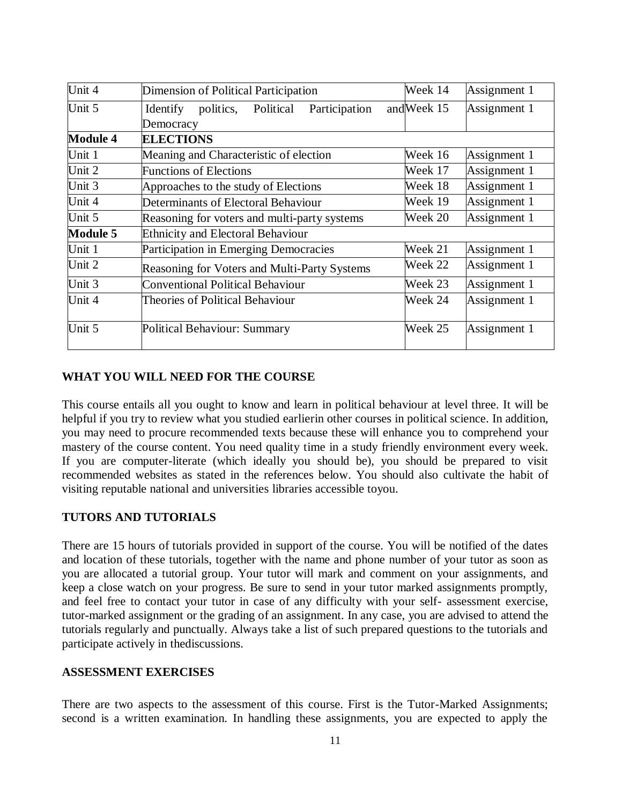| Unit 4          | Dimension of Political Participation                | Week 14     | Assignment 1 |
|-----------------|-----------------------------------------------------|-------------|--------------|
| Unit 5          | Participation<br>Political<br>politics,<br>Identify | and Week 15 | Assignment 1 |
|                 | Democracy                                           |             |              |
| <b>Module 4</b> | <b>ELECTIONS</b>                                    |             |              |
| Unit 1          | Meaning and Characteristic of election              | Week 16     | Assignment 1 |
| Unit 2          | <b>Functions of Elections</b>                       | Week 17     | Assignment 1 |
| Unit 3          | Approaches to the study of Elections                | Week 18     | Assignment 1 |
| Unit 4          | Determinants of Electoral Behaviour                 | Week 19     | Assignment 1 |
| Unit 5          | Reasoning for voters and multi-party systems        | Week 20     | Assignment 1 |
| <b>Module 5</b> | <b>Ethnicity and Electoral Behaviour</b>            |             |              |
| Unit 1          | Participation in Emerging Democracies               | Week 21     | Assignment 1 |
| Unit 2          | Reasoning for Voters and Multi-Party Systems        | Week 22     | Assignment 1 |
| Unit 3          | <b>Conventional Political Behaviour</b>             | Week 23     | Assignment 1 |
| Unit 4          | Theories of Political Behaviour                     | Week 24     | Assignment 1 |
| Unit 5          | Political Behaviour: Summary                        | Week 25     | Assignment 1 |

#### **WHAT YOU WILL NEED FOR THE COURSE**

This course entails all you ought to know and learn in political behaviour at level three. It will be helpful if you try to review what you studied earlierin other courses in political science. In addition, you may need to procure recommended texts because these will enhance you to comprehend your mastery of the course content. You need quality time in a study friendly environment every week. If you are computer-literate (which ideally you should be), you should be prepared to visit recommended websites as stated in the references below. You should also cultivate the habit of visiting reputable national and universities libraries accessible toyou.

#### **TUTORS AND TUTORIALS**

There are 15 hours of tutorials provided in support of the course. You will be notified of the dates and location of these tutorials, together with the name and phone number of your tutor as soon as you are allocated a tutorial group. Your tutor will mark and comment on your assignments, and keep a close watch on your progress. Be sure to send in your tutor marked assignments promptly, and feel free to contact your tutor in case of any difficulty with your self- assessment exercise, tutor-marked assignment or the grading of an assignment. In any case, you are advised to attend the tutorials regularly and punctually. Always take a list of such prepared questions to the tutorials and participate actively in thediscussions.

#### **ASSESSMENT EXERCISES**

There are two aspects to the assessment of this course. First is the Tutor-Marked Assignments; second is a written examination. In handling these assignments, you are expected to apply the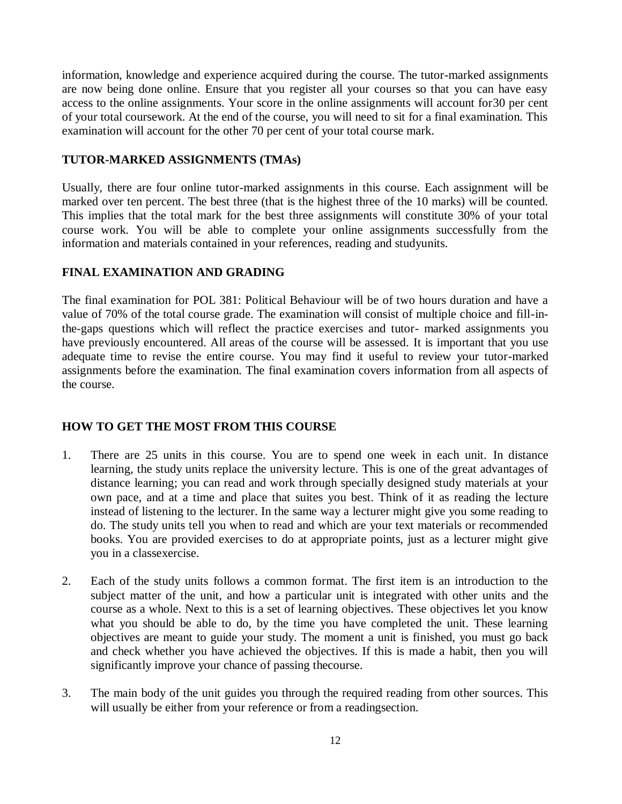information, knowledge and experience acquired during the course. The tutor-marked assignments are now being done online. Ensure that you register all your courses so that you can have easy access to the online assignments. Your score in the online assignments will account for30 per cent of your total coursework. At the end of the course, you will need to sit for a final examination. This examination will account for the other 70 per cent of your total course mark.

#### **TUTOR-MARKED ASSIGNMENTS (TMAs)**

Usually, there are four online tutor-marked assignments in this course. Each assignment will be marked over ten percent. The best three (that is the highest three of the 10 marks) will be counted. This implies that the total mark for the best three assignments will constitute 30% of your total course work. You will be able to complete your online assignments successfully from the information and materials contained in your references, reading and studyunits.

#### **FINAL EXAMINATION AND GRADING**

The final examination for POL 381: Political Behaviour will be of two hours duration and have a value of 70% of the total course grade. The examination will consist of multiple choice and fill-inthe-gaps questions which will reflect the practice exercises and tutor- marked assignments you have previously encountered. All areas of the course will be assessed. It is important that you use adequate time to revise the entire course. You may find it useful to review your tutor-marked assignments before the examination. The final examination covers information from all aspects of the course.

#### **HOW TO GET THE MOST FROM THIS COURSE**

- 1. There are 25 units in this course. You are to spend one week in each unit. In distance learning, the study units replace the university lecture. This is one of the great advantages of distance learning; you can read and work through specially designed study materials at your own pace, and at a time and place that suites you best. Think of it as reading the lecture instead of listening to the lecturer. In the same way a lecturer might give you some reading to do. The study units tell you when to read and which are your text materials or recommended books. You are provided exercises to do at appropriate points, just as a lecturer might give you in a classexercise.
- 2. Each of the study units follows a common format. The first item is an introduction to the subject matter of the unit, and how a particular unit is integrated with other units and the course as a whole. Next to this is a set of learning objectives. These objectives let you know what you should be able to do, by the time you have completed the unit. These learning objectives are meant to guide your study. The moment a unit is finished, you must go back and check whether you have achieved the objectives. If this is made a habit, then you will significantly improve your chance of passing thecourse.
- 3. The main body of the unit guides you through the required reading from other sources. This will usually be either from your reference or from a readingsection.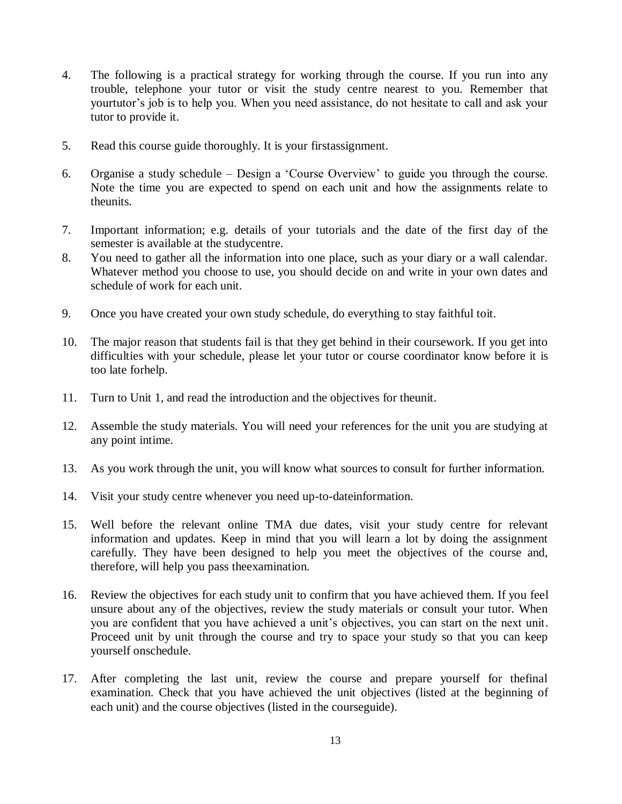- 4. The following is a practical strategy for working through the course. If you run into any trouble, telephone your tutor or visit the study centre nearest to you. Remember that yourtutor's job is to help you. When you need assistance, do not hesitate to call and ask your tutor to provide it.
- 5. Read this course guide thoroughly. It is your firstassignment.
- 6. Organise a study schedule Design a ‗Course Overview' to guide you through the course. Note the time you are expected to spend on each unit and how the assignments relate to theunits.
- 7. Important information; e.g. details of your tutorials and the date of the first day of the semester is available at the studycentre.
- 8. You need to gather all the information into one place, such as your diary or a wall calendar. Whatever method you choose to use, you should decide on and write in your own dates and schedule of work for each unit.
- 9. Once you have created your own study schedule, do everything to stay faithful toit.
- 10. The major reason that students fail is that they get behind in their coursework. If you get into difficulties with your schedule, please let your tutor or course coordinator know before it is too late forhelp.
- 11. Turn to Unit 1, and read the introduction and the objectives for theunit.
- 12. Assemble the study materials. You will need your references for the unit you are studying at any point intime.
- 13. As you work through the unit, you will know what sources to consult for further information.
- 14. Visit your study centre whenever you need up-to-dateinformation.
- 15. Well before the relevant online TMA due dates, visit your study centre for relevant information and updates. Keep in mind that you will learn a lot by doing the assignment carefully. They have been designed to help you meet the objectives of the course and, therefore, will help you pass theexamination.
- 16. Review the objectives for each study unit to confirm that you have achieved them. If you feel unsure about any of the objectives, review the study materials or consult your tutor. When you are confident that you have achieved a unit's objectives, you can start on the next unit. Proceed unit by unit through the course and try to space your study so that you can keep yourself onschedule.
- 17. After completing the last unit, review the course and prepare yourself for thefinal examination. Check that you have achieved the unit objectives (listed at the beginning of each unit) and the course objectives (listed in the courseguide).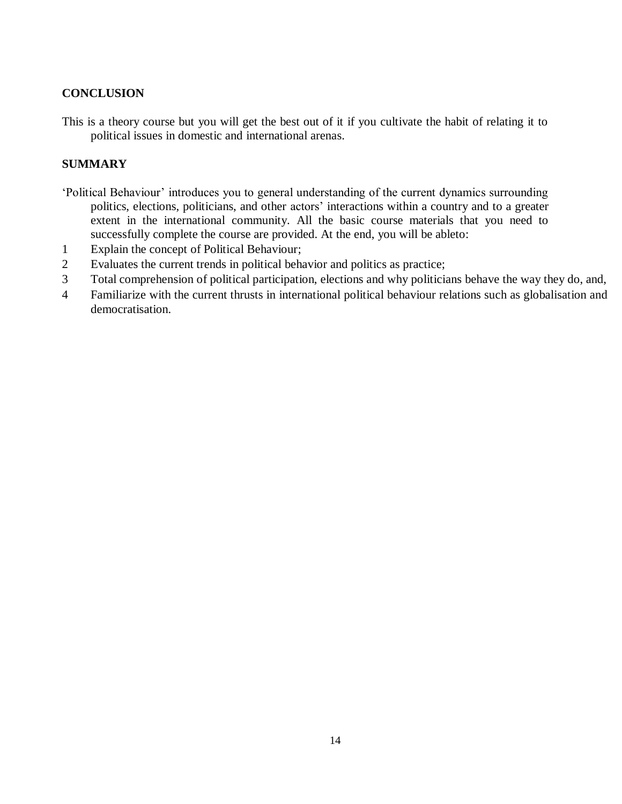## **CONCLUSION**

This is a theory course but you will get the best out of it if you cultivate the habit of relating it to political issues in domestic and international arenas.

## **SUMMARY**

- ‗Political Behaviour' introduces you to general understanding of the current dynamics surrounding politics, elections, politicians, and other actors' interactions within a country and to a greater extent in the international community. All the basic course materials that you need to successfully complete the course are provided. At the end, you will be ableto:
- 1 Explain the concept of Political Behaviour;
- 2 Evaluates the current trends in political behavior and politics as practice;
- 3 Total comprehension of political participation, elections and why politicians behave the way they do, and,
- 4 Familiarize with the current thrusts in international political behaviour relations such as globalisation and democratisation.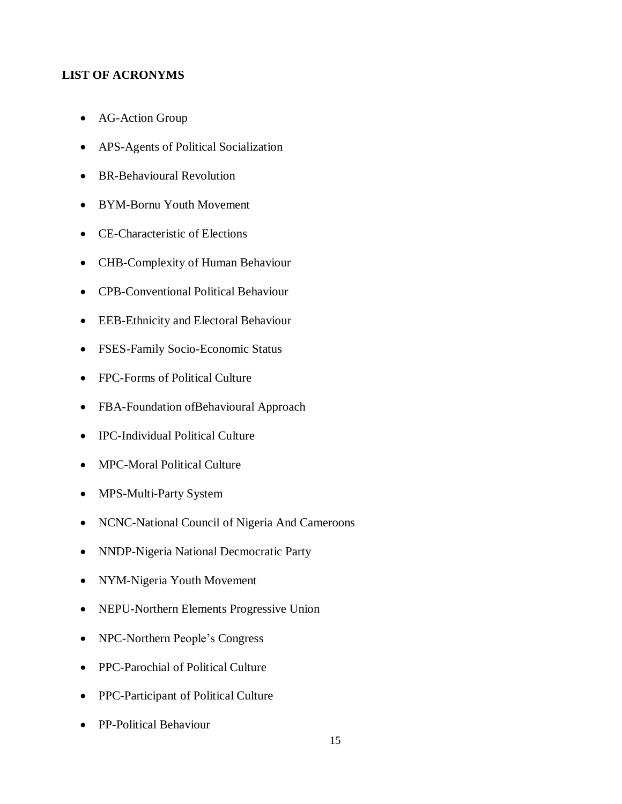## **LIST OF ACRONYMS**

- AG-Action Group
- APS-Agents of Political Socialization
- BR-Behavioural Revolution
- BYM-Bornu Youth Movement
- CE-Characteristic of Elections
- CHB-Complexity of Human Behaviour
- CPB-Conventional Political Behaviour
- EEB-Ethnicity and Electoral Behaviour
- FSES-Family Socio-Economic Status
- FPC-Forms of Political Culture
- FBA-Foundation ofBehavioural Approach
- IPC-Individual Political Culture
- MPC-Moral Political Culture
- MPS-Multi-Party System
- NCNC-National Council of Nigeria And Cameroons
- NNDP-Nigeria National Decmocratic Party
- NYM-Nigeria Youth Movement
- NEPU-Northern Elements Progressive Union
- NPC-Northern People's Congress
- PPC-Parochial of Political Culture
- PPC-Participant of Political Culture
- PP-Political Behaviour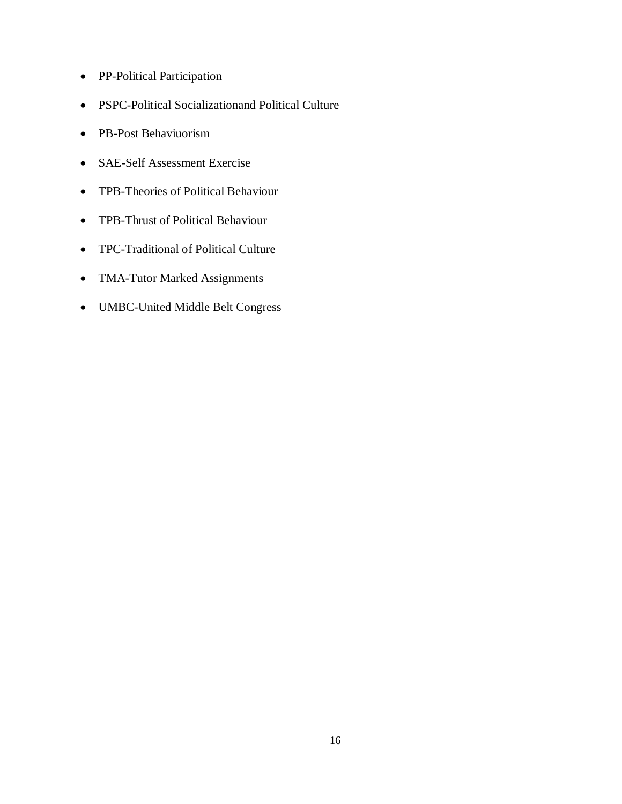- PP-Political Participation
- PSPC-Political Socializationand Political Culture
- PB-Post Behaviuorism
- SAE-Self Assessment Exercise
- TPB-Theories of Political Behaviour
- TPB-Thrust of Political Behaviour
- TPC-Traditional of Political Culture
- TMA-Tutor Marked Assignments
- UMBC-United Middle Belt Congress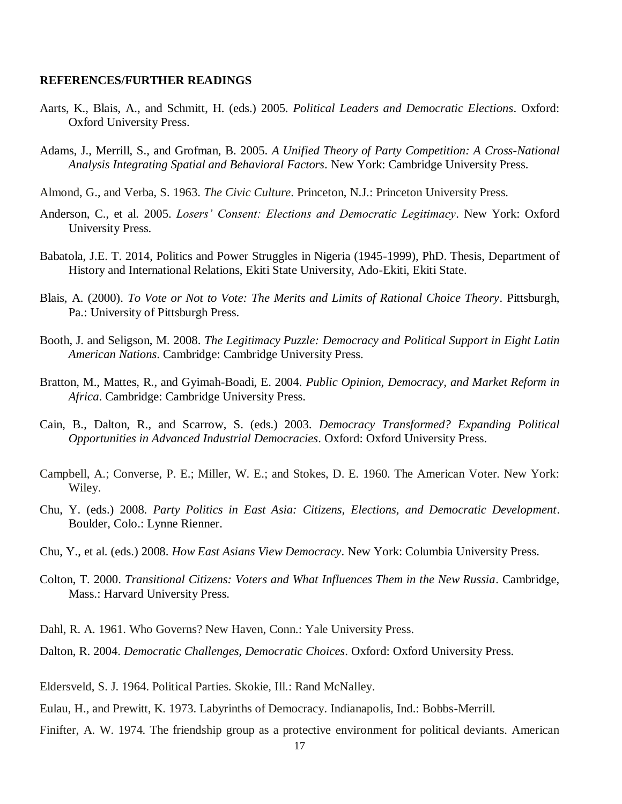#### **REFERENCES/FURTHER READINGS**

- Aarts, K., Blais, A., and Schmitt, H. (eds.) 2005. *Political Leaders and Democratic Elections*. Oxford: Oxford University Press.
- Adams, J., Merrill, S., and Grofman, B. 2005. *A Unified Theory of Party Competition: A Cross-National Analysis Integrating Spatial and Behavioral Factors*. New York: Cambridge University Press.
- Almond, G., and Verba, S. 1963. *The Civic Culture*. Princeton, N.J.: Princeton University Press.
- Anderson, C., et al. 2005. *Losers' Consent: Elections and Democratic Legitimacy*. New York: Oxford University Press.
- Babatola, J.E. T. 2014, Politics and Power Struggles in Nigeria (1945-1999), PhD. Thesis, Department of History and International Relations, Ekiti State University, Ado-Ekiti, Ekiti State.
- Blais, A. (2000). *To Vote or Not to Vote: The Merits and Limits of Rational Choice Theory*. Pittsburgh, Pa.: University of Pittsburgh Press.
- Booth, J. and Seligson, M. 2008. *The Legitimacy Puzzle: Democracy and Political Support in Eight Latin American Nations*. Cambridge: Cambridge University Press.
- Bratton, M., Mattes, R., and Gyimah-Boadi, E. 2004. *Public Opinion, Democracy, and Market Reform in Africa*. Cambridge: Cambridge University Press.
- Cain, B., Dalton, R., and Scarrow, S. (eds.) 2003. *Democracy Transformed? Expanding Political Opportunities in Advanced Industrial Democracies*. Oxford: Oxford University Press.
- Campbell, A.; Converse, P. E.; Miller, W. E.; and Stokes, D. E. 1960. The American Voter. New York: Wiley.
- Chu, Y. (eds.) 2008. *Party Politics in East Asia: Citizens, Elections, and Democratic Development*. Boulder, Colo.: Lynne Rienner.
- Chu, Y., et al. (eds.) 2008. *How East Asians View Democracy*. New York: Columbia University Press.
- Colton, T. 2000. *Transitional Citizens: Voters and What Influences Them in the New Russia*. Cambridge, Mass.: Harvard University Press.
- Dahl, R. A. 1961. Who Governs? New Haven, Conn.: Yale University Press.

Dalton, R. 2004. *Democratic Challenges, Democratic Choices*. Oxford: Oxford University Press.

- Eldersveld, S. J. 1964. Political Parties. Skokie, Ill.: Rand McNalley.
- Eulau, H., and Prewitt, K. 1973. Labyrinths of Democracy. Indianapolis, Ind.: Bobbs-Merrill.
- Finifter, A. W. 1974. The friendship group as a protective environment for political deviants. American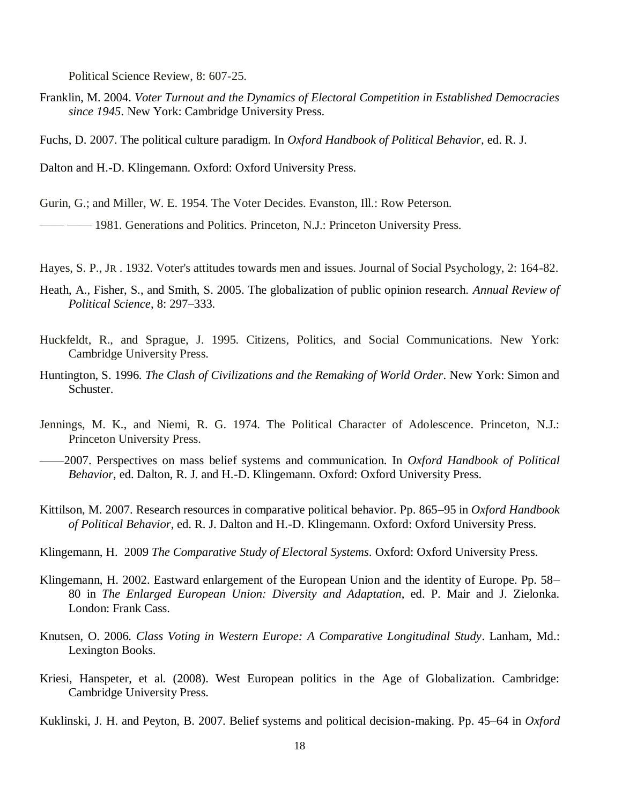Political Science Review, 8: 607-25.

Franklin, M. 2004. *Voter Turnout and the Dynamics of Electoral Competition in Established Democracies since 1945*. New York: Cambridge University Press.

Fuchs, D. 2007. The political culture paradigm. In *Oxford Handbook of Political Behavior*, ed. R. J.

Dalton and H.-D. Klingemann. Oxford: Oxford University Press.

Gurin, G.; and Miller, W. E. 1954. The Voter Decides. Evanston, Ill.: Row Peterson.

—— —— 1981. Generations and Politics. Princeton, N.J.: Princeton University Press.

Hayes, S. P., JR . 1932. Voter's attitudes towards men and issues. Journal of Social Psychology, 2: 164-82.

- Heath, A., Fisher, S., and Smith, S. 2005. The globalization of public opinion research. *Annual Review of Political Science*, 8: 297–333.
- Huckfeldt, R., and Sprague, J. 1995. Citizens, Politics, and Social Communications. New York: Cambridge University Press.
- Huntington, S. 1996. *The Clash of Civilizations and the Remaking of World Order*. New York: Simon and Schuster.
- Jennings, M. K., and Niemi, R. G. 1974. The Political Character of Adolescence. Princeton, N.J.: Princeton University Press.
- ——2007. Perspectives on mass belief systems and communication. In *Oxford Handbook of Political Behavior*, ed. Dalton, R. J. and H.-D. Klingemann. Oxford: Oxford University Press.
- Kittilson, M. 2007. Research resources in comparative political behavior. Pp. 865–95 in *Oxford Handbook of Political Behavior*, ed. R. J. Dalton and H.-D. Klingemann. Oxford: Oxford University Press.
- Klingemann, H. 2009 *The Comparative Study of Electoral Systems*. Oxford: Oxford University Press.
- Klingemann, H. 2002. Eastward enlargement of the European Union and the identity of Europe. Pp. 58– 80 in *The Enlarged European Union: Diversity and Adaptation*, ed. P. Mair and J. Zielonka. London: Frank Cass.
- Knutsen, O. 2006. *Class Voting in Western Europe: A Comparative Longitudinal Study*. Lanham, Md.: Lexington Books.
- Kriesi, Hanspeter, et al. (2008). West European politics in the Age of Globalization. Cambridge: Cambridge University Press.
- Kuklinski, J. H. and Peyton, B. 2007. Belief systems and political decision-making. Pp. 45–64 in *Oxford*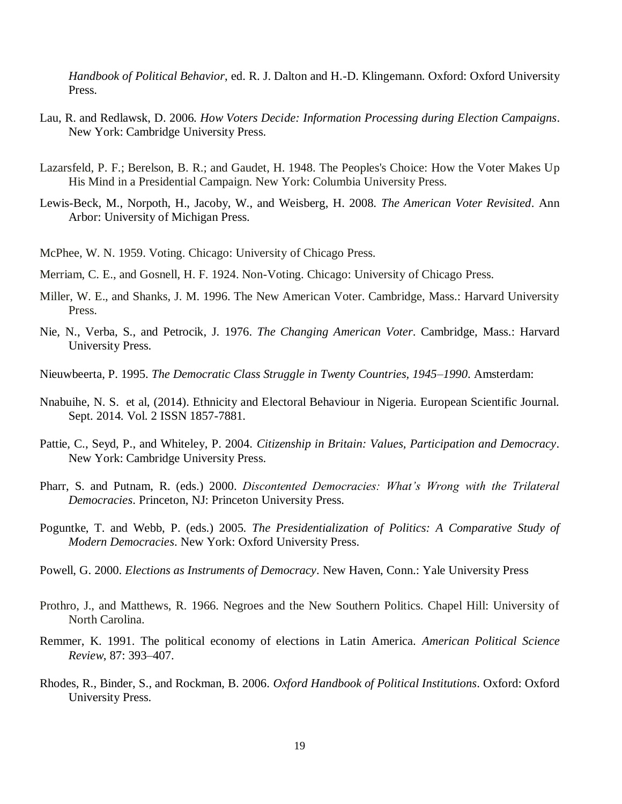*Handbook of Political Behavior*, ed. R. J. Dalton and H.-D. Klingemann. Oxford: Oxford University Press.

- Lau, R. and Redlawsk, D. 2006. *How Voters Decide: Information Processing during Election Campaigns*. New York: Cambridge University Press.
- Lazarsfeld, P. F.; Berelson, B. R.; and Gaudet, H. 1948. The Peoples's Choice: How the Voter Makes Up His Mind in a Presidential Campaign. New York: Columbia University Press.
- Lewis-Beck, M., Norpoth, H., Jacoby, W., and Weisberg, H. 2008. *The American Voter Revisited*. Ann Arbor: University of Michigan Press.
- McPhee, W. N. 1959. Voting. Chicago: University of Chicago Press.
- Merriam, C. E., and Gosnell, H. F. 1924. Non-Voting. Chicago: University of Chicago Press.
- Miller, W. E., and Shanks, J. M. 1996. The New American Voter. Cambridge, Mass.: Harvard University Press.
- Nie, N., Verba, S., and Petrocik, J. 1976. *The Changing American Voter*. Cambridge, Mass.: Harvard University Press.
- Nieuwbeerta, P. 1995. *The Democratic Class Struggle in Twenty Countries, 1945–1990*. Amsterdam:
- Nnabuihe, N. S. et al, (2014). Ethnicity and Electoral Behaviour in Nigeria. European Scientific Journal. Sept. 2014. Vol. 2 ISSN 1857-7881.
- Pattie, C., Seyd, P., and Whiteley, P. 2004. *Citizenship in Britain: Values, Participation and Democracy*. New York: Cambridge University Press.
- Pharr, S. and Putnam, R. (eds.) 2000. *Discontented Democracies: What's Wrong with the Trilateral Democracies*. Princeton, NJ: Princeton University Press.
- Poguntke, T. and Webb, P. (eds.) 2005. *The Presidentialization of Politics: A Comparative Study of Modern Democracies*. New York: Oxford University Press.
- Powell, G. 2000. *Elections as Instruments of Democracy*. New Haven, Conn.: Yale University Press
- Prothro, J., and Matthews, R. 1966. Negroes and the New Southern Politics. Chapel Hill: University of North Carolina.
- Remmer, K. 1991. The political economy of elections in Latin America. *American Political Science Review*, 87: 393–407.
- Rhodes, R., Binder, S., and Rockman, B. 2006. *Oxford Handbook of Political Institutions*. Oxford: Oxford University Press.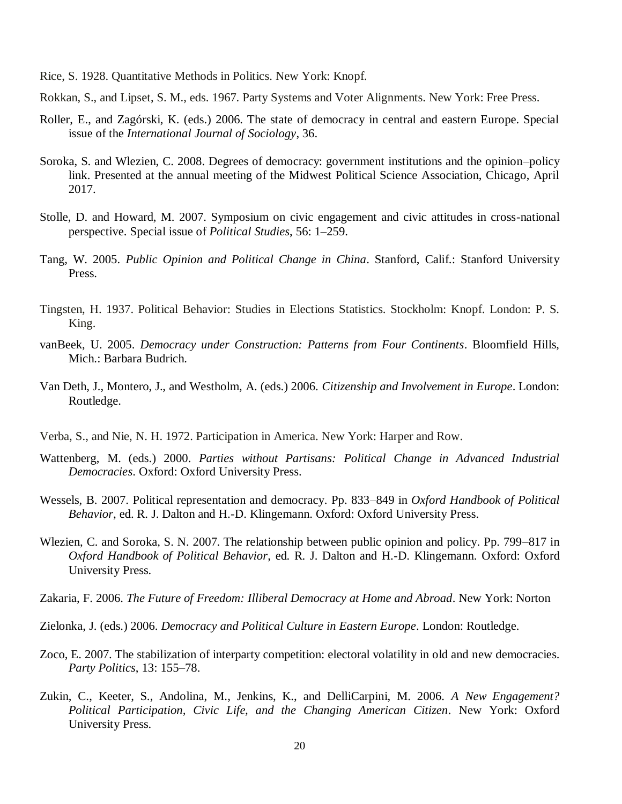Rice, S. 1928. Quantitative Methods in Politics. New York: Knopf.

Rokkan, S., and Lipset, S. M., eds. 1967. Party Systems and Voter Alignments. New York: Free Press.

- Roller, E., and Zagórski, K. (eds.) 2006. The state of democracy in central and eastern Europe. Special issue of the *International Journal of Sociology*, 36.
- Soroka, S. and Wlezien, C. 2008. Degrees of democracy: government institutions and the opinion–policy link. Presented at the annual meeting of the Midwest Political Science Association, Chicago, April 2017.
- Stolle, D. and Howard, M. 2007. Symposium on civic engagement and civic attitudes in cross-national perspective. Special issue of *Political Studies*, 56: 1–259.
- Tang, W. 2005. *Public Opinion and Political Change in China*. Stanford, Calif.: Stanford University Press.
- Tingsten, H. 1937. Political Behavior: Studies in Elections Statistics. Stockholm: Knopf. London: P. S. King.
- vanBeek, U. 2005. *Democracy under Construction: Patterns from Four Continents*. Bloomfield Hills, Mich.: Barbara Budrich.
- Van Deth, J., Montero, J., and Westholm, A. (eds.) 2006. *Citizenship and Involvement in Europe*. London: Routledge.

Verba, S., and Nie, N. H. 1972. Participation in America. New York: Harper and Row.

- Wattenberg, M. (eds.) 2000. *Parties without Partisans: Political Change in Advanced Industrial Democracies*. Oxford: Oxford University Press.
- Wessels, B. 2007. Political representation and democracy. Pp. 833–849 in *Oxford Handbook of Political Behavior*, ed. R. J. Dalton and H.-D. Klingemann. Oxford: Oxford University Press.
- Wlezien, C. and Soroka, S. N. 2007. The relationship between public opinion and policy. Pp. 799–817 in *Oxford Handbook of Political Behavior*, ed. R. J. Dalton and H.-D. Klingemann. Oxford: Oxford University Press.
- Zakaria, F. 2006. *The Future of Freedom: Illiberal Democracy at Home and Abroad*. New York: Norton
- Zielonka, J. (eds.) 2006. *Democracy and Political Culture in Eastern Europe*. London: Routledge.
- Zoco, E. 2007. The stabilization of interparty competition: electoral volatility in old and new democracies. *Party Politics*, 13: 155–78.
- Zukin, C., Keeter, S., Andolina, M., Jenkins, K., and DelliCarpini, M. 2006. *A New Engagement? Political Participation, Civic Life, and the Changing American Citizen*. New York: Oxford University Press.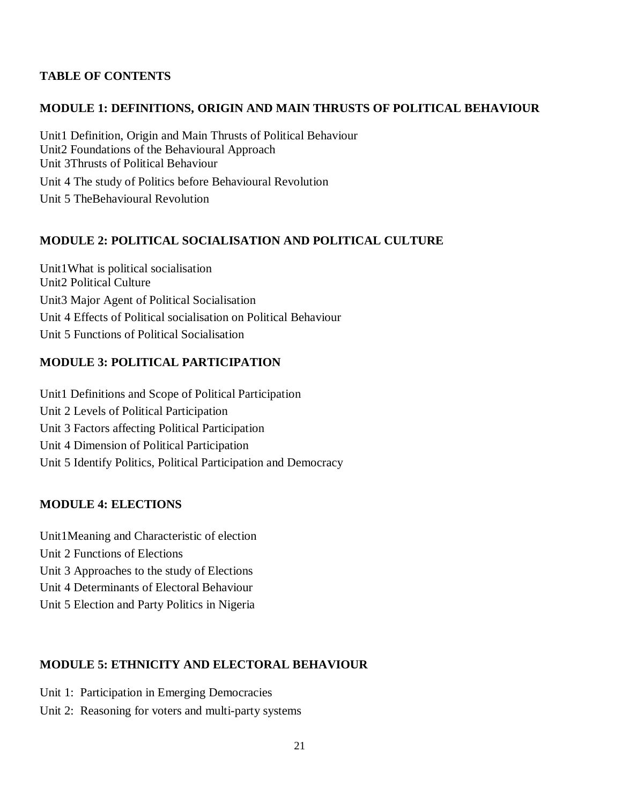## **TABLE OF CONTENTS**

#### **MODULE 1: DEFINITIONS, ORIGIN AND MAIN THRUSTS OF POLITICAL BEHAVIOUR**

Unit1 Definition, Origin and Main Thrusts of Political Behaviour Unit2 Foundations of the Behavioural Approach Unit 3Thrusts of Political Behaviour Unit 4 The study of Politics before Behavioural Revolution Unit 5 TheBehavioural Revolution

## **MODULE 2: POLITICAL SOCIALISATION AND POLITICAL CULTURE**

Unit1What is political socialisation Unit2 Political Culture Unit3 Major Agent of Political Socialisation Unit 4 Effects of Political socialisation on Political Behaviour Unit 5 Functions of Political Socialisation

## **MODULE 3: POLITICAL PARTICIPATION**

Unit1 Definitions and Scope of Political Participation Unit 2 Levels of Political Participation Unit 3 Factors affecting Political Participation Unit 4 Dimension of Political Participation Unit 5 Identify Politics, Political Participation and Democracy

## **MODULE 4: ELECTIONS**

Unit1Meaning and Characteristic of election Unit 2 Functions of Elections Unit 3 Approaches to the study of Elections Unit 4 Determinants of Electoral Behaviour

Unit 5 Election and Party Politics in Nigeria

## **MODULE 5: ETHNICITY AND ELECTORAL BEHAVIOUR**

Unit 1: Participation in Emerging Democracies

Unit 2: Reasoning for voters and multi-party systems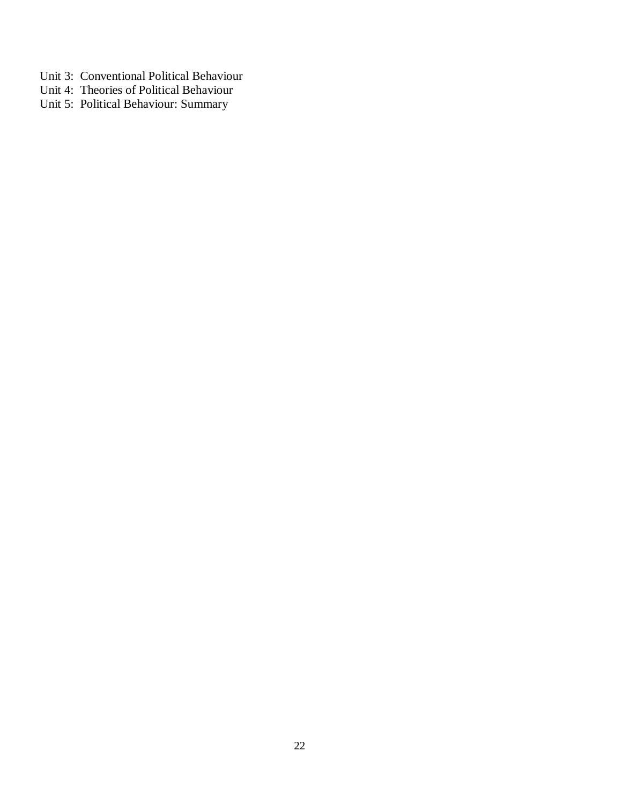- Unit 3: Conventional Political Behaviour
- Unit 4: Theories of Political Behaviour
- Unit 5: Political Behaviour: Summary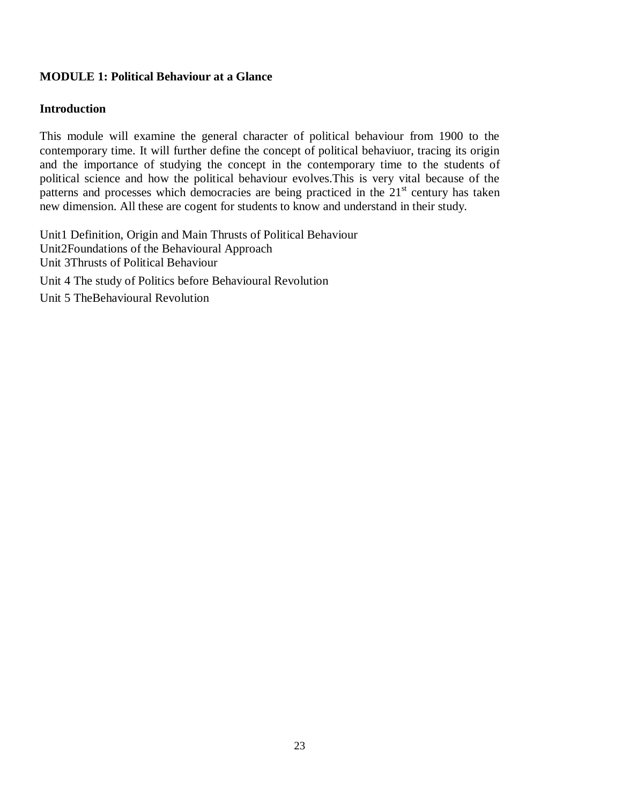#### **MODULE 1: Political Behaviour at a Glance**

#### **Introduction**

This module will examine the general character of political behaviour from 1900 to the contemporary time. It will further define the concept of political behaviuor, tracing its origin and the importance of studying the concept in the contemporary time to the students of political science and how the political behaviour evolves.This is very vital because of the patterns and processes which democracies are being practiced in the  $21<sup>st</sup>$  century has taken new dimension. All these are cogent for students to know and understand in their study.

Unit1 Definition, Origin and Main Thrusts of Political Behaviour Unit2Foundations of the Behavioural Approach Unit 3Thrusts of Political Behaviour Unit 4 The study of Politics before Behavioural Revolution Unit 5 TheBehavioural Revolution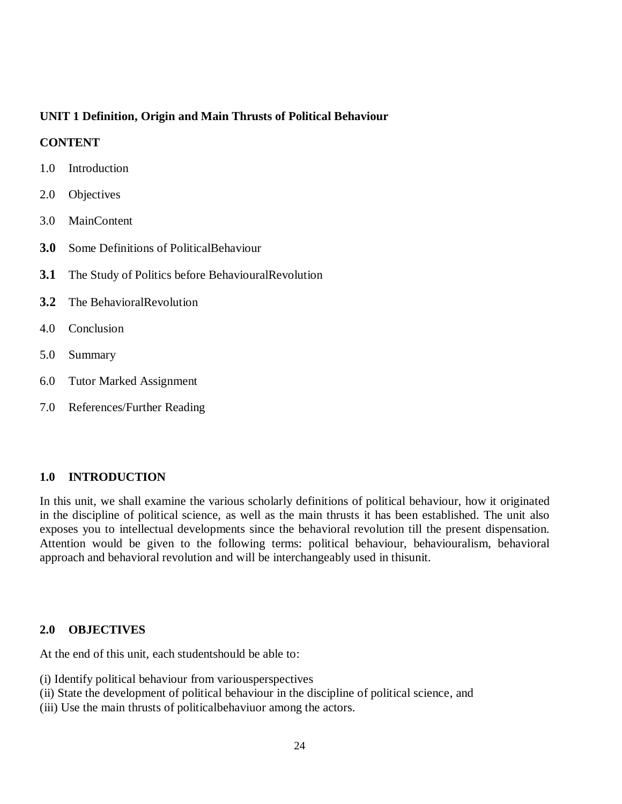#### **UNIT 1 Definition, Origin and Main Thrusts of Political Behaviour**

#### **CONTENT**

- 1.0 Introduction
- 2.0 Objectives
- 3.0 MainContent
- **3.0** Some Definitions of PoliticalBehaviour
- **3.1** The Study of Politics before BehaviouralRevolution
- **3.2** The BehavioralRevolution
- 4.0 Conclusion
- 5.0 Summary
- 6.0 Tutor Marked Assignment
- 7.0 References/Further Reading

## **1.0 INTRODUCTION**

In this unit, we shall examine the various scholarly definitions of political behaviour, how it originated in the discipline of political science, as well as the main thrusts it has been established. The unit also exposes you to intellectual developments since the behavioral revolution till the present dispensation. Attention would be given to the following terms: political behaviour, behaviouralism, behavioral approach and behavioral revolution and will be interchangeably used in thisunit.

#### **2.0 OBJECTIVES**

At the end of this unit, each studentshould be able to:

- (i) Identify political behaviour from variousperspectives
- (ii) State the development of political behaviour in the discipline of political science, and
- (iii) Use the main thrusts of politicalbehaviuor among the actors.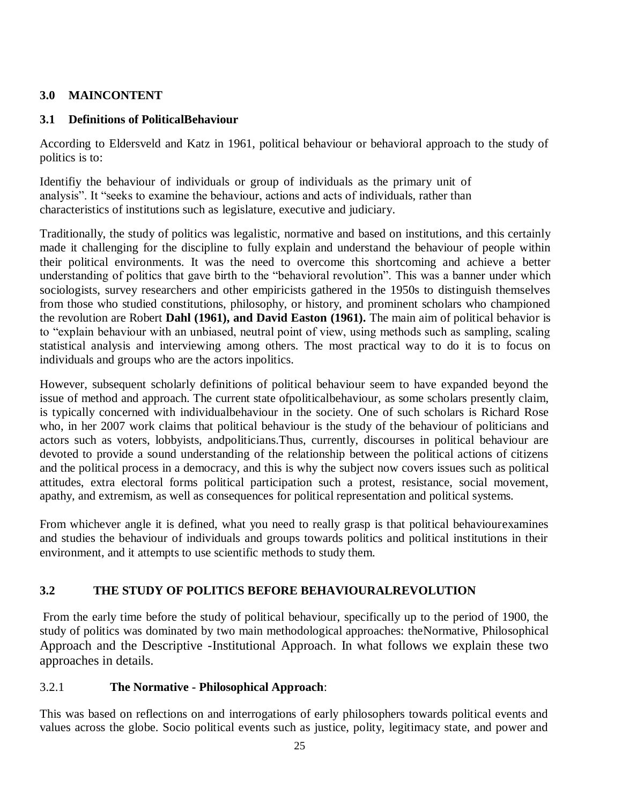## **3.0 MAINCONTENT**

## **3.1 Definitions of PoliticalBehaviour**

According to Eldersveld and Katz in 1961, political behaviour or behavioral approach to the study of politics is to:

Identifiy the behaviour of individuals or group of individuals as the primary unit of analysis". It "seeks to examine the behaviour, actions and acts of individuals, rather than characteristics of institutions such as legislature, executive and judiciary.

Traditionally, the study of politics was legalistic, normative and based on institutions, and this certainly made it challenging for the discipline to fully explain and understand the behaviour of people within their political environments. It was the need to overcome this shortcoming and achieve a better understanding of politics that gave birth to the "behavioral revolution". This was a banner under which sociologists, survey researchers and other empiricists gathered in the 1950s to distinguish themselves from those who studied constitutions, philosophy, or history, and prominent scholars who championed the revolution are Robert **Dahl (1961), and David Easton (1961).** The main aim of political behavior is to "explain behaviour with an unbiased, neutral point of view, using methods such as sampling, scaling statistical analysis and interviewing among others. The most practical way to do it is to focus on individuals and groups who are the actors inpolitics.

However, subsequent scholarly definitions of political behaviour seem to have expanded beyond the issue of method and approach. The current state ofpoliticalbehaviour, as some scholars presently claim, is typically concerned with individualbehaviour in the society. One of such scholars is Richard Rose who, in her 2007 work claims that political behaviour is the study of the behaviour of politicians and actors such as voters, lobbyists, andpoliticians.Thus, currently, discourses in political behaviour are devoted to provide a sound understanding of the relationship between the political actions of citizens and the political process in a democracy, and this is why the subject now covers issues such as political attitudes, extra electoral forms political participation such a protest, resistance, social movement, apathy, and extremism, as well as consequences for political representation and political systems.

From whichever angle it is defined, what you need to really grasp is that political behaviourexamines and studies the behaviour of individuals and groups towards politics and political institutions in their environment, and it attempts to use scientific methods to study them.

## **3.2 THE STUDY OF POLITICS BEFORE BEHAVIOURALREVOLUTION**

From the early time before the study of political behaviour, specifically up to the period of 1900, the study of politics was dominated by two main methodological approaches: theNormative, Philosophical Approach and the Descriptive -Institutional Approach. In what follows we explain these two approaches in details.

## 3.2.1 **The Normative - Philosophical Approach**:

This was based on reflections on and interrogations of early philosophers towards political events and values across the globe. Socio political events such as justice, polity, legitimacy state, and power and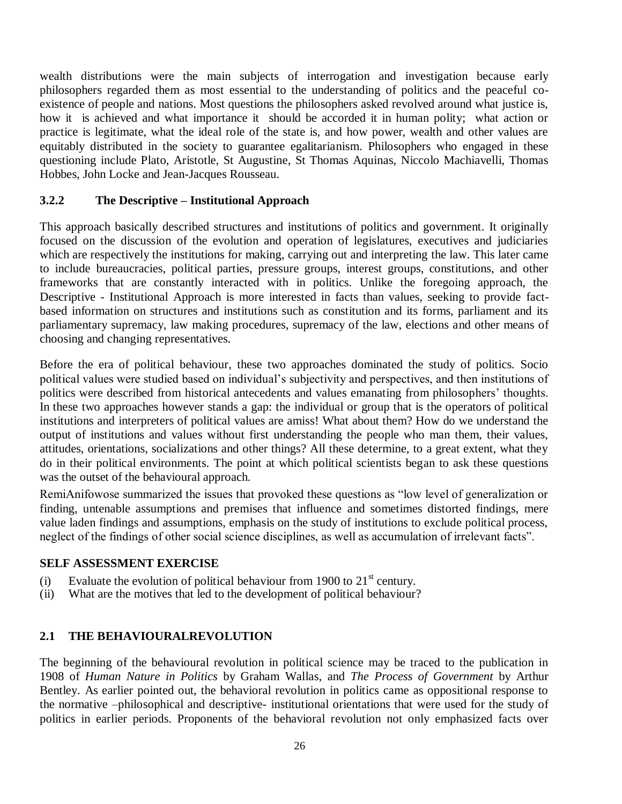wealth distributions were the main subjects of interrogation and investigation because early philosophers regarded them as most essential to the understanding of politics and the peaceful coexistence of people and nations. Most questions the philosophers asked revolved around what justice is, how it is achieved and what importance it should be accorded it in human polity; what action or practice is legitimate, what the ideal role of the state is, and how power, wealth and other values are equitably distributed in the society to guarantee egalitarianism. Philosophers who engaged in these questioning include Plato, Aristotle, St Augustine, St Thomas Aquinas, Niccolo Machiavelli, Thomas Hobbes, John Locke and Jean-Jacques Rousseau.

#### **3.2.2 The Descriptive – Institutional Approach**

This approach basically described structures and institutions of politics and government. It originally focused on the discussion of the evolution and operation of legislatures, executives and judiciaries which are respectively the institutions for making, carrying out and interpreting the law. This later came to include bureaucracies, political parties, pressure groups, interest groups, constitutions, and other frameworks that are constantly interacted with in politics. Unlike the foregoing approach, the Descriptive - Institutional Approach is more interested in facts than values, seeking to provide factbased information on structures and institutions such as constitution and its forms, parliament and its parliamentary supremacy, law making procedures, supremacy of the law, elections and other means of choosing and changing representatives.

Before the era of political behaviour, these two approaches dominated the study of politics. Socio political values were studied based on individual's subjectivity and perspectives, and then institutions of politics were described from historical antecedents and values emanating from philosophers' thoughts. In these two approaches however stands a gap: the individual or group that is the operators of political institutions and interpreters of political values are amiss! What about them? How do we understand the output of institutions and values without first understanding the people who man them, their values, attitudes, orientations, socializations and other things? All these determine, to a great extent, what they do in their political environments. The point at which political scientists began to ask these questions was the outset of the behavioural approach.

RemiAnifowose summarized the issues that provoked these questions as "low level of generalization or finding, untenable assumptions and premises that influence and sometimes distorted findings, mere value laden findings and assumptions, emphasis on the study of institutions to exclude political process, neglect of the findings of other social science disciplines, as well as accumulation of irrelevant facts".

#### **SELF ASSESSMENT EXERCISE**

- (i) Evaluate the evolution of political behaviour from 1900 to  $21<sup>st</sup>$  century.
- (ii) What are the motives that led to the development of political behaviour?

## **2.1 THE BEHAVIOURALREVOLUTION**

The beginning of the behavioural revolution in political science may be traced to the publication in 1908 of *Human Nature in Politics* by Graham Wallas, and *The Process of Government* by Arthur Bentley. As earlier pointed out, the behavioral revolution in politics came as oppositional response to the normative –philosophical and descriptive- institutional orientations that were used for the study of politics in earlier periods. Proponents of the behavioral revolution not only emphasized facts over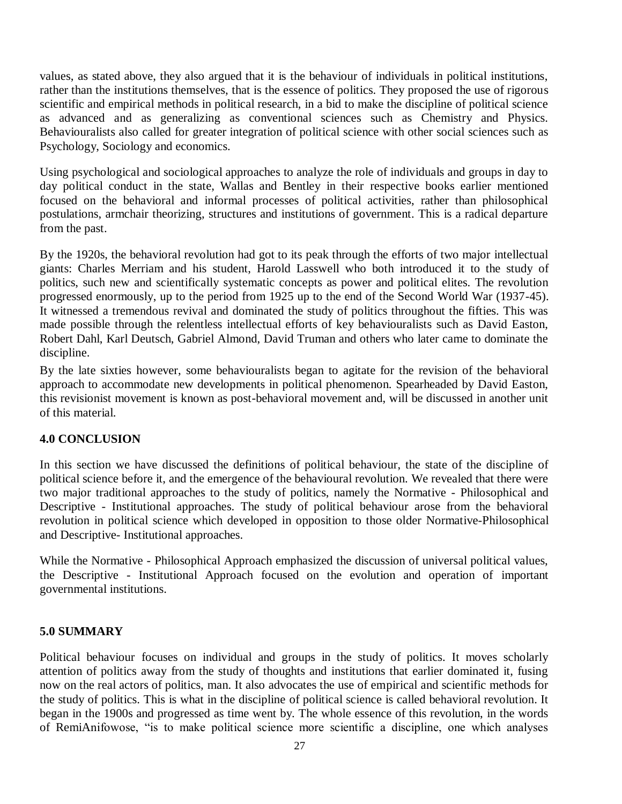values, as stated above, they also argued that it is the behaviour of individuals in political institutions, rather than the institutions themselves, that is the essence of politics. They proposed the use of rigorous scientific and empirical methods in political research, in a bid to make the discipline of political science as advanced and as generalizing as conventional sciences such as Chemistry and Physics. Behaviouralists also called for greater integration of political science with other social sciences such as Psychology, Sociology and economics.

Using psychological and sociological approaches to analyze the role of individuals and groups in day to day political conduct in the state, Wallas and Bentley in their respective books earlier mentioned focused on the behavioral and informal processes of political activities, rather than philosophical postulations, armchair theorizing, structures and institutions of government. This is a radical departure from the past.

By the 1920s, the behavioral revolution had got to its peak through the efforts of two major intellectual giants: Charles Merriam and his student, Harold Lasswell who both introduced it to the study of politics, such new and scientifically systematic concepts as power and political elites. The revolution progressed enormously, up to the period from 1925 up to the end of the Second World War (1937-45). It witnessed a tremendous revival and dominated the study of politics throughout the fifties. This was made possible through the relentless intellectual efforts of key behaviouralists such as David Easton, Robert Dahl, Karl Deutsch, Gabriel Almond, David Truman and others who later came to dominate the discipline.

By the late sixties however, some behaviouralists began to agitate for the revision of the behavioral approach to accommodate new developments in political phenomenon. Spearheaded by David Easton, this revisionist movement is known as post-behavioral movement and, will be discussed in another unit of this material.

#### **4.0 CONCLUSION**

In this section we have discussed the definitions of political behaviour, the state of the discipline of political science before it, and the emergence of the behavioural revolution. We revealed that there were two major traditional approaches to the study of politics, namely the Normative - Philosophical and Descriptive - Institutional approaches. The study of political behaviour arose from the behavioral revolution in political science which developed in opposition to those older Normative-Philosophical and Descriptive- Institutional approaches.

While the Normative - Philosophical Approach emphasized the discussion of universal political values, the Descriptive - Institutional Approach focused on the evolution and operation of important governmental institutions.

## **5.0 SUMMARY**

Political behaviour focuses on individual and groups in the study of politics. It moves scholarly attention of politics away from the study of thoughts and institutions that earlier dominated it, fusing now on the real actors of politics, man. It also advocates the use of empirical and scientific methods for the study of politics. This is what in the discipline of political science is called behavioral revolution. It began in the 1900s and progressed as time went by. The whole essence of this revolution, in the words of RemiAnifowose, "is to make political science more scientific a discipline, one which analyses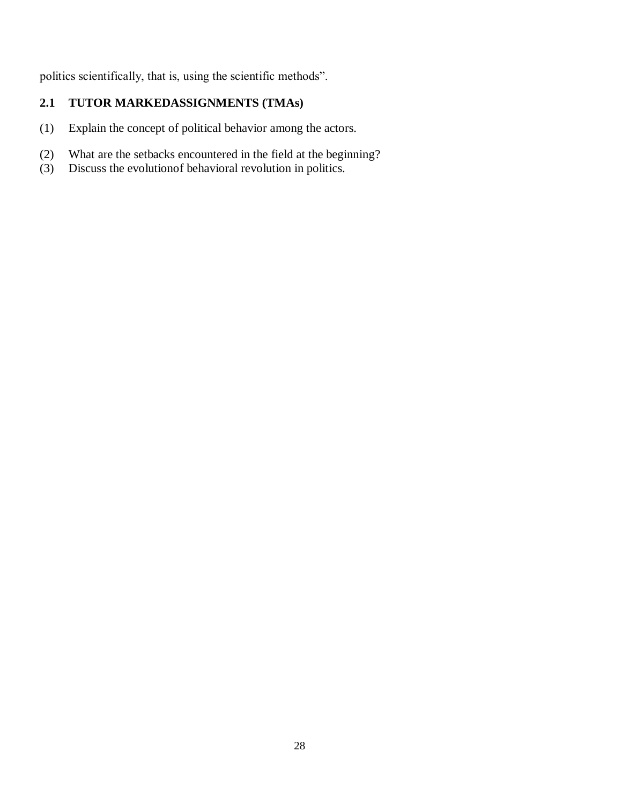politics scientifically, that is, using the scientific methods".

# **2.1 TUTOR MARKEDASSIGNMENTS (TMAs)**

- (1) Explain the concept of political behavior among the actors.
- (2) What are the setbacks encountered in the field at the beginning?
- (3) Discuss the evolutionof behavioral revolution in politics.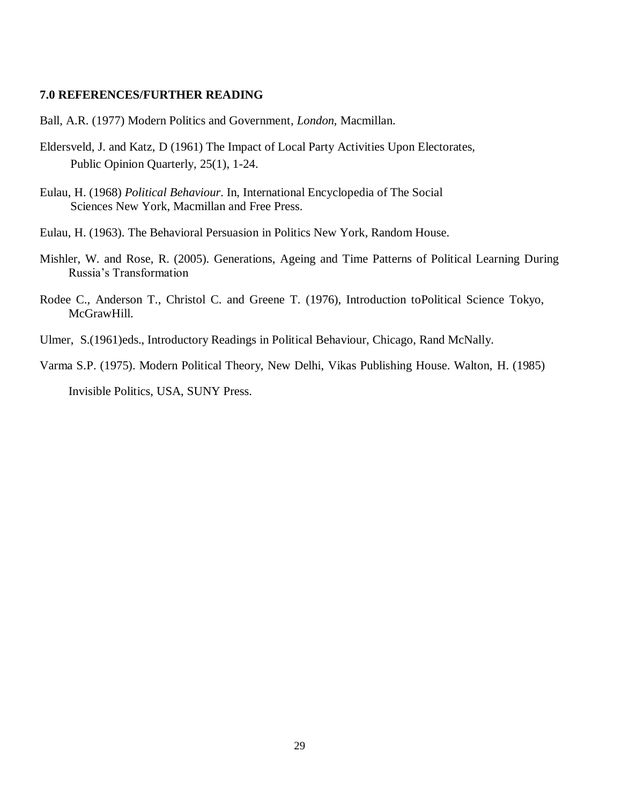#### **7.0 REFERENCES/FURTHER READING**

Ball, A.R. (1977) Modern Politics and Government*, London,* Macmillan.

- Eldersveld, J. and Katz, D (1961) The Impact of Local Party Activities Upon Electorates, Public Opinion Quarterly, 25(1), 1-24.
- Eulau, H. (1968) *Political Behaviour*. In, International Encyclopedia of The Social Sciences New York, Macmillan and Free Press.
- Eulau, H. (1963). The Behavioral Persuasion in Politics New York, Random House.
- Mishler, W. and Rose, R. (2005). Generations, Ageing and Time Patterns of Political Learning During Russia's Transformation
- Rodee C., Anderson T., Christol C. and Greene T. (1976), Introduction toPolitical Science Tokyo, McGrawHill.
- Ulmer, S.(1961)eds., Introductory Readings in Political Behaviour, Chicago, Rand McNally.
- Varma S.P. (1975). Modern Political Theory, New Delhi, Vikas Publishing House. Walton, H. (1985)

Invisible Politics, USA, SUNY Press.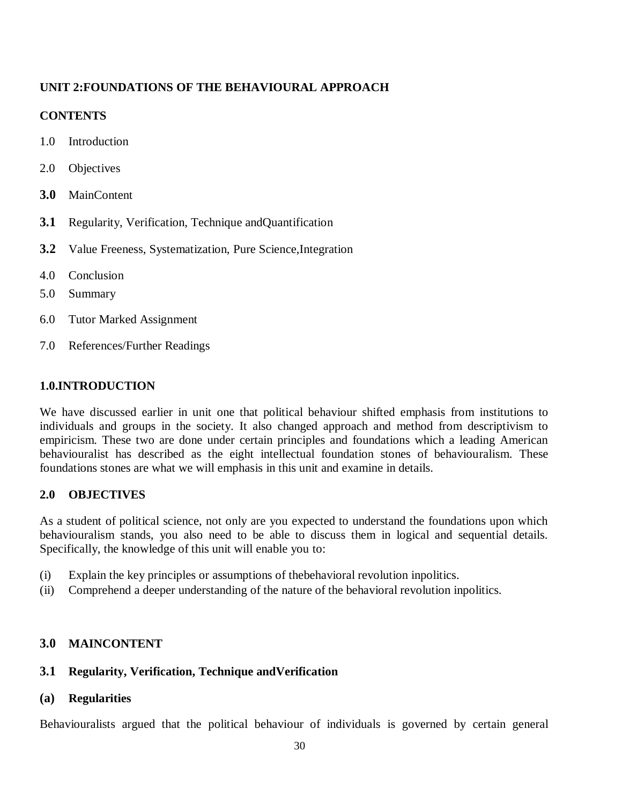## **UNIT 2:FOUNDATIONS OF THE BEHAVIOURAL APPROACH**

## **CONTENTS**

- 1.0 Introduction
- 2.0 Objectives
- **3.0** MainContent
- **3.1** Regularity, Verification, Technique andQuantification
- **3.2** Value Freeness, Systematization, Pure Science,Integration
- 4.0 Conclusion
- 5.0 Summary
- 6.0 Tutor Marked Assignment
- 7.0 References/Further Readings

## **1.0.INTRODUCTION**

We have discussed earlier in unit one that political behaviour shifted emphasis from institutions to individuals and groups in the society. It also changed approach and method from descriptivism to empiricism. These two are done under certain principles and foundations which a leading American behaviouralist has described as the eight intellectual foundation stones of behaviouralism. These foundations stones are what we will emphasis in this unit and examine in details.

## **2.0 OBJECTIVES**

As a student of political science, not only are you expected to understand the foundations upon which behaviouralism stands, you also need to be able to discuss them in logical and sequential details. Specifically, the knowledge of this unit will enable you to:

- (i) Explain the key principles or assumptions of thebehavioral revolution inpolitics.
- (ii) Comprehend a deeper understanding of the nature of the behavioral revolution inpolitics.

## **3.0 MAINCONTENT**

#### **3.1 Regularity, Verification, Technique andVerification**

#### **(a) Regularities**

Behaviouralists argued that the political behaviour of individuals is governed by certain general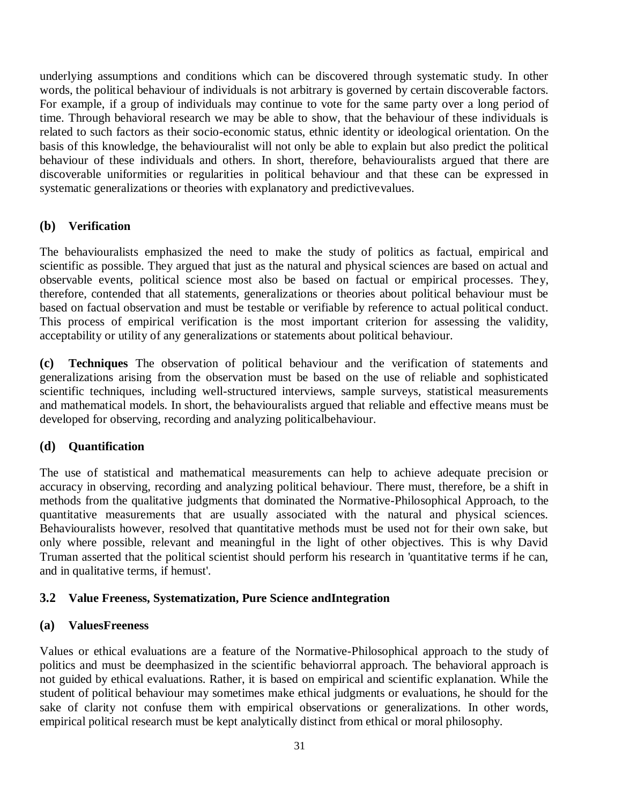underlying assumptions and conditions which can be discovered through systematic study. In other words, the political behaviour of individuals is not arbitrary is governed by certain discoverable factors. For example, if a group of individuals may continue to vote for the same party over a long period of time. Through behavioral research we may be able to show, that the behaviour of these individuals is related to such factors as their socio-economic status, ethnic identity or ideological orientation. On the basis of this knowledge, the behaviouralist will not only be able to explain but also predict the political behaviour of these individuals and others. In short, therefore, behaviouralists argued that there are discoverable uniformities or regularities in political behaviour and that these can be expressed in systematic generalizations or theories with explanatory and predictivevalues.

## **(b) Verification**

The behaviouralists emphasized the need to make the study of politics as factual, empirical and scientific as possible. They argued that just as the natural and physical sciences are based on actual and observable events, political science most also be based on factual or empirical processes. They, therefore, contended that all statements, generalizations or theories about political behaviour must be based on factual observation and must be testable or verifiable by reference to actual political conduct. This process of empirical verification is the most important criterion for assessing the validity, acceptability or utility of any generalizations or statements about political behaviour.

**(c) Techniques** The observation of political behaviour and the verification of statements and generalizations arising from the observation must be based on the use of reliable and sophisticated scientific techniques, including well-structured interviews, sample surveys, statistical measurements and mathematical models. In short, the behaviouralists argued that reliable and effective means must be developed for observing, recording and analyzing politicalbehaviour.

#### **(d) Quantification**

The use of statistical and mathematical measurements can help to achieve adequate precision or accuracy in observing, recording and analyzing political behaviour. There must, therefore, be a shift in methods from the qualitative judgments that dominated the Normative-Philosophical Approach, to the quantitative measurements that are usually associated with the natural and physical sciences. Behaviouralists however, resolved that quantitative methods must be used not for their own sake, but only where possible, relevant and meaningful in the light of other objectives. This is why David Truman asserted that the political scientist should perform his research in 'quantitative terms if he can, and in qualitative terms, if hemust'.

## **3.2 Value Freeness, Systematization, Pure Science andIntegration**

#### **(a) ValuesFreeness**

Values or ethical evaluations are a feature of the Normative-Philosophical approach to the study of politics and must be deemphasized in the scientific behaviorral approach. The behavioral approach is not guided by ethical evaluations. Rather, it is based on empirical and scientific explanation. While the student of political behaviour may sometimes make ethical judgments or evaluations, he should for the sake of clarity not confuse them with empirical observations or generalizations. In other words, empirical political research must be kept analytically distinct from ethical or moral philosophy.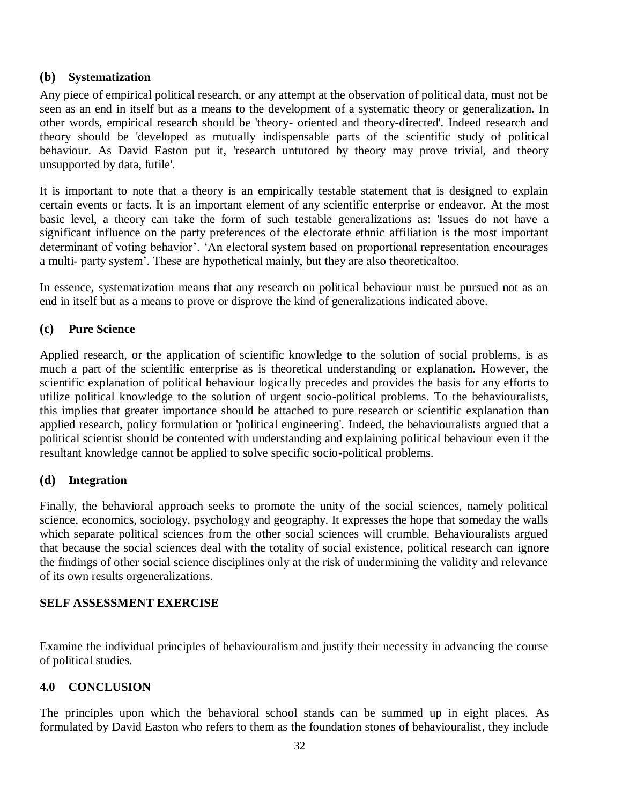#### **(b) Systematization**

Any piece of empirical political research, or any attempt at the observation of political data, must not be seen as an end in itself but as a means to the development of a systematic theory or generalization. In other words, empirical research should be 'theory- oriented and theory-directed'. Indeed research and theory should be 'developed as mutually indispensable parts of the scientific study of political behaviour. As David Easton put it, 'research untutored by theory may prove trivial, and theory unsupported by data, futile'.

It is important to note that a theory is an empirically testable statement that is designed to explain certain events or facts. It is an important element of any scientific enterprise or endeavor. At the most basic level, a theory can take the form of such testable generalizations as: 'Issues do not have a significant influence on the party preferences of the electorate ethnic affiliation is the most important determinant of voting behavior'. 'An electoral system based on proportional representation encourages a multi- party system'. These are hypothetical mainly, but they are also theoreticaltoo.

In essence, systematization means that any research on political behaviour must be pursued not as an end in itself but as a means to prove or disprove the kind of generalizations indicated above.

## **(c) Pure Science**

Applied research, or the application of scientific knowledge to the solution of social problems, is as much a part of the scientific enterprise as is theoretical understanding or explanation. However, the scientific explanation of political behaviour logically precedes and provides the basis for any efforts to utilize political knowledge to the solution of urgent socio-political problems. To the behaviouralists, this implies that greater importance should be attached to pure research or scientific explanation than applied research, policy formulation or 'political engineering'. Indeed, the behaviouralists argued that a political scientist should be contented with understanding and explaining political behaviour even if the resultant knowledge cannot be applied to solve specific socio-political problems.

#### **(d) Integration**

Finally, the behavioral approach seeks to promote the unity of the social sciences, namely political science, economics, sociology, psychology and geography. It expresses the hope that someday the walls which separate political sciences from the other social sciences will crumble. Behaviouralists argued that because the social sciences deal with the totality of social existence, political research can ignore the findings of other social science disciplines only at the risk of undermining the validity and relevance of its own results orgeneralizations.

#### **SELF ASSESSMENT EXERCISE**

Examine the individual principles of behaviouralism and justify their necessity in advancing the course of political studies.

#### **4.0 CONCLUSION**

The principles upon which the behavioral school stands can be summed up in eight places. As formulated by David Easton who refers to them as the foundation stones of behaviouralist, they include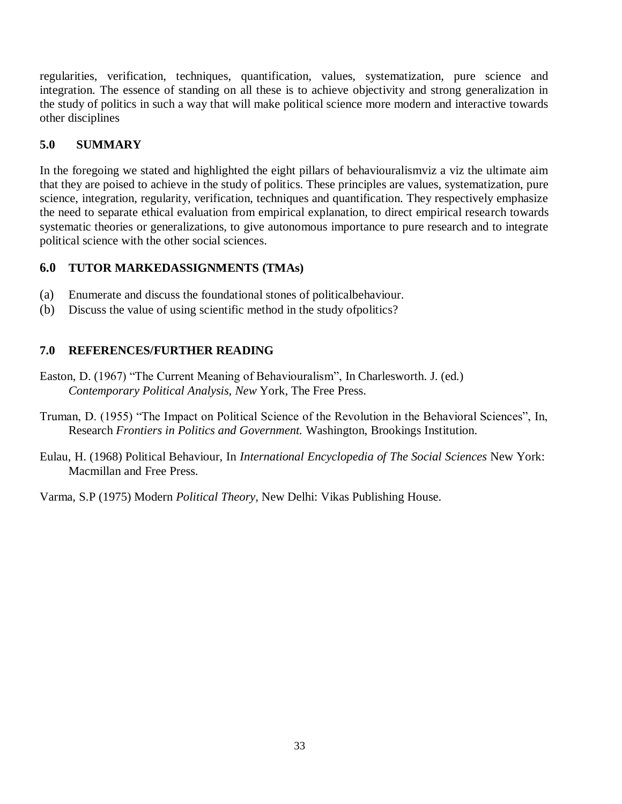regularities, verification, techniques, quantification, values, systematization, pure science and integration. The essence of standing on all these is to achieve objectivity and strong generalization in the study of politics in such a way that will make political science more modern and interactive towards other disciplines

# **5.0 SUMMARY**

In the foregoing we stated and highlighted the eight pillars of behaviouralismviz a viz the ultimate aim that they are poised to achieve in the study of politics. These principles are values, systematization, pure science, integration, regularity, verification, techniques and quantification. They respectively emphasize the need to separate ethical evaluation from empirical explanation, to direct empirical research towards systematic theories or generalizations, to give autonomous importance to pure research and to integrate political science with the other social sciences.

## **6.0 TUTOR MARKEDASSIGNMENTS (TMAs)**

- (a) Enumerate and discuss the foundational stones of politicalbehaviour.
- (b) Discuss the value of using scientific method in the study ofpolitics?

## **7.0 REFERENCES/FURTHER READING**

- Easton, D. (1967) "The Current Meaning of Behaviouralism", In Charlesworth. J. (ed.) *Contemporary Political Analysis, New* York, The Free Press.
- Truman, D. (1955) "The Impact on Political Science of the Revolution in the Behavioral Sciences", In, Research *Frontiers in Politics and Government.* Washington, Brookings Institution.
- Eulau, H. (1968) Political Behaviour, In *International Encyclopedia of The Social Sciences* New York: Macmillan and Free Press.

Varma, S.P (1975) Modern *Political Theory,* New Delhi: Vikas Publishing House.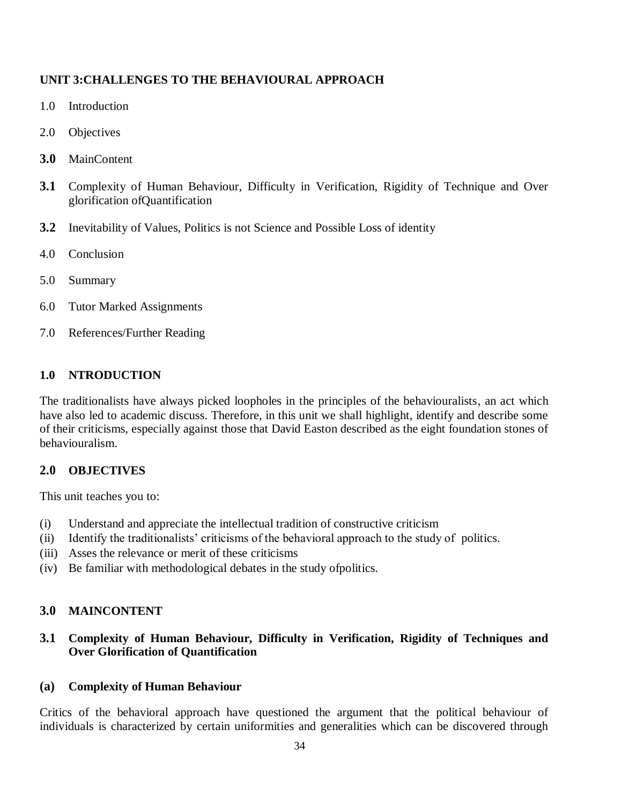## **UNIT 3:CHALLENGES TO THE BEHAVIOURAL APPROACH**

- 1.0 Introduction
- 2.0 Objectives
- **3.0** MainContent
- **3.1** Complexity of Human Behaviour, Difficulty in Verification, Rigidity of Technique and Over glorification ofQuantification
- **3.2** Inevitability of Values, Politics is not Science and Possible Loss of identity
- 4.0 Conclusion
- 5.0 Summary
- 6.0 Tutor Marked Assignments
- 7.0 References/Further Reading

#### **1.0 NTRODUCTION**

The traditionalists have always picked loopholes in the principles of the behaviouralists, an act which have also led to academic discuss. Therefore, in this unit we shall highlight, identify and describe some of their criticisms, especially against those that David Easton described as the eight foundation stones of behaviouralism.

## **2.0 OBJECTIVES**

This unit teaches you to:

- (i) Understand and appreciate the intellectual tradition of constructive criticism
- (ii) Identify the traditionalists' criticisms of the behavioral approach to the study of politics.
- (iii) Asses the relevance or merit of these criticisms
- (iv) Be familiar with methodological debates in the study ofpolitics.

## **3.0 MAINCONTENT**

## **3.1 Complexity of Human Behaviour, Difficulty in Verification, Rigidity of Techniques and Over Glorification of Quantification**

#### **(a) Complexity of Human Behaviour**

Critics of the behavioral approach have questioned the argument that the political behaviour of individuals is characterized by certain uniformities and generalities which can be discovered through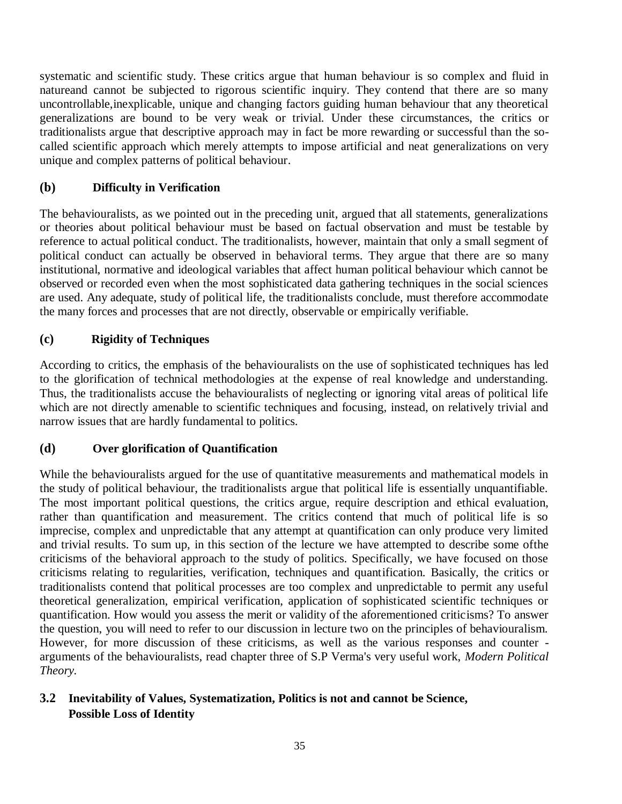systematic and scientific study. These critics argue that human behaviour is so complex and fluid in natureand cannot be subjected to rigorous scientific inquiry. They contend that there are so many uncontrollable,inexplicable, unique and changing factors guiding human behaviour that any theoretical generalizations are bound to be very weak or trivial. Under these circumstances, the critics or traditionalists argue that descriptive approach may in fact be more rewarding or successful than the socalled scientific approach which merely attempts to impose artificial and neat generalizations on very unique and complex patterns of political behaviour.

## **(b) Difficulty in Verification**

The behaviouralists, as we pointed out in the preceding unit, argued that all statements, generalizations or theories about political behaviour must be based on factual observation and must be testable by reference to actual political conduct. The traditionalists, however, maintain that only a small segment of political conduct can actually be observed in behavioral terms. They argue that there are so many institutional, normative and ideological variables that affect human political behaviour which cannot be observed or recorded even when the most sophisticated data gathering techniques in the social sciences are used. Any adequate, study of political life, the traditionalists conclude, must therefore accommodate the many forces and processes that are not directly, observable or empirically verifiable.

## **(c) Rigidity of Techniques**

According to critics, the emphasis of the behaviouralists on the use of sophisticated techniques has led to the glorification of technical methodologies at the expense of real knowledge and understanding. Thus, the traditionalists accuse the behaviouralists of neglecting or ignoring vital areas of political life which are not directly amenable to scientific techniques and focusing, instead, on relatively trivial and narrow issues that are hardly fundamental to politics.

## **(d) Over glorification of Quantification**

While the behaviouralists argued for the use of quantitative measurements and mathematical models in the study of political behaviour, the traditionalists argue that political life is essentially unquantifiable. The most important political questions, the critics argue, require description and ethical evaluation, rather than quantification and measurement. The critics contend that much of political life is so imprecise, complex and unpredictable that any attempt at quantification can only produce very limited and trivial results. To sum up, in this section of the lecture we have attempted to describe some ofthe criticisms of the behavioral approach to the study of politics. Specifically, we have focused on those criticisms relating to regularities, verification, techniques and quantification. Basically, the critics or traditionalists contend that political processes are too complex and unpredictable to permit any useful theoretical generalization, empirical verification, application of sophisticated scientific techniques or quantification. How would you assess the merit or validity of the aforementioned criticisms? To answer the question, you will need to refer to our discussion in lecture two on the principles of behaviouralism. However, for more discussion of these criticisms, as well as the various responses and counter arguments of the behaviouralists, read chapter three of S.P Verma's very useful work, *Modern Political Theory.*

## **3.2 Inevitability of Values, Systematization, Politics is not and cannot be Science, Possible Loss of Identity**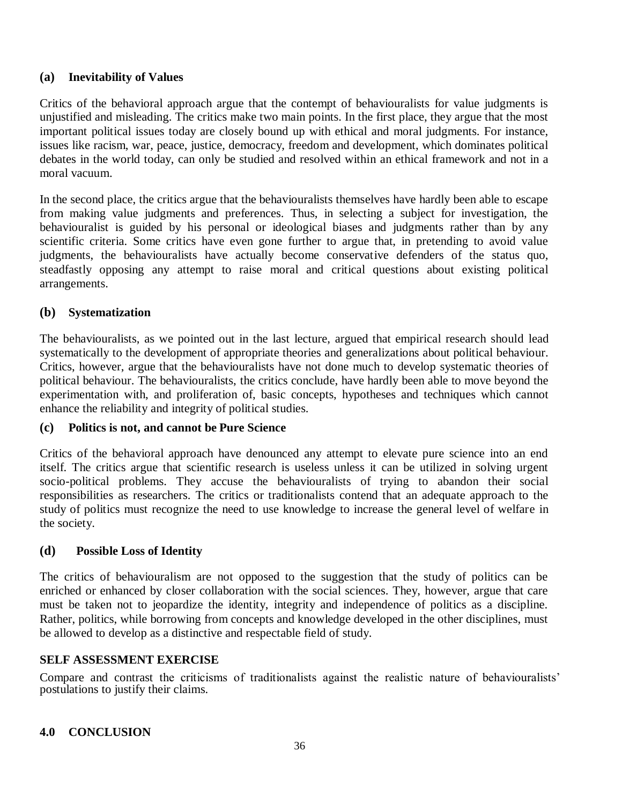#### **(a) Inevitability of Values**

Critics of the behavioral approach argue that the contempt of behaviouralists for value judgments is unjustified and misleading. The critics make two main points. In the first place, they argue that the most important political issues today are closely bound up with ethical and moral judgments. For instance, issues like racism, war, peace, justice, democracy, freedom and development, which dominates political debates in the world today, can only be studied and resolved within an ethical framework and not in a moral vacuum.

In the second place, the critics argue that the behaviouralists themselves have hardly been able to escape from making value judgments and preferences. Thus, in selecting a subject for investigation, the behaviouralist is guided by his personal or ideological biases and judgments rather than by any scientific criteria. Some critics have even gone further to argue that, in pretending to avoid value judgments, the behaviouralists have actually become conservative defenders of the status quo, steadfastly opposing any attempt to raise moral and critical questions about existing political arrangements.

#### **(b) Systematization**

The behaviouralists, as we pointed out in the last lecture, argued that empirical research should lead systematically to the development of appropriate theories and generalizations about political behaviour. Critics, however, argue that the behaviouralists have not done much to develop systematic theories of political behaviour. The behaviouralists, the critics conclude, have hardly been able to move beyond the experimentation with, and proliferation of, basic concepts, hypotheses and techniques which cannot enhance the reliability and integrity of political studies.

#### **(c) Politics is not, and cannot be Pure Science**

Critics of the behavioral approach have denounced any attempt to elevate pure science into an end itself. The critics argue that scientific research is useless unless it can be utilized in solving urgent socio-political problems. They accuse the behaviouralists of trying to abandon their social responsibilities as researchers. The critics or traditionalists contend that an adequate approach to the study of politics must recognize the need to use knowledge to increase the general level of welfare in the society.

#### **(d) Possible Loss of Identity**

The critics of behaviouralism are not opposed to the suggestion that the study of politics can be enriched or enhanced by closer collaboration with the social sciences. They, however, argue that care must be taken not to jeopardize the identity, integrity and independence of politics as a discipline. Rather, politics, while borrowing from concepts and knowledge developed in the other disciplines, must be allowed to develop as a distinctive and respectable field of study.

#### **SELF ASSESSMENT EXERCISE**

Compare and contrast the criticisms of traditionalists against the realistic nature of behaviouralists' postulations to justify their claims.

#### **4.0 CONCLUSION**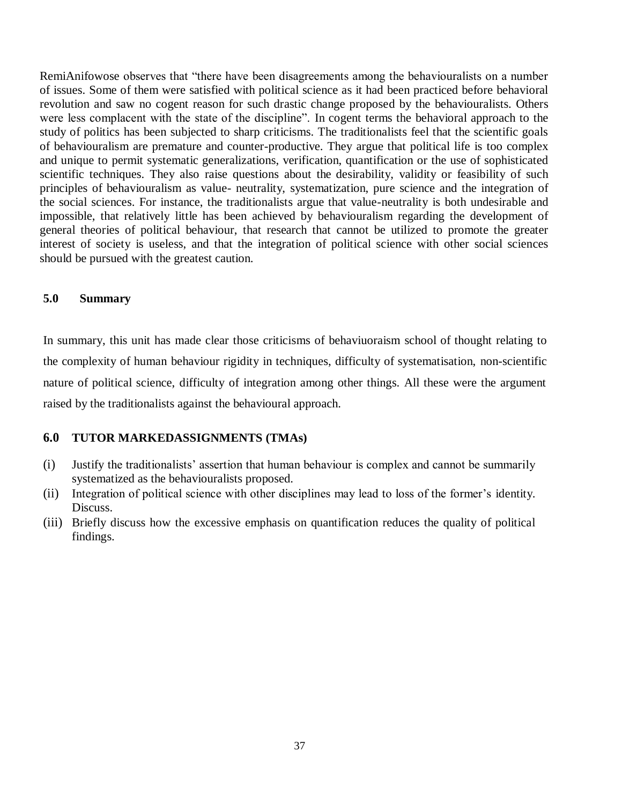RemiAnifowose observes that "there have been disagreements among the behaviouralists on a number of issues. Some of them were satisfied with political science as it had been practiced before behavioral revolution and saw no cogent reason for such drastic change proposed by the behaviouralists. Others were less complacent with the state of the discipline". In cogent terms the behavioral approach to the study of politics has been subjected to sharp criticisms. The traditionalists feel that the scientific goals of behaviouralism are premature and counter-productive. They argue that political life is too complex and unique to permit systematic generalizations, verification, quantification or the use of sophisticated scientific techniques. They also raise questions about the desirability, validity or feasibility of such principles of behaviouralism as value- neutrality, systematization, pure science and the integration of the social sciences. For instance, the traditionalists argue that value-neutrality is both undesirable and impossible, that relatively little has been achieved by behaviouralism regarding the development of general theories of political behaviour, that research that cannot be utilized to promote the greater interest of society is useless, and that the integration of political science with other social sciences should be pursued with the greatest caution.

#### **5.0 Summary**

In summary, this unit has made clear those criticisms of behaviuoraism school of thought relating to the complexity of human behaviour rigidity in techniques, difficulty of systematisation, non-scientific nature of political science, difficulty of integration among other things. All these were the argument raised by the traditionalists against the behavioural approach.

#### **6.0 TUTOR MARKEDASSIGNMENTS (TMAs)**

- (i) Justify the traditionalists' assertion that human behaviour is complex and cannot be summarily systematized as the behaviouralists proposed.
- (ii) Integration of political science with other disciplines may lead to loss of the former's identity. Discuss.
- (iii) Briefly discuss how the excessive emphasis on quantification reduces the quality of political findings.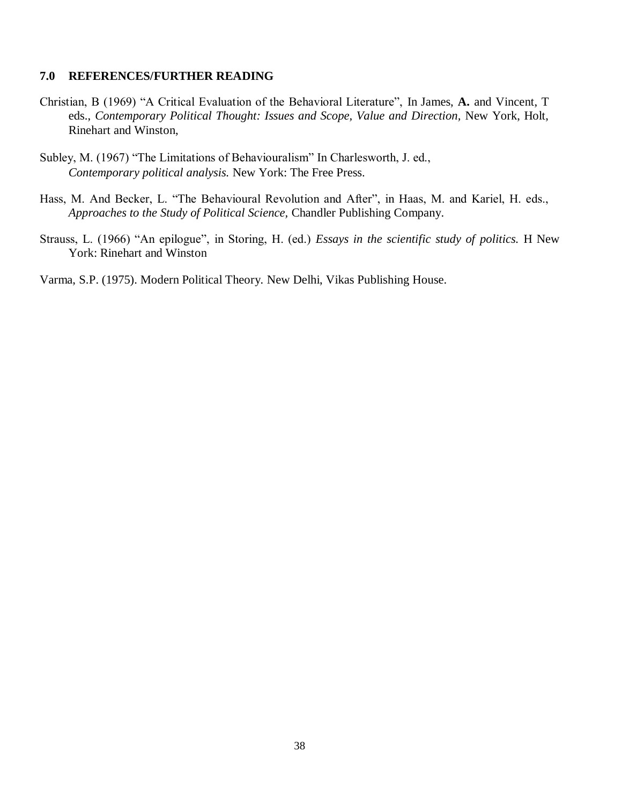#### **7.0 REFERENCES/FURTHER READING**

- Christian, B (1969) "A Critical Evaluation of the Behavioral Literature", In James, A. and Vincent, T eds., *Contemporary Political Thought: Issues and Scope, Value and Direction*, New York, Holt, Rinehart and Winston,
- Subley, M. (1967) "The Limitations of Behaviouralism" In Charlesworth, J. ed., *Contemporary political analysis.* New York: The Free Press.
- Hass, M. And Becker, L. "The Behavioural Revolution and After", in Haas, M. and Kariel, H. eds., *Approaches to the Study of Political Science,* Chandler Publishing Company.
- Strauss, L. (1966) "An epilogue", in Storing, H. (ed.) *Essays in the scientific study of politics*. H New York: Rinehart and Winston

Varma, S.P. (1975). Modern Political Theory*.* New Delhi, Vikas Publishing House.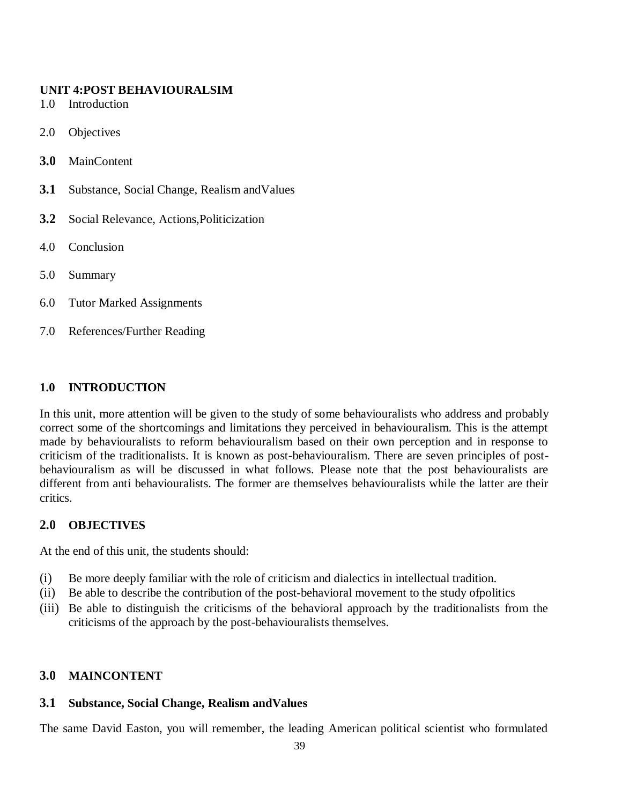### **UNIT 4:POST BEHAVIOURALSIM**

- 1.0 Introduction
- 2.0 Objectives
- **3.0** MainContent
- **3.1** Substance, Social Change, Realism andValues
- **3.2** Social Relevance, Actions,Politicization
- 4.0 Conclusion
- 5.0 Summary
- 6.0 Tutor Marked Assignments
- 7.0 References/Further Reading

### **1.0 INTRODUCTION**

In this unit, more attention will be given to the study of some behaviouralists who address and probably correct some of the shortcomings and limitations they perceived in behaviouralism. This is the attempt made by behaviouralists to reform behaviouralism based on their own perception and in response to criticism of the traditionalists. It is known as post-behaviouralism. There are seven principles of postbehaviouralism as will be discussed in what follows. Please note that the post behaviouralists are different from anti behaviouralists. The former are themselves behaviouralists while the latter are their critics.

## **2.0 OBJECTIVES**

At the end of this unit, the students should:

- (i) Be more deeply familiar with the role of criticism and dialectics in intellectual tradition.
- (ii) Be able to describe the contribution of the post-behavioral movement to the study ofpolitics
- (iii) Be able to distinguish the criticisms of the behavioral approach by the traditionalists from the criticisms of the approach by the post-behaviouralists themselves.

## **3.0 MAINCONTENT**

#### **3.1 Substance, Social Change, Realism andValues**

The same David Easton, you will remember, the leading American political scientist who formulated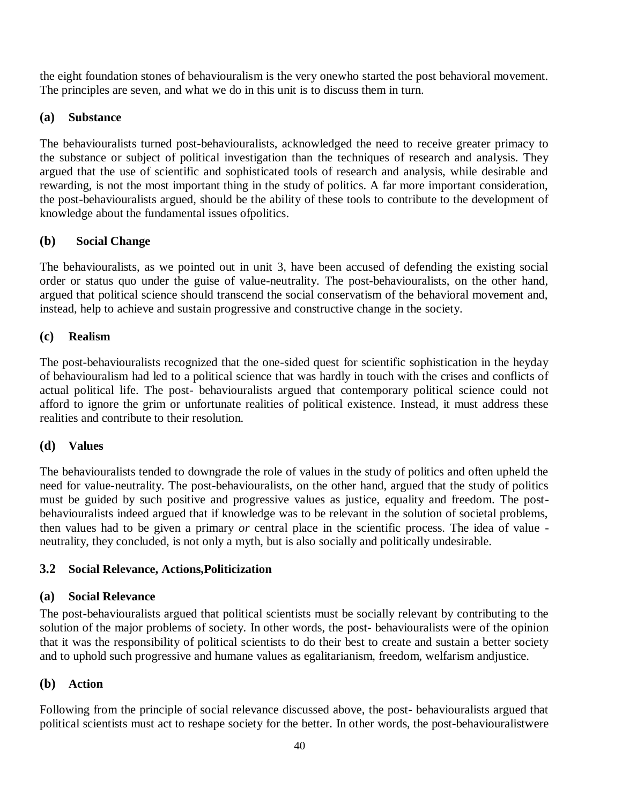the eight foundation stones of behaviouralism is the very onewho started the post behavioral movement. The principles are seven, and what we do in this unit is to discuss them in turn.

## **(a) Substance**

The behaviouralists turned post-behaviouralists, acknowledged the need to receive greater primacy to the substance or subject of political investigation than the techniques of research and analysis. They argued that the use of scientific and sophisticated tools of research and analysis, while desirable and rewarding, is not the most important thing in the study of politics. A far more important consideration, the post-behaviouralists argued, should be the ability of these tools to contribute to the development of knowledge about the fundamental issues ofpolitics.

## **(b) Social Change**

The behaviouralists, as we pointed out in unit 3, have been accused of defending the existing social order or status quo under the guise of value-neutrality. The post-behaviouralists, on the other hand, argued that political science should transcend the social conservatism of the behavioral movement and, instead, help to achieve and sustain progressive and constructive change in the society.

## **(c) Realism**

The post-behaviouralists recognized that the one-sided quest for scientific sophistication in the heyday of behaviouralism had led to a political science that was hardly in touch with the crises and conflicts of actual political life. The post- behaviouralists argued that contemporary political science could not afford to ignore the grim or unfortunate realities of political existence. Instead, it must address these realities and contribute to their resolution.

## **(d) Values**

The behaviouralists tended to downgrade the role of values in the study of politics and often upheld the need for value-neutrality. The post-behaviouralists, on the other hand, argued that the study of politics must be guided by such positive and progressive values as justice, equality and freedom. The postbehaviouralists indeed argued that if knowledge was to be relevant in the solution of societal problems, then values had to be given a primary *or* central place in the scientific process. The idea of value neutrality, they concluded, is not only a myth, but is also socially and politically undesirable.

## **3.2 Social Relevance, Actions,Politicization**

## **(a) Social Relevance**

The post-behaviouralists argued that political scientists must be socially relevant by contributing to the solution of the major problems of society. In other words, the post- behaviouralists were of the opinion that it was the responsibility of political scientists to do their best to create and sustain a better society and to uphold such progressive and humane values as egalitarianism, freedom, welfarism andjustice.

# **(b) Action**

Following from the principle of social relevance discussed above, the post- behaviouralists argued that political scientists must act to reshape society for the better. In other words, the post-behaviouralistwere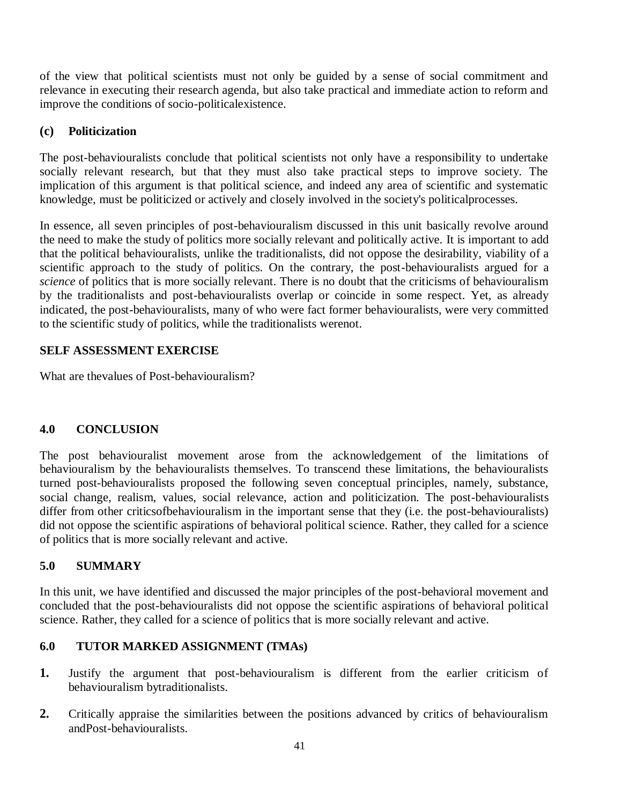of the view that political scientists must not only be guided by a sense of social commitment and relevance in executing their research agenda, but also take practical and immediate action to reform and improve the conditions of socio-politicalexistence.

## **(c) Politicization**

The post-behaviouralists conclude that political scientists not only have a responsibility to undertake socially relevant research, but that they must also take practical steps to improve society. The implication of this argument is that political science, and indeed any area of scientific and systematic knowledge, must be politicized or actively and closely involved in the society's politicalprocesses.

In essence, all seven principles of post-behaviouralism discussed in this unit basically revolve around the need to make the study of politics more socially relevant and politically active. It is important to add that the political behaviouralists, unlike the traditionalists, did not oppose the desirability, viability of a scientific approach to the study of politics. On the contrary, the post-behaviouralists argued for a *science* of politics that is more socially relevant. There is no doubt that the criticisms of behaviouralism by the traditionalists and post-behaviouralists overlap or coincide in some respect. Yet, as already indicated, the post-behaviouralists, many of who were fact former behaviouralists, were very committed to the scientific study of politics, while the traditionalists werenot.

## **SELF ASSESSMENT EXERCISE**

What are thevalues of Post-behaviouralism?

# **4.0 CONCLUSION**

The post behaviouralist movement arose from the acknowledgement of the limitations of behaviouralism by the behaviouralists themselves. To transcend these limitations, the behaviouralists turned post-behaviouralists proposed the following seven conceptual principles, namely, substance, social change, realism, values, social relevance, action and politicization. The post-behaviouralists differ from other criticsofbehaviouralism in the important sense that they (i.e. the post-behaviouralists) did not oppose the scientific aspirations of behavioral political science. Rather, they called for a science of politics that is more socially relevant and active.

# **5.0 SUMMARY**

In this unit, we have identified and discussed the major principles of the post-behavioral movement and concluded that the post-behaviouralists did not oppose the scientific aspirations of behavioral political science. Rather, they called for a science of politics that is more socially relevant and active.

# **6.0 TUTOR MARKED ASSIGNMENT (TMAs)**

- **1.** Justify the argument that post-behaviouralism is different from the earlier criticism of behaviouralism bytraditionalists.
- **2.** Critically appraise the similarities between the positions advanced by critics of behaviouralism andPost-behaviouralists.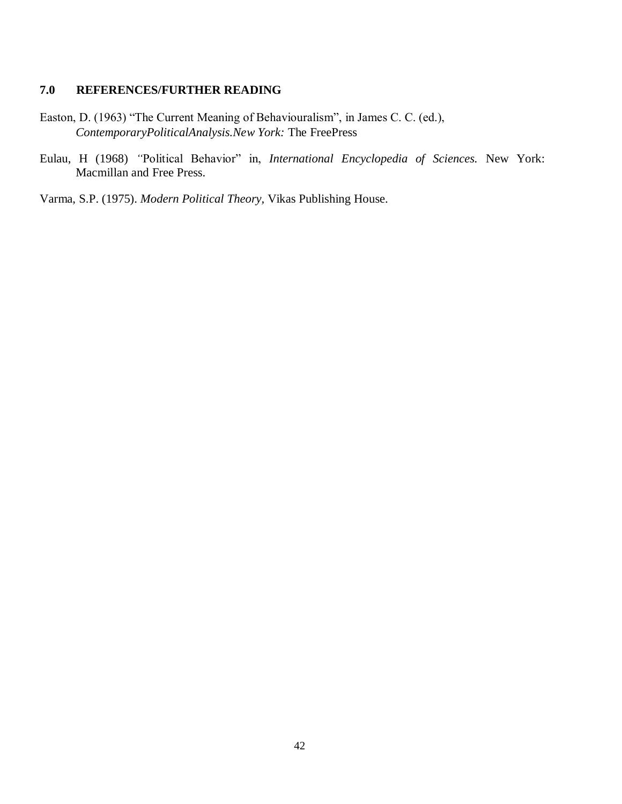### **7.0 REFERENCES/FURTHER READING**

- Easton, D. (1963) "The Current Meaning of Behaviouralism", in James C. C. (ed.), *ContemporaryPoliticalAnalysis.New York:* The FreePress
- Eulau, H (1968) "Political Behavior" in, *International Encyclopedia of Sciences*. New York: Macmillan and Free Press.

Varma, S.P. (1975). *Modern Political Theory,* Vikas Publishing House.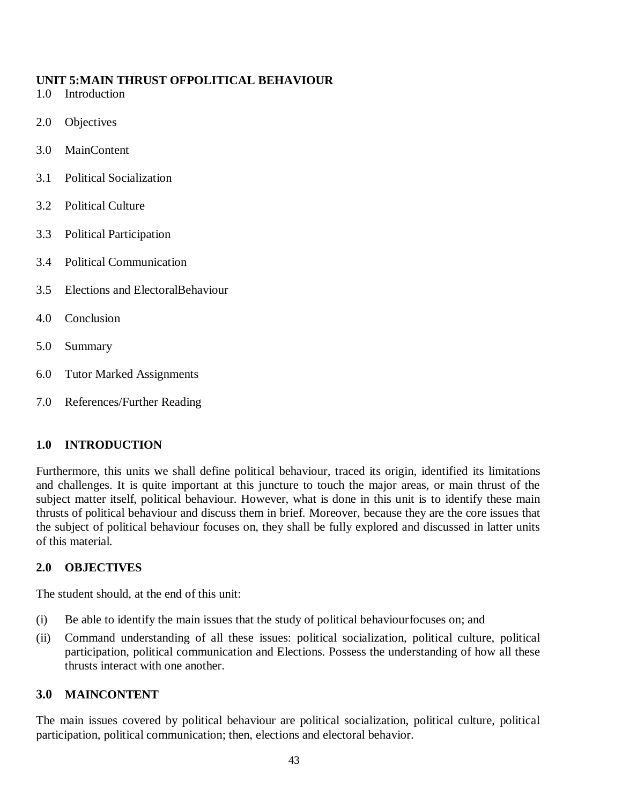## **UNIT 5:MAIN THRUST OFPOLITICAL BEHAVIOUR**

- 1.0 Introduction
- 2.0 Objectives
- 3.0 MainContent
- 3.1 Political Socialization
- 3.2 Political Culture
- 3.3 Political Participation
- 3.4 Political Communication
- 3.5 Elections and ElectoralBehaviour
- 4.0 Conclusion
- 5.0 Summary
- 6.0 Tutor Marked Assignments
- 7.0 References/Further Reading

## **1.0 INTRODUCTION**

Furthermore, this units we shall define political behaviour, traced its origin, identified its limitations and challenges. It is quite important at this juncture to touch the major areas, or main thrust of the subject matter itself, political behaviour. However, what is done in this unit is to identify these main thrusts of political behaviour and discuss them in brief. Moreover, because they are the core issues that the subject of political behaviour focuses on, they shall be fully explored and discussed in latter units of this material.

# **2.0 OBJECTIVES**

The student should, at the end of this unit:

- (i) Be able to identify the main issues that the study of political behaviourfocuses on; and
- (ii) Command understanding of all these issues: political socialization, political culture, political participation, political communication and Elections. Possess the understanding of how all these thrusts interact with one another.

# **3.0 MAINCONTENT**

The main issues covered by political behaviour are political socialization, political culture, political participation, political communication; then, elections and electoral behavior.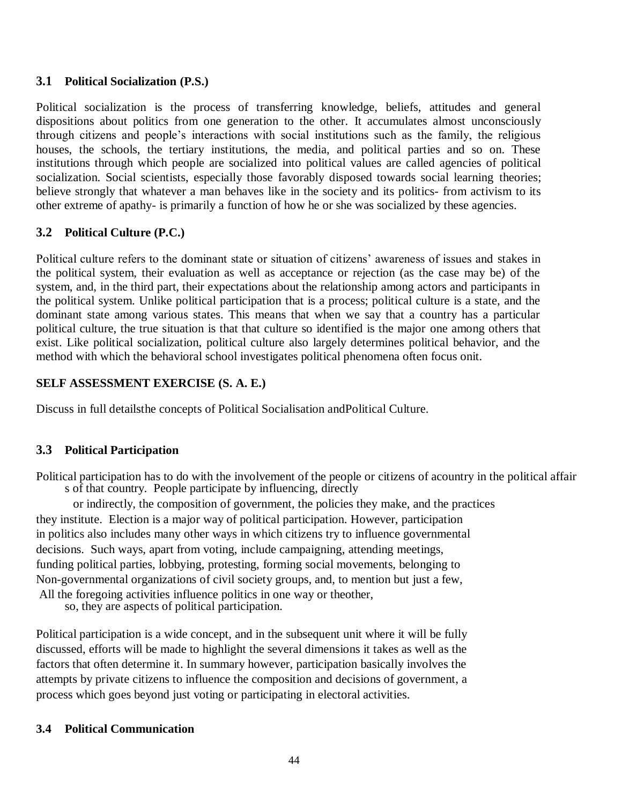### **3.1 Political Socialization (P.S.)**

Political socialization is the process of transferring knowledge, beliefs, attitudes and general dispositions about politics from one generation to the other. It accumulates almost unconsciously through citizens and people's interactions with social institutions such as the family, the religious houses, the schools, the tertiary institutions, the media, and political parties and so on. These institutions through which people are socialized into political values are called agencies of political socialization. Social scientists, especially those favorably disposed towards social learning theories; believe strongly that whatever a man behaves like in the society and its politics- from activism to its other extreme of apathy- is primarily a function of how he or she was socialized by these agencies.

## **3.2 Political Culture (P.C.)**

Political culture refers to the dominant state or situation of citizens' awareness of issues and stakes in the political system, their evaluation as well as acceptance or rejection (as the case may be) of the system, and, in the third part, their expectations about the relationship among actors and participants in the political system. Unlike political participation that is a process; political culture is a state, and the dominant state among various states. This means that when we say that a country has a particular political culture, the true situation is that that culture so identified is the major one among others that exist. Like political socialization, political culture also largely determines political behavior, and the method with which the behavioral school investigates political phenomena often focus onit.

## **SELF ASSESSMENT EXERCISE (S. A. E.)**

Discuss in full detailsthe concepts of Political Socialisation andPolitical Culture.

## **3.3 Political Participation**

Political participation has to do with the involvement of the people or citizens of acountry in the political affair s of that country. People participate by influencing, directly

or indirectly, the composition of government, the policies they make, and the practices they institute. Election is a major way of political participation. However, participation in politics also includes many other ways in which citizens try to influence governmental decisions. Such ways, apart from voting, include campaigning, attending meetings, funding political parties, lobbying, protesting, forming social movements, belonging to Non-governmental organizations of civil society groups, and, to mention but just a few, All the foregoing activities influence politics in one way or theother,

so, they are aspects of political participation.

Political participation is a wide concept, and in the subsequent unit where it will be fully discussed, efforts will be made to highlight the several dimensions it takes as well as the factors that often determine it. In summary however, participation basically involves the attempts by private citizens to influence the composition and decisions of government, a process which goes beyond just voting or participating in electoral activities.

#### **3.4 Political Communication**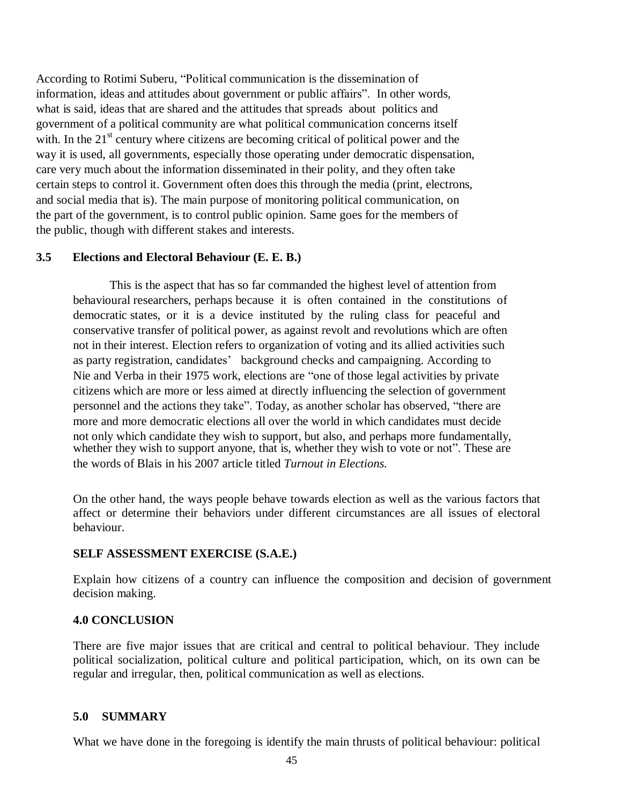According to Rotimi Suberu, "Political communication is the dissemination of information, ideas and attitudes about government or public affairs". In other words, what is said, ideas that are shared and the attitudes that spreads about politics and government of a political community are what political communication concerns itself with. In the  $21<sup>st</sup>$  century where citizens are becoming critical of political power and the way it is used, all governments, especially those operating under democratic dispensation, care very much about the information disseminated in their polity, and they often take certain steps to control it. Government often does this through the media (print, electrons, and social media that is). The main purpose of monitoring political communication, on the part of the government, is to control public opinion. Same goes for the members of the public, though with different stakes and interests.

#### **3.5 Elections and Electoral Behaviour (E. E. B.)**

This is the aspect that has so far commanded the highest level of attention from behavioural researchers, perhaps because it is often contained in the constitutions of democratic states, or it is a device instituted by the ruling class for peaceful and conservative transfer of political power, as against revolt and revolutions which are often not in their interest. Election refers to organization of voting and its allied activities such as party registration, candidates' background checks and campaigning. According to Nie and Verba in their 1975 work, elections are "one of those legal activities by private citizens which are more or less aimed at directly influencing the selection of government personnel and the actions they take". Today, as another scholar has observed, "there are more and more democratic elections all over the world in which candidates must decide not only which candidate they wish to support, but also, and perhaps more fundamentally, whether they wish to support anyone, that is, whether they wish to vote or not". These are the words of Blais in his 2007 article titled *Turnout in Elections.*

On the other hand, the ways people behave towards election as well as the various factors that affect or determine their behaviors under different circumstances are all issues of electoral behaviour.

#### **SELF ASSESSMENT EXERCISE (S.A.E.)**

Explain how citizens of a country can influence the composition and decision of government decision making.

## **4.0 CONCLUSION**

There are five major issues that are critical and central to political behaviour. They include political socialization, political culture and political participation, which, on its own can be regular and irregular, then, political communication as well as elections.

#### **5.0 SUMMARY**

What we have done in the foregoing is identify the main thrusts of political behaviour: political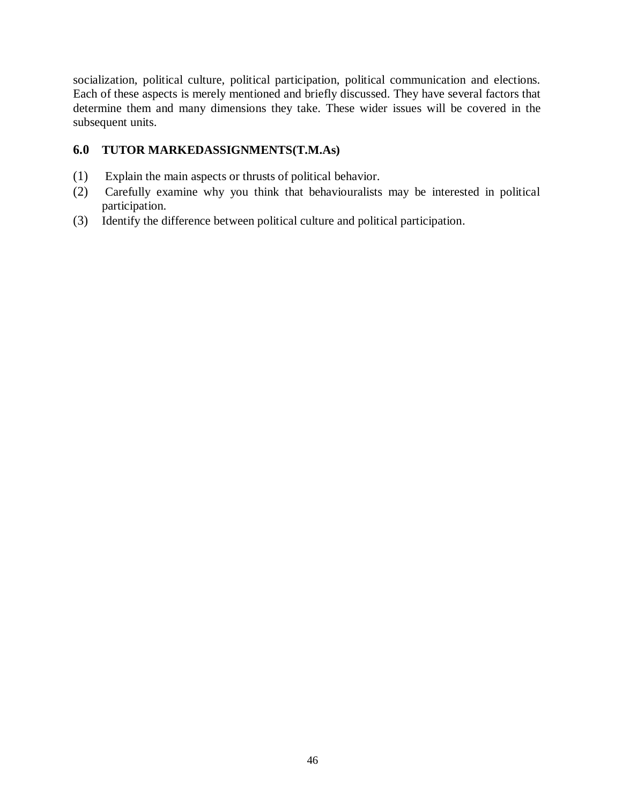socialization, political culture, political participation, political communication and elections. Each of these aspects is merely mentioned and briefly discussed. They have several factors that determine them and many dimensions they take. These wider issues will be covered in the subsequent units.

## **6.0 TUTOR MARKEDASSIGNMENTS(T.M.As)**

- (1) Explain the main aspects or thrusts of political behavior.
- (2) Carefully examine why you think that behaviouralists may be interested in political participation.
- (3) Identify the difference between political culture and political participation.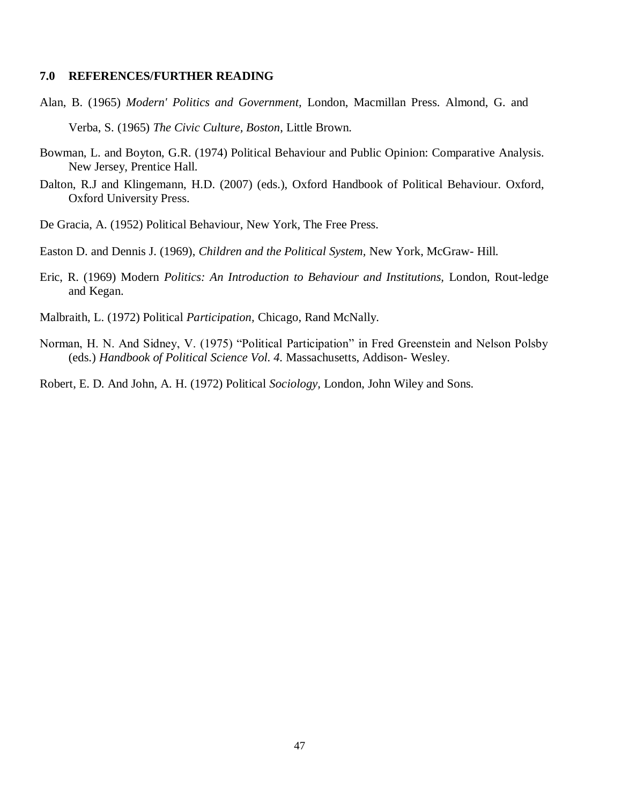#### **7.0 REFERENCES/FURTHER READING**

- Alan, B. (1965) *Modern' Politics and Government,* London, Macmillan Press. Almond, G. and Verba, S. (1965) *The Civic Culture, Boston*, Little Brown.
- Bowman, L. and Boyton, G.R. (1974) Political Behaviour and Public Opinion: Comparative Analysis. New Jersey, Prentice Hall.
- Dalton, R.J and Klingemann, H.D. (2007) (eds.), Oxford Handbook of Political Behaviour. Oxford, Oxford University Press.
- De Gracia, A. (1952) Political Behaviour, New York, The Free Press.
- Easton D. and Dennis J. (1969), *Children and the Political System,* New York, McGraw- Hill.
- Eric, R. (1969) Modern *Politics: An Introduction to Behaviour and Institutions,* London, Rout-ledge and Kegan.
- Malbraith, L. (1972) Political *Participation,* Chicago, Rand McNally.
- Norman, H. N. And Sidney, V. (1975) "Political Participation" in Fred Greenstein and Nelson Polsby (eds.) *Handbook of Political Science Vol. 4.* Massachusetts, Addison- Wesley.

Robert, E. D. And John, A. H. (1972) Political *Sociology,* London, John Wiley and Sons.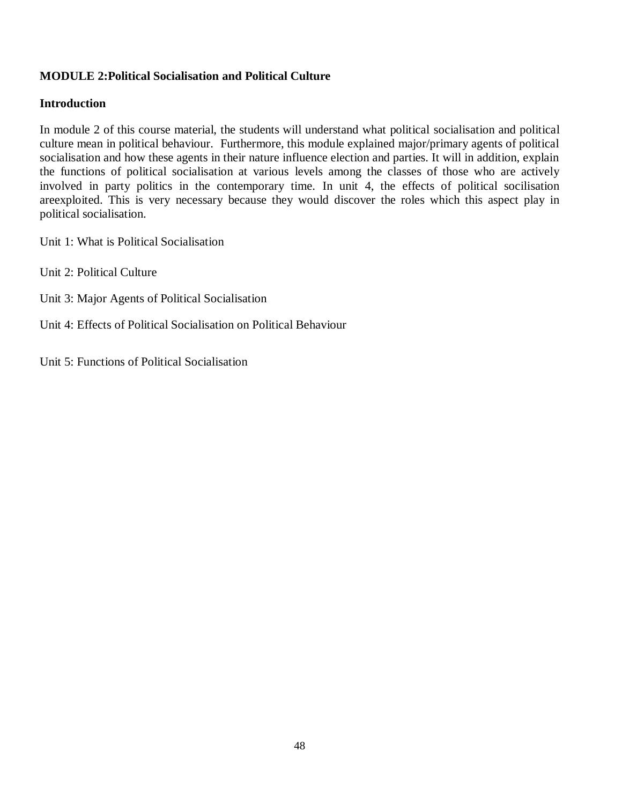## **MODULE 2:Political Socialisation and Political Culture**

### **Introduction**

In module 2 of this course material, the students will understand what political socialisation and political culture mean in political behaviour. Furthermore, this module explained major/primary agents of political socialisation and how these agents in their nature influence election and parties. It will in addition, explain the functions of political socialisation at various levels among the classes of those who are actively involved in party politics in the contemporary time. In unit 4, the effects of political socilisation areexploited. This is very necessary because they would discover the roles which this aspect play in political socialisation.

Unit 1: What is Political Socialisation

Unit 2: Political Culture

- Unit 3: Major Agents of Political Socialisation
- Unit 4: Effects of Political Socialisation on Political Behaviour
- Unit 5: Functions of Political Socialisation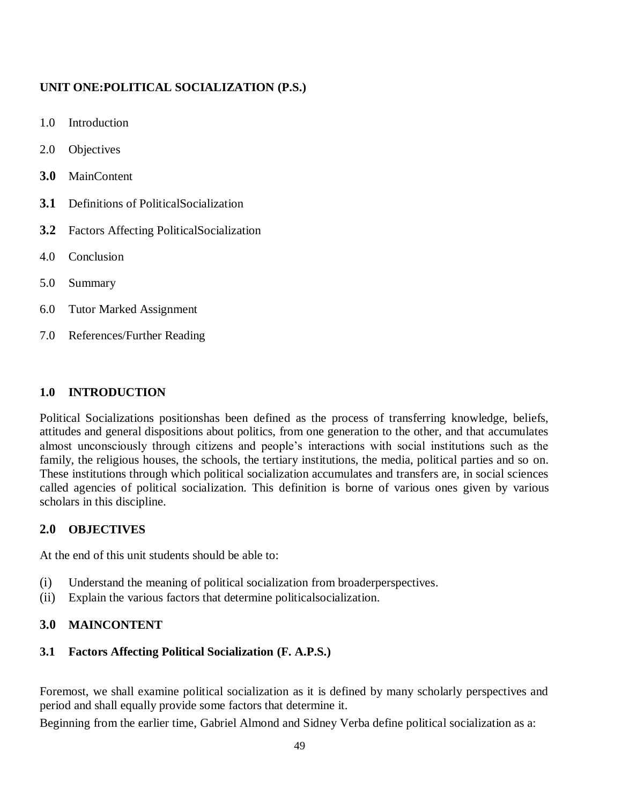# **UNIT ONE:POLITICAL SOCIALIZATION (P.S.)**

- 1.0 Introduction
- 2.0 Objectives
- **3.0** MainContent
- **3.1** Definitions of PoliticalSocialization
- **3.2** Factors Affecting PoliticalSocialization
- 4.0 Conclusion
- 5.0 Summary
- 6.0 Tutor Marked Assignment
- 7.0 References/Further Reading

### **1.0 INTRODUCTION**

Political Socializations positionshas been defined as the process of transferring knowledge, beliefs, attitudes and general dispositions about politics, from one generation to the other, and that accumulates almost unconsciously through citizens and people's interactions with social institutions such as the family, the religious houses, the schools, the tertiary institutions, the media, political parties and so on. These institutions through which political socialization accumulates and transfers are, in social sciences called agencies of political socialization. This definition is borne of various ones given by various scholars in this discipline.

## **2.0 OBJECTIVES**

At the end of this unit students should be able to:

- (i) Understand the meaning of political socialization from broaderperspectives.
- (ii) Explain the various factors that determine politicalsocialization.

## **3.0 MAINCONTENT**

#### **3.1 Factors Affecting Political Socialization (F. A.P.S.)**

Foremost, we shall examine political socialization as it is defined by many scholarly perspectives and period and shall equally provide some factors that determine it.

Beginning from the earlier time, Gabriel Almond and Sidney Verba define political socialization as a: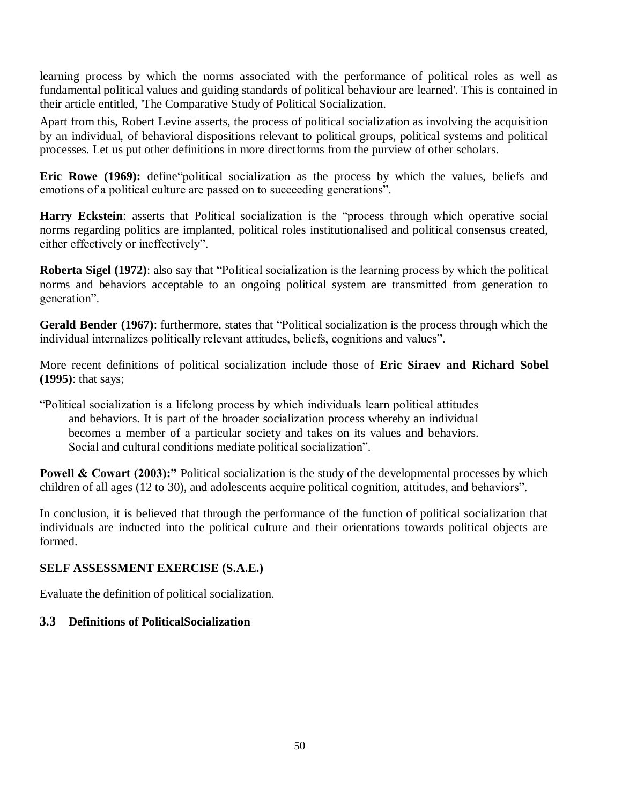learning process by which the norms associated with the performance of political roles as well as fundamental political values and guiding standards of political behaviour are learned'. This is contained in their article entitled, 'The Comparative Study of Political Socialization.

Apart from this, Robert Levine asserts, the process of political socialization as involving the acquisition by an individual, of behavioral dispositions relevant to political groups, political systems and political processes. Let us put other definitions in more directforms from the purview of other scholars.

**Eric Rowe (1969):** define "political socialization as the process by which the values, beliefs and emotions of a political culture are passed on to succeeding generations".

**Harry Eckstein**: asserts that Political socialization is the "process through which operative social norms regarding politics are implanted, political roles institutionalised and political consensus created, either effectively or ineffectively".

**Roberta Sigel (1972)**: also say that "Political socialization is the learning process by which the political norms and behaviors acceptable to an ongoing political system are transmitted from generation to generation".

**Gerald Bender (1967)**: furthermore, states that "Political socialization is the process through which the individual internalizes politically relevant attitudes, beliefs, cognitions and values".

More recent definitions of political socialization include those of **Eric Siraev and Richard Sobel (1995)**: that says;

―Political socialization is a lifelong process by which individuals learn political attitudes and behaviors. It is part of the broader socialization process whereby an individual becomes a member of a particular society and takes on its values and behaviors. Social and cultural conditions mediate political socialization".

**Powell & Cowart (2003):**" Political socialization is the study of the developmental processes by which children of all ages (12 to 30), and adolescents acquire political cognition, attitudes, and behaviors".

In conclusion, it is believed that through the performance of the function of political socialization that individuals are inducted into the political culture and their orientations towards political objects are formed.

## **SELF ASSESSMENT EXERCISE (S.A.E.)**

Evaluate the definition of political socialization.

## **3.3 Definitions of PoliticalSocialization**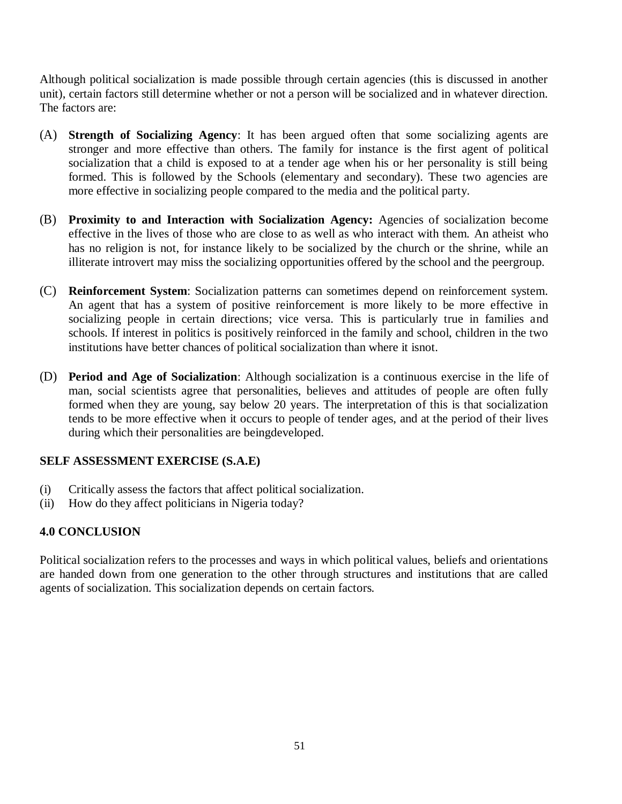Although political socialization is made possible through certain agencies (this is discussed in another unit), certain factors still determine whether or not a person will be socialized and in whatever direction. The factors are:

- (A) **Strength of Socializing Agency**: It has been argued often that some socializing agents are stronger and more effective than others. The family for instance is the first agent of political socialization that a child is exposed to at a tender age when his or her personality is still being formed. This is followed by the Schools (elementary and secondary). These two agencies are more effective in socializing people compared to the media and the political party.
- (B) **Proximity to and Interaction with Socialization Agency:** Agencies of socialization become effective in the lives of those who are close to as well as who interact with them. An atheist who has no religion is not, for instance likely to be socialized by the church or the shrine, while an illiterate introvert may miss the socializing opportunities offered by the school and the peergroup.
- (C) **Reinforcement System**: Socialization patterns can sometimes depend on reinforcement system. An agent that has a system of positive reinforcement is more likely to be more effective in socializing people in certain directions; vice versa. This is particularly true in families and schools. If interest in politics is positively reinforced in the family and school, children in the two institutions have better chances of political socialization than where it isnot.
- (D) **Period and Age of Socialization**: Although socialization is a continuous exercise in the life of man, social scientists agree that personalities, believes and attitudes of people are often fully formed when they are young, say below 20 years. The interpretation of this is that socialization tends to be more effective when it occurs to people of tender ages, and at the period of their lives during which their personalities are beingdeveloped.

## **SELF ASSESSMENT EXERCISE (S.A.E)**

- (i) Critically assess the factors that affect political socialization.
- (ii) How do they affect politicians in Nigeria today?

## **4.0 CONCLUSION**

Political socialization refers to the processes and ways in which political values, beliefs and orientations are handed down from one generation to the other through structures and institutions that are called agents of socialization. This socialization depends on certain factors.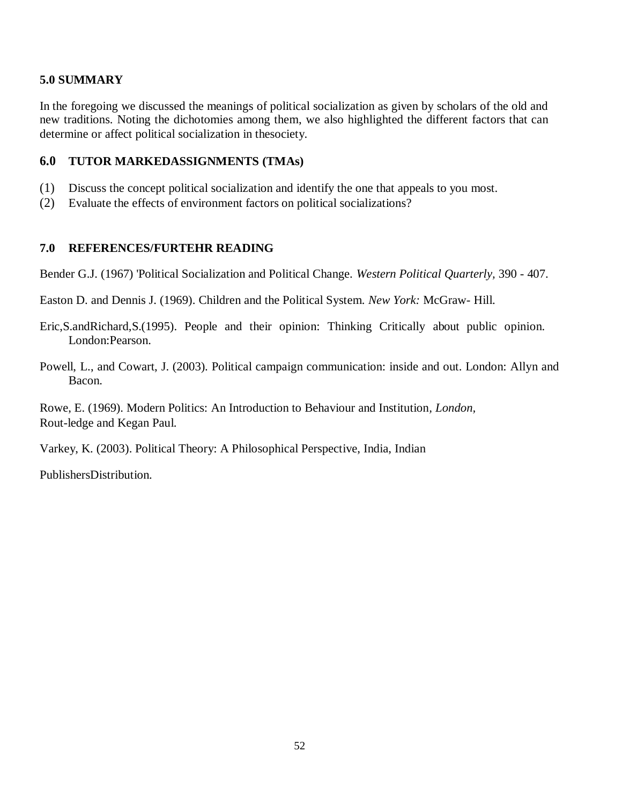## **5.0 SUMMARY**

In the foregoing we discussed the meanings of political socialization as given by scholars of the old and new traditions. Noting the dichotomies among them, we also highlighted the different factors that can determine or affect political socialization in thesociety.

### **6.0 TUTOR MARKEDASSIGNMENTS (TMAs)**

- (1) Discuss the concept political socialization and identify the one that appeals to you most.
- (2) Evaluate the effects of environment factors on political socializations?

### **7.0 REFERENCES/FURTEHR READING**

Bender G.J. (1967) 'Political Socialization and Political Change. *Western Political Quarterly,* 390 - 407.

Easton D. and Dennis J. (1969). Children and the Political System*. New York:* McGraw- Hill.

- Eric,S.andRichard,S.(1995). People and their opinion: Thinking Critically about public opinion. London:Pearson.
- Powell, L., and Cowart, J. (2003). Political campaign communication: inside and out. London: Allyn and Bacon.

Rowe, E. (1969). Modern Politics: An Introduction to Behaviour and Institution*, London,* Rout-ledge and Kegan Paul.

Varkey, K. (2003). Political Theory: A Philosophical Perspective, India, Indian

PublishersDistribution.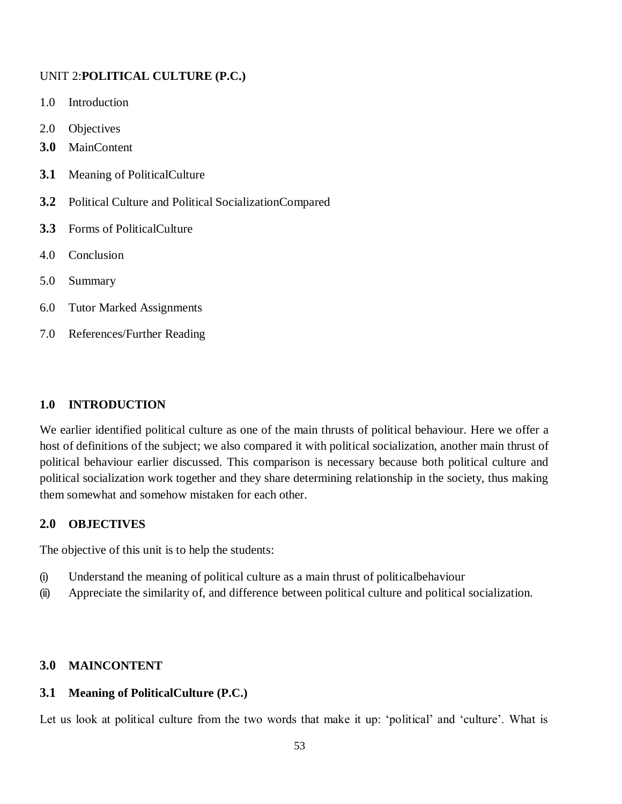## UNIT 2:**POLITICAL CULTURE (P.C.)**

- 1.0 Introduction
- 2.0 Objectives
- **3.0** MainContent
- **3.1** Meaning of PoliticalCulture
- **3.2** Political Culture and Political SocializationCompared
- **3.3** Forms of PoliticalCulture
- 4.0 Conclusion
- 5.0 Summary
- 6.0 Tutor Marked Assignments
- 7.0 References/Further Reading

#### **1.0 INTRODUCTION**

We earlier identified political culture as one of the main thrusts of political behaviour. Here we offer a host of definitions of the subject; we also compared it with political socialization, another main thrust of political behaviour earlier discussed. This comparison is necessary because both political culture and political socialization work together and they share determining relationship in the society, thus making them somewhat and somehow mistaken for each other.

#### **2.0 OBJECTIVES**

The objective of this unit is to help the students:

- (i) Understand the meaning of political culture as a main thrust of politicalbehaviour
- (ii) Appreciate the similarity of, and difference between political culture and political socialization.

#### **3.0 MAINCONTENT**

### **3.1 Meaning of PoliticalCulture (P.C.)**

Let us look at political culture from the two words that make it up: 'political' and 'culture'. What is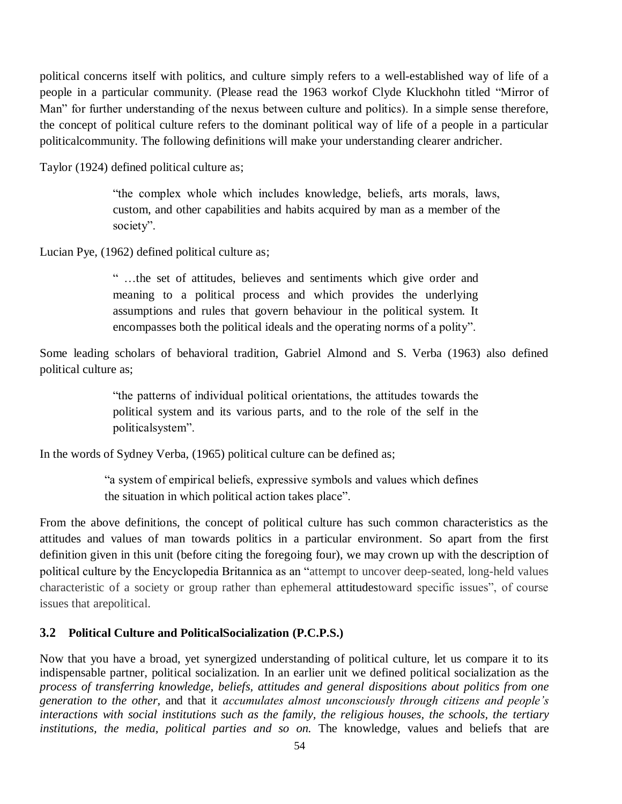political concerns itself with politics, and culture simply refers to a well-established way of life of a people in a particular community. (Please read the 1963 workof Clyde Kluckhohn titled "Mirror of Man" for further understanding of the nexus between culture and politics). In a simple sense therefore, the concept of political culture refers to the dominant political way of life of a people in a particular politicalcommunity. The following definitions will make your understanding clearer andricher.

Taylor (1924) defined political culture as;

―the complex whole which includes knowledge, beliefs, arts morals, laws, custom, and other capabilities and habits acquired by man as a member of the society".

Lucian Pye, (1962) defined political culture as;

― …the set of attitudes, believes and sentiments which give order and meaning to a political process and which provides the underlying assumptions and rules that govern behaviour in the political system. It encompasses both the political ideals and the operating norms of a polity".

Some leading scholars of behavioral tradition, Gabriel Almond and S. Verba (1963) also defined political culture as;

> ―the patterns of individual political orientations, the attitudes towards the political system and its various parts, and to the role of the self in the politicalsystem".

In the words of Sydney Verba, (1965) political culture can be defined as;

―a system of empirical beliefs, expressive symbols and values which defines the situation in which political action takes place".

From the above definitions, the concept of political culture has such common characteristics as the attitudes and values of man towards politics in a particular environment. So apart from the first definition given in this unit (before citing the foregoing four), we may crown up with the description of political culture by the Encyclopedia Britannica as an "attempt to uncover deep-seated, long-held values characteristic of a society or group rather than ephemeral [attitudest](http://www.britannica.com/EBchecked/topic/42266/attitude)oward specific issues", of course issues that arepolitical.

# **3.2 Political Culture and PoliticalSocialization (P.C.P.S.)**

Now that you have a broad, yet synergized understanding of political culture, let us compare it to its indispensable partner, political socialization. In an earlier unit we defined political socialization as the *process of transferring knowledge, beliefs, attitudes and general dispositions about politics from one generation to the other,* and that it *accumulates almost unconsciously through citizens and people's interactions with social institutions such as the family, the religious houses, the schools, the tertiary*  institutions, the media, political parties and so on. The knowledge, values and beliefs that are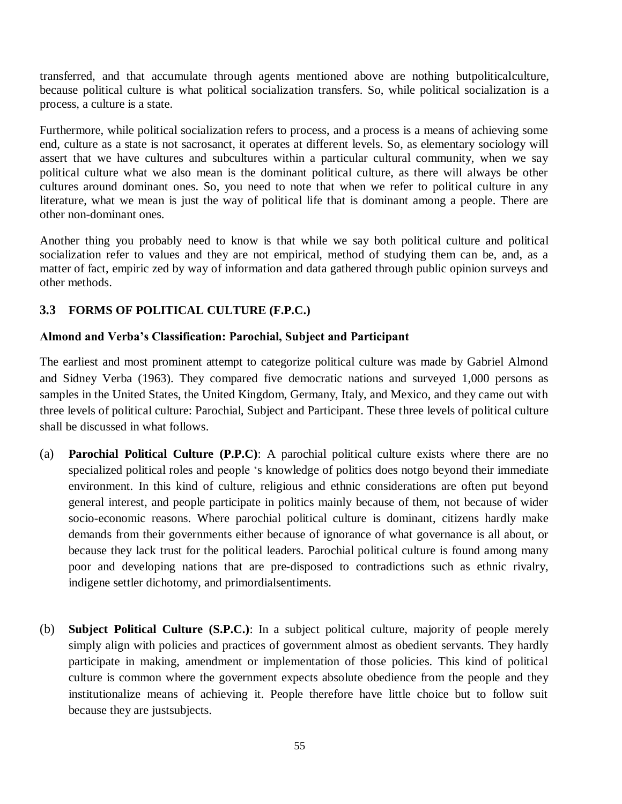transferred, and that accumulate through agents mentioned above are nothing butpoliticalculture, because political culture is what political socialization transfers. So, while political socialization is a process, a culture is a state.

Furthermore, while political socialization refers to process, and a process is a means of achieving some end, culture as a state is not sacrosanct, it operates at different levels. So, as elementary sociology will assert that we have cultures and subcultures within a particular cultural community, when we say political culture what we also mean is the dominant political culture, as there will always be other cultures around dominant ones. So, you need to note that when we refer to political culture in any literature, what we mean is just the way of political life that is dominant among a people. There are other non-dominant ones.

Another thing you probably need to know is that while we say both political culture and political socialization refer to values and they are not empirical, method of studying them can be, and, as a matter of fact, empiric zed by way of information and data gathered through public opinion surveys and other methods.

# **3.3 FORMS OF POLITICAL CULTURE (F.P.C.)**

## **Almond and Verba's Classification: Parochial, Subject and Participant**

The earliest and most prominent attempt to categorize political culture was made by Gabriel Almond and Sidney Verba (1963). They compared five democratic nations and surveyed 1,000 persons as samples in the United States, the United Kingdom, Germany, Italy, and Mexico, and they came out with three levels of political culture: Parochial, Subject and Participant. These three levels of political culture shall be discussed in what follows.

- (a) **Parochial Political Culture (P.P.C)**: A parochial political culture exists where there are no specialized political roles and people 's knowledge of politics does notgo beyond their immediate environment. In this kind of culture, religious and ethnic considerations are often put beyond general interest, and people participate in politics mainly because of them, not because of wider socio-economic reasons. Where parochial political culture is dominant, citizens hardly make demands from their governments either because of ignorance of what governance is all about, or because they lack trust for the political leaders. Parochial political culture is found among many poor and developing nations that are pre-disposed to contradictions such as ethnic rivalry, indigene settler dichotomy, and primordialsentiments.
- (b) **Subject Political Culture (S.P.C.)**: In a subject political culture, majority of people merely simply align with policies and practices of government almost as obedient servants. They hardly participate in making, amendment or implementation of those policies. This kind of political culture is common where the government expects absolute obedience from the people and they institutionalize means of achieving it. People therefore have little choice but to follow suit because they are justsubjects.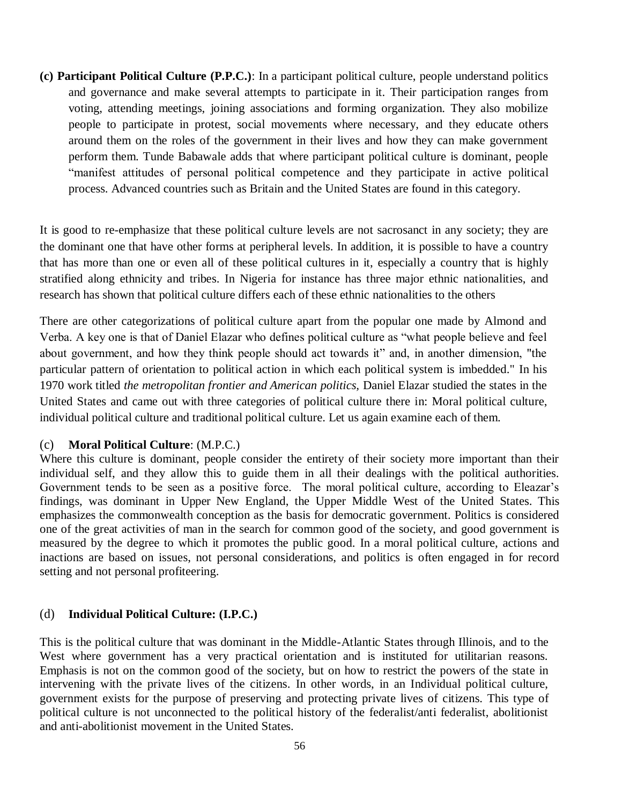**(c) Participant Political Culture (P.P.C.)**: In a participant political culture, people understand politics and governance and make several attempts to participate in it. Their participation ranges from voting, attending meetings, joining associations and forming organization. They also mobilize people to participate in protest, social movements where necessary, and they educate others around them on the roles of the government in their lives and how they can make government perform them. Tunde Babawale adds that where participant political culture is dominant, people ―manifest attitudes of personal political competence and they participate in active political process. Advanced countries such as Britain and the United States are found in this category.

It is good to re-emphasize that these political culture levels are not sacrosanct in any society; they are the dominant one that have other forms at peripheral levels. In addition, it is possible to have a country that has more than one or even all of these political cultures in it, especially a country that is highly stratified along ethnicity and tribes. In Nigeria for instance has three major ethnic nationalities, and research has shown that political culture differs each of these ethnic nationalities to the others

There are other categorizations of political culture apart from the popular one made by Almond and Verba. A key one is that of Daniel Elazar who defines political culture as "what people believe and feel about government, and how they think people should act towards it" and, in another dimension, "the particular pattern of orientation to political action in which each political system is imbedded." In his 1970 work titled *the metropolitan frontier and American politics,* Daniel Elazar studied the states in the United States and came out with three categories of political culture there in: Moral political culture, individual political culture and traditional political culture. Let us again examine each of them.

#### (c) **Moral Political Culture**: (M.P.C.)

Where this culture is dominant, people consider the entirety of their society more important than their individual self, and they allow this to guide them in all their dealings with the political authorities. Government tends to be seen as a positive force. The moral political culture, according to Eleazar's findings, was dominant in Upper New England, the Upper Middle West of the United States. This emphasizes the commonwealth conception as the basis for democratic government. Politics is considered one of the great activities of man in the search for common good of the society, and good government is measured by the degree to which it promotes the public good. In a moral political culture, actions and inactions are based on issues, not personal considerations, and politics is often engaged in for record setting and not personal profiteering.

#### (d) **Individual Political Culture: (I.P.C.)**

This is the political culture that was dominant in the Middle-Atlantic States through Illinois, and to the West where government has a very practical orientation and is instituted for utilitarian reasons. Emphasis is not on the common good of the society, but on how to restrict the powers of the state in intervening with the private lives of the citizens. In other words, in an Individual political culture, government exists for the purpose of preserving and protecting private lives of citizens. This type of political culture is not unconnected to the political history of the federalist/anti federalist, abolitionist and anti-abolitionist movement in the United States.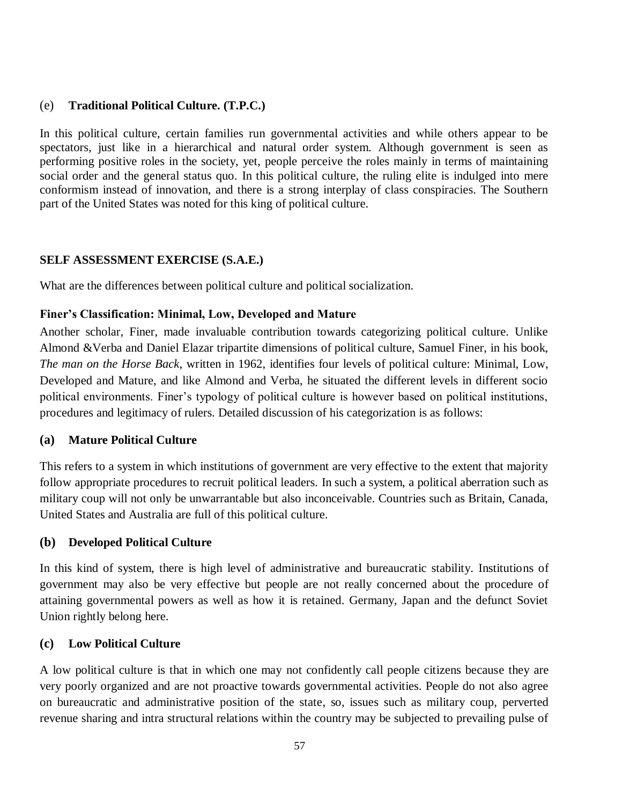### (e) **Traditional Political Culture. (T.P.C.)**

In this political culture, certain families run governmental activities and while others appear to be spectators, just like in a hierarchical and natural order system. Although government is seen as performing positive roles in the society, yet, people perceive the roles mainly in terms of maintaining social order and the general status quo. In this political culture, the ruling elite is indulged into mere conformism instead of innovation, and there is a strong interplay of class conspiracies. The Southern part of the United States was noted for this king of political culture.

## **SELF ASSESSMENT EXERCISE (S.A.E.)**

What are the differences between political culture and political socialization.

### **Finer's Classification: Minimal, Low, Developed and Mature**

Another scholar, Finer, made invaluable contribution towards categorizing political culture. Unlike Almond &Verba and Daniel Elazar tripartite dimensions of political culture, Samuel Finer, in his book, *The man on the Horse Back*, written in 1962, identifies four levels of political culture: Minimal, Low, Developed and Mature, and like Almond and Verba, he situated the different levels in different socio political environments. Finer's typology of political culture is however based on political institutions, procedures and legitimacy of rulers. Detailed discussion of his categorization is as follows:

#### **(a) Mature Political Culture**

This refers to a system in which institutions of government are very effective to the extent that majority follow appropriate procedures to recruit political leaders. In such a system, a political aberration such as military coup will not only be unwarrantable but also inconceivable. Countries such as Britain, Canada, United States and Australia are full of this political culture.

## **(b) Developed Political Culture**

In this kind of system, there is high level of administrative and bureaucratic stability. Institutions of government may also be very effective but people are not really concerned about the procedure of attaining governmental powers as well as how it is retained. Germany, Japan and the defunct Soviet Union rightly belong here.

#### **(c) Low Political Culture**

A low political culture is that in which one may not confidently call people citizens because they are very poorly organized and are not proactive towards governmental activities. People do not also agree on bureaucratic and administrative position of the state, so, issues such as military coup, perverted revenue sharing and intra structural relations within the country may be subjected to prevailing pulse of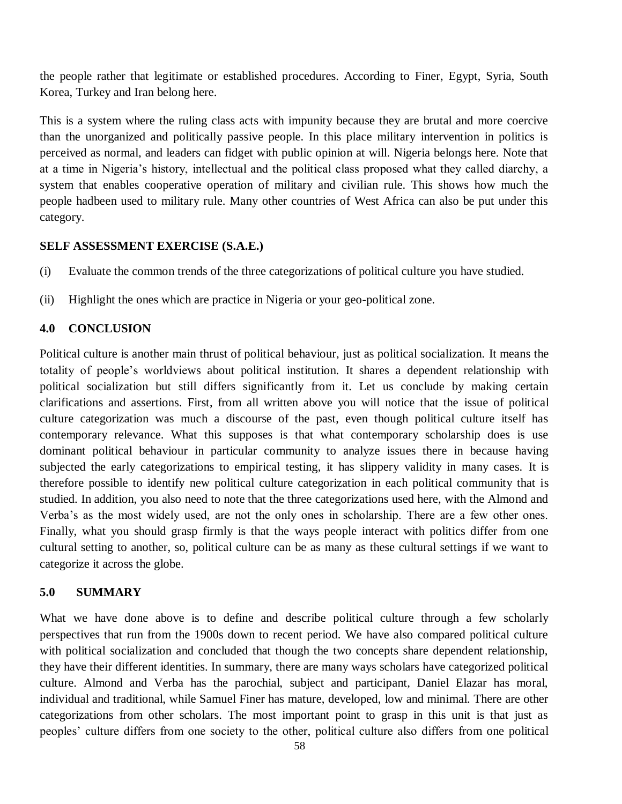the people rather that legitimate or established procedures. According to Finer, Egypt, Syria, South Korea, Turkey and Iran belong here.

This is a system where the ruling class acts with impunity because they are brutal and more coercive than the unorganized and politically passive people. In this place military intervention in politics is perceived as normal, and leaders can fidget with public opinion at will. Nigeria belongs here. Note that at a time in Nigeria's history, intellectual and the political class proposed what they called diarchy, a system that enables cooperative operation of military and civilian rule. This shows how much the people hadbeen used to military rule. Many other countries of West Africa can also be put under this category.

### **SELF ASSESSMENT EXERCISE (S.A.E.)**

- (i) Evaluate the common trends of the three categorizations of political culture you have studied.
- (ii) Highlight the ones which are practice in Nigeria or your geo-political zone.

### **4.0 CONCLUSION**

Political culture is another main thrust of political behaviour, just as political socialization. It means the totality of people's worldviews about political institution. It shares a dependent relationship with political socialization but still differs significantly from it. Let us conclude by making certain clarifications and assertions. First, from all written above you will notice that the issue of political culture categorization was much a discourse of the past, even though political culture itself has contemporary relevance. What this supposes is that what contemporary scholarship does is use dominant political behaviour in particular community to analyze issues there in because having subjected the early categorizations to empirical testing, it has slippery validity in many cases. It is therefore possible to identify new political culture categorization in each political community that is studied. In addition, you also need to note that the three categorizations used here, with the Almond and Verba's as the most widely used, are not the only ones in scholarship. There are a few other ones. Finally, what you should grasp firmly is that the ways people interact with politics differ from one cultural setting to another, so, political culture can be as many as these cultural settings if we want to categorize it across the globe.

## **5.0 SUMMARY**

What we have done above is to define and describe political culture through a few scholarly perspectives that run from the 1900s down to recent period. We have also compared political culture with political socialization and concluded that though the two concepts share dependent relationship, they have their different identities. In summary, there are many ways scholars have categorized political culture. Almond and Verba has the parochial, subject and participant, Daniel Elazar has moral, individual and traditional, while Samuel Finer has mature, developed, low and minimal. There are other categorizations from other scholars. The most important point to grasp in this unit is that just as peoples' culture differs from one society to the other, political culture also differs from one political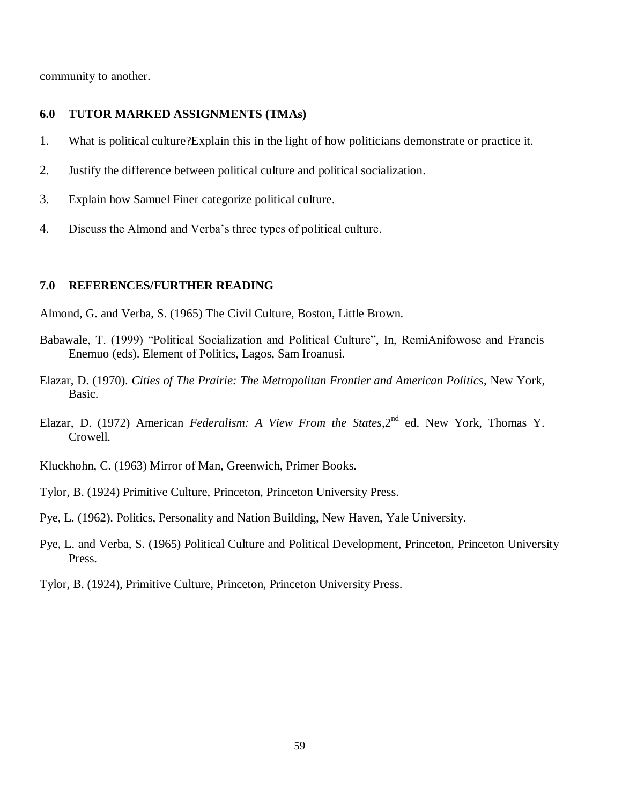community to another.

#### **6.0 TUTOR MARKED ASSIGNMENTS (TMAs)**

- 1. What is political culture?Explain this in the light of how politicians demonstrate or practice it.
- 2. Justify the difference between political culture and political socialization.
- 3. Explain how Samuel Finer categorize political culture.
- 4. Discuss the Almond and Verba's three types of political culture.

#### **7.0 REFERENCES/FURTHER READING**

Almond, G. and Verba, S. (1965) The Civil Culture, Boston, Little Brown.

- Babawale, T. (1999) "Political Socialization and Political Culture", In, RemiAnifowose and Francis Enemuo (eds). Element of Politics, Lagos, Sam Iroanusi.
- Elazar, D. (1970). *Cities of The Prairie: The Metropolitan Frontier and American Politics*, New York, Basic.
- Elazar, D. (1972) American *Federalism: A View From the States*,2nd ed. New York, Thomas Y. Crowell.
- Kluckhohn, C. (1963) Mirror of Man, Greenwich, Primer Books.
- Tylor, B. (1924) Primitive Culture, Princeton, Princeton University Press.
- Pye, L. (1962). Politics, Personality and Nation Building, New Haven, Yale University.
- Pye, L. and Verba, S. (1965) Political Culture and Political Development, Princeton, Princeton University Press.
- Tylor, B. (1924), Primitive Culture, Princeton, Princeton University Press.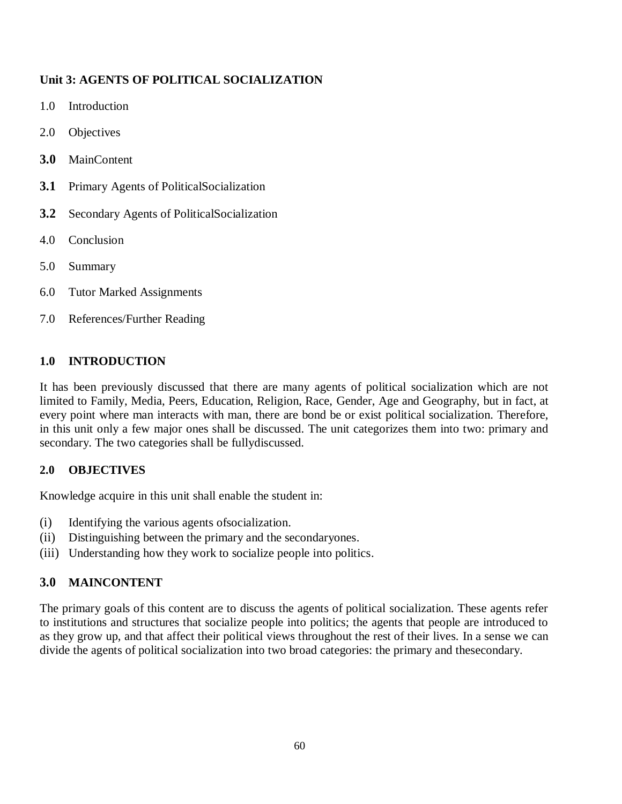# **Unit 3: AGENTS OF POLITICAL SOCIALIZATION**

- 1.0 Introduction
- 2.0 Objectives
- **3.0** MainContent
- **3.1** Primary Agents of PoliticalSocialization
- **3.2** Secondary Agents of PoliticalSocialization
- 4.0 Conclusion
- 5.0 Summary
- 6.0 Tutor Marked Assignments
- 7.0 References/Further Reading

### **1.0 INTRODUCTION**

It has been previously discussed that there are many agents of political socialization which are not limited to Family, Media, Peers, Education, Religion, Race, Gender, Age and Geography, but in fact, at every point where man interacts with man, there are bond be or exist political socialization. Therefore, in this unit only a few major ones shall be discussed. The unit categorizes them into two: primary and secondary. The two categories shall be fullydiscussed.

## **2.0 OBJECTIVES**

Knowledge acquire in this unit shall enable the student in:

- (i) Identifying the various agents ofsocialization.
- (ii) Distinguishing between the primary and the secondaryones.
- (iii) Understanding how they work to socialize people into politics.

#### **3.0 MAINCONTENT**

The primary goals of this content are to discuss the agents of political socialization. These agents refer to institutions and structures that socialize people into politics; the agents that people are introduced to as they grow up, and that affect their political views throughout the rest of their lives. In a sense we can divide the agents of political socialization into two broad categories: the primary and thesecondary.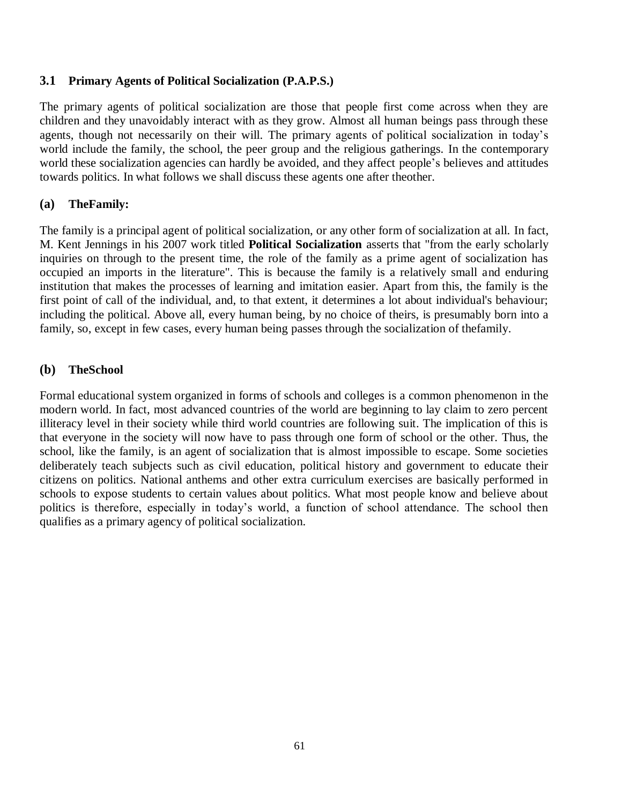### **3.1 Primary Agents of Political Socialization (P.A.P.S.)**

The primary agents of political socialization are those that people first come across when they are children and they unavoidably interact with as they grow. Almost all human beings pass through these agents, though not necessarily on their will. The primary agents of political socialization in today's world include the family, the school, the peer group and the religious gatherings. In the contemporary world these socialization agencies can hardly be avoided, and they affect people's believes and attitudes towards politics. In what follows we shall discuss these agents one after theother.

### **(a) TheFamily:**

The family is a principal agent of political socialization, or any other form of socialization at all. In fact, M. Kent Jennings in his 2007 work titled **Political Socialization** asserts that "from the early scholarly inquiries on through to the present time, the role of the family as a prime agent of socialization has occupied an imports in the literature". This is because the family is a relatively small and enduring institution that makes the processes of learning and imitation easier. Apart from this, the family is the first point of call of the individual, and, to that extent, it determines a lot about individual's behaviour; including the political. Above all, every human being, by no choice of theirs, is presumably born into a family, so, except in few cases, every human being passes through the socialization of thefamily.

### **(b) TheSchool**

Formal educational system organized in forms of schools and colleges is a common phenomenon in the modern world. In fact, most advanced countries of the world are beginning to lay claim to zero percent illiteracy level in their society while third world countries are following suit. The implication of this is that everyone in the society will now have to pass through one form of school or the other. Thus, the school, like the family, is an agent of socialization that is almost impossible to escape. Some societies deliberately teach subjects such as civil education, political history and government to educate their citizens on politics. National anthems and other extra curriculum exercises are basically performed in schools to expose students to certain values about politics. What most people know and believe about politics is therefore, especially in today's world, a function of school attendance. The school then qualifies as a primary agency of political socialization.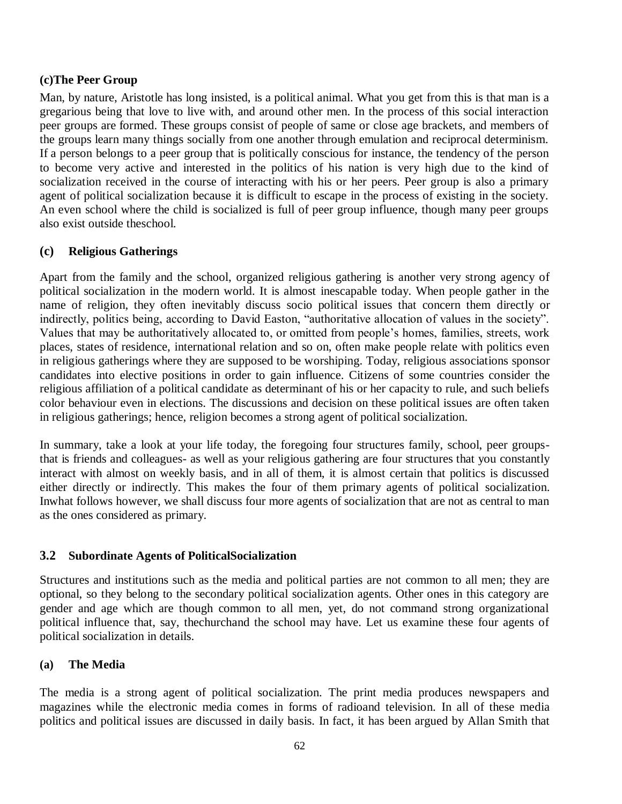#### **(c)The Peer Group**

Man, by nature, Aristotle has long insisted, is a political animal. What you get from this is that man is a gregarious being that love to live with, and around other men. In the process of this social interaction peer groups are formed. These groups consist of people of same or close age brackets, and members of the groups learn many things socially from one another through emulation and reciprocal determinism. If a person belongs to a peer group that is politically conscious for instance, the tendency of the person to become very active and interested in the politics of his nation is very high due to the kind of socialization received in the course of interacting with his or her peers. Peer group is also a primary agent of political socialization because it is difficult to escape in the process of existing in the society. An even school where the child is socialized is full of peer group influence, though many peer groups also exist outside theschool.

## **(c) Religious Gatherings**

Apart from the family and the school, organized religious gathering is another very strong agency of political socialization in the modern world. It is almost inescapable today. When people gather in the name of religion, they often inevitably discuss socio political issues that concern them directly or indirectly, politics being, according to David Easton, "authoritative allocation of values in the society". Values that may be authoritatively allocated to, or omitted from people's homes, families, streets, work places, states of residence, international relation and so on, often make people relate with politics even in religious gatherings where they are supposed to be worshiping. Today, religious associations sponsor candidates into elective positions in order to gain influence. Citizens of some countries consider the religious affiliation of a political candidate as determinant of his or her capacity to rule, and such beliefs color behaviour even in elections. The discussions and decision on these political issues are often taken in religious gatherings; hence, religion becomes a strong agent of political socialization.

In summary, take a look at your life today, the foregoing four structures family, school, peer groupsthat is friends and colleagues- as well as your religious gathering are four structures that you constantly interact with almost on weekly basis, and in all of them, it is almost certain that politics is discussed either directly or indirectly. This makes the four of them primary agents of political socialization. Inwhat follows however, we shall discuss four more agents of socialization that are not as central to man as the ones considered as primary.

## **3.2 Subordinate Agents of PoliticalSocialization**

Structures and institutions such as the media and political parties are not common to all men; they are optional, so they belong to the secondary political socialization agents. Other ones in this category are gender and age which are though common to all men, yet, do not command strong organizational political influence that, say, thechurchand the school may have. Let us examine these four agents of political socialization in details.

## **(a) The Media**

The media is a strong agent of political socialization. The print media produces newspapers and magazines while the electronic media comes in forms of radioand television. In all of these media politics and political issues are discussed in daily basis. In fact, it has been argued by Allan Smith that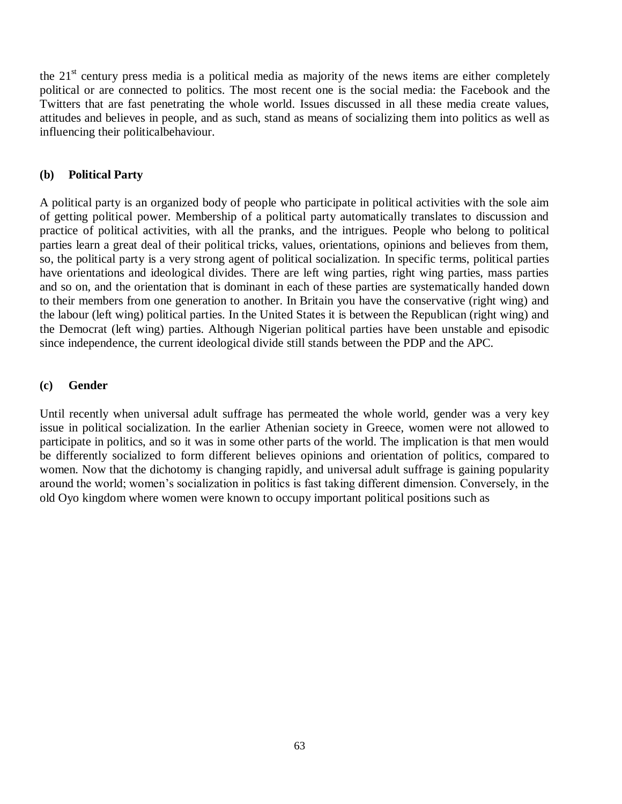the  $21<sup>st</sup>$  century press media is a political media as majority of the news items are either completely political or are connected to politics. The most recent one is the social media: the Facebook and the Twitters that are fast penetrating the whole world. Issues discussed in all these media create values, attitudes and believes in people, and as such, stand as means of socializing them into politics as well as influencing their politicalbehaviour.

#### **(b) Political Party**

A political party is an organized body of people who participate in political activities with the sole aim of getting political power. Membership of a political party automatically translates to discussion and practice of political activities, with all the pranks, and the intrigues. People who belong to political parties learn a great deal of their political tricks, values, orientations, opinions and believes from them, so, the political party is a very strong agent of political socialization. In specific terms, political parties have orientations and ideological divides. There are left wing parties, right wing parties, mass parties and so on, and the orientation that is dominant in each of these parties are systematically handed down to their members from one generation to another. In Britain you have the conservative (right wing) and the labour (left wing) political parties. In the United States it is between the Republican (right wing) and the Democrat (left wing) parties. Although Nigerian political parties have been unstable and episodic since independence, the current ideological divide still stands between the PDP and the APC.

#### **(c) Gender**

Until recently when universal adult suffrage has permeated the whole world, gender was a very key issue in political socialization. In the earlier Athenian society in Greece, women were not allowed to participate in politics, and so it was in some other parts of the world. The implication is that men would be differently socialized to form different believes opinions and orientation of politics, compared to women. Now that the dichotomy is changing rapidly, and universal adult suffrage is gaining popularity around the world; women's socialization in politics is fast taking different dimension. Conversely, in the old Oyo kingdom where women were known to occupy important political positions such as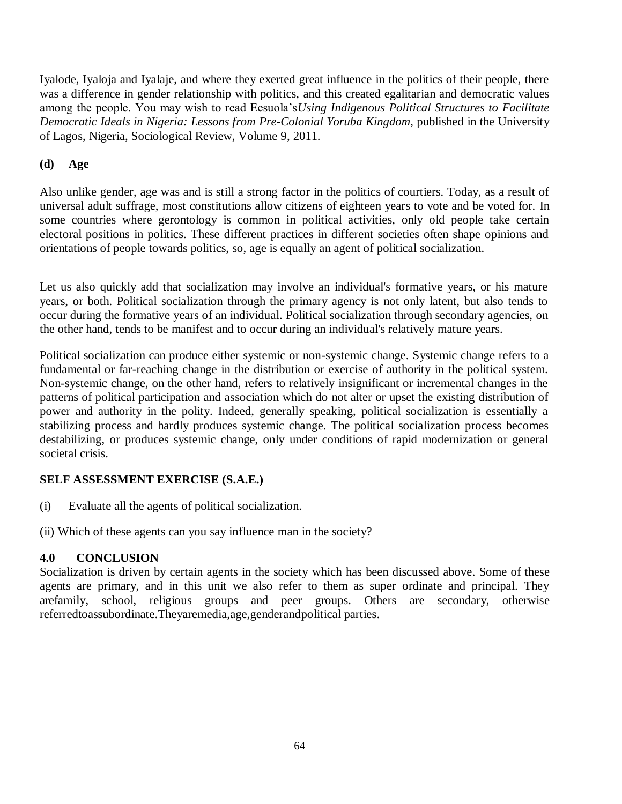Iyalode, Iyaloja and Iyalaje, and where they exerted great influence in the politics of their people, there was a difference in gender relationship with politics, and this created egalitarian and democratic values among the people. You may wish to read Eesuola's*Using Indigenous Political Structures to Facilitate Democratic Ideals in Nigeria: Lessons from Pre-Colonial Yoruba Kingdom*, published in the University of Lagos, Nigeria, Sociological Review, Volume 9, 2011.

## **(d) Age**

Also unlike gender, age was and is still a strong factor in the politics of courtiers. Today, as a result of universal adult suffrage, most constitutions allow citizens of eighteen years to vote and be voted for. In some countries where gerontology is common in political activities, only old people take certain electoral positions in politics. These different practices in different societies often shape opinions and orientations of people towards politics, so, age is equally an agent of political socialization.

Let us also quickly add that socialization may involve an individual's formative years, or his mature years, or both. Political socialization through the primary agency is not only latent, but also tends to occur during the formative years of an individual. Political socialization through secondary agencies, on the other hand, tends to be manifest and to occur during an individual's relatively mature years.

Political socialization can produce either systemic or non-systemic change. Systemic change refers to a fundamental or far-reaching change in the distribution or exercise of authority in the political system. Non-systemic change, on the other hand, refers to relatively insignificant or incremental changes in the patterns of political participation and association which do not alter or upset the existing distribution of power and authority in the polity. Indeed, generally speaking, political socialization is essentially a stabilizing process and hardly produces systemic change. The political socialization process becomes destabilizing, or produces systemic change, only under conditions of rapid modernization or general societal crisis.

# **SELF ASSESSMENT EXERCISE (S.A.E.)**

- (i) Evaluate all the agents of political socialization.
- (ii) Which of these agents can you say influence man in the society?

# **4.0 CONCLUSION**

Socialization is driven by certain agents in the society which has been discussed above. Some of these agents are primary, and in this unit we also refer to them as super ordinate and principal. They arefamily, school, religious groups and peer groups. Others are secondary, otherwise referredtoassubordinate.Theyaremedia,age,genderandpolitical parties.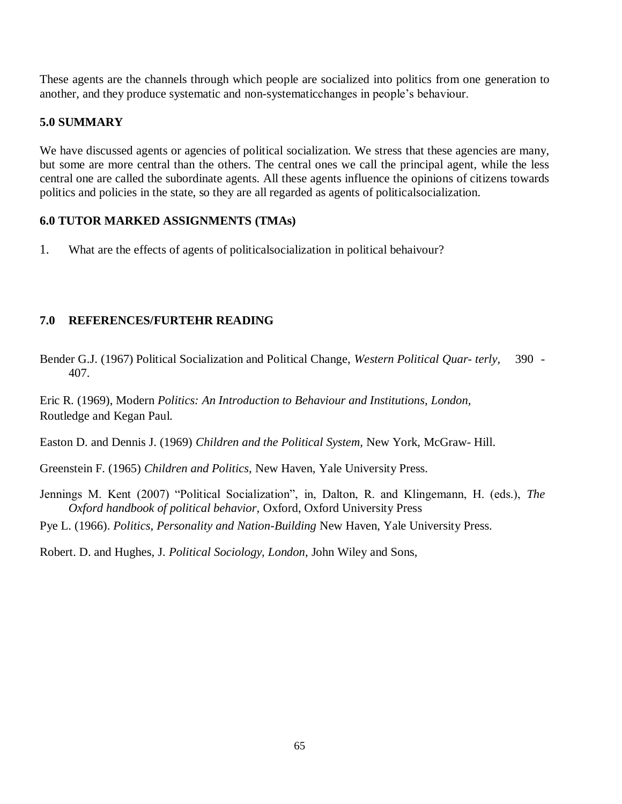These agents are the channels through which people are socialized into politics from one generation to another, and they produce systematic and non-systematicchanges in people's behaviour.

## **5.0 SUMMARY**

We have discussed agents or agencies of political socialization. We stress that these agencies are many, but some are more central than the others. The central ones we call the principal agent, while the less central one are called the subordinate agents. All these agents influence the opinions of citizens towards politics and policies in the state, so they are all regarded as agents of politicalsocialization.

## **6.0 TUTOR MARKED ASSIGNMENTS (TMAs)**

1. What are the effects of agents of politicalsocialization in political behaivour?

## **7.0 REFERENCES/FURTEHR READING**

Bender G.J. (1967) Political Socialization and Political Change, *Western Political Quar- terly,* 390 - 407.

Eric R. (1969), Modern *Politics: An Introduction to Behaviour and Institutions, London,* Routledge and Kegan Paul.

Easton D. and Dennis J. (1969) *Children and the Political System,* New York*,* McGraw- Hill.

Greenstein F. (1965) *Children and Politics,* New Haven*,* Yale University Press.

Jennings M. Kent (2007) "Political Socialization", in, Dalton, R. and Klingemann, H. (eds.), *The Oxford handbook of political behavior,* Oxford, Oxford University Press

Pye L. (1966). *Politics, Personality and Nation-Building* New Haven, Yale University Press.

Robert. D. and Hughes, J. *Political Sociology, London,* John Wiley and Sons,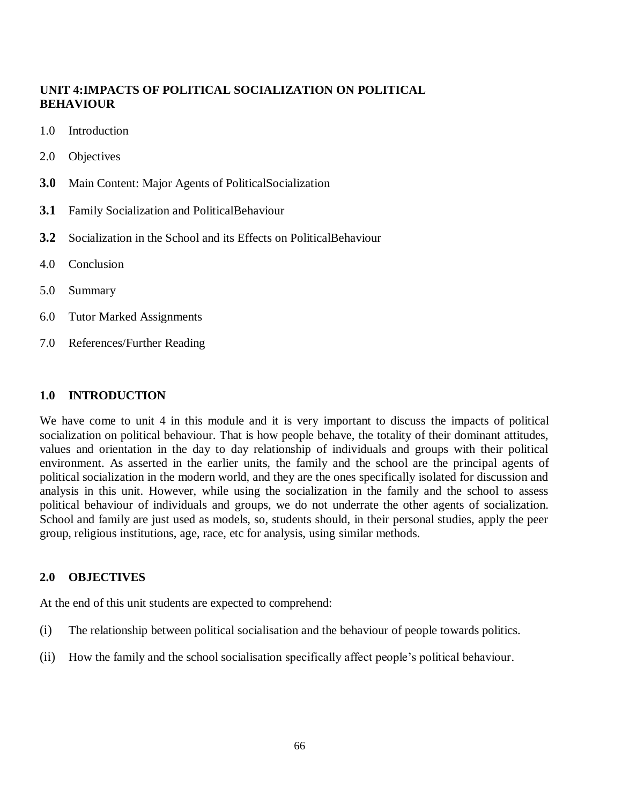## **UNIT 4:IMPACTS OF POLITICAL SOCIALIZATION ON POLITICAL BEHAVIOUR**

- 1.0 Introduction
- 2.0 Objectives
- **3.0** Main Content: Major Agents of PoliticalSocialization
- **3.1** Family Socialization and PoliticalBehaviour
- **3.2** Socialization in the School and its Effects on PoliticalBehaviour
- 4.0 Conclusion
- 5.0 Summary
- 6.0 Tutor Marked Assignments
- 7.0 References/Further Reading

#### **1.0 INTRODUCTION**

We have come to unit 4 in this module and it is very important to discuss the impacts of political socialization on political behaviour. That is how people behave, the totality of their dominant attitudes, values and orientation in the day to day relationship of individuals and groups with their political environment. As asserted in the earlier units, the family and the school are the principal agents of political socialization in the modern world, and they are the ones specifically isolated for discussion and analysis in this unit. However, while using the socialization in the family and the school to assess political behaviour of individuals and groups, we do not underrate the other agents of socialization. School and family are just used as models, so, students should, in their personal studies, apply the peer group, religious institutions, age, race, etc for analysis, using similar methods.

#### **2.0 OBJECTIVES**

At the end of this unit students are expected to comprehend:

- (i) The relationship between political socialisation and the behaviour of people towards politics.
- (ii) How the family and the school socialisation specifically affect people's political behaviour.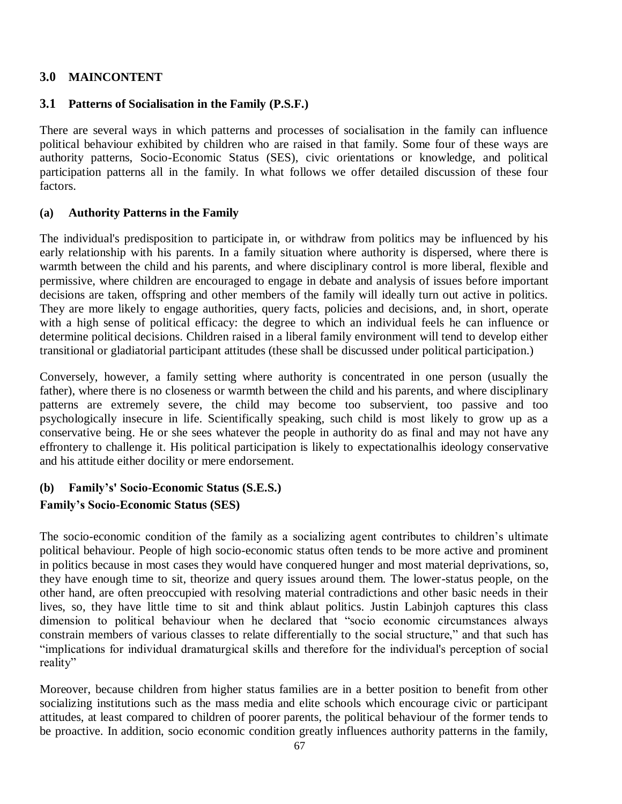### **3.0 MAINCONTENT**

#### **3.1 Patterns of Socialisation in the Family (P.S.F.)**

There are several ways in which patterns and processes of socialisation in the family can influence political behaviour exhibited by children who are raised in that family. Some four of these ways are authority patterns, Socio-Economic Status (SES), civic orientations or knowledge, and political participation patterns all in the family. In what follows we offer detailed discussion of these four factors.

### **(a) Authority Patterns in the Family**

The individual's predisposition to participate in, or withdraw from politics may be influenced by his early relationship with his parents. In a family situation where authority is dispersed, where there is warmth between the child and his parents, and where disciplinary control is more liberal, flexible and permissive, where children are encouraged to engage in debate and analysis of issues before important decisions are taken, offspring and other members of the family will ideally turn out active in politics. They are more likely to engage authorities, query facts, policies and decisions, and, in short, operate with a high sense of political efficacy: the degree to which an individual feels he can influence or determine political decisions. Children raised in a liberal family environment will tend to develop either transitional or gladiatorial participant attitudes (these shall be discussed under political participation.)

Conversely, however, a family setting where authority is concentrated in one person (usually the father), where there is no closeness or warmth between the child and his parents, and where disciplinary patterns are extremely severe, the child may become too subservient, too passive and too psychologically insecure in life. Scientifically speaking, such child is most likely to grow up as a conservative being. He or she sees whatever the people in authority do as final and may not have any effrontery to challenge it. His political participation is likely to expectationalhis ideology conservative and his attitude either docility or mere endorsement.

## **(b) Family's' Socio-Economic Status (S.E.S.)**

# **Family's Socio-Economic Status (SES)**

The socio-economic condition of the family as a socializing agent contributes to children's ultimate political behaviour. People of high socio-economic status often tends to be more active and prominent in politics because in most cases they would have conquered hunger and most material deprivations, so, they have enough time to sit, theorize and query issues around them. The lower-status people, on the other hand, are often preoccupied with resolving material contradictions and other basic needs in their lives, so, they have little time to sit and think ablaut politics. Justin Labinjoh captures this class dimension to political behaviour when he declared that "socio economic circumstances always constrain members of various classes to relate differentially to the social structure," and that such has "implications for individual dramaturgical skills and therefore for the individual's perception of social reality"

Moreover, because children from higher status families are in a better position to benefit from other socializing institutions such as the mass media and elite schools which encourage civic or participant attitudes, at least compared to children of poorer parents, the political behaviour of the former tends to be proactive. In addition, socio economic condition greatly influences authority patterns in the family,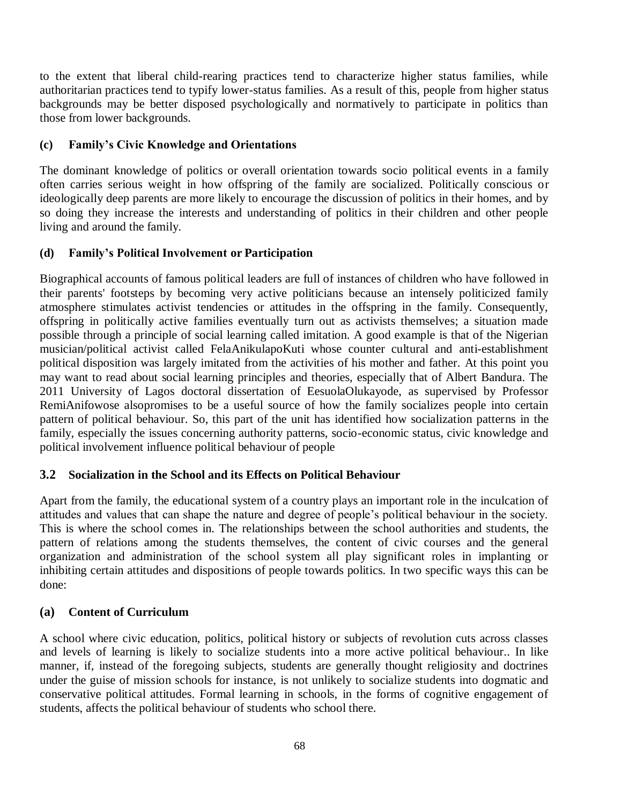to the extent that liberal child-rearing practices tend to characterize higher status families, while authoritarian practices tend to typify lower-status families. As a result of this, people from higher status backgrounds may be better disposed psychologically and normatively to participate in politics than those from lower backgrounds.

## **(c) Family's Civic Knowledge and Orientations**

The dominant knowledge of politics or overall orientation towards socio political events in a family often carries serious weight in how offspring of the family are socialized. Politically conscious or ideologically deep parents are more likely to encourage the discussion of politics in their homes, and by so doing they increase the interests and understanding of politics in their children and other people living and around the family.

## **(d) Family's Political Involvement or Participation**

Biographical accounts of famous political leaders are full of instances of children who have followed in their parents' footsteps by becoming very active politicians because an intensely politicized family atmosphere stimulates activist tendencies or attitudes in the offspring in the family. Consequently, offspring in politically active families eventually turn out as activists themselves; a situation made possible through a principle of social learning called imitation. A good example is that of the Nigerian musician/political activist called FelaAnikulapoKuti whose counter cultural and anti-establishment political disposition was largely imitated from the activities of his mother and father. At this point you may want to read about social learning principles and theories, especially that of Albert Bandura. The 2011 University of Lagos doctoral dissertation of EesuolaOlukayode, as supervised by Professor RemiAnifowose alsopromises to be a useful source of how the family socializes people into certain pattern of political behaviour. So, this part of the unit has identified how socialization patterns in the family, especially the issues concerning authority patterns, socio-economic status, civic knowledge and political involvement influence political behaviour of people

## **3.2 Socialization in the School and its Effects on Political Behaviour**

Apart from the family, the educational system of a country plays an important role in the inculcation of attitudes and values that can shape the nature and degree of people's political behaviour in the society. This is where the school comes in. The relationships between the school authorities and students, the pattern of relations among the students themselves, the content of civic courses and the general organization and administration of the school system all play significant roles in implanting or inhibiting certain attitudes and dispositions of people towards politics. In two specific ways this can be done:

## **(a) Content of Curriculum**

A school where civic education, politics, political history or subjects of revolution cuts across classes and levels of learning is likely to socialize students into a more active political behaviour.. In like manner, if, instead of the foregoing subjects, students are generally thought religiosity and doctrines under the guise of mission schools for instance, is not unlikely to socialize students into dogmatic and conservative political attitudes. Formal learning in schools, in the forms of cognitive engagement of students, affects the political behaviour of students who school there.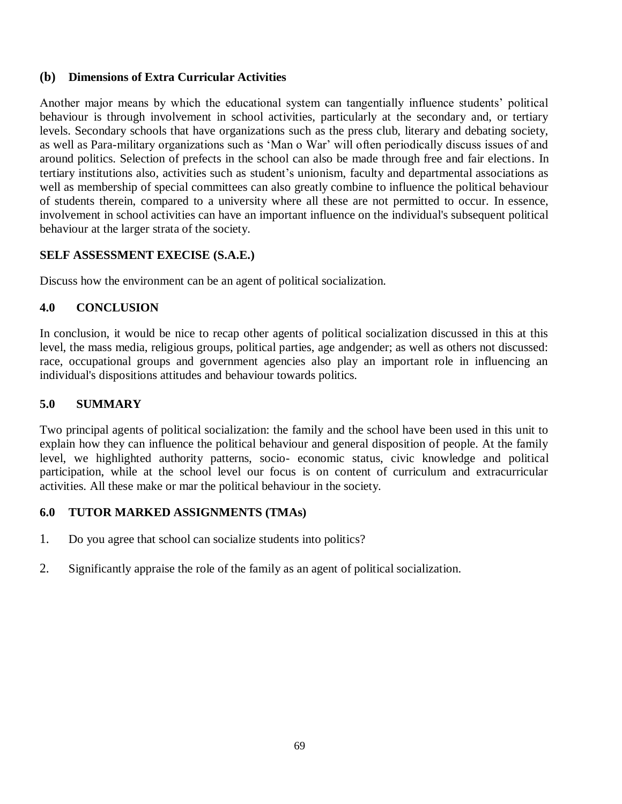## **(b) Dimensions of Extra Curricular Activities**

Another major means by which the educational system can tangentially influence students' political behaviour is through involvement in school activities, particularly at the secondary and, or tertiary levels. Secondary schools that have organizations such as the press club, literary and debating society, as well as Para-military organizations such as 'Man o War' will often periodically discuss issues of and around politics. Selection of prefects in the school can also be made through free and fair elections. In tertiary institutions also, activities such as student's unionism, faculty and departmental associations as well as membership of special committees can also greatly combine to influence the political behaviour of students therein, compared to a university where all these are not permitted to occur. In essence, involvement in school activities can have an important influence on the individual's subsequent political behaviour at the larger strata of the society.

## **SELF ASSESSMENT EXECISE (S.A.E.)**

Discuss how the environment can be an agent of political socialization.

## **4.0 CONCLUSION**

In conclusion, it would be nice to recap other agents of political socialization discussed in this at this level, the mass media, religious groups, political parties, age andgender; as well as others not discussed: race, occupational groups and government agencies also play an important role in influencing an individual's dispositions attitudes and behaviour towards politics.

## **5.0 SUMMARY**

Two principal agents of political socialization: the family and the school have been used in this unit to explain how they can influence the political behaviour and general disposition of people. At the family level, we highlighted authority patterns, socio- economic status, civic knowledge and political participation, while at the school level our focus is on content of curriculum and extracurricular activities. All these make or mar the political behaviour in the society.

## **6.0 TUTOR MARKED ASSIGNMENTS (TMAs)**

- 1. Do you agree that school can socialize students into politics?
- 2. Significantly appraise the role of the family as an agent of political socialization.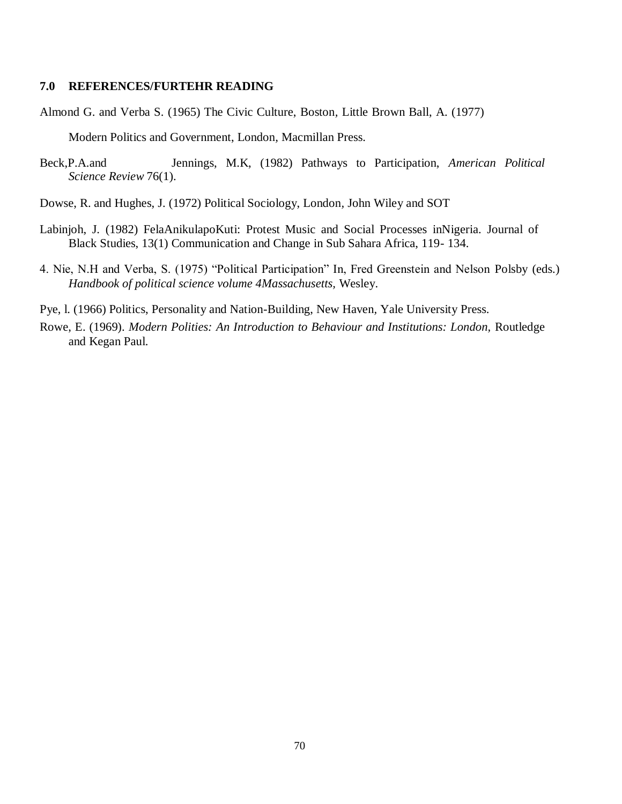#### **7.0 REFERENCES/FURTEHR READING**

Almond G. and Verba S. (1965) The Civic Culture, Boston*,* Little Brown Ball, A. (1977)

Modern Politics and Government, London*,* Macmillan Press.

- Beck,P.A.and Jennings, M.K, (1982) Pathways to Participation, *American Political Science Review* 76(1).
- Dowse, R. and Hughes, J. (1972) Political Sociology, London*,* John Wiley and SOT
- Labinjoh, J. (1982) FelaAnikulapoKuti: Protest Music and Social Processes inNigeria. Journal of Black Studies, 13(1) Communication and Change in Sub Sahara Africa, 119- 134.
- 4. Nie, N.H and Verba, S. (1975) "Political Participation" In, Fred Greenstein and Nelson Polsby (eds.) *Handbook of political science volume 4Massachusetts,* Wesley.

Pye, l. (1966) Politics, Personality and Nation-Building, New Haven*,* Yale University Press.

Rowe, E. (1969). *Modern Polities: An Introduction to Behaviour and Institutions: London,* Routledge and Kegan Paul.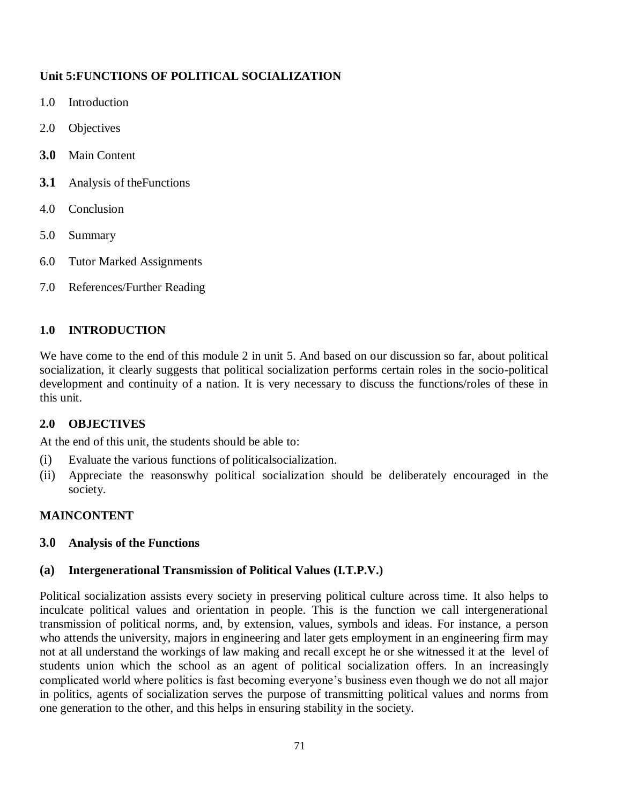## **Unit 5:FUNCTIONS OF POLITICAL SOCIALIZATION**

- 1.0 Introduction
- 2.0 Objectives
- **3.0** Main Content
- **3.1** Analysis of theFunctions
- 4.0 Conclusion
- 5.0 Summary
- 6.0 Tutor Marked Assignments
- 7.0 References/Further Reading

## **1.0 INTRODUCTION**

We have come to the end of this module 2 in unit 5. And based on our discussion so far, about political socialization, it clearly suggests that political socialization performs certain roles in the socio-political development and continuity of a nation. It is very necessary to discuss the functions/roles of these in this unit.

## **2.0 OBJECTIVES**

At the end of this unit, the students should be able to:

- (i) Evaluate the various functions of politicalsocialization.
- (ii) Appreciate the reasonswhy political socialization should be deliberately encouraged in the society.

## **MAINCONTENT**

#### **3.0 Analysis of the Functions**

#### **(a) Intergenerational Transmission of Political Values (I.T.P.V.)**

Political socialization assists every society in preserving political culture across time. It also helps to inculcate political values and orientation in people. This is the function we call intergenerational transmission of political norms, and, by extension, values, symbols and ideas. For instance, a person who attends the university, majors in engineering and later gets employment in an engineering firm may not at all understand the workings of law making and recall except he or she witnessed it at the level of students union which the school as an agent of political socialization offers. In an increasingly complicated world where politics is fast becoming everyone's business even though we do not all major in politics, agents of socialization serves the purpose of transmitting political values and norms from one generation to the other, and this helps in ensuring stability in the society.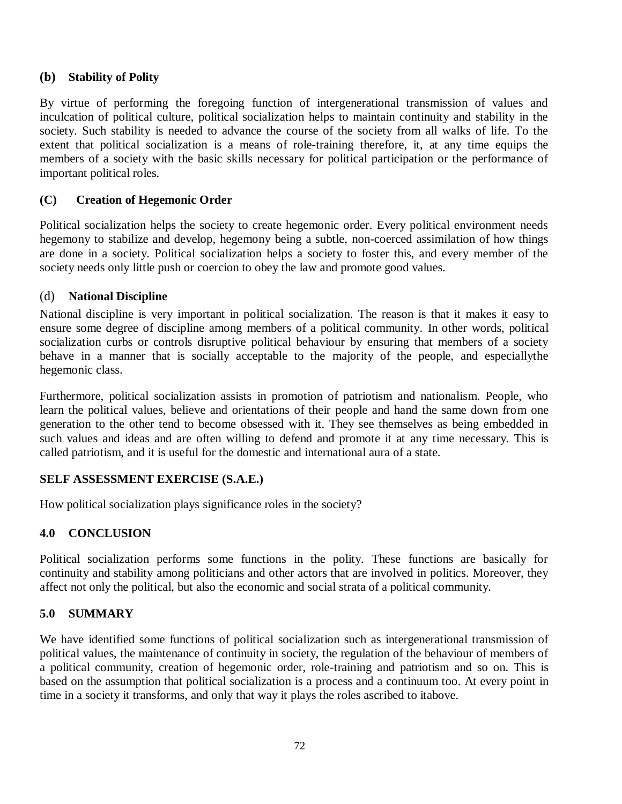## **(b) Stability of Polity**

By virtue of performing the foregoing function of intergenerational transmission of values and inculcation of political culture, political socialization helps to maintain continuity and stability in the society. Such stability is needed to advance the course of the society from all walks of life. To the extent that political socialization is a means of role-training therefore, it, at any time equips the members of a society with the basic skills necessary for political participation or the performance of important political roles.

### **(C) Creation of Hegemonic Order**

Political socialization helps the society to create hegemonic order. Every political environment needs hegemony to stabilize and develop, hegemony being a subtle, non-coerced assimilation of how things are done in a society. Political socialization helps a society to foster this, and every member of the society needs only little push or coercion to obey the law and promote good values.

### (d) **National Discipline**

National discipline is very important in political socialization. The reason is that it makes it easy to ensure some degree of discipline among members of a political community. In other words, political socialization curbs or controls disruptive political behaviour by ensuring that members of a society behave in a manner that is socially acceptable to the majority of the people, and especiallythe hegemonic class.

Furthermore, political socialization assists in promotion of patriotism and nationalism. People, who learn the political values, believe and orientations of their people and hand the same down from one generation to the other tend to become obsessed with it. They see themselves as being embedded in such values and ideas and are often willing to defend and promote it at any time necessary. This is called patriotism, and it is useful for the domestic and international aura of a state.

#### **SELF ASSESSMENT EXERCISE (S.A.E.)**

How political socialization plays significance roles in the society?

## **4.0 CONCLUSION**

Political socialization performs some functions in the polity. These functions are basically for continuity and stability among politicians and other actors that are involved in politics. Moreover, they affect not only the political, but also the economic and social strata of a political community.

## **5.0 SUMMARY**

We have identified some functions of political socialization such as intergenerational transmission of political values, the maintenance of continuity in society, the regulation of the behaviour of members of a political community, creation of hegemonic order, role-training and patriotism and so on. This is based on the assumption that political socialization is a process and a continuum too. At every point in time in a society it transforms, and only that way it plays the roles ascribed to itabove.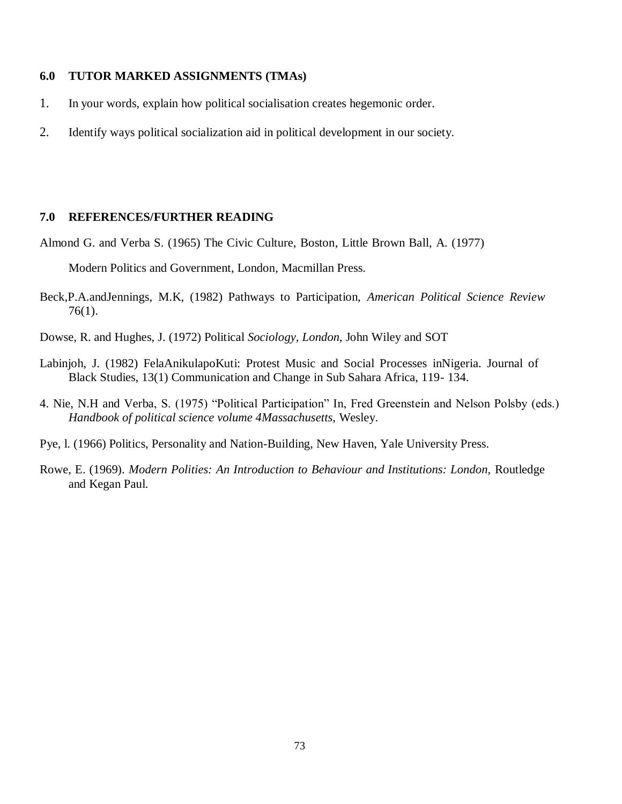#### **6.0 TUTOR MARKED ASSIGNMENTS (TMAs)**

- 1. In your words, explain how political socialisation creates hegemonic order.
- 2. Identify ways political socialization aid in political development in our society.

#### **7.0 REFERENCES/FURTHER READING**

Almond G. and Verba S. (1965) The Civic Culture, Boston*,* Little Brown Ball, A. (1977)

Modern Politics and Government, London*,* Macmillan Press.

- Beck,P.A.andJennings, M.K, (1982) Pathways to Participation, *American Political Science Review*  76(1).
- Dowse, R. and Hughes, J. (1972) Political *Sociology, London,* John Wiley and SOT
- Labinjoh, J. (1982) FelaAnikulapoKuti: Protest Music and Social Processes inNigeria. Journal of Black Studies, 13(1) Communication and Change in Sub Sahara Africa, 119- 134.
- 4. Nie, N.H and Verba, S. (1975) "Political Participation" In, Fred Greenstein and Nelson Polsby (eds.) *Handbook of political science volume 4Massachusetts,* Wesley.
- Pye, l. (1966) Politics, Personality and Nation-Building, New Haven, Yale University Press.
- Rowe, E. (1969). *Modern Polities: An Introduction to Behaviour and Institutions: London,* Routledge and Kegan Paul.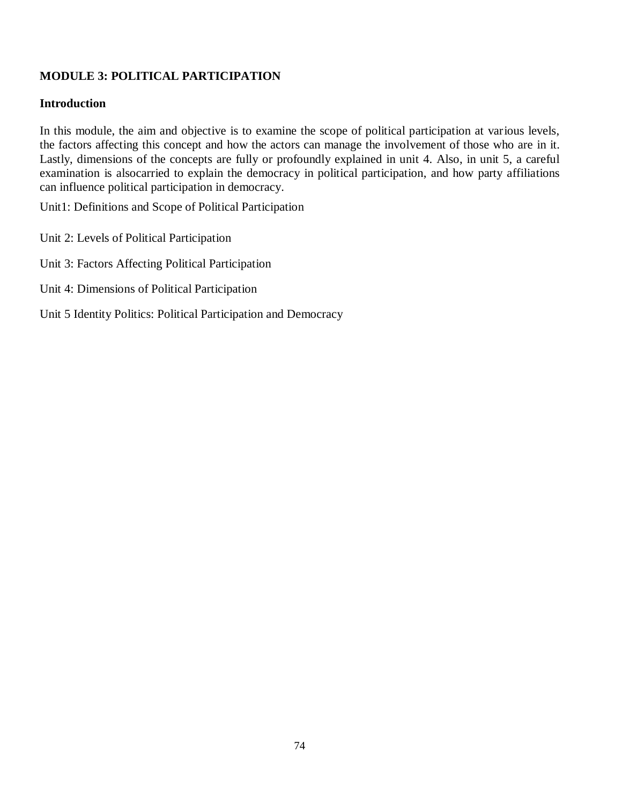# **MODULE 3: POLITICAL PARTICIPATION**

## **Introduction**

In this module, the aim and objective is to examine the scope of political participation at various levels, the factors affecting this concept and how the actors can manage the involvement of those who are in it. Lastly, dimensions of the concepts are fully or profoundly explained in unit 4. Also, in unit 5, a careful examination is alsocarried to explain the democracy in political participation, and how party affiliations can influence political participation in democracy.

Unit1: Definitions and Scope of Political Participation

- Unit 2: Levels of Political Participation
- Unit 3: Factors Affecting Political Participation
- Unit 4: Dimensions of Political Participation
- Unit 5 Identity Politics: Political Participation and Democracy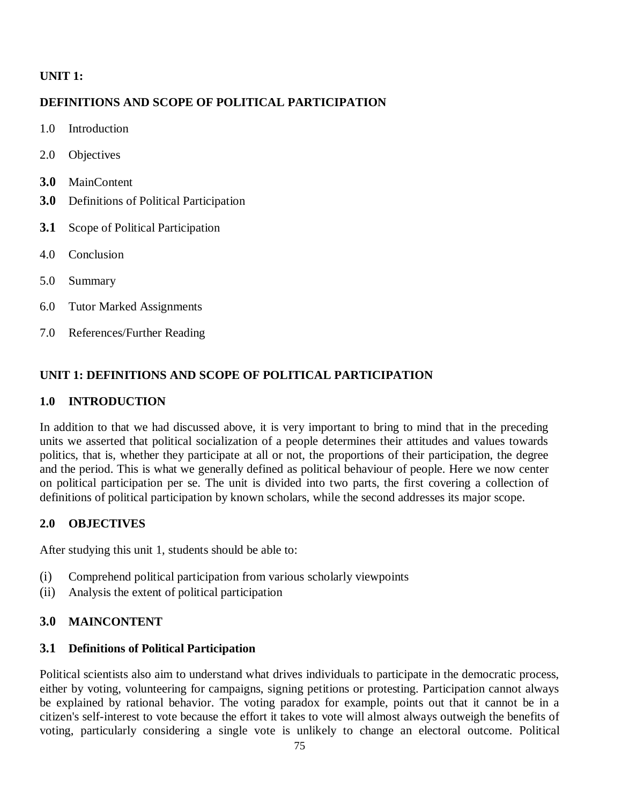## **UNIT 1:**

## **DEFINITIONS AND SCOPE OF POLITICAL PARTICIPATION**

- 1.0 Introduction
- 2.0 Objectives
- **3.0** MainContent
- **3.0** Definitions of Political Participation
- **3.1** Scope of Political Participation
- 4.0 Conclusion
- 5.0 Summary
- 6.0 Tutor Marked Assignments
- 7.0 References/Further Reading

## **UNIT 1: DEFINITIONS AND SCOPE OF POLITICAL PARTICIPATION**

### **1.0 INTRODUCTION**

In addition to that we had discussed above, it is very important to bring to mind that in the preceding units we asserted that political socialization of a people determines their attitudes and values towards politics, that is, whether they participate at all or not, the proportions of their participation, the degree and the period. This is what we generally defined as political behaviour of people. Here we now center on political participation per se. The unit is divided into two parts, the first covering a collection of definitions of political participation by known scholars, while the second addresses its major scope.

## **2.0 OBJECTIVES**

After studying this unit 1, students should be able to:

- (i) Comprehend political participation from various scholarly viewpoints
- (ii) Analysis the extent of political participation

## **3.0 MAINCONTENT**

## **3.1 Definitions of Political Participation**

Political scientists also aim to understand what drives individuals to participate in the democratic process, either by voting, volunteering for campaigns, signing petitions or protesting. Participation cannot always be explained by rational behavior. The voting paradox for example, points out that it cannot be in a citizen's self-interest to vote because the effort it takes to vote will almost always outweigh the benefits of voting, particularly considering a single vote is unlikely to change an electoral outcome. Political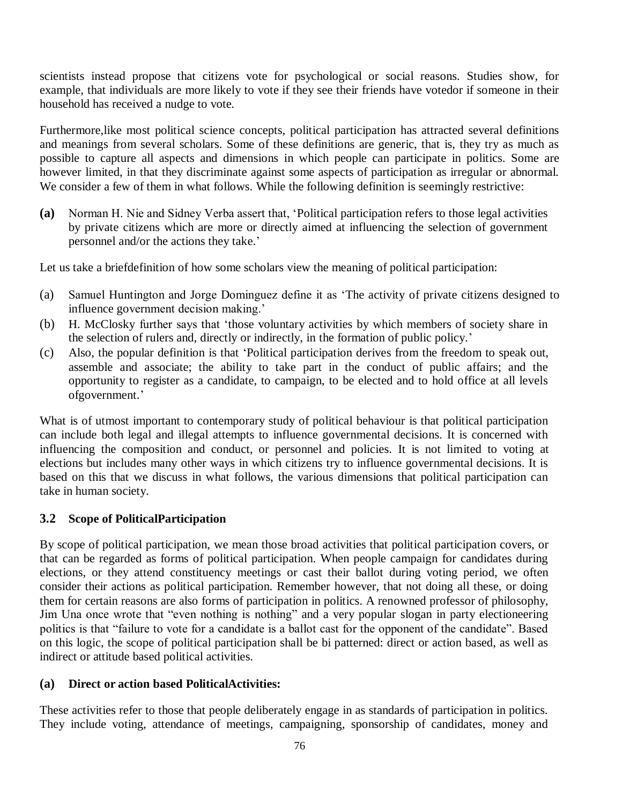scientists instead propose that citizens vote for psychological or social reasons. Studies show, for example, that individuals are more likely to vote if they see their friends have votedor if someone in their household has received a nudge to vote.

Furthermore,like most political science concepts, political participation has attracted several definitions and meanings from several scholars. Some of these definitions are generic, that is, they try as much as possible to capture all aspects and dimensions in which people can participate in politics. Some are however limited, in that they discriminate against some aspects of participation as irregular or abnormal. We consider a few of them in what follows. While the following definition is seemingly restrictive:

**(a)** Norman H. Nie and Sidney Verba assert that, ‗Political participation refers to those legal activities by private citizens which are more or directly aimed at influencing the selection of government personnel and/or the actions they take.'

Let us take a briefdefinition of how some scholars view the meaning of political participation:

- (a) Samuel Huntington and Jorge Dominguez define it as ‗The activity of private citizens designed to influence government decision making.'
- (b) H. McClosky further says that 'those voluntary activities by which members of society share in the selection of rulers and, directly or indirectly, in the formation of public policy.'
- (c) Also, the popular definition is that ‗Political participation derives from the freedom to speak out, assemble and associate; the ability to take part in the conduct of public affairs; and the opportunity to register as a candidate, to campaign, to be elected and to hold office at all levels ofgovernment.'

What is of utmost important to contemporary study of political behaviour is that political participation can include both legal and illegal attempts to influence governmental decisions. It is concerned with influencing the composition and conduct, or personnel and policies. It is not limited to voting at elections but includes many other ways in which citizens try to influence governmental decisions. It is based on this that we discuss in what follows, the various dimensions that political participation can take in human society.

## **3.2 Scope of PoliticalParticipation**

By scope of political participation, we mean those broad activities that political participation covers, or that can be regarded as forms of political participation. When people campaign for candidates during elections, or they attend constituency meetings or cast their ballot during voting period, we often consider their actions as political participation. Remember however, that not doing all these, or doing them for certain reasons are also forms of participation in politics. A renowned professor of philosophy, Jim Una once wrote that "even nothing is nothing" and a very popular slogan in party electioneering politics is that "failure to vote for a candidate is a ballot cast for the opponent of the candidate". Based on this logic, the scope of political participation shall be bi patterned: direct or action based, as well as indirect or attitude based political activities.

## **(a) Direct or action based PoliticalActivities:**

These activities refer to those that people deliberately engage in as standards of participation in politics. They include voting, attendance of meetings, campaigning, sponsorship of candidates, money and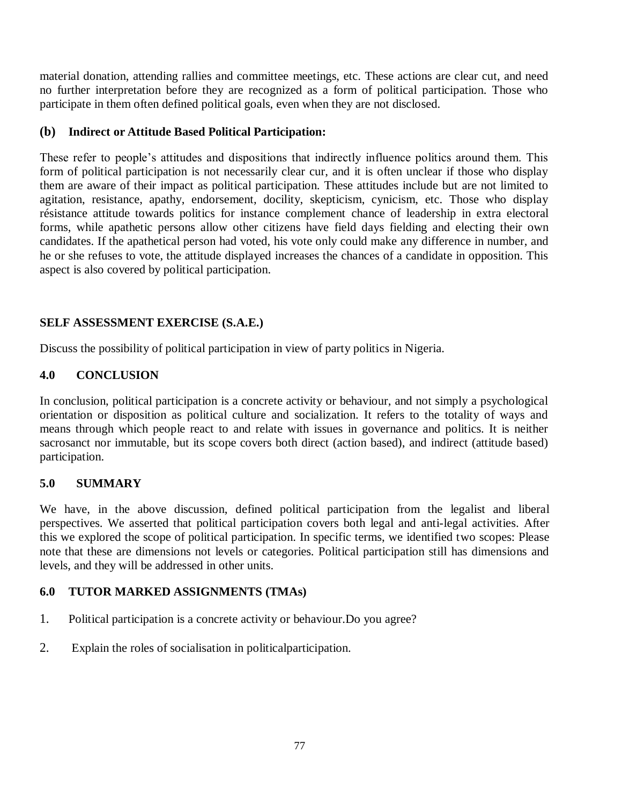material donation, attending rallies and committee meetings, etc. These actions are clear cut, and need no further interpretation before they are recognized as a form of political participation. Those who participate in them often defined political goals, even when they are not disclosed.

## **(b) Indirect or Attitude Based Political Participation:**

These refer to people's attitudes and dispositions that indirectly influence politics around them. This form of political participation is not necessarily clear cur, and it is often unclear if those who display them are aware of their impact as political participation. These attitudes include but are not limited to agitation, resistance, apathy, endorsement, docility, skepticism, cynicism, etc. Those who display résistance attitude towards politics for instance complement chance of leadership in extra electoral forms, while apathetic persons allow other citizens have field days fielding and electing their own candidates. If the apathetical person had voted, his vote only could make any difference in number, and he or she refuses to vote, the attitude displayed increases the chances of a candidate in opposition. This aspect is also covered by political participation.

## **SELF ASSESSMENT EXERCISE (S.A.E.)**

Discuss the possibility of political participation in view of party politics in Nigeria.

## **4.0 CONCLUSION**

In conclusion, political participation is a concrete activity or behaviour, and not simply a psychological orientation or disposition as political culture and socialization. It refers to the totality of ways and means through which people react to and relate with issues in governance and politics. It is neither sacrosanct nor immutable, but its scope covers both direct (action based), and indirect (attitude based) participation.

## **5.0 SUMMARY**

We have, in the above discussion, defined political participation from the legalist and liberal perspectives. We asserted that political participation covers both legal and anti-legal activities. After this we explored the scope of political participation. In specific terms, we identified two scopes: Please note that these are dimensions not levels or categories. Political participation still has dimensions and levels, and they will be addressed in other units.

## **6.0 TUTOR MARKED ASSIGNMENTS (TMAs)**

- 1. Political participation is a concrete activity or behaviour.Do you agree?
- 2. Explain the roles of socialisation in politicalparticipation.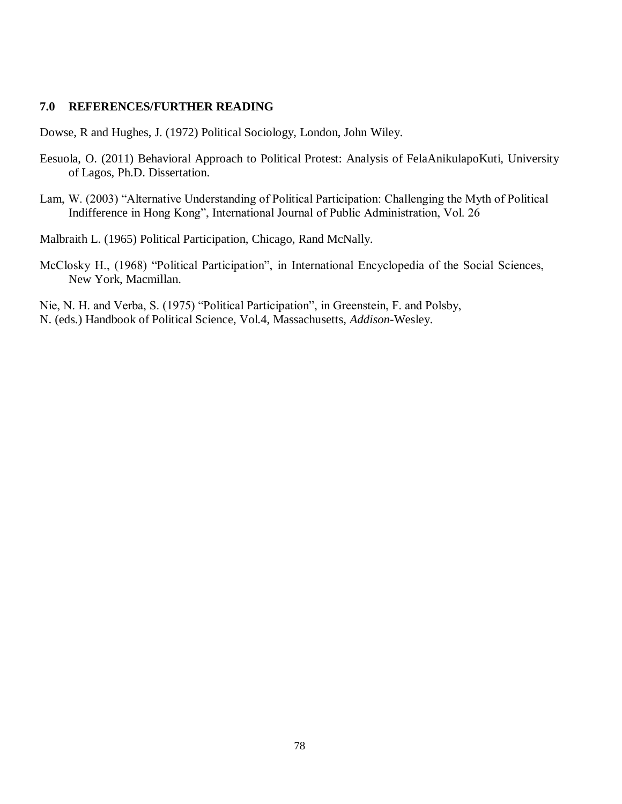### **7.0 REFERENCES/FURTHER READING**

Dowse, R and Hughes, J. (1972) Political Sociology, London, John Wiley.

- Eesuola, O. (2011) Behavioral Approach to Political Protest: Analysis of FelaAnikulapoKuti, University of Lagos, Ph.D. Dissertation.
- Lam, W. (2003) "Alternative Understanding of Political Participation: Challenging the Myth of Political Indifference in Hong Kong", International Journal of Public Administration, Vol. 26

Malbraith L. (1965) Political Participation, Chicago, Rand McNally.

McClosky H., (1968) "Political Participation", in International Encyclopedia of the Social Sciences, New York, Macmillan.

Nie, N. H. and Verba, S. (1975) "Political Participation", in Greenstein, F. and Polsby, N. (eds.) Handbook of Political Science, Vol.4, Massachusetts, *Addison*-Wesley.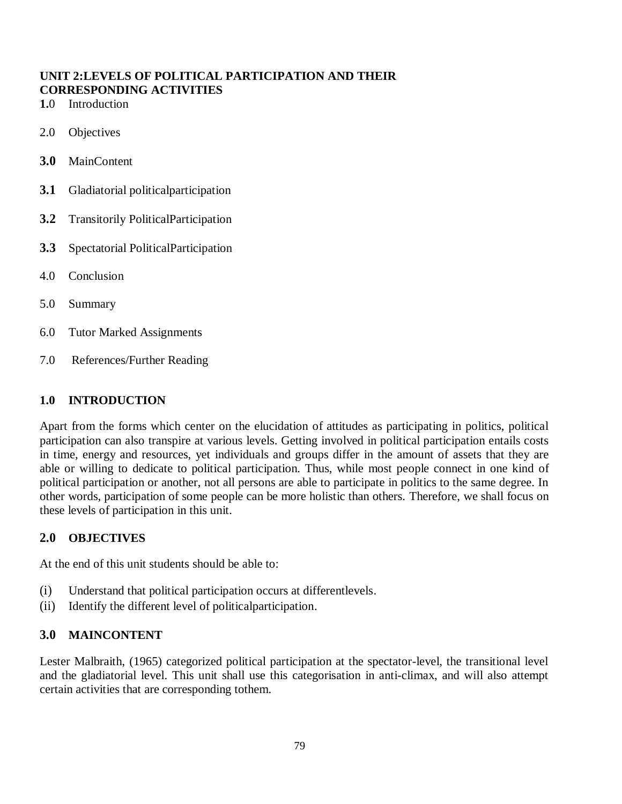# **UNIT 2:LEVELS OF POLITICAL PARTICIPATION AND THEIR CORRESPONDING ACTIVITIES**

- **1.**0 Introduction
- 2.0 Objectives
- **3.0** MainContent
- **3.1** Gladiatorial politicalparticipation
- **3.2** Transitorily PoliticalParticipation
- **3.3** Spectatorial PoliticalParticipation
- 4.0 Conclusion
- 5.0 Summary
- 6.0 Tutor Marked Assignments
- 7.0 References/Further Reading

## **1.0 INTRODUCTION**

Apart from the forms which center on the elucidation of attitudes as participating in politics, political participation can also transpire at various levels. Getting involved in political participation entails costs in time, energy and resources, yet individuals and groups differ in the amount of assets that they are able or willing to dedicate to political participation. Thus, while most people connect in one kind of political participation or another, not all persons are able to participate in politics to the same degree. In other words, participation of some people can be more holistic than others. Therefore, we shall focus on these levels of participation in this unit.

# **2.0 OBJECTIVES**

At the end of this unit students should be able to:

- (i) Understand that political participation occurs at differentlevels.
- (ii) Identify the different level of politicalparticipation.

# **3.0 MAINCONTENT**

Lester Malbraith, (1965) categorized political participation at the spectator-level, the transitional level and the gladiatorial level. This unit shall use this categorisation in anti-climax, and will also attempt certain activities that are corresponding tothem.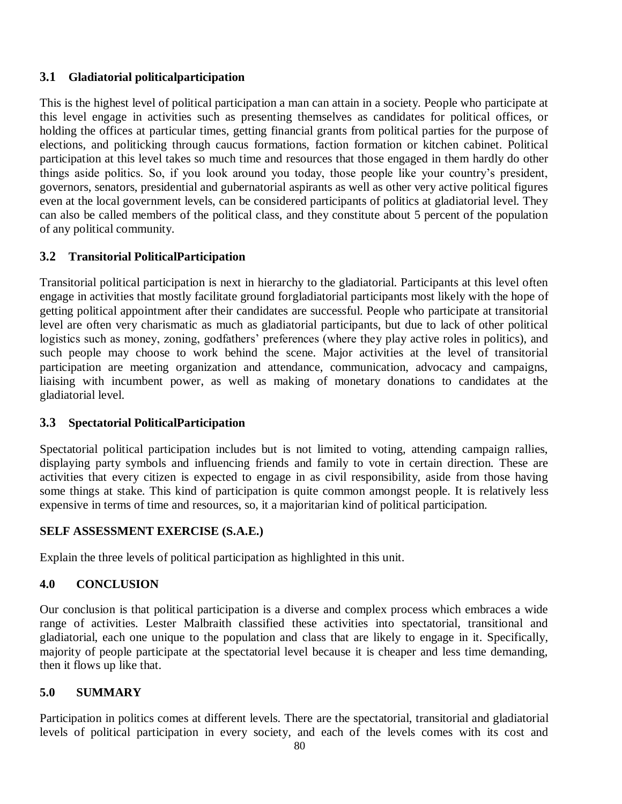## **3.1 Gladiatorial politicalparticipation**

This is the highest level of political participation a man can attain in a society. People who participate at this level engage in activities such as presenting themselves as candidates for political offices, or holding the offices at particular times, getting financial grants from political parties for the purpose of elections, and politicking through caucus formations, faction formation or kitchen cabinet. Political participation at this level takes so much time and resources that those engaged in them hardly do other things aside politics. So, if you look around you today, those people like your country's president, governors, senators, presidential and gubernatorial aspirants as well as other very active political figures even at the local government levels, can be considered participants of politics at gladiatorial level. They can also be called members of the political class, and they constitute about 5 percent of the population of any political community.

## **3.2 Transitorial PoliticalParticipation**

Transitorial political participation is next in hierarchy to the gladiatorial. Participants at this level often engage in activities that mostly facilitate ground forgladiatorial participants most likely with the hope of getting political appointment after their candidates are successful. People who participate at transitorial level are often very charismatic as much as gladiatorial participants, but due to lack of other political logistics such as money, zoning, godfathers' preferences (where they play active roles in politics), and such people may choose to work behind the scene. Major activities at the level of transitorial participation are meeting organization and attendance, communication, advocacy and campaigns, liaising with incumbent power, as well as making of monetary donations to candidates at the gladiatorial level.

## **3.3 Spectatorial PoliticalParticipation**

Spectatorial political participation includes but is not limited to voting, attending campaign rallies, displaying party symbols and influencing friends and family to vote in certain direction. These are activities that every citizen is expected to engage in as civil responsibility, aside from those having some things at stake. This kind of participation is quite common amongst people. It is relatively less expensive in terms of time and resources, so, it a majoritarian kind of political participation.

## **SELF ASSESSMENT EXERCISE (S.A.E.)**

Explain the three levels of political participation as highlighted in this unit.

# **4.0 CONCLUSION**

Our conclusion is that political participation is a diverse and complex process which embraces a wide range of activities. Lester Malbraith classified these activities into spectatorial, transitional and gladiatorial, each one unique to the population and class that are likely to engage in it. Specifically, majority of people participate at the spectatorial level because it is cheaper and less time demanding, then it flows up like that.

# **5.0 SUMMARY**

Participation in politics comes at different levels. There are the spectatorial, transitorial and gladiatorial levels of political participation in every society, and each of the levels comes with its cost and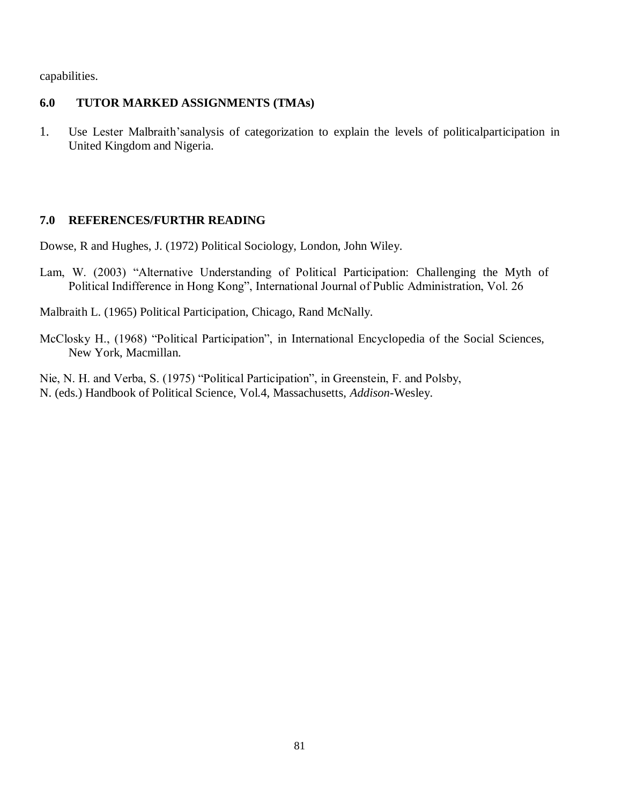capabilities.

### **6.0 TUTOR MARKED ASSIGNMENTS (TMAs)**

1. Use Lester Malbraith'sanalysis of categorization to explain the levels of politicalparticipation in United Kingdom and Nigeria.

## **7.0 REFERENCES/FURTHR READING**

Dowse, R and Hughes, J. (1972) Political Sociology, London, John Wiley.

Lam, W. (2003) "Alternative Understanding of Political Participation: Challenging the Myth of Political Indifference in Hong Kong", International Journal of Public Administration, Vol. 26

Malbraith L. (1965) Political Participation, Chicago, Rand McNally.

McClosky H., (1968) "Political Participation", in International Encyclopedia of the Social Sciences, New York, Macmillan.

Nie, N. H. and Verba, S. (1975) "Political Participation", in Greenstein, F. and Polsby, N. (eds.) Handbook of Political Science, Vol.4, Massachusetts, *Addison*-Wesley.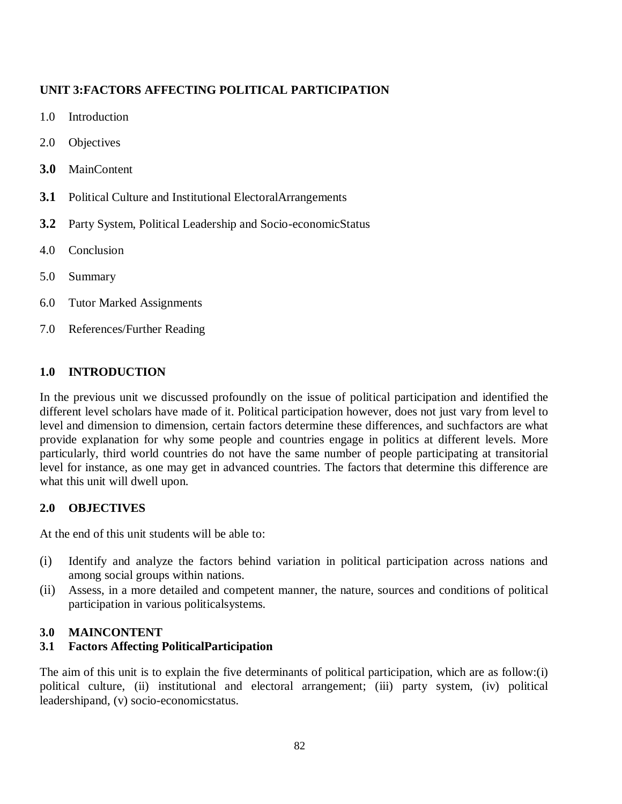# **UNIT 3:FACTORS AFFECTING POLITICAL PARTICIPATION**

- 1.0 Introduction
- 2.0 Objectives
- **3.0** MainContent
- **3.1** Political Culture and Institutional ElectoralArrangements
- **3.2** Party System, Political Leadership and Socio-economicStatus
- 4.0 Conclusion
- 5.0 Summary
- 6.0 Tutor Marked Assignments
- 7.0 References/Further Reading

### **1.0 INTRODUCTION**

In the previous unit we discussed profoundly on the issue of political participation and identified the different level scholars have made of it. Political participation however, does not just vary from level to level and dimension to dimension, certain factors determine these differences, and suchfactors are what provide explanation for why some people and countries engage in politics at different levels. More particularly, third world countries do not have the same number of people participating at transitorial level for instance, as one may get in advanced countries. The factors that determine this difference are what this unit will dwell upon.

## **2.0 OBJECTIVES**

At the end of this unit students will be able to:

- (i) Identify and analyze the factors behind variation in political participation across nations and among social groups within nations.
- (ii) Assess, in a more detailed and competent manner, the nature, sources and conditions of political participation in various politicalsystems.

### **3.0 MAINCONTENT**

### **3.1 Factors Affecting PoliticalParticipation**

The aim of this unit is to explain the five determinants of political participation, which are as follow:(i) political culture, (ii) institutional and electoral arrangement; (iii) party system, (iv) political leadershipand, (v) socio-economicstatus.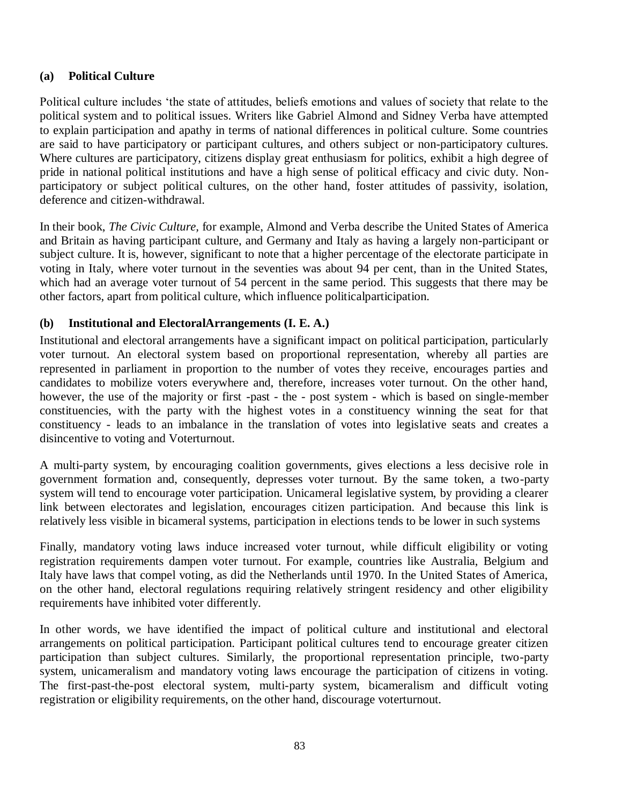### **(a) Political Culture**

Political culture includes ‗the state of attitudes, beliefs emotions and values of society that relate to the political system and to political issues. Writers like Gabriel Almond and Sidney Verba have attempted to explain participation and apathy in terms of national differences in political culture. Some countries are said to have participatory or participant cultures, and others subject or non-participatory cultures. Where cultures are participatory, citizens display great enthusiasm for politics, exhibit a high degree of pride in national political institutions and have a high sense of political efficacy and civic duty. Nonparticipatory or subject political cultures, on the other hand, foster attitudes of passivity, isolation, deference and citizen-withdrawal.

In their book, *The Civic Culture,* for example, Almond and Verba describe the United States of America and Britain as having participant culture, and Germany and Italy as having a largely non-participant or subject culture. It is, however, significant to note that a higher percentage of the electorate participate in voting in Italy, where voter turnout in the seventies was about 94 per cent, than in the United States, which had an average voter turnout of 54 percent in the same period. This suggests that there may be other factors, apart from political culture, which influence politicalparticipation.

### **(b) Institutional and ElectoralArrangements (I. E. A.)**

Institutional and electoral arrangements have a significant impact on political participation, particularly voter turnout. An electoral system based on proportional representation, whereby all parties are represented in parliament in proportion to the number of votes they receive, encourages parties and candidates to mobilize voters everywhere and, therefore, increases voter turnout. On the other hand, however, the use of the majority or first -past - the - post system - which is based on single-member constituencies, with the party with the highest votes in a constituency winning the seat for that constituency - leads to an imbalance in the translation of votes into legislative seats and creates a disincentive to voting and Voterturnout.

A multi-party system, by encouraging coalition governments, gives elections a less decisive role in government formation and, consequently, depresses voter turnout. By the same token, a two-party system will tend to encourage voter participation. Unicameral legislative system, by providing a clearer link between electorates and legislation, encourages citizen participation. And because this link is relatively less visible in bicameral systems, participation in elections tends to be lower in such systems

Finally, mandatory voting laws induce increased voter turnout, while difficult eligibility or voting registration requirements dampen voter turnout. For example, countries like Australia, Belgium and Italy have laws that compel voting, as did the Netherlands until 1970. In the United States of America, on the other hand, electoral regulations requiring relatively stringent residency and other eligibility requirements have inhibited voter differently.

In other words, we have identified the impact of political culture and institutional and electoral arrangements on political participation. Participant political cultures tend to encourage greater citizen participation than subject cultures. Similarly, the proportional representation principle, two-party system, unicameralism and mandatory voting laws encourage the participation of citizens in voting. The first-past-the-post electoral system, multi-party system, bicameralism and difficult voting registration or eligibility requirements, on the other hand, discourage voterturnout.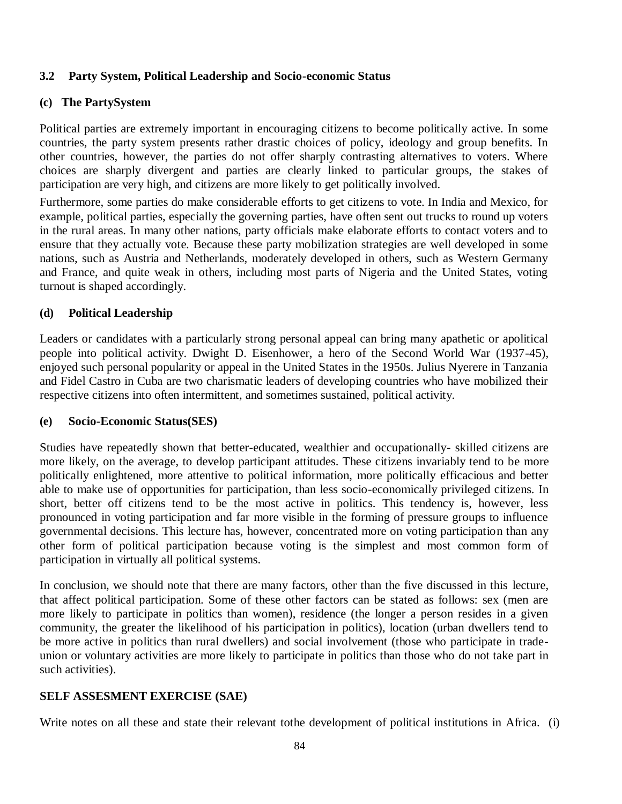### **3.2 Party System, Political Leadership and Socio-economic Status**

### **(c) The PartySystem**

Political parties are extremely important in encouraging citizens to become politically active. In some countries, the party system presents rather drastic choices of policy, ideology and group benefits. In other countries, however, the parties do not offer sharply contrasting alternatives to voters. Where choices are sharply divergent and parties are clearly linked to particular groups, the stakes of participation are very high, and citizens are more likely to get politically involved.

Furthermore, some parties do make considerable efforts to get citizens to vote. In India and Mexico, for example, political parties, especially the governing parties, have often sent out trucks to round up voters in the rural areas. In many other nations, party officials make elaborate efforts to contact voters and to ensure that they actually vote. Because these party mobilization strategies are well developed in some nations, such as Austria and Netherlands, moderately developed in others, such as Western Germany and France, and quite weak in others, including most parts of Nigeria and the United States, voting turnout is shaped accordingly.

### **(d) Political Leadership**

Leaders or candidates with a particularly strong personal appeal can bring many apathetic or apolitical people into political activity. Dwight D. Eisenhower, a hero of the Second World War (1937-45), enjoyed such personal popularity or appeal in the United States in the 1950s. Julius Nyerere in Tanzania and Fidel Castro in Cuba are two charismatic leaders of developing countries who have mobilized their respective citizens into often intermittent, and sometimes sustained, political activity.

### **(e) Socio-Economic Status(SES)**

Studies have repeatedly shown that better-educated, wealthier and occupationally- skilled citizens are more likely, on the average, to develop participant attitudes. These citizens invariably tend to be more politically enlightened, more attentive to political information, more politically efficacious and better able to make use of opportunities for participation, than less socio-economically privileged citizens. In short, better off citizens tend to be the most active in politics. This tendency is, however, less pronounced in voting participation and far more visible in the forming of pressure groups to influence governmental decisions. This lecture has, however, concentrated more on voting participation than any other form of political participation because voting is the simplest and most common form of participation in virtually all political systems.

In conclusion, we should note that there are many factors, other than the five discussed in this lecture, that affect political participation. Some of these other factors can be stated as follows: sex (men are more likely to participate in politics than women), residence (the longer a person resides in a given community, the greater the likelihood of his participation in politics), location (urban dwellers tend to be more active in politics than rural dwellers) and social involvement (those who participate in tradeunion or voluntary activities are more likely to participate in politics than those who do not take part in such activities).

## **SELF ASSESMENT EXERCISE (SAE)**

Write notes on all these and state their relevant tothe development of political institutions in Africa. (i)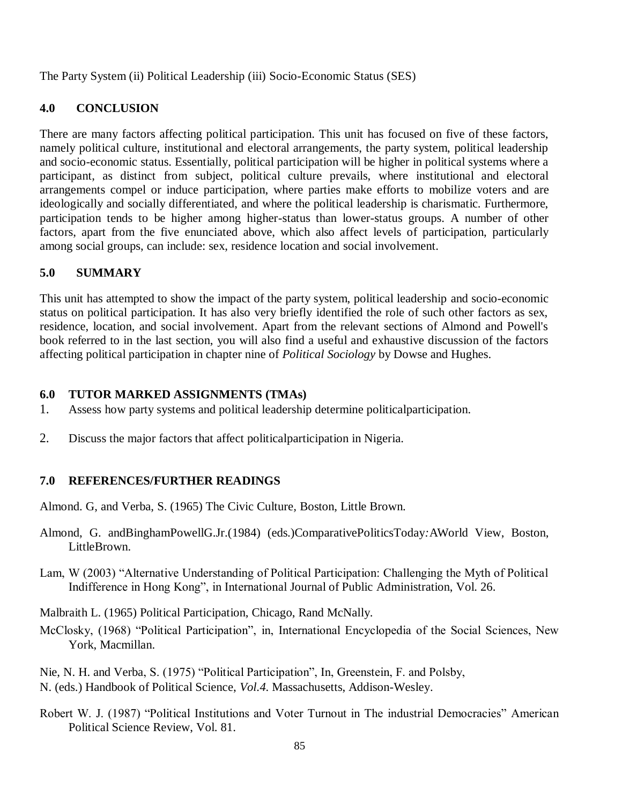The Party System (ii) Political Leadership (iii) Socio-Economic Status (SES)

## **4.0 CONCLUSION**

There are many factors affecting political participation. This unit has focused on five of these factors, namely political culture, institutional and electoral arrangements, the party system, political leadership and socio-economic status. Essentially, political participation will be higher in political systems where a participant, as distinct from subject, political culture prevails, where institutional and electoral arrangements compel or induce participation, where parties make efforts to mobilize voters and are ideologically and socially differentiated, and where the political leadership is charismatic. Furthermore, participation tends to be higher among higher-status than lower-status groups. A number of other factors, apart from the five enunciated above, which also affect levels of participation, particularly among social groups, can include: sex, residence location and social involvement.

# **5.0 SUMMARY**

This unit has attempted to show the impact of the party system, political leadership and socio-economic status on political participation. It has also very briefly identified the role of such other factors as sex, residence, location, and social involvement. Apart from the relevant sections of Almond and Powell's book referred to in the last section, you will also find a useful and exhaustive discussion of the factors affecting political participation in chapter nine of *Political Sociology* by Dowse and Hughes.

## **6.0 TUTOR MARKED ASSIGNMENTS (TMAs)**

- 1. Assess how party systems and political leadership determine politicalparticipation.
- 2. Discuss the major factors that affect politicalparticipation in Nigeria.

# **7.0 REFERENCES/FURTHER READINGS**

Almond. G, and Verba, S. (1965) The Civic Culture*,* Boston, Little Brown.

- Almond, G. andBinghamPowellG.Jr.(1984) (eds.)ComparativePoliticsToday*:*AWorld View, Boston, LittleBrown.
- Lam, W (2003) "Alternative Understanding of Political Participation: Challenging the Myth of Political Indifference in Hong Kong", in International Journal of Public Administration, Vol. 26.
- Malbraith L. (1965) Political Participation, Chicago, Rand McNally.
- McClosky, (1968) "Political Participation", in, International Encyclopedia of the Social Sciences, New York, Macmillan.

Nie, N. H. and Verba, S. (1975) "Political Participation", In, Greenstein, F. and Polsby, N. (eds.) Handbook of Political Science, *Vol.4.* Massachusetts, Addison-Wesley.

Robert W. J. (1987) "Political Institutions and Voter Turnout in The industrial Democracies" American Political Science Review, Vol. 81.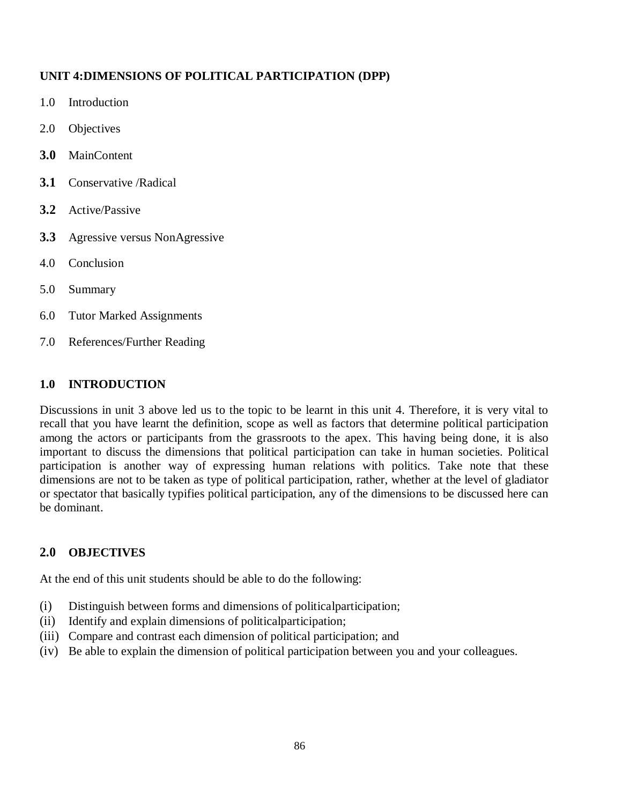## **UNIT 4:DIMENSIONS OF POLITICAL PARTICIPATION (DPP)**

- 1.0 Introduction
- 2.0 Objectives
- **3.0** MainContent
- **3.1** Conservative /Radical
- **3.2** Active/Passive
- **3.3** Agressive versus NonAgressive
- 4.0 Conclusion
- 5.0 Summary
- 6.0 Tutor Marked Assignments
- 7.0 References/Further Reading

### **1.0 INTRODUCTION**

Discussions in unit 3 above led us to the topic to be learnt in this unit 4. Therefore, it is very vital to recall that you have learnt the definition, scope as well as factors that determine political participation among the actors or participants from the grassroots to the apex. This having being done, it is also important to discuss the dimensions that political participation can take in human societies. Political participation is another way of expressing human relations with politics. Take note that these dimensions are not to be taken as type of political participation, rather, whether at the level of gladiator or spectator that basically typifies political participation, any of the dimensions to be discussed here can be dominant.

## **2.0 OBJECTIVES**

At the end of this unit students should be able to do the following:

- (i) Distinguish between forms and dimensions of politicalparticipation;
- (ii) Identify and explain dimensions of politicalparticipation;
- (iii) Compare and contrast each dimension of political participation; and
- (iv) Be able to explain the dimension of political participation between you and your colleagues.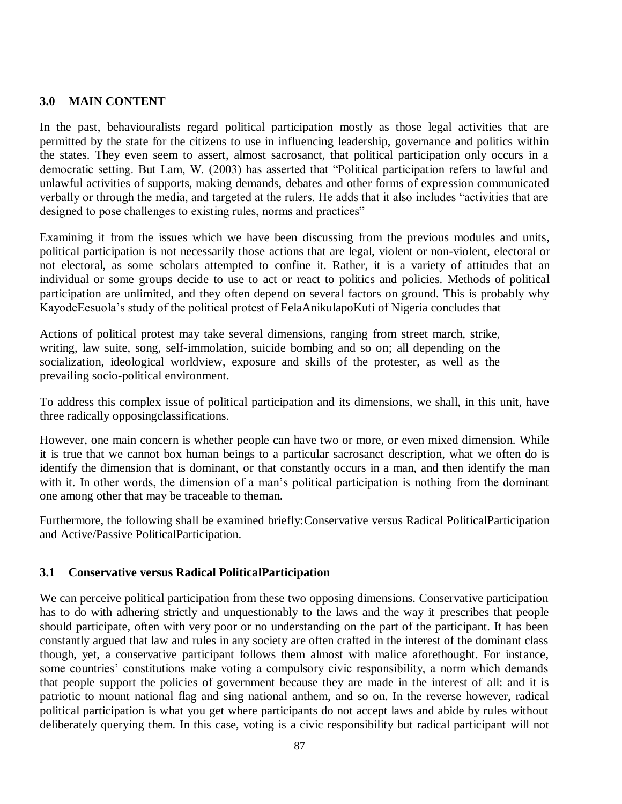## **3.0 MAIN CONTENT**

In the past, behaviouralists regard political participation mostly as those legal activities that are permitted by the state for the citizens to use in influencing leadership, governance and politics within the states. They even seem to assert, almost sacrosanct, that political participation only occurs in a democratic setting. But Lam, W. (2003) has asserted that "Political participation refers to lawful and unlawful activities of supports, making demands, debates and other forms of expression communicated verbally or through the media, and targeted at the rulers. He adds that it also includes "activities that are designed to pose challenges to existing rules, norms and practices"

Examining it from the issues which we have been discussing from the previous modules and units, political participation is not necessarily those actions that are legal, violent or non-violent, electoral or not electoral, as some scholars attempted to confine it. Rather, it is a variety of attitudes that an individual or some groups decide to use to act or react to politics and policies. Methods of political participation are unlimited, and they often depend on several factors on ground. This is probably why KayodeEesuola's study of the political protest of FelaAnikulapoKuti of Nigeria concludes that

Actions of political protest may take several dimensions, ranging from street march, strike, writing, law suite, song, self-immolation, suicide bombing and so on; all depending on the socialization, ideological worldview, exposure and skills of the protester, as well as the prevailing socio-political environment.

To address this complex issue of political participation and its dimensions, we shall, in this unit, have three radically opposingclassifications.

However, one main concern is whether people can have two or more, or even mixed dimension. While it is true that we cannot box human beings to a particular sacrosanct description, what we often do is identify the dimension that is dominant, or that constantly occurs in a man, and then identify the man with it. In other words, the dimension of a man's political participation is nothing from the dominant one among other that may be traceable to theman.

Furthermore, the following shall be examined briefly:Conservative versus Radical PoliticalParticipation and Active/Passive PoliticalParticipation.

#### **3.1 Conservative versus Radical PoliticalParticipation**

We can perceive political participation from these two opposing dimensions. Conservative participation has to do with adhering strictly and unquestionably to the laws and the way it prescribes that people should participate, often with very poor or no understanding on the part of the participant. It has been constantly argued that law and rules in any society are often crafted in the interest of the dominant class though, yet, a conservative participant follows them almost with malice aforethought. For instance, some countries' constitutions make voting a compulsory civic responsibility, a norm which demands that people support the policies of government because they are made in the interest of all: and it is patriotic to mount national flag and sing national anthem, and so on. In the reverse however, radical political participation is what you get where participants do not accept laws and abide by rules without deliberately querying them. In this case, voting is a civic responsibility but radical participant will not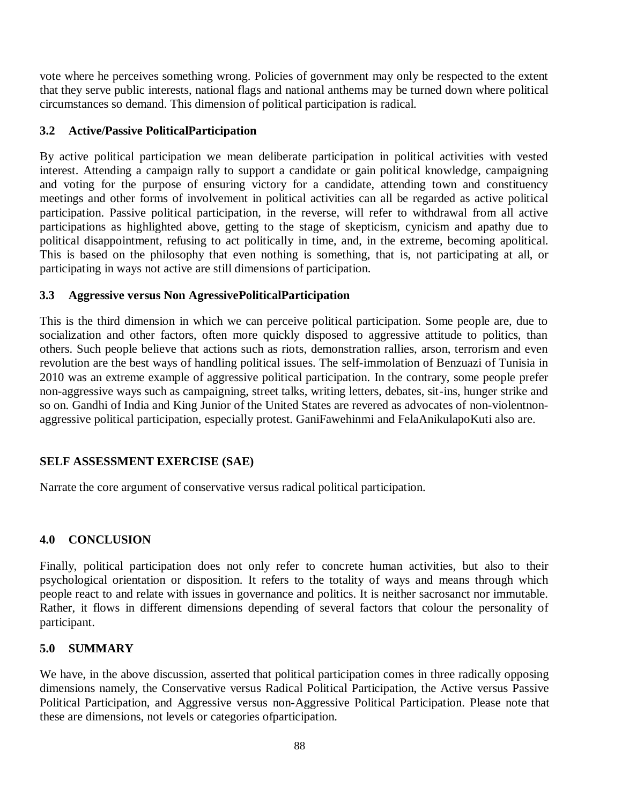vote where he perceives something wrong. Policies of government may only be respected to the extent that they serve public interests, national flags and national anthems may be turned down where political circumstances so demand. This dimension of political participation is radical.

## **3.2 Active/Passive PoliticalParticipation**

By active political participation we mean deliberate participation in political activities with vested interest. Attending a campaign rally to support a candidate or gain political knowledge, campaigning and voting for the purpose of ensuring victory for a candidate, attending town and constituency meetings and other forms of involvement in political activities can all be regarded as active political participation. Passive political participation, in the reverse, will refer to withdrawal from all active participations as highlighted above, getting to the stage of skepticism, cynicism and apathy due to political disappointment, refusing to act politically in time, and, in the extreme, becoming apolitical. This is based on the philosophy that even nothing is something, that is, not participating at all, or participating in ways not active are still dimensions of participation.

## **3.3 Aggressive versus Non AgressivePoliticalParticipation**

This is the third dimension in which we can perceive political participation. Some people are, due to socialization and other factors, often more quickly disposed to aggressive attitude to politics, than others. Such people believe that actions such as riots, demonstration rallies, arson, terrorism and even revolution are the best ways of handling political issues. The self-immolation of Benzuazi of Tunisia in 2010 was an extreme example of aggressive political participation. In the contrary, some people prefer non-aggressive ways such as campaigning, street talks, writing letters, debates, sit-ins, hunger strike and so on. Gandhi of India and King Junior of the United States are revered as advocates of non-violentnonaggressive political participation, especially protest. GaniFawehinmi and FelaAnikulapoKuti also are.

# **SELF ASSESSMENT EXERCISE (SAE)**

Narrate the core argument of conservative versus radical political participation.

# **4.0 CONCLUSION**

Finally, political participation does not only refer to concrete human activities, but also to their psychological orientation or disposition. It refers to the totality of ways and means through which people react to and relate with issues in governance and politics. It is neither sacrosanct nor immutable. Rather, it flows in different dimensions depending of several factors that colour the personality of participant.

# **5.0 SUMMARY**

We have, in the above discussion, asserted that political participation comes in three radically opposing dimensions namely, the Conservative versus Radical Political Participation, the Active versus Passive Political Participation, and Aggressive versus non-Aggressive Political Participation. Please note that these are dimensions, not levels or categories ofparticipation.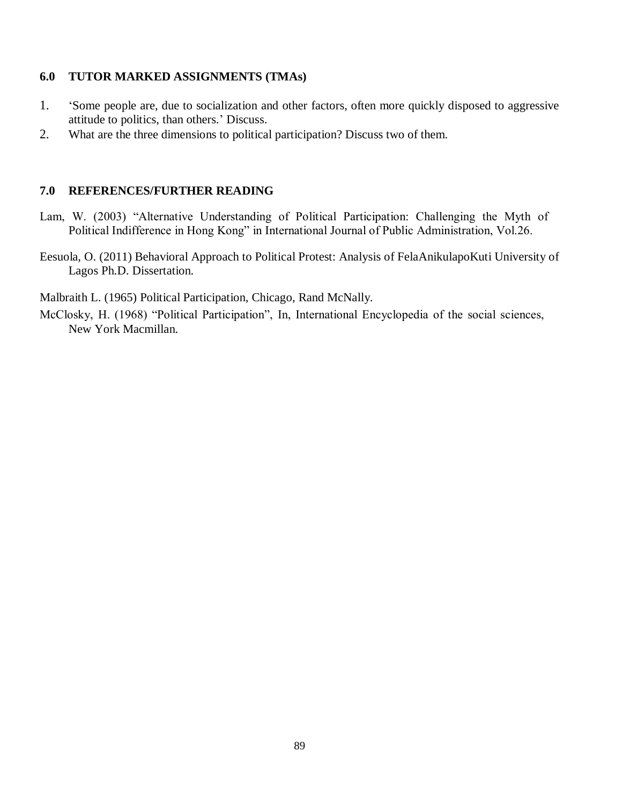### **6.0 TUTOR MARKED ASSIGNMENTS (TMAs)**

- 1. ‗Some people are, due to socialization and other factors, often more quickly disposed to aggressive attitude to politics, than others.' Discuss.
- 2. What are the three dimensions to political participation? Discuss two of them.

#### **7.0 REFERENCES/FURTHER READING**

- Lam, W. (2003) "Alternative Understanding of Political Participation: Challenging the Myth of Political Indifference in Hong Kong" in International Journal of Public Administration, Vol.26.
- Eesuola, O. (2011) Behavioral Approach to Political Protest: Analysis of FelaAnikulapoKuti University of Lagos Ph.D. Dissertation.

Malbraith L. (1965) Political Participation, Chicago, Rand McNally.

McClosky, H. (1968) "Political Participation", In, International Encyclopedia of the social sciences, New York Macmillan.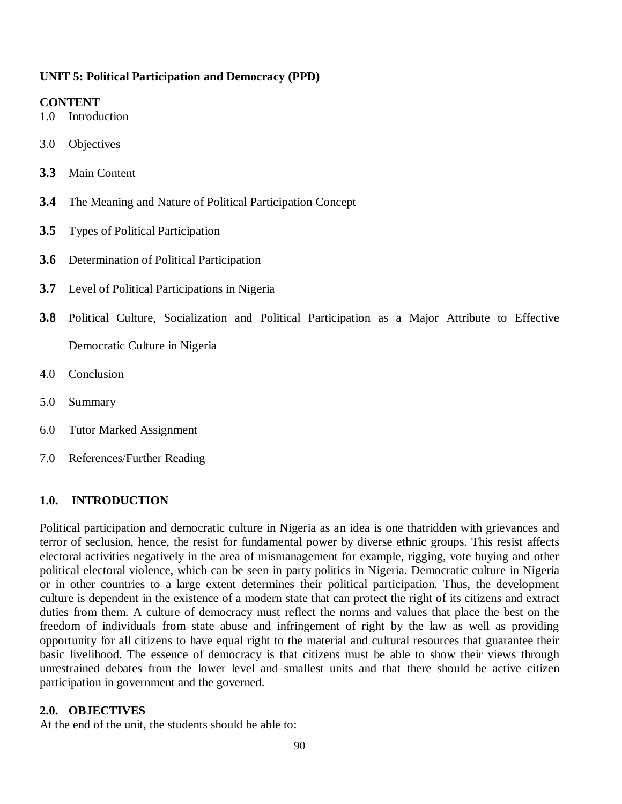### **UNIT 5: Political Participation and Democracy (PPD)**

### **CONTENT**

- 1.0 Introduction
- 3.0 Objectives
- **3.3** Main Content
- **3.4** The Meaning and Nature of Political Participation Concept
- **3.5** Types of Political Participation
- **3.6** Determination of Political Participation
- **3.7** Level of Political Participations in Nigeria
- **3.8** Political Culture, Socialization and Political Participation as a Major Attribute to Effective Democratic Culture in Nigeria
- 4.0 Conclusion
- 5.0 Summary
- 6.0 Tutor Marked Assignment
- 7.0 References/Further Reading

## **1.0. INTRODUCTION**

Political participation and democratic culture in Nigeria as an idea is one thatridden with grievances and terror of seclusion, hence, the resist for fundamental power by diverse ethnic groups. This resist affects electoral activities negatively in the area of mismanagement for example, rigging, vote buying and other political electoral violence, which can be seen in party politics in Nigeria. Democratic culture in Nigeria or in other countries to a large extent determines their political participation. Thus, the development culture is dependent in the existence of a modern state that can protect the right of its citizens and extract duties from them. A culture of democracy must reflect the norms and values that place the best on the freedom of individuals from state abuse and infringement of right by the law as well as providing opportunity for all citizens to have equal right to the material and cultural resources that guarantee their basic livelihood. The essence of democracy is that citizens must be able to show their views through unrestrained debates from the lower level and smallest units and that there should be active citizen participation in government and the governed.

## **2.0. OBJECTIVES**

At the end of the unit, the students should be able to: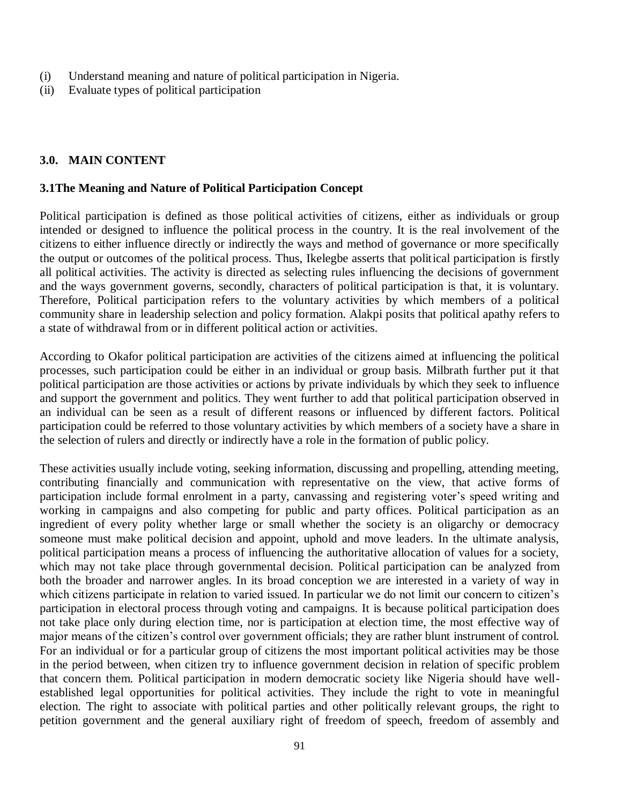- (i) Understand meaning and nature of political participation in Nigeria.
- (ii) Evaluate types of political participation

### **3.0. MAIN CONTENT**

### **3.1The Meaning and Nature of Political Participation Concept**

Political participation is defined as those political activities of citizens, either as individuals or group intended or designed to influence the political process in the country. It is the real involvement of the citizens to either influence directly or indirectly the ways and method of governance or more specifically the output or outcomes of the political process. Thus, Ikelegbe asserts that political participation is firstly all political activities. The activity is directed as selecting rules influencing the decisions of government and the ways government governs, secondly, characters of political participation is that, it is voluntary. Therefore, Political participation refers to the voluntary activities by which members of a political community share in leadership selection and policy formation. Alakpi posits that political apathy refers to a state of withdrawal from or in different political action or activities.

According to Okafor political participation are activities of the citizens aimed at influencing the political processes, such participation could be either in an individual or group basis. Milbrath further put it that political participation are those activities or actions by private individuals by which they seek to influence and support the government and politics. They went further to add that political participation observed in an individual can be seen as a result of different reasons or influenced by different factors. Political participation could be referred to those voluntary activities by which members of a society have a share in the selection of rulers and directly or indirectly have a role in the formation of public policy.

These activities usually include voting, seeking information, discussing and propelling, attending meeting, contributing financially and communication with representative on the view, that active forms of participation include formal enrolment in a party, canvassing and registering voter's speed writing and working in campaigns and also competing for public and party offices. Political participation as an ingredient of every polity whether large or small whether the society is an oligarchy or democracy someone must make political decision and appoint, uphold and move leaders. In the ultimate analysis, political participation means a process of influencing the authoritative allocation of values for a society, which may not take place through governmental decision. Political participation can be analyzed from both the broader and narrower angles. In its broad conception we are interested in a variety of way in which citizens participate in relation to varied issued. In particular we do not limit our concern to citizen's participation in electoral process through voting and campaigns. It is because political participation does not take place only during election time, nor is participation at election time, the most effective way of major means of the citizen's control over government officials; they are rather blunt instrument of control. For an individual or for a particular group of citizens the most important political activities may be those in the period between, when citizen try to influence government decision in relation of specific problem that concern them. Political participation in modern democratic society like Nigeria should have wellestablished legal opportunities for political activities. They include the right to vote in meaningful election. The right to associate with political parties and other politically relevant groups, the right to petition government and the general auxiliary right of freedom of speech, freedom of assembly and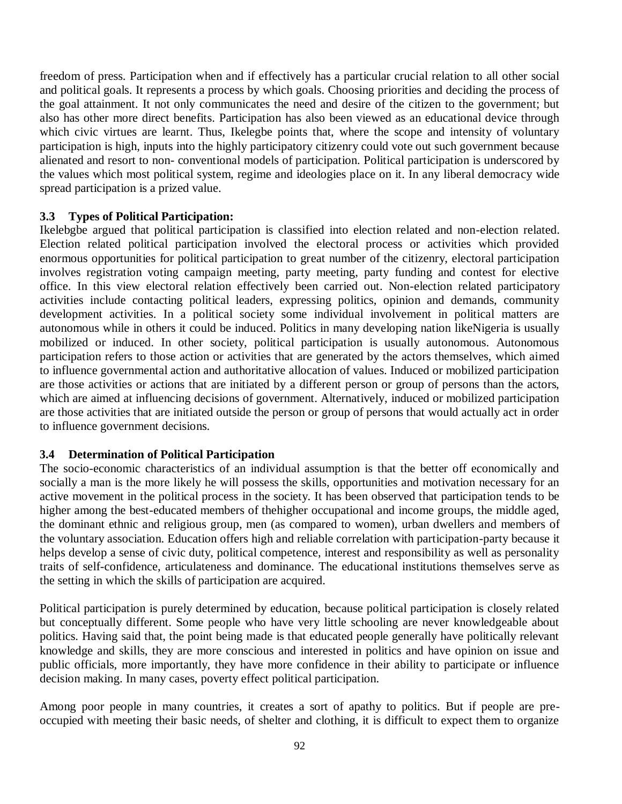freedom of press. Participation when and if effectively has a particular crucial relation to all other social and political goals. It represents a process by which goals. Choosing priorities and deciding the process of the goal attainment. It not only communicates the need and desire of the citizen to the government; but also has other more direct benefits. Participation has also been viewed as an educational device through which civic virtues are learnt. Thus, Ikelegbe points that, where the scope and intensity of voluntary participation is high, inputs into the highly participatory citizenry could vote out such government because alienated and resort to non- conventional models of participation. Political participation is underscored by the values which most political system, regime and ideologies place on it. In any liberal democracy wide spread participation is a prized value.

## **3.3 Types of Political Participation:**

Ikelebgbe argued that political participation is classified into election related and non-election related. Election related political participation involved the electoral process or activities which provided enormous opportunities for political participation to great number of the citizenry, electoral participation involves registration voting campaign meeting, party meeting, party funding and contest for elective office. In this view electoral relation effectively been carried out. Non-election related participatory activities include contacting political leaders, expressing politics, opinion and demands, community development activities. In a political society some individual involvement in political matters are autonomous while in others it could be induced. Politics in many developing nation likeNigeria is usually mobilized or induced. In other society, political participation is usually autonomous. Autonomous participation refers to those action or activities that are generated by the actors themselves, which aimed to influence governmental action and authoritative allocation of values. Induced or mobilized participation are those activities or actions that are initiated by a different person or group of persons than the actors, which are aimed at influencing decisions of government. Alternatively, induced or mobilized participation are those activities that are initiated outside the person or group of persons that would actually act in order to influence government decisions.

## **3.4 Determination of Political Participation**

The socio-economic characteristics of an individual assumption is that the better off economically and socially a man is the more likely he will possess the skills, opportunities and motivation necessary for an active movement in the political process in the society. It has been observed that participation tends to be higher among the best-educated members of thehigher occupational and income groups, the middle aged, the dominant ethnic and religious group, men (as compared to women), urban dwellers and members of the voluntary association. Education offers high and reliable correlation with participation-party because it helps develop a sense of civic duty, political competence, interest and responsibility as well as personality traits of self-confidence, articulateness and dominance. The educational institutions themselves serve as the setting in which the skills of participation are acquired.

Political participation is purely determined by education, because political participation is closely related but conceptually different. Some people who have very little schooling are never knowledgeable about politics. Having said that, the point being made is that educated people generally have politically relevant knowledge and skills, they are more conscious and interested in politics and have opinion on issue and public officials, more importantly, they have more confidence in their ability to participate or influence decision making. In many cases, poverty effect political participation.

Among poor people in many countries, it creates a sort of apathy to politics. But if people are preoccupied with meeting their basic needs, of shelter and clothing, it is difficult to expect them to organize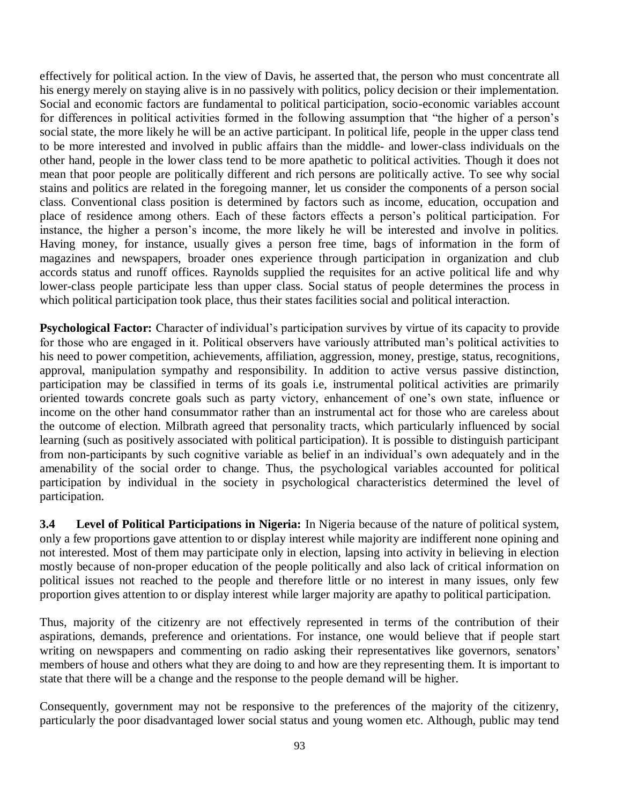effectively for political action. In the view of Davis, he asserted that, the person who must concentrate all his energy merely on staying alive is in no passively with politics, policy decision or their implementation. Social and economic factors are fundamental to political participation, socio-economic variables account for differences in political activities formed in the following assumption that "the higher of a person's social state, the more likely he will be an active participant. In political life, people in the upper class tend to be more interested and involved in public affairs than the middle- and lower-class individuals on the other hand, people in the lower class tend to be more apathetic to political activities. Though it does not mean that poor people are politically different and rich persons are politically active. To see why social stains and politics are related in the foregoing manner, let us consider the components of a person social class. Conventional class position is determined by factors such as income, education, occupation and place of residence among others. Each of these factors effects a person's political participation. For instance, the higher a person's income, the more likely he will be interested and involve in politics. Having money, for instance, usually gives a person free time, bags of information in the form of magazines and newspapers, broader ones experience through participation in organization and club accords status and runoff offices. Raynolds supplied the requisites for an active political life and why lower-class people participate less than upper class. Social status of people determines the process in which political participation took place, thus their states facilities social and political interaction.

**Psychological Factor:** Character of individual's participation survives by virtue of its capacity to provide for those who are engaged in it. Political observers have variously attributed man's political activities to his need to power competition, achievements, affiliation, aggression, money, prestige, status, recognitions, approval, manipulation sympathy and responsibility. In addition to active versus passive distinction, participation may be classified in terms of its goals i.e, instrumental political activities are primarily oriented towards concrete goals such as party victory, enhancement of one's own state, influence or income on the other hand consummator rather than an instrumental act for those who are careless about the outcome of election. Milbrath agreed that personality tracts, which particularly influenced by social learning (such as positively associated with political participation). It is possible to distinguish participant from non-participants by such cognitive variable as belief in an individual's own adequately and in the amenability of the social order to change. Thus, the psychological variables accounted for political participation by individual in the society in psychological characteristics determined the level of participation.

**3.4 Level of Political Participations in Nigeria:** In Nigeria because of the nature of political system, only a few proportions gave attention to or display interest while majority are indifferent none opining and not interested. Most of them may participate only in election, lapsing into activity in believing in election mostly because of non-proper education of the people politically and also lack of critical information on political issues not reached to the people and therefore little or no interest in many issues, only few proportion gives attention to or display interest while larger majority are apathy to political participation.

Thus, majority of the citizenry are not effectively represented in terms of the contribution of their aspirations, demands, preference and orientations. For instance, one would believe that if people start writing on newspapers and commenting on radio asking their representatives like governors, senators' members of house and others what they are doing to and how are they representing them. It is important to state that there will be a change and the response to the people demand will be higher.

Consequently, government may not be responsive to the preferences of the majority of the citizenry, particularly the poor disadvantaged lower social status and young women etc. Although, public may tend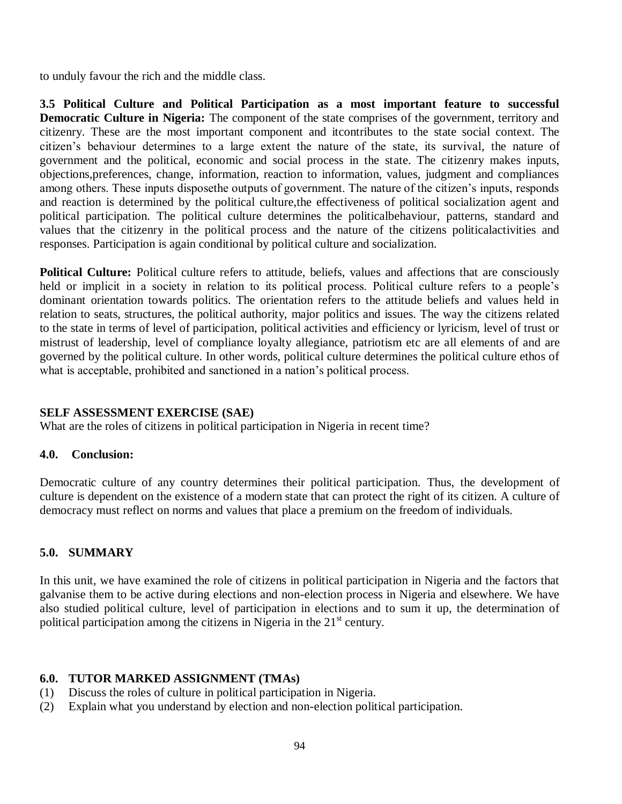to unduly favour the rich and the middle class.

**3.5 Political Culture and Political Participation as a most important feature to successful Democratic Culture in Nigeria:** The component of the state comprises of the government, territory and citizenry. These are the most important component and itcontributes to the state social context. The citizen's behaviour determines to a large extent the nature of the state, its survival, the nature of government and the political, economic and social process in the state. The citizenry makes inputs, objections,preferences, change, information, reaction to information, values, judgment and compliances among others. These inputs disposethe outputs of government. The nature of the citizen's inputs, responds and reaction is determined by the political culture,the effectiveness of political socialization agent and political participation. The political culture determines the politicalbehaviour, patterns, standard and values that the citizenry in the political process and the nature of the citizens politicalactivities and responses. Participation is again conditional by political culture and socialization.

**Political Culture:** Political culture refers to attitude, beliefs, values and affections that are consciously held or implicit in a society in relation to its political process. Political culture refers to a people's dominant orientation towards politics. The orientation refers to the attitude beliefs and values held in relation to seats, structures, the political authority, major politics and issues. The way the citizens related to the state in terms of level of participation, political activities and efficiency or lyricism, level of trust or mistrust of leadership, level of compliance loyalty allegiance, patriotism etc are all elements of and are governed by the political culture. In other words, political culture determines the political culture ethos of what is acceptable, prohibited and sanctioned in a nation's political process.

## **SELF ASSESSMENT EXERCISE (SAE)**

What are the roles of citizens in political participation in Nigeria in recent time?

## **4.0. Conclusion:**

Democratic culture of any country determines their political participation. Thus, the development of culture is dependent on the existence of a modern state that can protect the right of its citizen. A culture of democracy must reflect on norms and values that place a premium on the freedom of individuals.

# **5.0. SUMMARY**

In this unit, we have examined the role of citizens in political participation in Nigeria and the factors that galvanise them to be active during elections and non-election process in Nigeria and elsewhere. We have also studied political culture, level of participation in elections and to sum it up, the determination of political participation among the citizens in Nigeria in the  $21<sup>st</sup>$  century.

## **6.0. TUTOR MARKED ASSIGNMENT (TMAs)**

- (1) Discuss the roles of culture in political participation in Nigeria.
- (2) Explain what you understand by election and non-election political participation.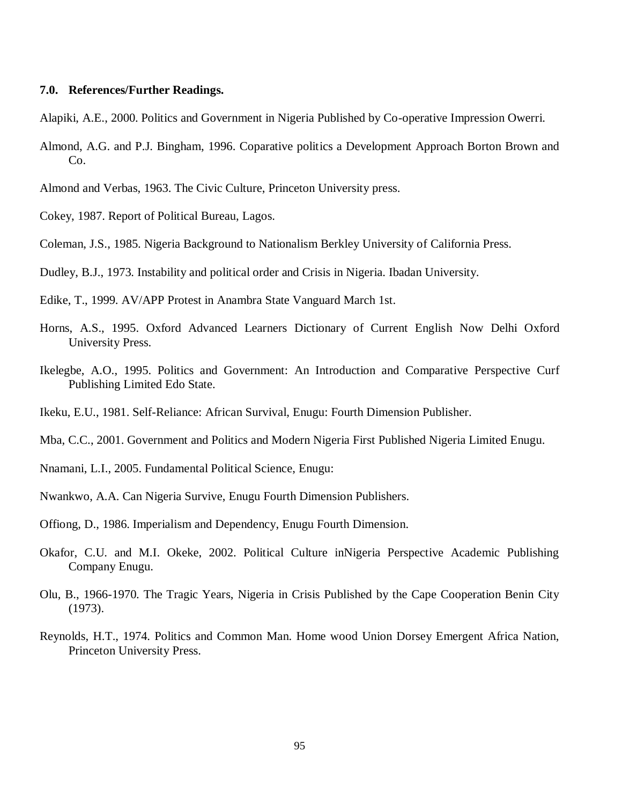#### **7.0. References/Further Readings.**

Alapiki, A.E., 2000. Politics and Government in Nigeria Published by Co-operative Impression Owerri.

Almond, A.G. and P.J. Bingham, 1996. Coparative politics a Development Approach Borton Brown and Co.

Almond and Verbas, 1963. The Civic Culture, Princeton University press.

Cokey, 1987. Report of Political Bureau, Lagos.

Coleman, J.S., 1985. Nigeria Background to Nationalism Berkley University of California Press.

Dudley, B.J., 1973. Instability and political order and Crisis in Nigeria. Ibadan University.

Edike, T., 1999. AV/APP Protest in Anambra State Vanguard March 1st.

- Horns, A.S., 1995. Oxford Advanced Learners Dictionary of Current English Now Delhi Oxford University Press.
- Ikelegbe, A.O., 1995. Politics and Government: An Introduction and Comparative Perspective Curf Publishing Limited Edo State.

Ikeku, E.U., 1981. Self-Reliance: African Survival, Enugu: Fourth Dimension Publisher.

- Mba, C.C., 2001. Government and Politics and Modern Nigeria First Published Nigeria Limited Enugu.
- Nnamani, L.I., 2005. Fundamental Political Science, Enugu:
- Nwankwo, A.A. Can Nigeria Survive, Enugu Fourth Dimension Publishers.
- Offiong, D., 1986. Imperialism and Dependency, Enugu Fourth Dimension.
- Okafor, C.U. and M.I. Okeke, 2002. Political Culture inNigeria Perspective Academic Publishing Company Enugu.
- Olu, B., 1966-1970. The Tragic Years, Nigeria in Crisis Published by the Cape Cooperation Benin City (1973).
- Reynolds, H.T., 1974. Politics and Common Man. Home wood Union Dorsey Emergent Africa Nation, Princeton University Press.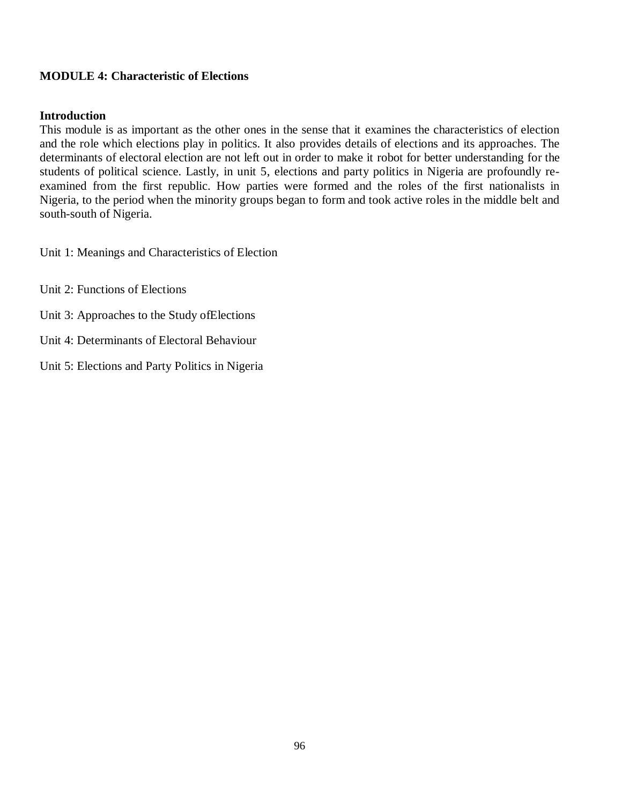## **MODULE 4: Characteristic of Elections**

### **Introduction**

This module is as important as the other ones in the sense that it examines the characteristics of election and the role which elections play in politics. It also provides details of elections and its approaches. The determinants of electoral election are not left out in order to make it robot for better understanding for the students of political science. Lastly, in unit 5, elections and party politics in Nigeria are profoundly reexamined from the first republic. How parties were formed and the roles of the first nationalists in Nigeria, to the period when the minority groups began to form and took active roles in the middle belt and south-south of Nigeria.

Unit 1: Meanings and Characteristics of Election

- Unit 2: Functions of Elections
- Unit 3: Approaches to the Study ofElections
- Unit 4: Determinants of Electoral Behaviour
- Unit 5: Elections and Party Politics in Nigeria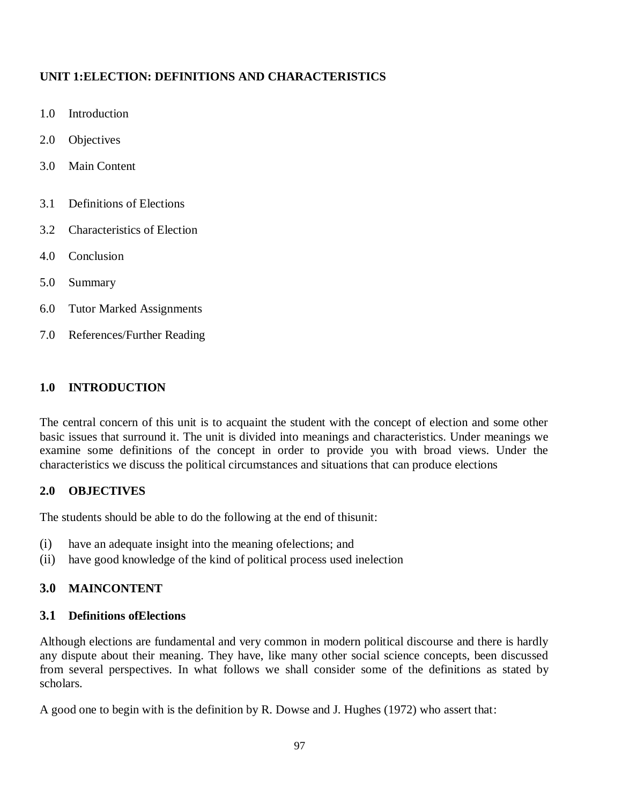## **UNIT 1:ELECTION: DEFINITIONS AND CHARACTERISTICS**

- 1.0 Introduction
- 2.0 Objectives
- 3.0 Main Content
- 3.1 Definitions of Elections
- 3.2 Characteristics of Election
- 4.0 Conclusion
- 5.0 Summary
- 6.0 Tutor Marked Assignments
- 7.0 References/Further Reading

## **1.0 INTRODUCTION**

The central concern of this unit is to acquaint the student with the concept of election and some other basic issues that surround it. The unit is divided into meanings and characteristics. Under meanings we examine some definitions of the concept in order to provide you with broad views. Under the characteristics we discuss the political circumstances and situations that can produce elections

## **2.0 OBJECTIVES**

The students should be able to do the following at the end of thisunit:

- (i) have an adequate insight into the meaning ofelections; and
- (ii) have good knowledge of the kind of political process used inelection

## **3.0 MAINCONTENT**

## **3.1 Definitions ofElections**

Although elections are fundamental and very common in modern political discourse and there is hardly any dispute about their meaning. They have, like many other social science concepts, been discussed from several perspectives. In what follows we shall consider some of the definitions as stated by scholars.

A good one to begin with is the definition by R. Dowse and J. Hughes (1972) who assert that: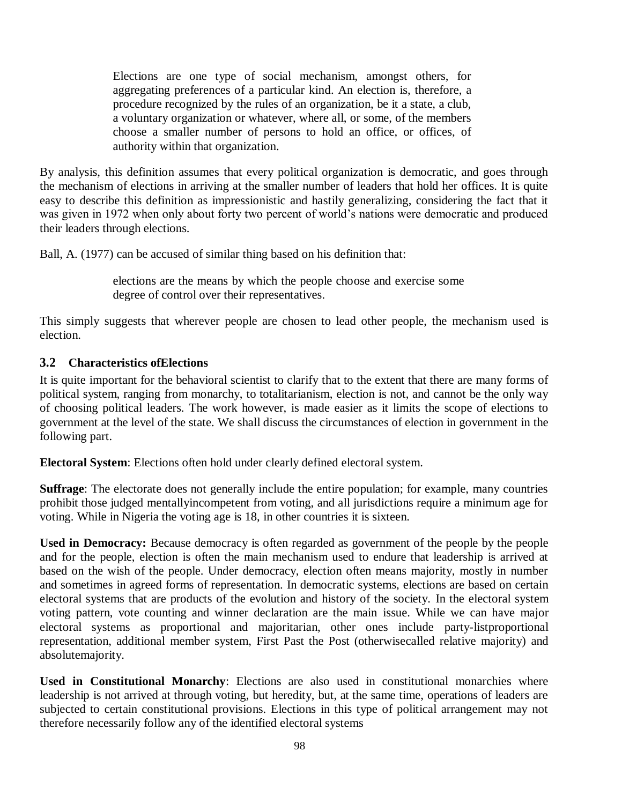Elections are one type of social mechanism, amongst others, for aggregating preferences of a particular kind. An election is, therefore, a procedure recognized by the rules of an organization, be it a state, a club, a voluntary organization or whatever, where all, or some, of the members choose a smaller number of persons to hold an office, or offices, of authority within that organization.

By analysis, this definition assumes that every political organization is democratic, and goes through the mechanism of elections in arriving at the smaller number of leaders that hold her offices. It is quite easy to describe this definition as impressionistic and hastily generalizing, considering the fact that it was given in 1972 when only about forty two percent of world's nations were democratic and produced their leaders through elections.

Ball, A. (1977) can be accused of similar thing based on his definition that:

elections are the means by which the people choose and exercise some degree of control over their representatives.

This simply suggests that wherever people are chosen to lead other people, the mechanism used is election.

## **3.2 Characteristics ofElections**

It is quite important for the behavioral scientist to clarify that to the extent that there are many forms of political system, ranging from monarchy, to totalitarianism, election is not, and cannot be the only way of choosing political leaders. The work however, is made easier as it limits the scope of elections to government at the level of the state. We shall discuss the circumstances of election in government in the following part.

**Electoral System**: Elections often hold under clearly defined electoral system.

**Suffrage**: The electorate does not generally include the entire population; for example, many countries prohibit those judged [mentallyincompetent](http://en.wikipedia.org/wiki/Mental_illness) from voting, and all jurisdictions require a minimum age for voting. While in Nigeria the voting age is 18, in other countries it is sixteen.

**Used in Democracy:** Because democracy is often regarded as government of the people by the people and for the people, election is often the main mechanism used to endure that leadership is arrived at based on the wish of the people. Under democracy, election often means majority, mostly in number and sometimes in agreed forms of representation. In democratic systems, elections are based on certain electoral systems that are products of the evolution and history of the society. In the electoral system voting pattern, vote counting and winner declaration are the main issue. While we can have major electoral systems as proportional and majoritarian, other ones include [party-listproportional](http://en.wikipedia.org/wiki/Party-list_proportional_representation)  representation, [additional member system,](http://en.wikipedia.org/wiki/Additional_member_system) [First Past the Post \(otherwisecalled r](http://en.wikipedia.org/wiki/First_Past_the_Post_electoral_system)elative majority) and [absolutemajor](http://en.wikipedia.org/wiki/Absolute_majority)ity.

**Used in Constitutional Monarchy**: Elections are also used in constitutional monarchies where leadership is not arrived at through voting, but heredity, but, at the same time, operations of leaders are subjected to certain constitutional provisions. Elections in this type of political arrangement may not therefore necessarily follow any of the identified electoral systems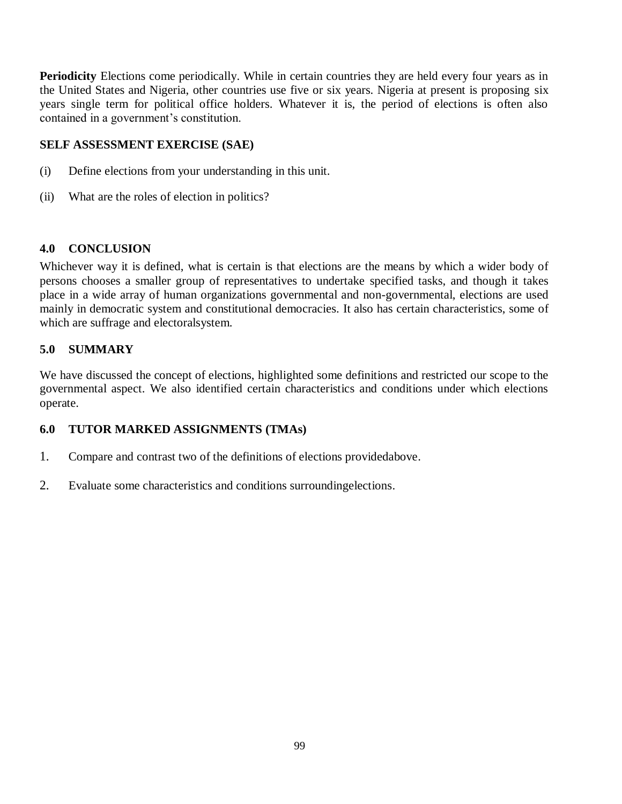**Periodicity** Elections come periodically. While in certain countries they are held every four years as in the United States and Nigeria, other countries use five or six years. Nigeria at present is proposing six years single term for political office holders. Whatever it is, the period of elections is often also contained in a government's constitution.

## **SELF ASSESSMENT EXERCISE (SAE)**

- (i) Define elections from your understanding in this unit.
- (ii) What are the roles of election in politics?

## **4.0 CONCLUSION**

Whichever way it is defined, what is certain is that elections are the means by which a wider body of persons chooses a smaller group of representatives to undertake specified tasks, and though it takes place in a wide array of human organizations governmental and non-governmental, elections are used mainly in democratic system and constitutional democracies. It also has certain characteristics, some of which are suffrage and electoralsystem.

## **5.0 SUMMARY**

We have discussed the concept of elections, highlighted some definitions and restricted our scope to the governmental aspect. We also identified certain characteristics and conditions under which elections operate.

## **6.0 TUTOR MARKED ASSIGNMENTS (TMAs)**

- 1. Compare and contrast two of the definitions of elections providedabove.
- 2. Evaluate some characteristics and conditions surroundingelections.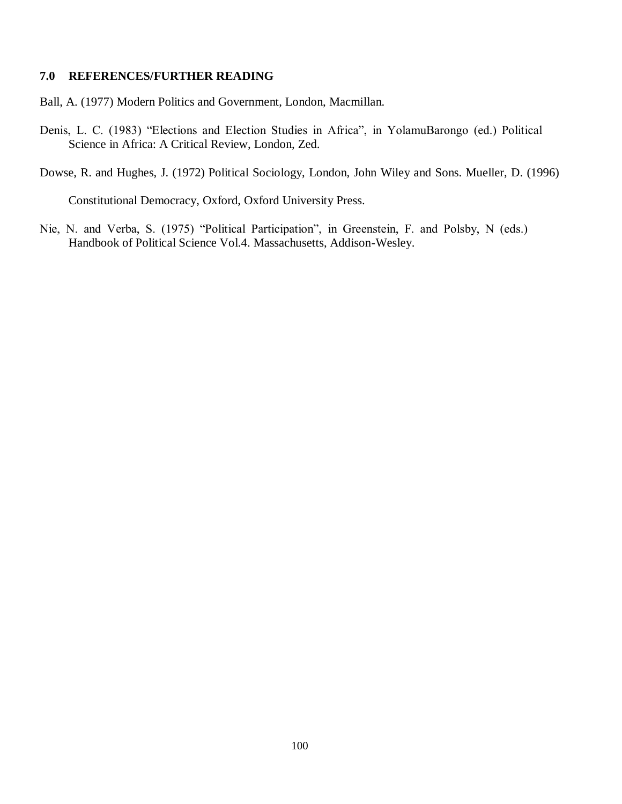#### **7.0 REFERENCES/FURTHER READING**

Ball, A. (1977) Modern Politics and Government, London, Macmillan.

Denis, L. C. (1983) "Elections and Election Studies in Africa", in YolamuBarongo (ed.) Political Science in Africa: A Critical Review, London, Zed.

Dowse, R. and Hughes, J. (1972) Political Sociology, London, John Wiley and Sons. Mueller, D. (1996)

Constitutional Democracy, Oxford, Oxford University Press.

Nie, N. and Verba, S. (1975) "Political Participation", in Greenstein, F. and Polsby, N (eds.) Handbook of Political Science Vol.4. Massachusetts, Addison-Wesley.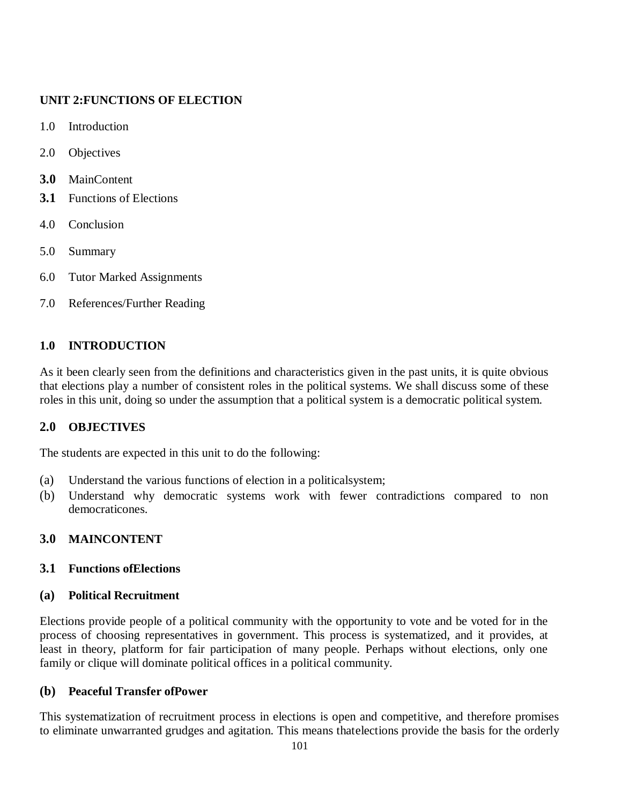## **UNIT 2:FUNCTIONS OF ELECTION**

- 1.0 Introduction
- 2.0 Objectives
- **3.0** MainContent
- **3.1** Functions of Elections
- 4.0 Conclusion
- 5.0 Summary
- 6.0 Tutor Marked Assignments
- 7.0 References/Further Reading

## **1.0 INTRODUCTION**

As it been clearly seen from the definitions and characteristics given in the past units, it is quite obvious that elections play a number of consistent roles in the political systems. We shall discuss some of these roles in this unit, doing so under the assumption that a political system is a democratic political system.

## **2.0 OBJECTIVES**

The students are expected in this unit to do the following:

- (a) Understand the various functions of election in a politicalsystem;
- (b) Understand why democratic systems work with fewer contradictions compared to non democraticones.

## **3.0 MAINCONTENT**

### **3.1 Functions ofElections**

### **(a) Political Recruitment**

Elections provide people of a political community with the opportunity to vote and be voted for in the process of choosing representatives in government. This process is systematized, and it provides, at least in theory, platform for fair participation of many people. Perhaps without elections, only one family or clique will dominate political offices in a political community.

## **(b) Peaceful Transfer ofPower**

This systematization of recruitment process in elections is open and competitive, and therefore promises to eliminate unwarranted grudges and agitation. This means thatelections provide the basis for the orderly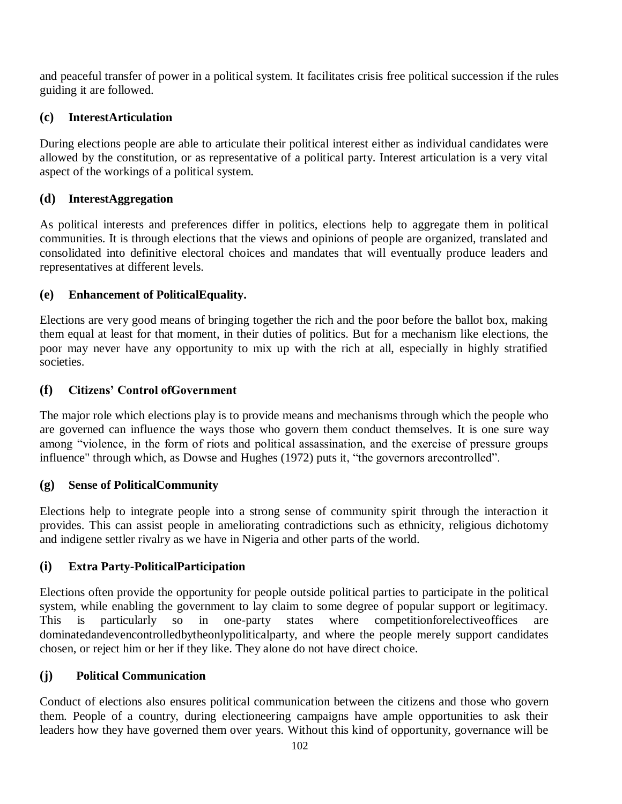and peaceful transfer of power in a political system. It facilitates crisis free political succession if the rules guiding it are followed.

## **(c) InterestArticulation**

During elections people are able to articulate their political interest either as individual candidates were allowed by the constitution, or as representative of a political party. Interest articulation is a very vital aspect of the workings of a political system.

## **(d) InterestAggregation**

As political interests and preferences differ in politics, elections help to aggregate them in political communities. It is through elections that the views and opinions of people are organized, translated and consolidated into definitive electoral choices and mandates that will eventually produce leaders and representatives at different levels.

## **(e) Enhancement of PoliticalEquality.**

Elections are very good means of bringing together the rich and the poor before the ballot box, making them equal at least for that moment, in their duties of politics. But for a mechanism like elections, the poor may never have any opportunity to mix up with the rich at all, especially in highly stratified societies.

## **(f) Citizens' Control ofGovernment**

The major role which elections play is to provide means and mechanisms through which the people who are governed can influence the ways those who govern them conduct themselves. It is one sure way among "violence, in the form of riots and political assassination, and the exercise of pressure groups influence" through which, as Dowse and Hughes (1972) puts it, "the governors arecontrolled".

## **(g) Sense of PoliticalCommunity**

Elections help to integrate people into a strong sense of community spirit through the interaction it provides. This can assist people in ameliorating contradictions such as ethnicity, religious dichotomy and indigene settler rivalry as we have in Nigeria and other parts of the world.

## **(i) Extra Party-PoliticalParticipation**

Elections often provide the opportunity for people outside political parties to participate in the political system, while enabling the government to lay claim to some degree of popular support or legitimacy. This is particularly so in one-party states where competitionforelectiveoffices are dominatedandevencontrolledbytheonlypoliticalparty, and where the people merely support candidates chosen, or reject him or her if they like. They alone do not have direct choice.

## **(j) Political Communication**

Conduct of elections also ensures political communication between the citizens and those who govern them. People of a country, during electioneering campaigns have ample opportunities to ask their leaders how they have governed them over years. Without this kind of opportunity, governance will be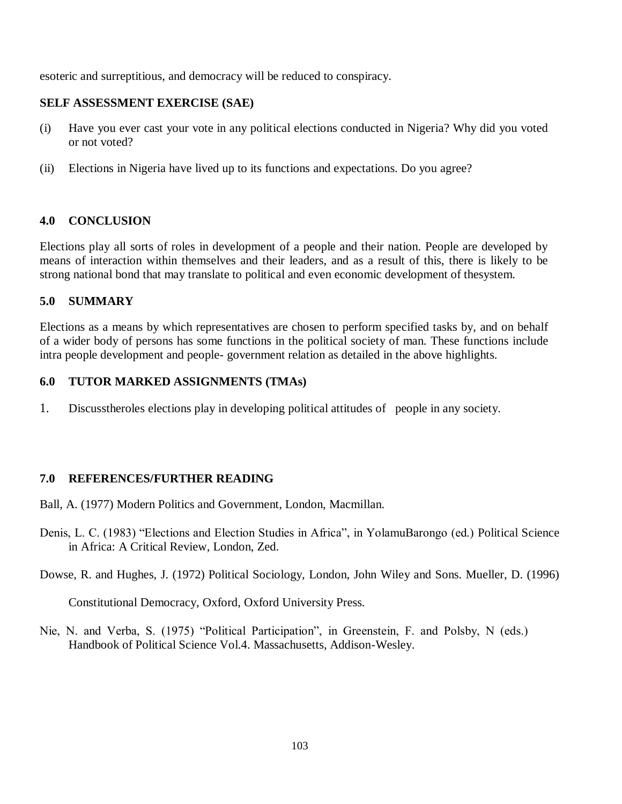esoteric and surreptitious, and democracy will be reduced to conspiracy.

## **SELF ASSESSMENT EXERCISE (SAE)**

- (i) Have you ever cast your vote in any political elections conducted in Nigeria? Why did you voted or not voted?
- (ii) Elections in Nigeria have lived up to its functions and expectations. Do you agree?

## **4.0 CONCLUSION**

Elections play all sorts of roles in development of a people and their nation. People are developed by means of interaction within themselves and their leaders, and as a result of this, there is likely to be strong national bond that may translate to political and even economic development of thesystem.

## **5.0 SUMMARY**

Elections as a means by which representatives are chosen to perform specified tasks by, and on behalf of a wider body of persons has some functions in the political society of man. These functions include intra people development and people- government relation as detailed in the above highlights.

## **6.0 TUTOR MARKED ASSIGNMENTS (TMAs)**

1. Discusstheroles elections play in developing political attitudes of people in any society.

## **7.0 REFERENCES/FURTHER READING**

Ball, A. (1977) Modern Politics and Government, London, Macmillan.

- Denis, L. C. (1983) "Elections and Election Studies in Africa", in YolamuBarongo (ed.) Political Science in Africa: A Critical Review, London, Zed.
- Dowse, R. and Hughes, J. (1972) Political Sociology, London, John Wiley and Sons. Mueller, D. (1996)

Constitutional Democracy, Oxford, Oxford University Press.

Nie, N. and Verba, S. (1975) "Political Participation", in Greenstein, F. and Polsby, N (eds.) Handbook of Political Science Vol.4. Massachusetts, Addison-Wesley.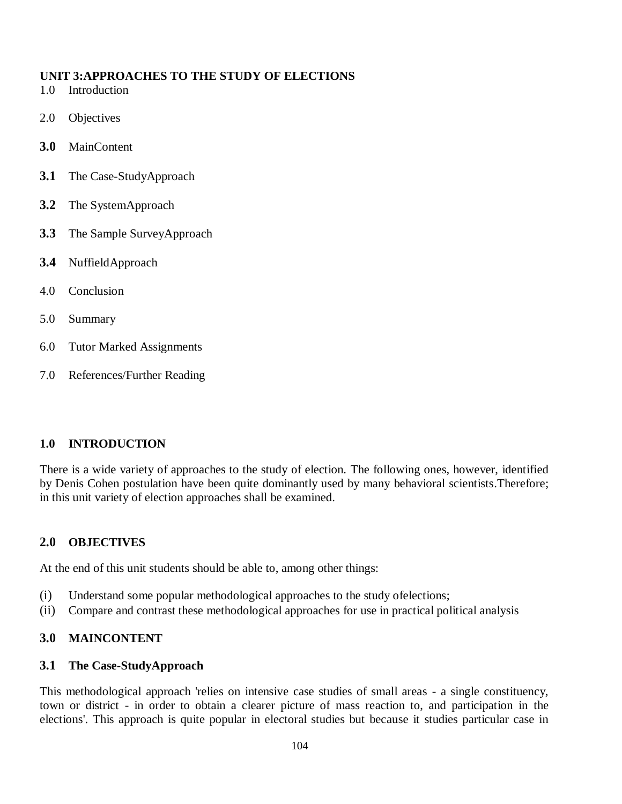## **UNIT 3:APPROACHES TO THE STUDY OF ELECTIONS**

- 1.0 Introduction
- 2.0 Objectives
- **3.0** MainContent
- **3.1** The Case-StudyApproach
- **3.2** The SystemApproach
- **3.3** The Sample SurveyApproach
- **3.4** NuffieldApproach
- 4.0 Conclusion
- 5.0 Summary
- 6.0 Tutor Marked Assignments
- 7.0 References/Further Reading

## **1.0 INTRODUCTION**

There is a wide variety of approaches to the study of election. The following ones, however, identified by Denis Cohen postulation have been quite dominantly used by many behavioral scientists.Therefore; in this unit variety of election approaches shall be examined.

## **2.0 OBJECTIVES**

At the end of this unit students should be able to, among other things:

- (i) Understand some popular methodological approaches to the study ofelections;
- (ii) Compare and contrast these methodological approaches for use in practical political analysis

### **3.0 MAINCONTENT**

### **3.1 The Case-StudyApproach**

This methodological approach 'relies on intensive case studies of small areas - a single constituency, town or district - in order to obtain a clearer picture of mass reaction to, and participation in the elections'. This approach is quite popular in electoral studies but because it studies particular case in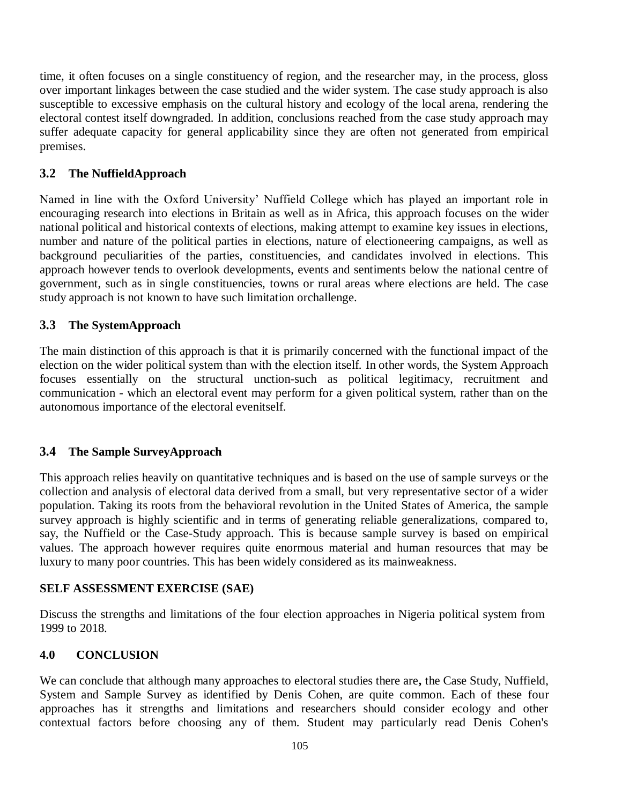time, it often focuses on a single constituency of region, and the researcher may, in the process, gloss over important linkages between the case studied and the wider system. The case study approach is also susceptible to excessive emphasis on the cultural history and ecology of the local arena, rendering the electoral contest itself downgraded. In addition, conclusions reached from the case study approach may suffer adequate capacity for general applicability since they are often not generated from empirical premises.

### **3.2 The NuffieldApproach**

Named in line with the Oxford University' Nuffield College which has played an important role in encouraging research into elections in Britain as well as in Africa, this approach focuses on the wider national political and historical contexts of elections, making attempt to examine key issues in elections, number and nature of the political parties in elections, nature of electioneering campaigns, as well as background peculiarities of the parties, constituencies, and candidates involved in elections. This approach however tends to overlook developments, events and sentiments below the national centre of government, such as in single constituencies, towns or rural areas where elections are held. The case study approach is not known to have such limitation orchallenge.

### **3.3 The SystemApproach**

The main distinction of this approach is that it is primarily concerned with the functional impact of the election on the wider political system than with the election itself. In other words, the System Approach focuses essentially on the structural unction-such as political legitimacy, recruitment and communication - which an electoral event may perform for a given political system, rather than on the autonomous importance of the electoral evenitself.

## **3.4 The Sample SurveyApproach**

This approach relies heavily on quantitative techniques and is based on the use of sample surveys or the collection and analysis of electoral data derived from a small, but very representative sector of a wider population. Taking its roots from the behavioral revolution in the United States of America, the sample survey approach is highly scientific and in terms of generating reliable generalizations, compared to, say, the Nuffield or the Case-Study approach. This is because sample survey is based on empirical values. The approach however requires quite enormous material and human resources that may be luxury to many poor countries. This has been widely considered as its mainweakness.

### **SELF ASSESSMENT EXERCISE (SAE)**

Discuss the strengths and limitations of the four election approaches in Nigeria political system from 1999 to 2018.

## **4.0 CONCLUSION**

We can conclude that although many approaches to electoral studies there are**,** the Case Study, Nuffield, System and Sample Survey as identified by Denis Cohen, are quite common. Each of these four approaches has it strengths and limitations and researchers should consider ecology and other contextual factors before choosing any of them. Student may particularly read Denis Cohen's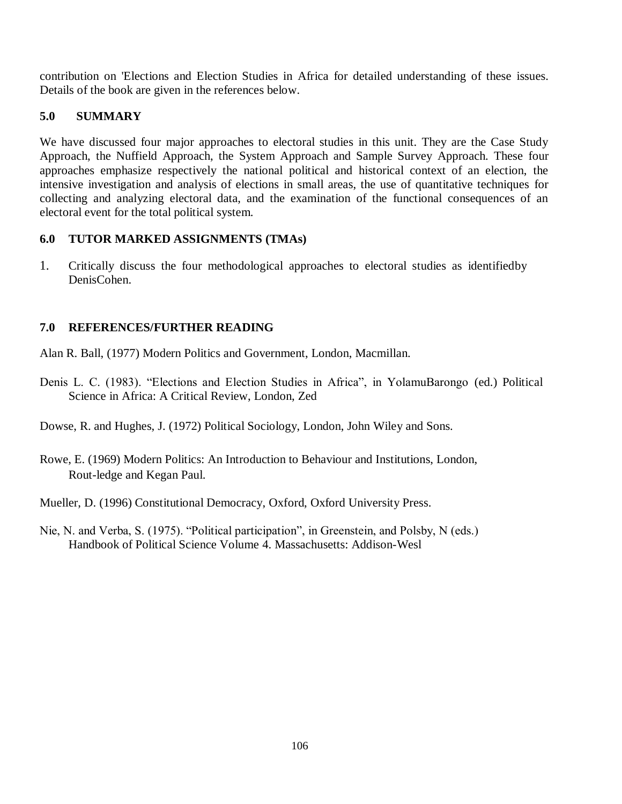contribution on 'Elections and Election Studies in Africa for detailed understanding of these issues. Details of the book are given in the references below.

# **5.0 SUMMARY**

We have discussed four major approaches to electoral studies in this unit. They are the Case Study Approach, the Nuffield Approach, the System Approach and Sample Survey Approach. These four approaches emphasize respectively the national political and historical context of an election, the intensive investigation and analysis of elections in small areas, the use of quantitative techniques for collecting and analyzing electoral data, and the examination of the functional consequences of an electoral event for the total political system.

## **6.0 TUTOR MARKED ASSIGNMENTS (TMAs)**

1. Critically discuss the four methodological approaches to electoral studies as identifiedby DenisCohen.

# **7.0 REFERENCES/FURTHER READING**

Alan R. Ball, (1977) Modern Politics and Government, London, Macmillan.

Denis L. C. (1983). "Elections and Election Studies in Africa", in YolamuBarongo (ed.) Political Science in Africa: A Critical Review, London, Zed

Dowse, R. and Hughes, J. (1972) Political Sociology, London, John Wiley and Sons.

Rowe, E. (1969) Modern Politics: An Introduction to Behaviour and Institutions, London, Rout-ledge and Kegan Paul.

Mueller, D. (1996) Constitutional Democracy, Oxford, Oxford University Press.

Nie, N. and Verba, S. (1975). "Political participation", in Greenstein, and Polsby, N (eds.) Handbook of Political Science Volume 4. Massachusetts: Addison-Wesl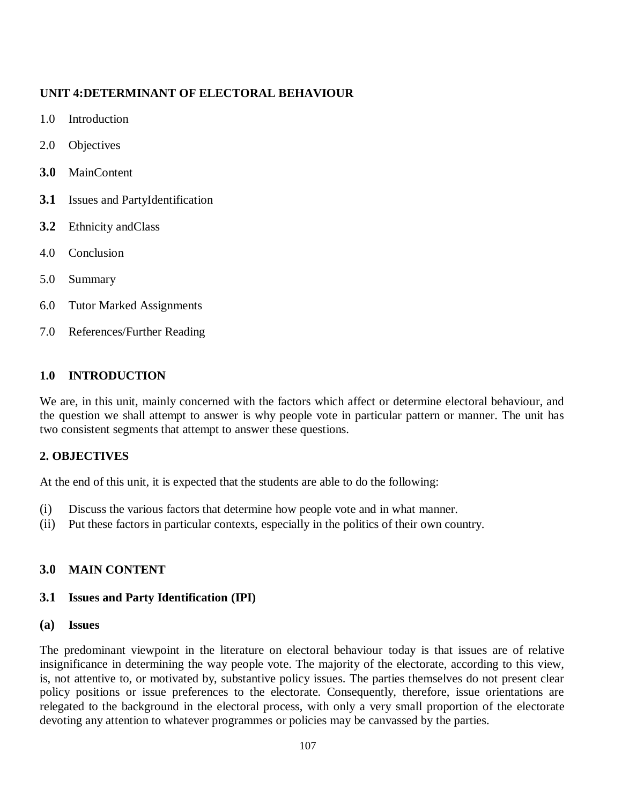## **UNIT 4:DETERMINANT OF ELECTORAL BEHAVIOUR**

- 1.0 Introduction
- 2.0 Objectives
- **3.0** MainContent
- **3.1** Issues and PartyIdentification
- **3.2** Ethnicity andClass
- 4.0 Conclusion
- 5.0 Summary
- 6.0 Tutor Marked Assignments
- 7.0 References/Further Reading

### **1.0 INTRODUCTION**

We are, in this unit, mainly concerned with the factors which affect or determine electoral behaviour, and the question we shall attempt to answer is why people vote in particular pattern or manner. The unit has two consistent segments that attempt to answer these questions.

### **2. OBJECTIVES**

At the end of this unit, it is expected that the students are able to do the following:

- (i) Discuss the various factors that determine how people vote and in what manner.
- (ii) Put these factors in particular contexts, especially in the politics of their own country.

## **3.0 MAIN CONTENT**

### **3.1 Issues and Party Identification (IPI)**

### **(a) Issues**

The predominant viewpoint in the literature on electoral behaviour today is that issues are of relative insignificance in determining the way people vote. The majority of the electorate, according to this view, is, not attentive to, or motivated by, substantive policy issues. The parties themselves do not present clear policy positions or issue preferences to the electorate. Consequently, therefore, issue orientations are relegated to the background in the electoral process, with only a very small proportion of the electorate devoting any attention to whatever programmes or policies may be canvassed by the parties.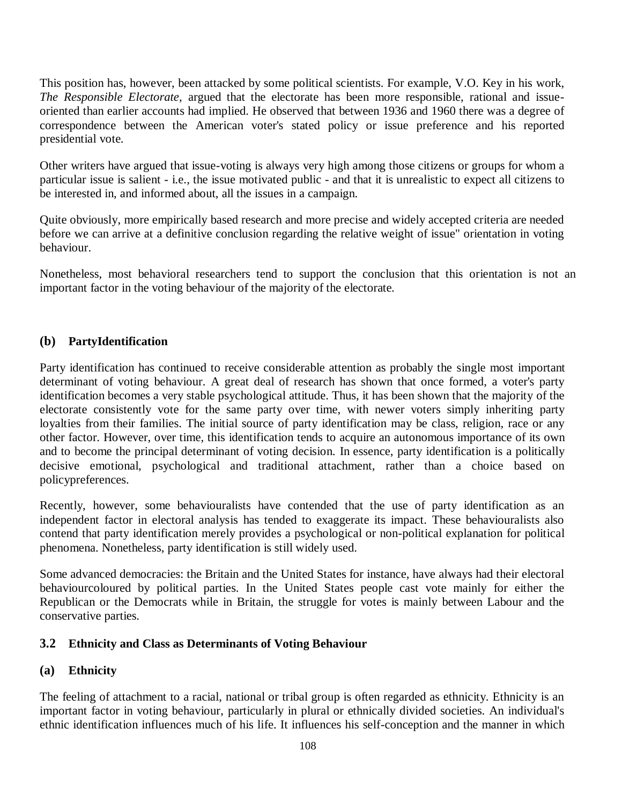This position has, however, been attacked by some political scientists. For example, V.O. Key in his work, *The Responsible Electorate,* argued that the electorate has been more responsible, rational and issueoriented than earlier accounts had implied. He observed that between 1936 and 1960 there was a degree of correspondence between the American voter's stated policy or issue preference and his reported presidential vote.

Other writers have argued that issue-voting is always very high among those citizens or groups for whom a particular issue is salient - i.e., the issue motivated public - and that it is unrealistic to expect all citizens to be interested in, and informed about, all the issues in a campaign.

Quite obviously, more empirically based research and more precise and widely accepted criteria are needed before we can arrive at a definitive conclusion regarding the relative weight of issue" orientation in voting behaviour.

Nonetheless, most behavioral researchers tend to support the conclusion that this orientation is not an important factor in the voting behaviour of the majority of the electorate.

### **(b) PartyIdentification**

Party identification has continued to receive considerable attention as probably the single most important determinant of voting behaviour. A great deal of research has shown that once formed, a voter's party identification becomes a very stable psychological attitude. Thus, it has been shown that the majority of the electorate consistently vote for the same party over time, with newer voters simply inheriting party loyalties from their families. The initial source of party identification may be class, religion, race or any other factor. However, over time, this identification tends to acquire an autonomous importance of its own and to become the principal determinant of voting decision. In essence, party identification is a politically decisive emotional, psychological and traditional attachment, rather than a choice based on policypreferences.

Recently, however, some behaviouralists have contended that the use of party identification as an independent factor in electoral analysis has tended to exaggerate its impact. These behaviouralists also contend that party identification merely provides a psychological or non-political explanation for political phenomena. Nonetheless, party identification is still widely used.

Some advanced democracies: the Britain and the United States for instance, have always had their electoral behaviourcoloured by political parties. In the United States people cast vote mainly for either the Republican or the Democrats while in Britain, the struggle for votes is mainly between Labour and the conservative parties.

### **3.2 Ethnicity and Class as Determinants of Voting Behaviour**

## **(a) Ethnicity**

The feeling of attachment to a racial, national or tribal group is often regarded as ethnicity. Ethnicity is an important factor in voting behaviour, particularly in plural or ethnically divided societies. An individual's ethnic identification influences much of his life. It influences his self-conception and the manner in which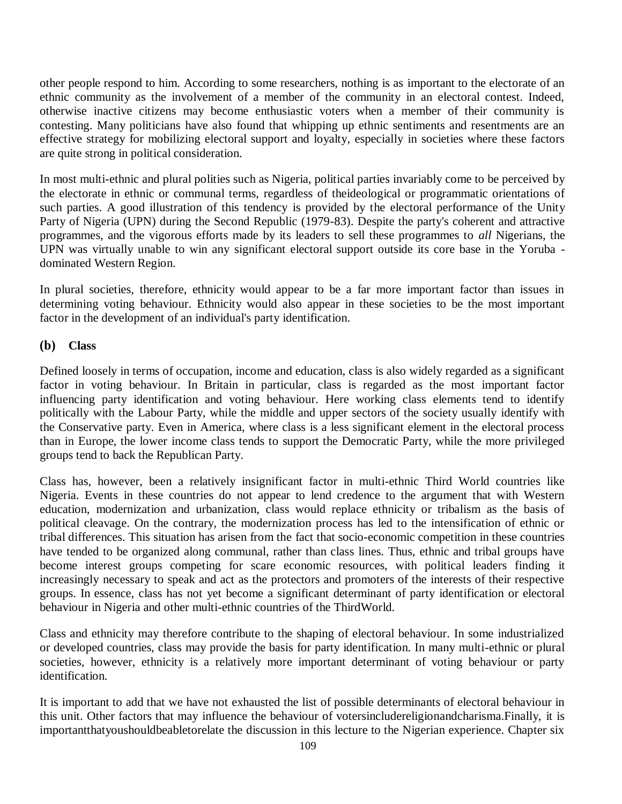other people respond to him. According to some researchers, nothing is as important to the electorate of an ethnic community as the involvement of a member of the community in an electoral contest. Indeed, otherwise inactive citizens may become enthusiastic voters when a member of their community is contesting. Many politicians have also found that whipping up ethnic sentiments and resentments are an effective strategy for mobilizing electoral support and loyalty, especially in societies where these factors are quite strong in political consideration.

In most multi-ethnic and plural polities such as Nigeria, political parties invariably come to be perceived by the electorate in ethnic or communal terms, regardless of theideological or programmatic orientations of such parties. A good illustration of this tendency is provided by the electoral performance of the Unity Party of Nigeria (UPN) during the Second Republic (1979-83). Despite the party's coherent and attractive programmes, and the vigorous efforts made by its leaders to sell these programmes to *all* Nigerians, the UPN was virtually unable to win any significant electoral support outside its core base in the Yoruba dominated Western Region.

In plural societies, therefore, ethnicity would appear to be a far more important factor than issues in determining voting behaviour. Ethnicity would also appear in these societies to be the most important factor in the development of an individual's party identification.

#### **(b) Class**

Defined loosely in terms of occupation, income and education, class is also widely regarded as a significant factor in voting behaviour. In Britain in particular, class is regarded as the most important factor influencing party identification and voting behaviour. Here working class elements tend to identify politically with the Labour Party, while the middle and upper sectors of the society usually identify with the Conservative party. Even in America, where class is a less significant element in the electoral process than in Europe, the lower income class tends to support the Democratic Party, while the more privileged groups tend to back the Republican Party.

Class has, however, been a relatively insignificant factor in multi-ethnic Third World countries like Nigeria. Events in these countries do not appear to lend credence to the argument that with Western education, modernization and urbanization, class would replace ethnicity or tribalism as the basis of political cleavage. On the contrary, the modernization process has led to the intensification of ethnic or tribal differences. This situation has arisen from the fact that socio-economic competition in these countries have tended to be organized along communal, rather than class lines. Thus, ethnic and tribal groups have become interest groups competing for scare economic resources, with political leaders finding it increasingly necessary to speak and act as the protectors and promoters of the interests of their respective groups. In essence, class has not yet become a significant determinant of party identification or electoral behaviour in Nigeria and other multi-ethnic countries of the ThirdWorld.

Class and ethnicity may therefore contribute to the shaping of electoral behaviour. In some industrialized or developed countries, class may provide the basis for party identification. In many multi-ethnic or plural societies, however, ethnicity is a relatively more important determinant of voting behaviour or party identification.

It is important to add that we have not exhausted the list of possible determinants of electoral behaviour in this unit. Other factors that may influence the behaviour of votersincludereligionandcharisma.Finally, it is importantthatyoushouldbeabletorelate the discussion in this lecture to the Nigerian experience. Chapter six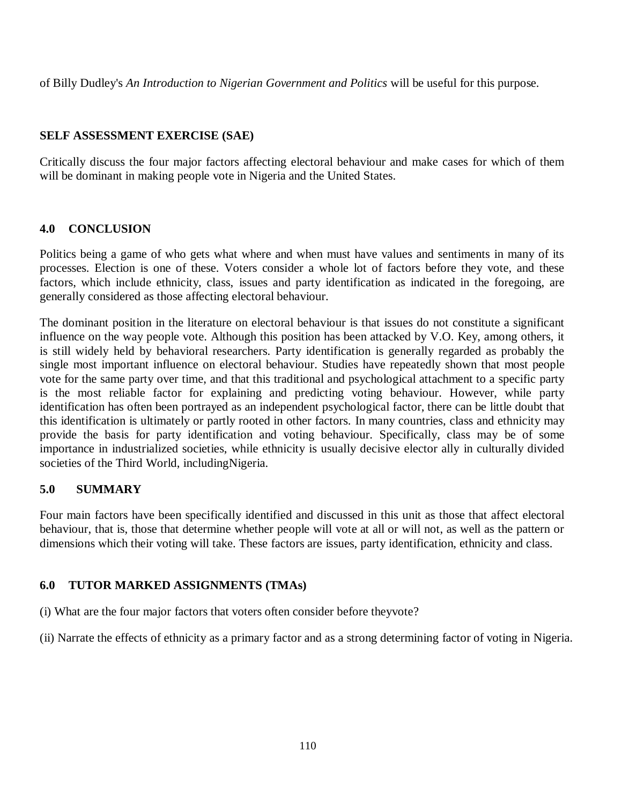of Billy Dudley's *An Introduction to Nigerian Government and Politics* will be useful for this purpose.

### **SELF ASSESSMENT EXERCISE (SAE)**

Critically discuss the four major factors affecting electoral behaviour and make cases for which of them will be dominant in making people vote in Nigeria and the United States.

## **4.0 CONCLUSION**

Politics being a game of who gets what where and when must have values and sentiments in many of its processes. Election is one of these. Voters consider a whole lot of factors before they vote, and these factors, which include ethnicity, class, issues and party identification as indicated in the foregoing, are generally considered as those affecting electoral behaviour.

The dominant position in the literature on electoral behaviour is that issues do not constitute a significant influence on the way people vote. Although this position has been attacked by V.O. Key, among others, it is still widely held by behavioral researchers. Party identification is generally regarded as probably the single most important influence on electoral behaviour. Studies have repeatedly shown that most people vote for the same party over time, and that this traditional and psychological attachment to a specific party is the most reliable factor for explaining and predicting voting behaviour. However, while party identification has often been portrayed as an independent psychological factor, there can be little doubt that this identification is ultimately or partly rooted in other factors. In many countries, class and ethnicity may provide the basis for party identification and voting behaviour. Specifically, class may be of some importance in industrialized societies, while ethnicity is usually decisive elector ally in culturally divided societies of the Third World, includingNigeria.

## **5.0 SUMMARY**

Four main factors have been specifically identified and discussed in this unit as those that affect electoral behaviour, that is, those that determine whether people will vote at all or will not, as well as the pattern or dimensions which their voting will take. These factors are issues, party identification, ethnicity and class.

## **6.0 TUTOR MARKED ASSIGNMENTS (TMAs)**

(i) What are the four major factors that voters often consider before theyvote?

(ii) Narrate the effects of ethnicity as a primary factor and as a strong determining factor of voting in Nigeria.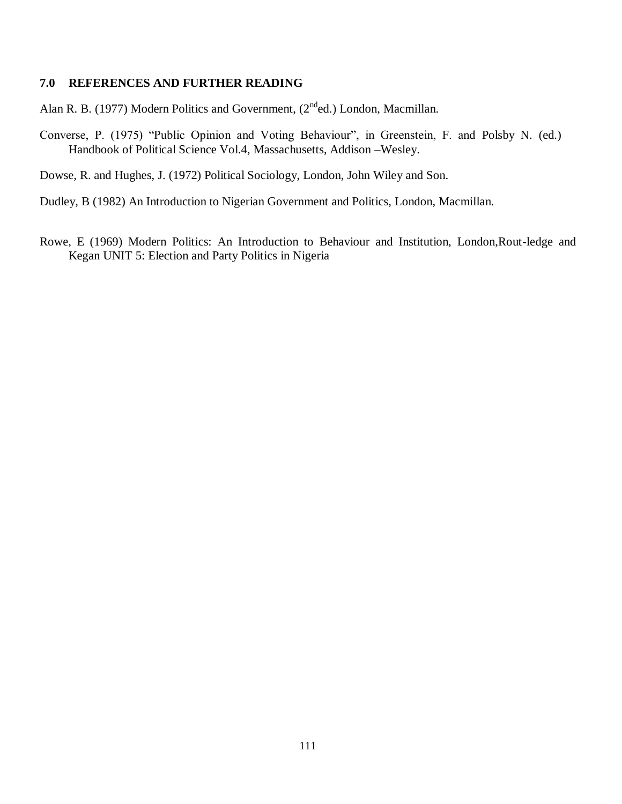### **7.0 REFERENCES AND FURTHER READING**

Alan R. B. (1977) Modern Politics and Government, (2<sup>nd</sup>ed.) London, Macmillan.

Converse, P. (1975) "Public Opinion and Voting Behaviour", in Greenstein, F. and Polsby N. (ed.) Handbook of Political Science Vol.4, Massachusetts, Addison –Wesley.

Dowse, R. and Hughes, J. (1972) Political Sociology, London, John Wiley and Son.

Dudley, B (1982) An Introduction to Nigerian Government and Politics, London, Macmillan.

Rowe, E (1969) Modern Politics: An Introduction to Behaviour and Institution, London,Rout-ledge and Kegan UNIT 5: Election and Party Politics in Nigeria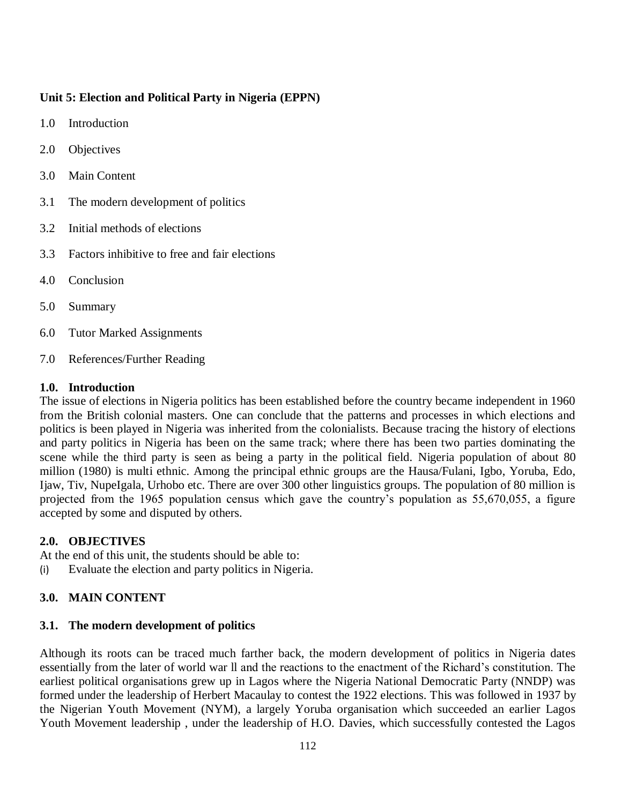# **Unit 5: Election and Political Party in Nigeria (EPPN)**

- 1.0 Introduction
- 2.0 Objectives
- 3.0 Main Content
- 3.1 The modern development of politics
- 3.2 Initial methods of elections
- 3.3 Factors inhibitive to free and fair elections
- 4.0 Conclusion
- 5.0 Summary
- 6.0 Tutor Marked Assignments
- 7.0 References/Further Reading

### **1.0. Introduction**

The issue of elections in Nigeria politics has been established before the country became independent in 1960 from the British colonial masters. One can conclude that the patterns and processes in which elections and politics is been played in Nigeria was inherited from the colonialists. Because tracing the history of elections and party politics in Nigeria has been on the same track; where there has been two parties dominating the scene while the third party is seen as being a party in the political field. Nigeria population of about 80 million (1980) is multi ethnic. Among the principal ethnic groups are the Hausa/Fulani, Igbo, Yoruba, Edo, Ijaw, Tiv, NupeIgala, Urhobo etc. There are over 300 other linguistics groups. The population of 80 million is projected from the 1965 population census which gave the country's population as 55,670,055, a figure accepted by some and disputed by others.

## **2.0. OBJECTIVES**

At the end of this unit, the students should be able to:

(i) Evaluate the election and party politics in Nigeria.

## **3.0. MAIN CONTENT**

## **3.1. The modern development of politics**

Although its roots can be traced much farther back, the modern development of politics in Nigeria dates essentially from the later of world war ll and the reactions to the enactment of the Richard's constitution. The earliest political organisations grew up in Lagos where the Nigeria National Democratic Party (NNDP) was formed under the leadership of Herbert Macaulay to contest the 1922 elections. This was followed in 1937 by the Nigerian Youth Movement (NYM), a largely Yoruba organisation which succeeded an earlier Lagos Youth Movement leadership , under the leadership of H.O. Davies, which successfully contested the Lagos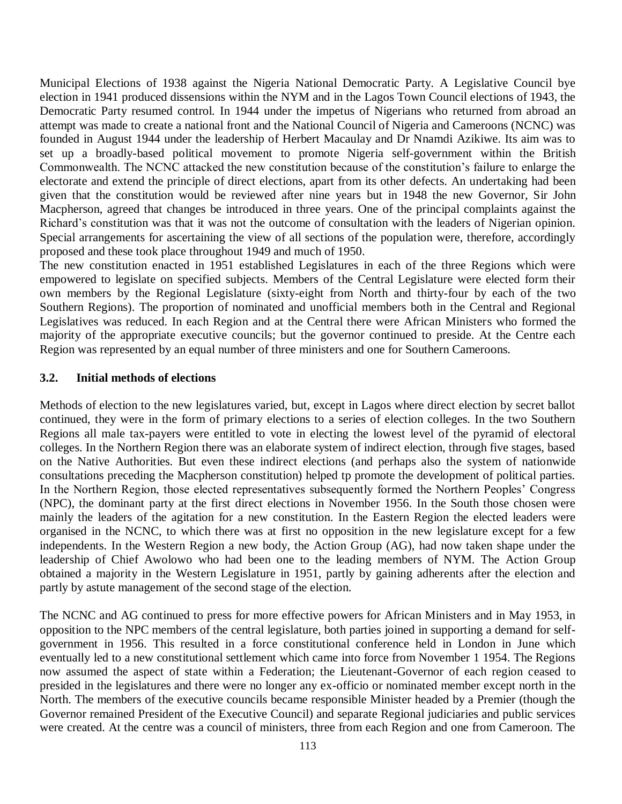Municipal Elections of 1938 against the Nigeria National Democratic Party. A Legislative Council bye election in 1941 produced dissensions within the NYM and in the Lagos Town Council elections of 1943, the Democratic Party resumed control. In 1944 under the impetus of Nigerians who returned from abroad an attempt was made to create a national front and the National Council of Nigeria and Cameroons (NCNC) was founded in August 1944 under the leadership of Herbert Macaulay and Dr Nnamdi Azikiwe. Its aim was to set up a broadly-based political movement to promote Nigeria self-government within the British Commonwealth. The NCNC attacked the new constitution because of the constitution's failure to enlarge the electorate and extend the principle of direct elections, apart from its other defects. An undertaking had been given that the constitution would be reviewed after nine years but in 1948 the new Governor, Sir John Macpherson, agreed that changes be introduced in three years. One of the principal complaints against the Richard's constitution was that it was not the outcome of consultation with the leaders of Nigerian opinion. Special arrangements for ascertaining the view of all sections of the population were, therefore, accordingly proposed and these took place throughout 1949 and much of 1950.

The new constitution enacted in 1951 established Legislatures in each of the three Regions which were empowered to legislate on specified subjects. Members of the Central Legislature were elected form their own members by the Regional Legislature (sixty-eight from North and thirty-four by each of the two Southern Regions). The proportion of nominated and unofficial members both in the Central and Regional Legislatives was reduced. In each Region and at the Central there were African Ministers who formed the majority of the appropriate executive councils; but the governor continued to preside. At the Centre each Region was represented by an equal number of three ministers and one for Southern Cameroons.

### **3.2. Initial methods of elections**

Methods of election to the new legislatures varied, but, except in Lagos where direct election by secret ballot continued, they were in the form of primary elections to a series of election colleges. In the two Southern Regions all male tax-payers were entitled to vote in electing the lowest level of the pyramid of electoral colleges. In the Northern Region there was an elaborate system of indirect election, through five stages, based on the Native Authorities. But even these indirect elections (and perhaps also the system of nationwide consultations preceding the Macpherson constitution) helped tp promote the development of political parties. In the Northern Region, those elected representatives subsequently formed the Northern Peoples' Congress (NPC), the dominant party at the first direct elections in November 1956. In the South those chosen were mainly the leaders of the agitation for a new constitution. In the Eastern Region the elected leaders were organised in the NCNC, to which there was at first no opposition in the new legislature except for a few independents. In the Western Region a new body, the Action Group (AG), had now taken shape under the leadership of Chief Awolowo who had been one to the leading members of NYM. The Action Group obtained a majority in the Western Legislature in 1951, partly by gaining adherents after the election and partly by astute management of the second stage of the election.

The NCNC and AG continued to press for more effective powers for African Ministers and in May 1953, in opposition to the NPC members of the central legislature, both parties joined in supporting a demand for selfgovernment in 1956. This resulted in a force constitutional conference held in London in June which eventually led to a new constitutional settlement which came into force from November 1 1954. The Regions now assumed the aspect of state within a Federation; the Lieutenant-Governor of each region ceased to presided in the legislatures and there were no longer any ex-officio or nominated member except north in the North. The members of the executive councils became responsible Minister headed by a Premier (though the Governor remained President of the Executive Council) and separate Regional judiciaries and public services were created. At the centre was a council of ministers, three from each Region and one from Cameroon. The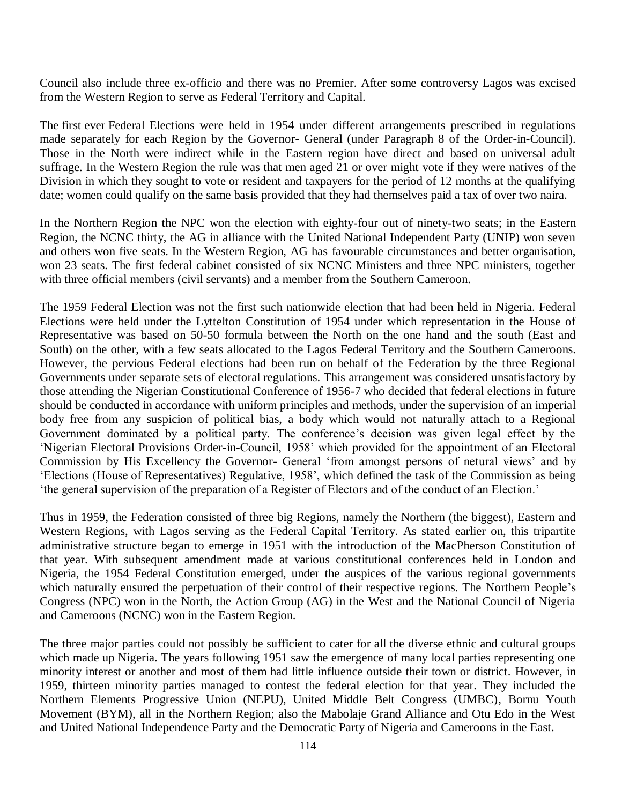Council also include three ex-officio and there was no Premier. After some controversy Lagos was excised from the Western Region to serve as Federal Territory and Capital.

The first ever Federal Elections were held in 1954 under different arrangements prescribed in regulations made separately for each Region by the Governor- General (under Paragraph 8 of the Order-in-Council). Those in the North were indirect while in the Eastern region have direct and based on universal adult suffrage. In the Western Region the rule was that men aged 21 or over might vote if they were natives of the Division in which they sought to vote or resident and taxpayers for the period of 12 months at the qualifying date; women could qualify on the same basis provided that they had themselves paid a tax of over two naira.

In the Northern Region the NPC won the election with eighty-four out of ninety-two seats; in the Eastern Region, the NCNC thirty, the AG in alliance with the United National Independent Party (UNIP) won seven and others won five seats. In the Western Region, AG has favourable circumstances and better organisation, won 23 seats. The first federal cabinet consisted of six NCNC Ministers and three NPC ministers, together with three official members (civil servants) and a member from the Southern Cameroon.

The 1959 Federal Election was not the first such nationwide election that had been held in Nigeria. Federal Elections were held under the Lyttelton Constitution of 1954 under which representation in the House of Representative was based on 50-50 formula between the North on the one hand and the south (East and South) on the other, with a few seats allocated to the Lagos Federal Territory and the Southern Cameroons. However, the pervious Federal elections had been run on behalf of the Federation by the three Regional Governments under separate sets of electoral regulations. This arrangement was considered unsatisfactory by those attending the Nigerian Constitutional Conference of 1956-7 who decided that federal elections in future should be conducted in accordance with uniform principles and methods, under the supervision of an imperial body free from any suspicion of political bias, a body which would not naturally attach to a Regional Government dominated by a political party. The conference's decision was given legal effect by the ‗Nigerian Electoral Provisions Order-in-Council, 1958' which provided for the appointment of an Electoral Commission by His Excellency the Governor- General 'from amongst persons of netural views' and by ‗Elections (House of Representatives) Regulative, 1958', which defined the task of the Commission as being ‗the general supervision of the preparation of a Register of Electors and of the conduct of an Election.'

Thus in 1959, the Federation consisted of three big Regions, namely the Northern (the biggest), Eastern and Western Regions, with Lagos serving as the Federal Capital Territory. As stated earlier on, this tripartite administrative structure began to emerge in 1951 with the introduction of the MacPherson Constitution of that year. With subsequent amendment made at various constitutional conferences held in London and Nigeria, the 1954 Federal Constitution emerged, under the auspices of the various regional governments which naturally ensured the perpetuation of their control of their respective regions. The Northern People's Congress (NPC) won in the North, the Action Group (AG) in the West and the National Council of Nigeria and Cameroons (NCNC) won in the Eastern Region.

The three major parties could not possibly be sufficient to cater for all the diverse ethnic and cultural groups which made up Nigeria. The years following 1951 saw the emergence of many local parties representing one minority interest or another and most of them had little influence outside their town or district. However, in 1959, thirteen minority parties managed to contest the federal election for that year. They included the Northern Elements Progressive Union (NEPU), United Middle Belt Congress (UMBC), Bornu Youth Movement (BYM), all in the Northern Region; also the Mabolaje Grand Alliance and Otu Edo in the West and United National Independence Party and the Democratic Party of Nigeria and Cameroons in the East.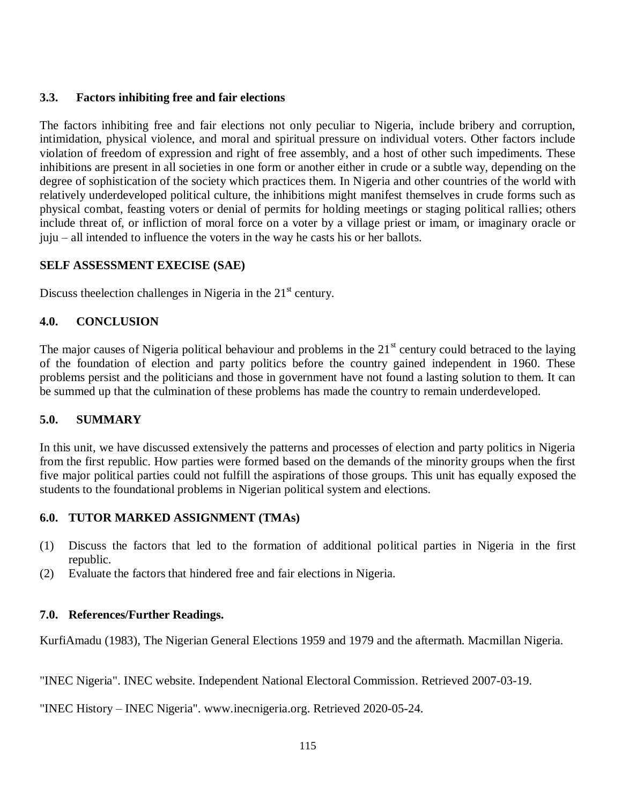## **3.3. Factors inhibiting free and fair elections**

The factors inhibiting free and fair elections not only peculiar to Nigeria, include bribery and corruption, intimidation, physical violence, and moral and spiritual pressure on individual voters. Other factors include violation of freedom of expression and right of free assembly, and a host of other such impediments. These inhibitions are present in all societies in one form or another either in crude or a subtle way, depending on the degree of sophistication of the society which practices them. In Nigeria and other countries of the world with relatively underdeveloped political culture, the inhibitions might manifest themselves in crude forms such as physical combat, feasting voters or denial of permits for holding meetings or staging political rallies; others include threat of, or infliction of moral force on a voter by a village priest or imam, or imaginary oracle or juju – all intended to influence the voters in the way he casts his or her ballots.

# **SELF ASSESSMENT EXECISE (SAE)**

Discuss the election challenges in Nigeria in the  $21<sup>st</sup>$  century.

# **4.0. CONCLUSION**

The major causes of Nigeria political behaviour and problems in the  $21<sup>st</sup>$  century could betraced to the laying of the foundation of election and party politics before the country gained independent in 1960. These problems persist and the politicians and those in government have not found a lasting solution to them. It can be summed up that the culmination of these problems has made the country to remain underdeveloped.

# **5.0. SUMMARY**

In this unit, we have discussed extensively the patterns and processes of election and party politics in Nigeria from the first republic. How parties were formed based on the demands of the minority groups when the first five major political parties could not fulfill the aspirations of those groups. This unit has equally exposed the students to the foundational problems in Nigerian political system and elections.

# **6.0. TUTOR MARKED ASSIGNMENT (TMAs)**

- (1) Discuss the factors that led to the formation of additional political parties in Nigeria in the first republic.
- (2) Evaluate the factors that hindered free and fair elections in Nigeria.

## **7.0. References/Further Readings.**

KurfiAmadu (1983), The Nigerian General Elections 1959 and 1979 and the aftermath. Macmillan Nigeria.

["INEC Nigeria".](http://www.inecnigeria.org/) INEC website. Independent National Electoral Commission. Retrieved 2007-03-19.

["INEC History –](https://www.inecnigeria.org/home/inec-history/) INEC Nigeria". www.inecnigeria.org. Retrieved 2020-05-24.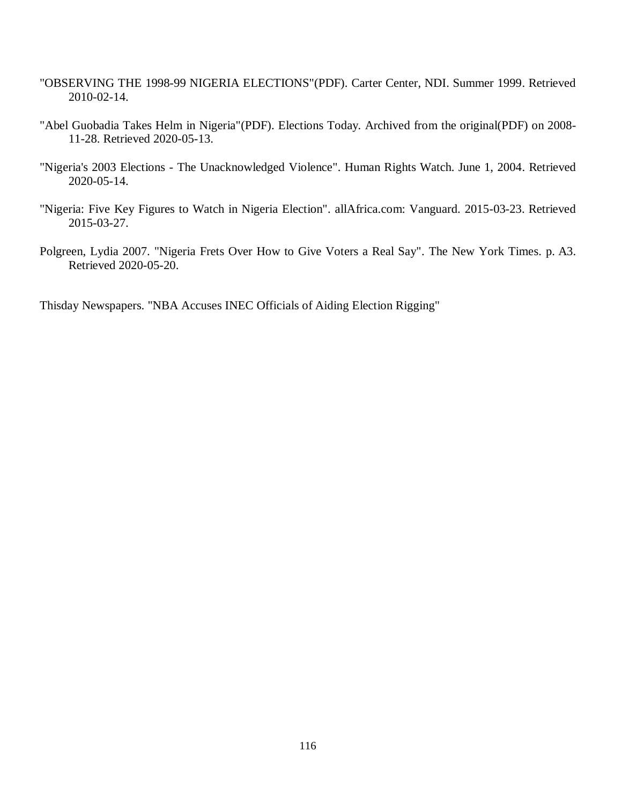- ["OBSERVING THE 1998-99 NIGERIA ELECTIONS"\(](http://www.cartercenter.org/documents/1152.pdf)PDF). Carter Center, NDI. Summer 1999. Retrieved 2010-02-14.
- ["Abel Guobadia Takes Helm in Nigeria"\(](https://web.archive.org/web/20081128123048/http:/www.ifes.org/publication/d5cdd8094465e31baf096f4eba5d457c/Et9_1.pdf)PDF). Elections Today. Archived from [the original\(](http://www.ifes.org/publication/d5cdd8094465e31baf096f4eba5d457c/Et9_1.pdf)PDF) on 2008- 11-28. Retrieved 2020-05-13.
- "Nigeria's 2003 Elections [The Unacknowledged Violence".](https://www.hrw.org/node/12130) Human Rights Watch. June 1, 2004. Retrieved 2020-05-14.
- ["Nigeria: Five Key Figures to Watch in Nigeria Election".](http://allafrica.com/stories/201503240735.html) allAfrica.com: Vanguard. 2015-03-23. Retrieved 2015-03-27.
- [Polgreen, Lydia](https://en.wikipedia.org/wiki/Lydia_Polgreen) 2007. ["Nigeria Frets Over How to Give Voters a Real Say".](https://www.nytimes.com/2007/04/20/world/africa/20nigeria.html) [The New York Times.](https://en.wikipedia.org/wiki/The_New_York_Times) p. A3. Retrieved 2020-05-20.

Thisday Newspapers. "NB[A Accuses INEC Officials of Aiding Election Rigging"](https://www.thisdaylive.com/index.php/2019/02/27/nba-accuses-inec-officials-of-aiding-election-rigging/)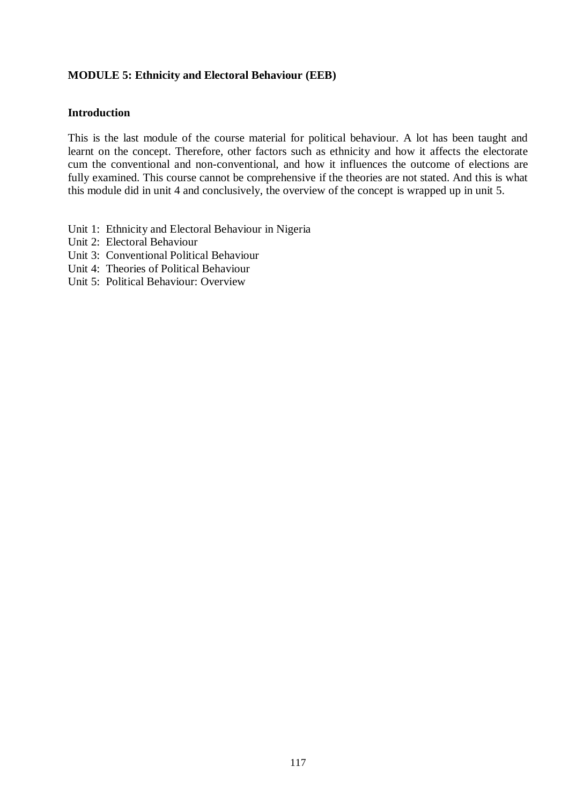## **MODULE 5: Ethnicity and Electoral Behaviour (EEB)**

#### **Introduction**

This is the last module of the course material for political behaviour. A lot has been taught and learnt on the concept. Therefore, other factors such as ethnicity and how it affects the electorate cum the conventional and non-conventional, and how it influences the outcome of elections are fully examined. This course cannot be comprehensive if the theories are not stated. And this is what this module did in unit 4 and conclusively, the overview of the concept is wrapped up in unit 5.

- Unit 1: Ethnicity and Electoral Behaviour in Nigeria
- Unit 2: Electoral Behaviour
- Unit 3: Conventional Political Behaviour
- Unit 4: Theories of Political Behaviour
- Unit 5: Political Behaviour: Overview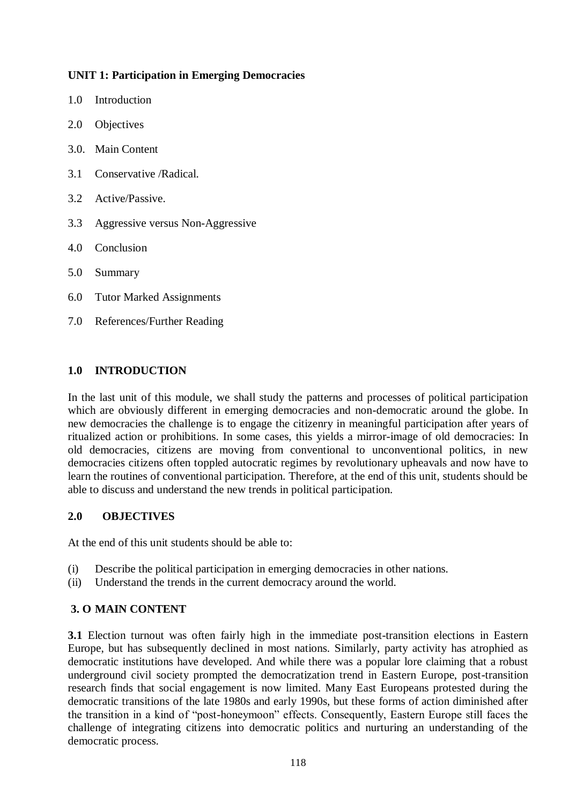# **UNIT 1: Participation in Emerging Democracies**

- 1.0 Introduction
- 2.0 Objectives
- 3.0. Main Content
- 3.1 Conservative /Radical.
- 3.2 Active/Passive.
- 3.3 Aggressive versus Non-Aggressive
- 4.0 Conclusion
- 5.0 Summary
- 6.0 Tutor Marked Assignments
- 7.0 References/Further Reading

### **1.0 INTRODUCTION**

In the last unit of this module, we shall study the patterns and processes of political participation which are obviously different in emerging democracies and non-democratic around the globe. In new democracies the challenge is to engage the citizenry in meaningful participation after years of ritualized action or prohibitions. In some cases, this yields a mirror-image of old democracies: In old democracies, citizens are moving from conventional to unconventional politics, in new democracies citizens often toppled autocratic regimes by revolutionary upheavals and now have to learn the routines of conventional participation. Therefore, at the end of this unit, students should be able to discuss and understand the new trends in political participation.

## **2.0 OBJECTIVES**

At the end of this unit students should be able to:

- (i) Describe the political participation in emerging democracies in other nations.
- (ii) Understand the trends in the current democracy around the world.

## **3. O MAIN CONTENT**

**3.1** Election turnout was often fairly high in the immediate post-transition elections in Eastern Europe, but has subsequently declined in most nations. Similarly, party activity has atrophied as democratic institutions have developed. And while there was a popular lore claiming that a robust underground civil society prompted the democratization trend in Eastern Europe, post-transition research finds that social engagement is now limited. Many East Europeans protested during the democratic transitions of the late 1980s and early 1990s, but these forms of action diminished after the transition in a kind of "post-honeymoon" effects. Consequently, Eastern Europe still faces the challenge of integrating citizens into democratic politics and nurturing an understanding of the democratic process.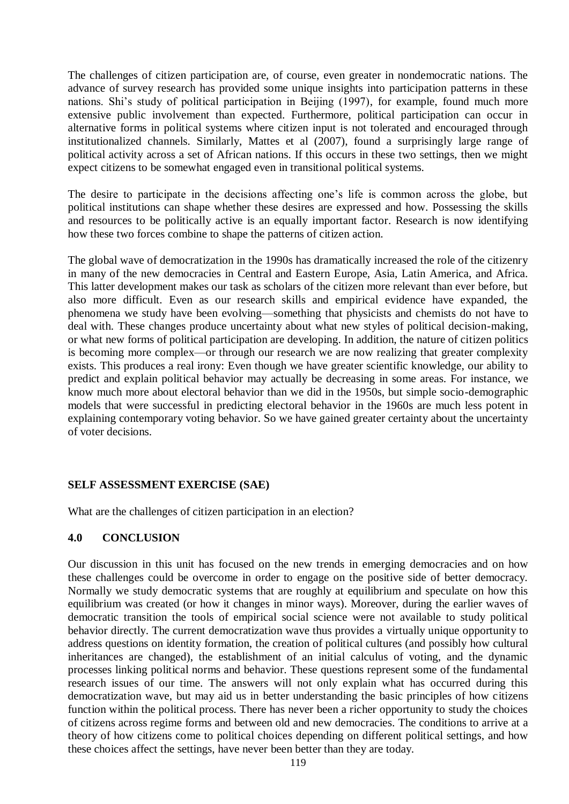The challenges of citizen participation are, of course, even greater in nondemocratic nations. The advance of survey research has provided some unique insights into participation patterns in these nations. Shi's study of political participation in Beijing (1997), for example, found much more extensive public involvement than expected. Furthermore, political participation can occur in alternative forms in political systems where citizen input is not tolerated and encouraged through institutionalized channels. Similarly, Mattes et al (2007), found a surprisingly large range of political activity across a set of African nations. If this occurs in these two settings, then we might expect citizens to be somewhat engaged even in transitional political systems.

The desire to participate in the decisions affecting one's life is common across the globe, but political institutions can shape whether these desires are expressed and how. Possessing the skills and resources to be politically active is an equally important factor. Research is now identifying how these two forces combine to shape the patterns of citizen action.

The global wave of democratization in the 1990s has dramatically increased the role of the citizenry in many of the new democracies in Central and Eastern Europe, Asia, Latin America, and Africa. This latter development makes our task as scholars of the citizen more relevant than ever before, but also more difficult. Even as our research skills and empirical evidence have expanded, the phenomena we study have been evolving—something that physicists and chemists do not have to deal with. These changes produce uncertainty about what new styles of political decision-making, or what new forms of political participation are developing. In addition, the nature of citizen politics is becoming more complex—or through our research we are now realizing that greater complexity exists. This produces a real irony: Even though we have greater scientific knowledge, our ability to predict and explain political behavior may actually be decreasing in some areas. For instance, we know much more about electoral behavior than we did in the 1950s, but simple socio-demographic models that were successful in predicting electoral behavior in the 1960s are much less potent in explaining contemporary voting behavior. So we have gained greater certainty about the uncertainty of voter decisions.

### **SELF ASSESSMENT EXERCISE (SAE)**

What are the challenges of citizen participation in an election?

### **4.0 CONCLUSION**

Our discussion in this unit has focused on the new trends in emerging democracies and on how these challenges could be overcome in order to engage on the positive side of better democracy. Normally we study democratic systems that are roughly at equilibrium and speculate on how this equilibrium was created (or how it changes in minor ways). Moreover, during the earlier waves of democratic transition the tools of empirical social science were not available to study political behavior directly. The current democratization wave thus provides a virtually unique opportunity to address questions on identity formation, the creation of political cultures (and possibly how cultural inheritances are changed), the establishment of an initial calculus of voting, and the dynamic processes linking political norms and behavior. These questions represent some of the fundamental research issues of our time. The answers will not only explain what has occurred during this democratization wave, but may aid us in better understanding the basic principles of how citizens function within the political process. There has never been a richer opportunity to study the choices of citizens across regime forms and between old and new democracies. The conditions to arrive at a theory of how citizens come to political choices depending on different political settings, and how these choices affect the settings, have never been better than they are today.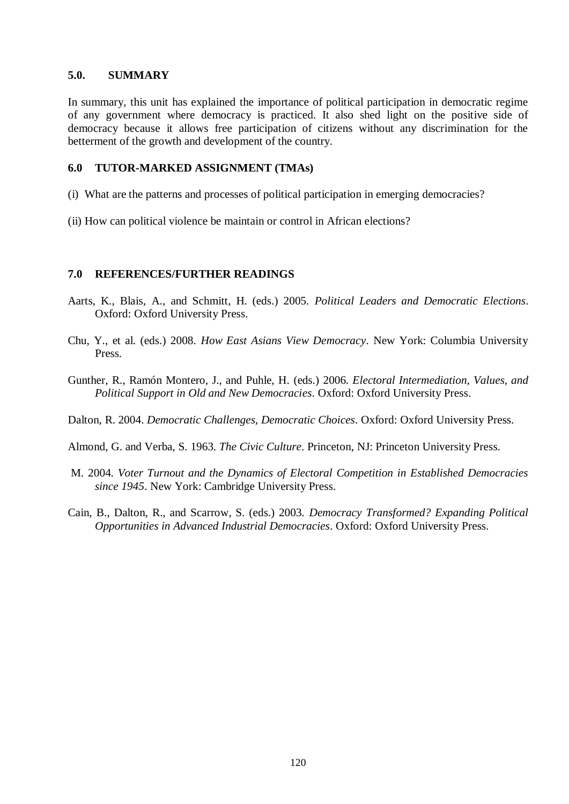#### **5.0. SUMMARY**

In summary, this unit has explained the importance of political participation in democratic regime of any government where democracy is practiced. It also shed light on the positive side of democracy because it allows free participation of citizens without any discrimination for the betterment of the growth and development of the country.

#### **6.0 TUTOR-MARKED ASSIGNMENT (TMAs)**

- (i) What are the patterns and processes of political participation in emerging democracies?
- (ii) How can political violence be maintain or control in African elections?

#### **7.0 REFERENCES/FURTHER READINGS**

- Aarts, K., Blais, A., and Schmitt, H. (eds.) 2005. *Political Leaders and Democratic Elections*. Oxford: Oxford University Press.
- Chu, Y., et al. (eds.) 2008. *How East Asians View Democracy*. New York: Columbia University Press.
- Gunther, R., Ramón Montero, J., and Puhle, H. (eds.) 2006. *Electoral Intermediation, Values, and Political Support in Old and New Democracies*. Oxford: Oxford University Press.
- Dalton, R. 2004. *Democratic Challenges, Democratic Choices*. Oxford: Oxford University Press.
- Almond, G. and Verba, S. 1963. *The Civic Culture*. Princeton, NJ: Princeton University Press.
- M. 2004. *Voter Turnout and the Dynamics of Electoral Competition in Established Democracies since 1945*. New York: Cambridge University Press.
- Cain, B., Dalton, R., and Scarrow, S. (eds.) 2003. *Democracy Transformed? Expanding Political Opportunities in Advanced Industrial Democracies*. Oxford: Oxford University Press.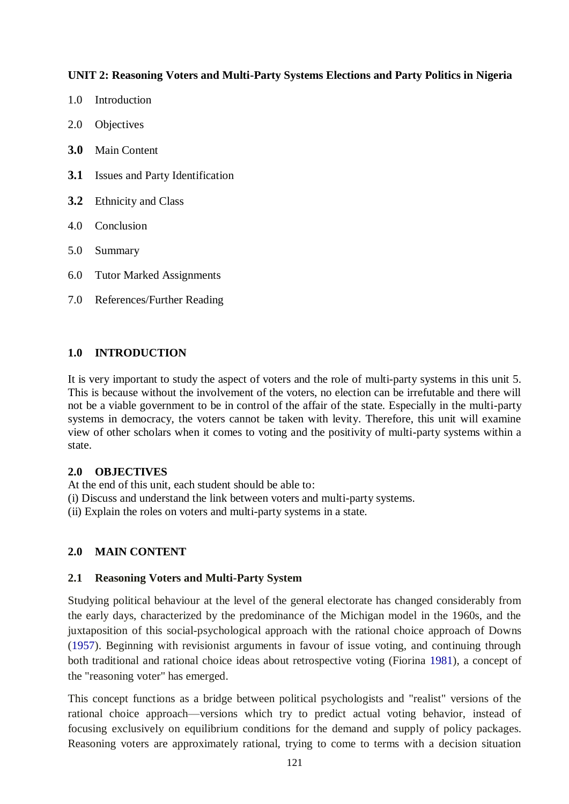# **UNIT 2: Reasoning Voters and Multi-Party Systems Elections and Party Politics in Nigeria**

- 1.0 Introduction
- 2.0 Objectives
- **3.0** Main Content
- **3.1** Issues and Party Identification
- **3.2** Ethnicity and Class
- 4.0 Conclusion
- 5.0 Summary
- 6.0 Tutor Marked Assignments
- 7.0 References/Further Reading

## **1.0 INTRODUCTION**

It is very important to study the aspect of voters and the role of multi-party systems in this unit 5. This is because without the involvement of the voters, no election can be irrefutable and there will not be a viable government to be in control of the affair of the state. Especially in the multi-party systems in democracy, the voters cannot be taken with levity. Therefore, this unit will examine view of other scholars when it comes to voting and the positivity of multi-party systems within a state.

### **2.0 OBJECTIVES**

At the end of this unit, each student should be able to:

(i) Discuss and understand the link between voters and multi-party systems.

(ii) Explain the roles on voters and multi-party systems in a state.

## **2.0 MAIN CONTENT**

## **2.1 Reasoning Voters and Multi-Party System**

Studying political behaviour at the level of the general electorate has changed considerably from the early days, characterized by the predominance of the Michigan model in the 1960s, and the juxtaposition of this social-psychological approach with the rational choice approach of Downs [\(1957\)](http://www.oxfordscholarship.com/oso/private/content/politicalscience/0198294719/p073.html#acprof-0198294719-bibItem-1040). Beginning with revisionist arguments in favour of issue voting, and continuing through both traditional and rational choice ideas about retrospective voting (Fiorina [1981\)](http://www.oxfordscholarship.com/oso/private/content/politicalscience/0198294719/p073.html#acprof-0198294719-bibItem-1045), a concept of the "reasoning voter" has emerged.

This concept functions as a bridge between political psychologists and "realist" versions of the rational choice approach—versions which try to predict actual voting behavior, instead of focusing exclusively on equilibrium conditions for the demand and supply of policy packages. Reasoning voters are approximately rational, trying to come to terms with a decision situation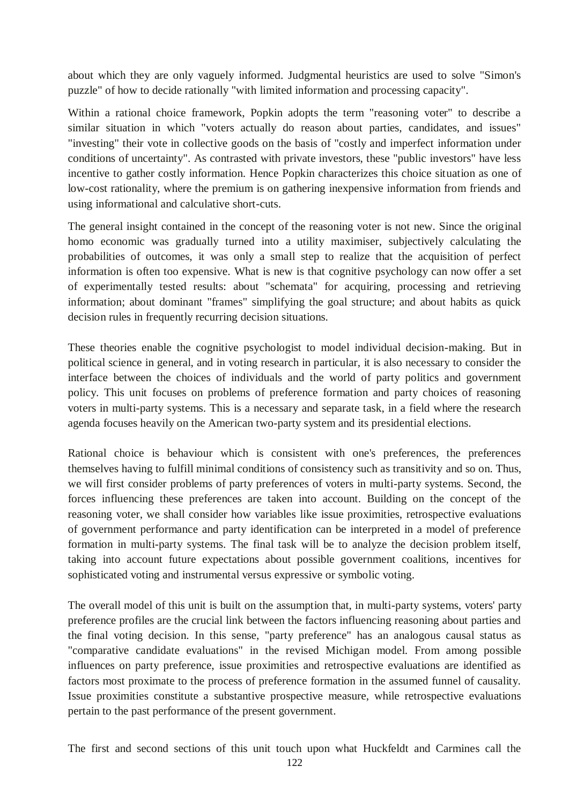about which they are only vaguely informed. Judgmental heuristics are used to solve "Simon's puzzle" of how to decide rationally "with limited information and processing capacity".

Within a rational choice framework, Popkin adopts the term "reasoning voter" to describe a similar situation in which "voters actually do reason about parties, candidates, and issues" "investing" their vote in collective goods on the basis of "costly and imperfect information under conditions of uncertainty". As contrasted with private investors, these "public investors" have less incentive to gather costly information. Hence Popkin characterizes this choice situation as one of low-cost rationality, where the premium is on gathering inexpensive information from friends and using informational and calculative short-cuts.

The general insight contained in the concept of the reasoning voter is not new. Since the original homo economic was gradually turned into a utility maximiser, subjectively calculating the probabilities of outcomes, it was only a small step to realize that the acquisition of perfect information is often too expensive. What is new is that cognitive psychology can now offer a set of experimentally tested results: about "schemata" for acquiring, processing and retrieving information; about dominant "frames" simplifying the goal structure; and about habits as quick decision rules in frequently recurring decision situations.

These theories enable the cognitive psychologist to model individual decision-making. But in political science in general, and in voting research in particular, it is also necessary to consider the interface between the choices of individuals and the world of party politics and government policy. This unit focuses on problems of preference formation and party choices of reasoning voters in multi-party systems. This is a necessary and separate task, in a field where the research agenda focuses heavily on the American two-party system and its presidential elections.

Rational choice is behaviour which is consistent with one's preferences, the preferences themselves having to fulfill minimal conditions of consistency such as transitivity and so on. Thus, we will first consider problems of party preferences of voters in multi-party systems. Second, the forces influencing these preferences are taken into account. Building on the concept of the reasoning voter, we shall consider how variables like issue proximities, retrospective evaluations of government performance and party identification can be interpreted in a model of preference formation in multi-party systems. The final task will be to analyze the decision problem itself, taking into account future expectations about possible government coalitions, incentives for sophisticated voting and instrumental versus expressive or symbolic voting.

The overall model of this unit is built on the assumption that, in multi-party systems, voters' party preference profiles are the crucial link between the factors influencing reasoning about parties and the final voting decision. In this sense, "party preference" has an analogous causal status as "comparative candidate evaluations" in the revised Michigan model. From among possible influences on party preference, issue proximities and retrospective evaluations are identified as factors most proximate to the process of preference formation in the assumed funnel of causality. Issue proximities constitute a substantive prospective measure, while retrospective evaluations pertain to the past performance of the present government.

The first and second sections of this unit touch upon what Huckfeldt and Carmines call the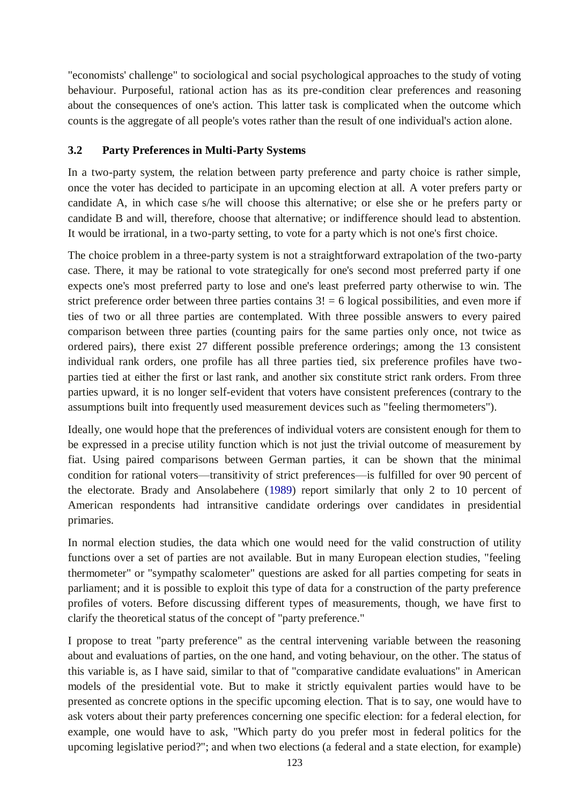"economists' challenge" to sociological and social psychological approaches to the study of voting behaviour. Purposeful, rational action has as its pre-condition clear preferences and reasoning about the consequences of one's action. This latter task is complicated when the outcome which counts is the aggregate of all people's votes rather than the result of one individual's action alone.

# **3.2 Party Preferences in Multi-Party Systems**

In a two-party system, the relation between party preference and party choice is rather simple, once the voter has decided to participate in an upcoming election at all. A voter prefers party or candidate A, in which case s/he will choose this alternative; or else she or he prefers party or candidate B and will, therefore, choose that alternative; or indifference should lead to abstention. It would be irrational, in a two-party setting, to vote for a party which is not one's first choice.

The choice problem in a three-party system is not a straightforward extrapolation of the two-party case. There, it may be rational to vote strategically for one's second most preferred party if one expects one's most preferred party to lose and one's least preferred party otherwise to win. The strict preference order between three parties contains  $3! = 6$  logical possibilities, and even more if ties of two or all three parties are contemplated. With three possible answers to every paired comparison between three parties (counting pairs for the same parties only once, not twice as ordered pairs), there exist 27 different possible preference orderings; among the 13 consistent individual rank orders, one profile has all three parties tied, six preference profiles have twoparties tied at either the first or last rank, and another six constitute strict rank orders. From three parties upward, it is no longer self-evident that voters have consistent preferences (contrary to the assumptions built into frequently used measurement devices such as "feeling thermometers").

Ideally, one would hope that the preferences of individual voters are consistent enough for them to be expressed in a precise utility function which is not just the trivial outcome of measurement by fiat. Using paired comparisons between German parties, it can be shown that the minimal condition for rational voters—transitivity of strict preferences—is fulfilled for over 90 percent of the electorate. Brady and Ansolabehere [\(1989\)](http://www.oxfordscholarship.com/oso/private/content/politicalscience/0198294719/p073.html#acprof-0198294719-bibItem-1033) report similarly that only 2 to 10 percent of American respondents had intransitive candidate orderings over candidates in presidential primaries.

In normal election studies, the data which one would need for the valid construction of utility functions over a set of parties are not available. But in many European election studies, "feeling thermometer" or "sympathy scalometer" questions are asked for all parties competing for seats in parliament; and it is possible to exploit this type of data for a construction of the party preference profiles of voters. Before discussing different types of measurements, though, we have first to clarify the theoretical status of the concept of "party preference."

I propose to treat "party preference" as the central intervening variable between the reasoning about and evaluations of parties, on the one hand, and voting behaviour, on the other. The status of this variable is, as I have said, similar to that of "comparative candidate evaluations" in American models of the presidential vote. But to make it strictly equivalent parties would have to be presented as concrete options in the specific upcoming election. That is to say, one would have to ask voters about their party preferences concerning one specific election: for a federal election, for example, one would have to ask, "Which party do you prefer most in federal politics for the upcoming legislative period?"; and when two elections (a federal and a state election, for example)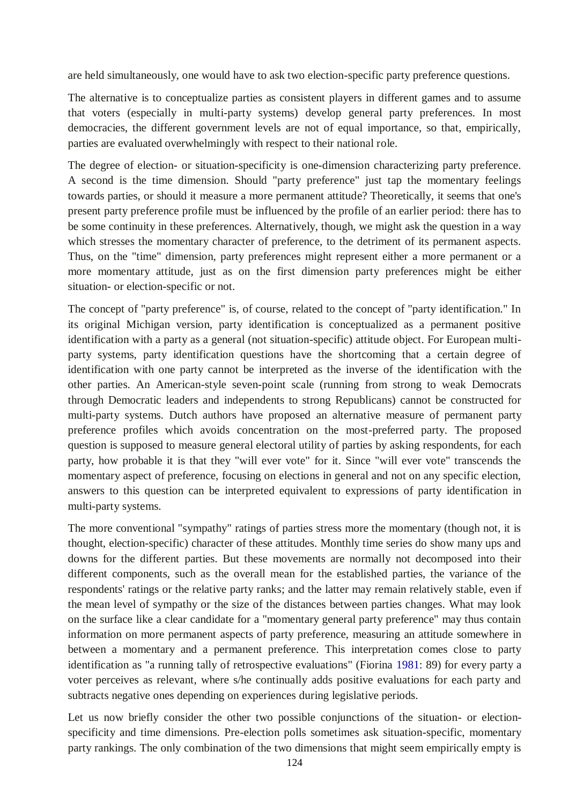are held simultaneously, one would have to ask two election-specific party preference questions.

The alternative is to conceptualize parties as consistent players in different games and to assume that voters (especially in multi-party systems) develop general party preferences. In most democracies, the different government levels are not of equal importance, so that, empirically, parties are evaluated overwhelmingly with respect to their national role.

The degree of election- or situation-specificity is one-dimension characterizing party preference. A second is the time dimension. Should "party preference" just tap the momentary feelings towards parties, or should it measure a more permanent attitude? Theoretically, it seems that one's present party preference profile must be influenced by the profile of an earlier period: there has to be some continuity in these preferences. Alternatively, though, we might ask the question in a way which stresses the momentary character of preference, to the detriment of its permanent aspects. Thus, on the "time" dimension, party preferences might represent either a more permanent or a more momentary attitude, just as on the first dimension party preferences might be either situation- or election-specific or not.

The concept of "party preference" is, of course, related to the concept of "party identification." In its original Michigan version, party identification is conceptualized as a permanent positive identification with a party as a general (not situation-specific) attitude object. For European multiparty systems, party identification questions have the shortcoming that a certain degree of identification with one party cannot be interpreted as the inverse of the identification with the other parties. An American-style seven-point scale (running from strong to weak Democrats through Democratic leaders and independents to strong Republicans) cannot be constructed for multi-party systems. Dutch authors have proposed an alternative measure of permanent party preference profiles which avoids concentration on the most-preferred party. The proposed question is supposed to measure general electoral utility of parties by asking respondents, for each party, how probable it is that they "will ever vote" for it. Since "will ever vote" transcends the momentary aspect of preference, focusing on elections in general and not on any specific election, answers to this question can be interpreted equivalent to expressions of party identification in multi-party systems.

The more conventional "sympathy" ratings of parties stress more the momentary (though not, it is thought, election-specific) character of these attitudes. Monthly time series do show many ups and downs for the different parties. But these movements are normally not decomposed into their different components, such as the overall mean for the established parties, the variance of the respondents' ratings or the relative party ranks; and the latter may remain relatively stable, even if the mean level of sympathy or the size of the distances between parties changes. What may look on the surface like a clear candidate for a "momentary general party preference" may thus contain information on more permanent aspects of party preference, measuring an attitude somewhere in between a momentary and a permanent preference. This interpretation comes close to party identification as "a running tally of retrospective evaluations" (Fiorina [1981:](http://www.oxfordscholarship.com/oso/private/content/politicalscience/0198294719/p073.html#acprof-0198294719-bibItem-1045) 89) for every party a voter perceives as relevant, where s/he continually adds positive evaluations for each party and subtracts negative ones depending on experiences during legislative periods.

Let us now briefly consider the other two possible conjunctions of the situation- or electionspecificity and time dimensions. Pre-election polls sometimes ask situation-specific, momentary party rankings. The only combination of the two dimensions that might seem empirically empty is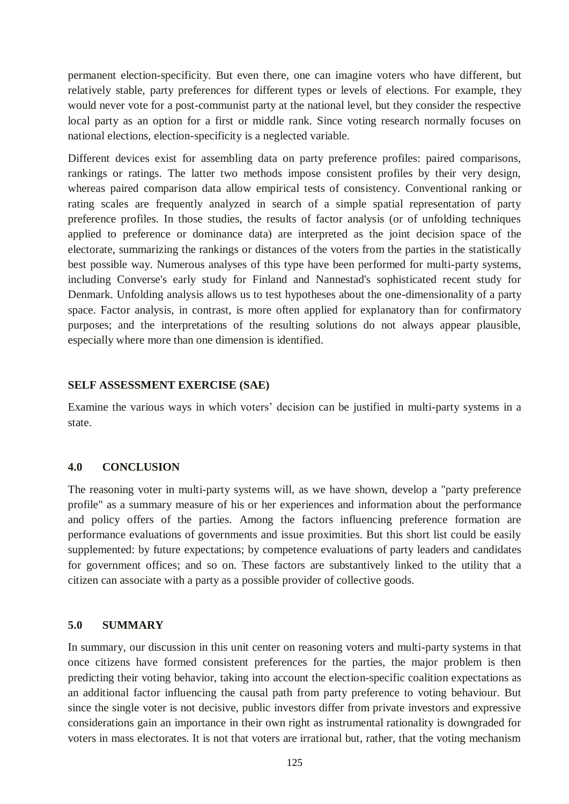permanent election-specificity. But even there, one can imagine voters who have different, but relatively stable, party preferences for different types or levels of elections. For example, they would never vote for a post-communist party at the national level, but they consider the respective local party as an option for a first or middle rank. Since voting research normally focuses on national elections, election-specificity is a neglected variable.

Different devices exist for assembling data on party preference profiles: paired comparisons, rankings or ratings. The latter two methods impose consistent profiles by their very design, whereas paired comparison data allow empirical tests of consistency. Conventional ranking or rating scales are frequently analyzed in search of a simple spatial representation of party preference profiles. In those studies, the results of factor analysis (or of unfolding techniques applied to preference or dominance data) are interpreted as the joint decision space of the electorate, summarizing the rankings or distances of the voters from the parties in the statistically best possible way. Numerous analyses of this type have been performed for multi-party systems, including Converse's early study for Finland and Nannestad's sophisticated recent study for Denmark. Unfolding analysis allows us to test hypotheses about the one-dimensionality of a party space. Factor analysis, in contrast, is more often applied for explanatory than for confirmatory purposes; and the interpretations of the resulting solutions do not always appear plausible, especially where more than one dimension is identified.

### **SELF ASSESSMENT EXERCISE (SAE)**

Examine the various ways in which voters' decision can be justified in multi-party systems in a state.

## **4.0 CONCLUSION**

The reasoning voter in multi-party systems will, as we have shown, develop a "party preference profile" as a summary measure of his or her experiences and information about the performance and policy offers of the parties. Among the factors influencing preference formation are performance evaluations of governments and issue proximities. But this short list could be easily supplemented: by future expectations; by competence evaluations of party leaders and candidates for government offices; and so on. These factors are substantively linked to the utility that a citizen can associate with a party as a possible provider of collective goods.

### **5.0 SUMMARY**

In summary, our discussion in this unit center on reasoning voters and multi-party systems in that once citizens have formed consistent preferences for the parties, the major problem is then predicting their voting behavior, taking into account the election-specific coalition expectations as an additional factor influencing the causal path from party preference to voting behaviour. But since the single voter is not decisive, public investors differ from private investors and expressive considerations gain an importance in their own right as instrumental rationality is downgraded for voters in mass electorates. It is not that voters are irrational but, rather, that the voting mechanism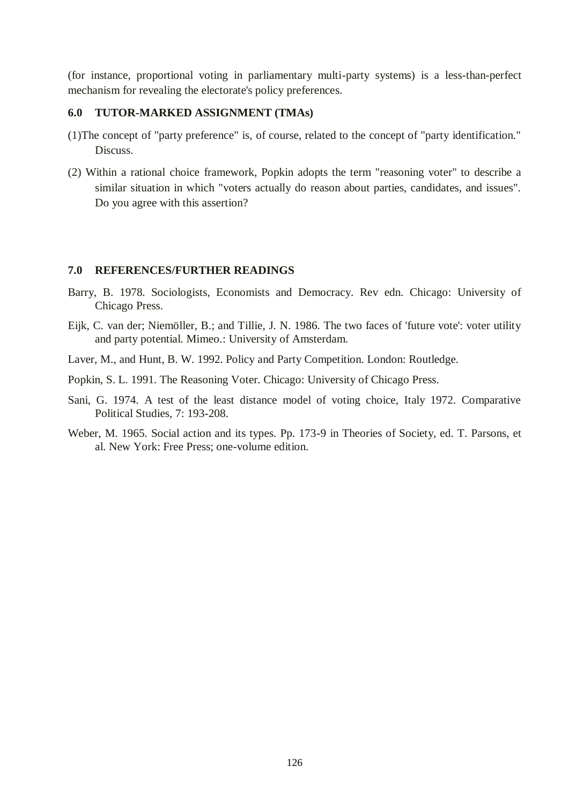(for instance, proportional voting in parliamentary multi-party systems) is a less-than-perfect mechanism for revealing the electorate's policy preferences.

### **6.0 TUTOR-MARKED ASSIGNMENT (TMAs)**

- (1)The concept of "party preference" is, of course, related to the concept of "party identification." Discuss.
- (2) Within a rational choice framework, Popkin adopts the term "reasoning voter" to describe a similar situation in which "voters actually do reason about parties, candidates, and issues". Do you agree with this assertion?

#### **7.0 REFERENCES/FURTHER READINGS**

- Barry, B. 1978. Sociologists, Economists and Democracy. Rev edn. Chicago: University of Chicago Press.
- Eijk, C. van der; Niemöller, B.; and Tillie, J. N. 1986. The two faces of 'future vote': voter utility and party potential. Mimeo.: University of Amsterdam.
- Laver, M., and Hunt, B. W. 1992. Policy and Party Competition. London: Routledge.
- Popkin, S. L. 1991. The Reasoning Voter. Chicago: University of Chicago Press.
- Sani, G. 1974. A test of the least distance model of voting choice, Italy 1972. Comparative Political Studies, 7: 193-208.
- Weber, M. 1965. Social action and its types. Pp. 173-9 in Theories of Society, ed. T. Parsons, et al. New York: Free Press; one-volume edition.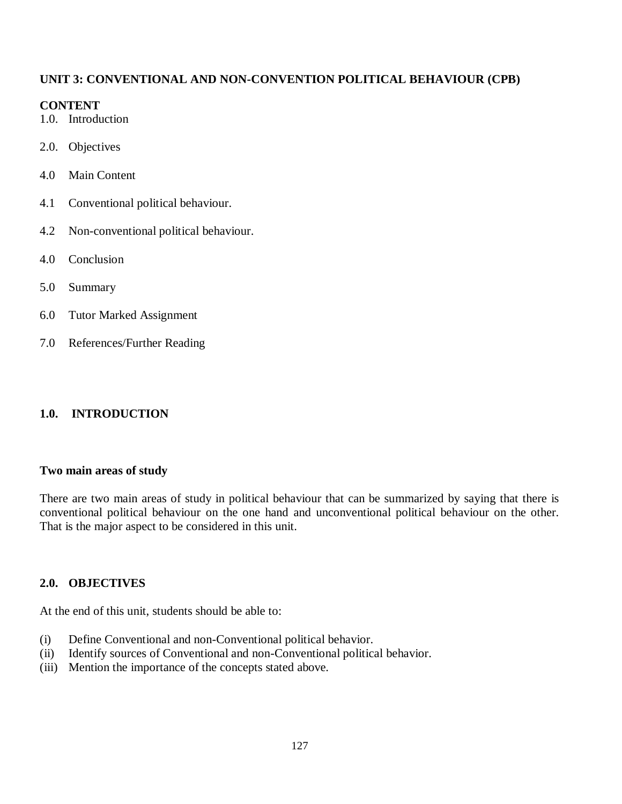## **UNIT 3: CONVENTIONAL AND NON-CONVENTION POLITICAL BEHAVIOUR (CPB)**

### **CONTENT**

- 1.0. Introduction
- 2.0. Objectives
- 4.0 Main Content
- 4.1 Conventional political behaviour.
- 4.2 Non-conventional political behaviour.
- 4.0 Conclusion
- 5.0 Summary
- 6.0 Tutor Marked Assignment
- 7.0 References/Further Reading

## **1.0. INTRODUCTION**

### **Two main areas of study**

There are two main areas of study in political behaviour that can be summarized by saying that there is conventional political behaviour on the one hand and unconventional political behaviour on the other. That is the major aspect to be considered in this unit.

## **2.0. OBJECTIVES**

At the end of this unit, students should be able to:

- (i) Define Conventional and non-Conventional political behavior.
- (ii) Identify sources of Conventional and non-Conventional political behavior.
- (iii) Mention the importance of the concepts stated above.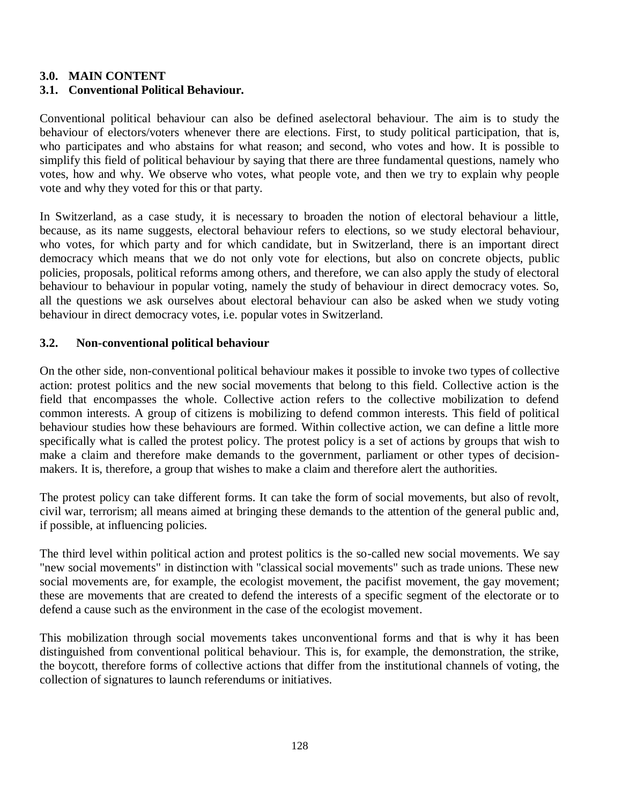### **3.0. MAIN CONTENT**

### **3.1. Conventional Political Behaviour.**

Conventional political behaviour can also be defined aselectoral behaviour. The aim is to study the behaviour of electors/voters whenever there are elections. First, to study political participation, that is, who participates and who abstains for what reason; and second, who votes and how. It is possible to simplify this field of political behaviour by saying that there are three fundamental questions, namely who votes, how and why. We observe who votes, what people vote, and then we try to explain why people vote and why they voted for this or that party.

In Switzerland, as a case study, it is necessary to broaden the notion of electoral behaviour a little, because, as its name suggests, electoral behaviour refers to elections, so we study electoral behaviour, who votes, for which party and for which candidate, but in Switzerland, there is an important direct democracy which means that we do not only vote for elections, but also on concrete objects, public policies, proposals, political reforms among others, and therefore, we can also apply the study of electoral behaviour to behaviour in popular voting, namely the study of behaviour in direct democracy votes. So, all the questions we ask ourselves about electoral behaviour can also be asked when we study voting behaviour in direct democracy votes, i.e. popular votes in Switzerland.

### **3.2. Non-conventional political behaviour**

On the other side, non-conventional political behaviour makes it possible to invoke two types of collective action: protest politics and the new social movements that belong to this field. Collective action is the field that encompasses the whole. Collective action refers to the collective mobilization to defend common interests. A group of citizens is mobilizing to defend common interests. This field of political behaviour studies how these behaviours are formed. Within collective action, we can define a little more specifically what is called the protest policy. The protest policy is a set of actions by groups that wish to make a claim and therefore make demands to the government, parliament or other types of decisionmakers. It is, therefore, a group that wishes to make a claim and therefore alert the authorities.

The protest policy can take different forms. It can take the form of social movements, but also of revolt, civil war, terrorism; all means aimed at bringing these demands to the attention of the general public and, if possible, at influencing policies.

The third level within political action and protest politics is the so-called new social movements. We say "new social movements" in distinction with "classical social movements" such as trade unions. These new social movements are, for example, the ecologist movement, the pacifist movement, the gay movement; these are movements that are created to defend the interests of a specific segment of the electorate or to defend a cause such as the environment in the case of the ecologist movement.

This mobilization through social movements takes unconventional forms and that is why it has been distinguished from conventional political behaviour. This is, for example, the demonstration, the strike, the boycott, therefore forms of collective actions that differ from the institutional channels of voting, the collection of signatures to launch referendums or initiatives.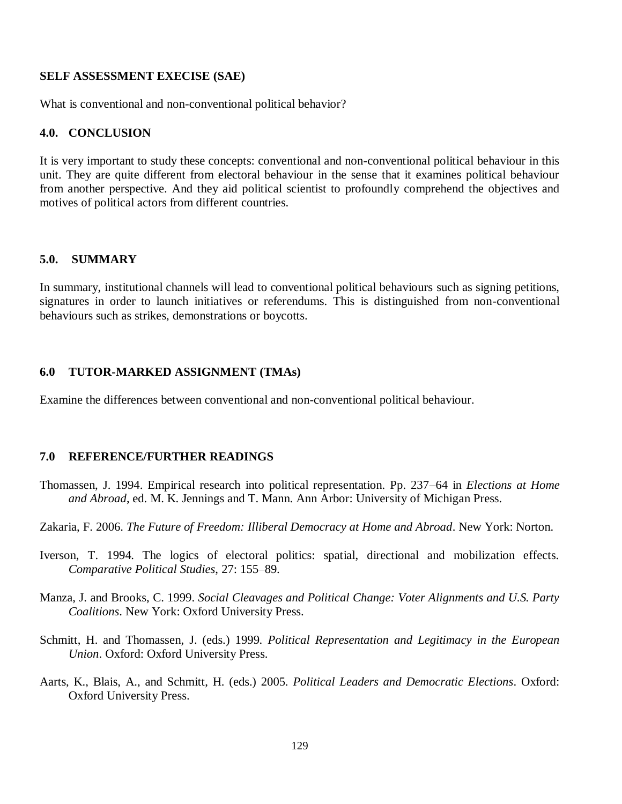#### **SELF ASSESSMENT EXECISE (SAE)**

What is conventional and non-conventional political behavior?

#### **4.0. CONCLUSION**

It is very important to study these concepts: conventional and non-conventional political behaviour in this unit. They are quite different from electoral behaviour in the sense that it examines political behaviour from another perspective. And they aid political scientist to profoundly comprehend the objectives and motives of political actors from different countries.

### **5.0. SUMMARY**

In summary, institutional channels will lead to conventional political behaviours such as signing petitions, signatures in order to launch initiatives or referendums. This is distinguished from non-conventional behaviours such as strikes, demonstrations or boycotts.

### **6.0 TUTOR-MARKED ASSIGNMENT (TMAs)**

Examine the differences between conventional and non-conventional political behaviour.

### **7.0 REFERENCE/FURTHER READINGS**

- Thomassen, J. 1994. Empirical research into political representation. Pp. 237–64 in *Elections at Home and Abroad*, ed. M. K. Jennings and T. Mann. Ann Arbor: University of Michigan Press.
- Zakaria, F. 2006. *The Future of Freedom: Illiberal Democracy at Home and Abroad*. New York: Norton.
- Iverson, T. 1994. The logics of electoral politics: spatial, directional and mobilization effects. *Comparative Political Studies*, 27: 155–89.
- Manza, J. and Brooks, C. 1999. *Social Cleavages and Political Change: Voter Alignments and U.S. Party Coalitions*. New York: Oxford University Press.
- Schmitt, H. and Thomassen, J. (eds.) 1999. *Political Representation and Legitimacy in the European Union*. Oxford: Oxford University Press.
- Aarts, K., Blais, A., and Schmitt, H. (eds.) 2005. *Political Leaders and Democratic Elections*. Oxford: Oxford University Press.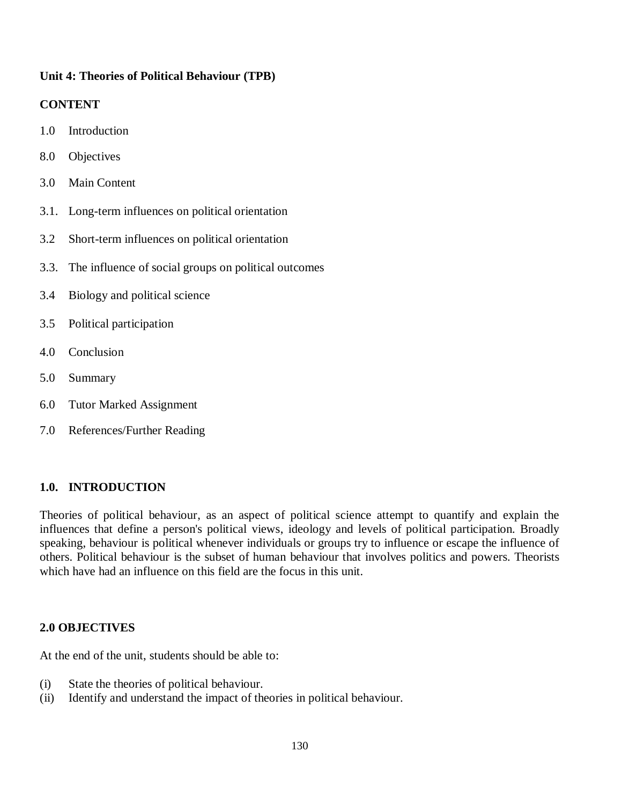## **Unit 4: Theories of Political Behaviour (TPB)**

# **CONTENT**

- 1.0 Introduction
- 8.0 Objectives
- 3.0 Main Content
- 3.1. Long-term influences on political orientation
- 3.2 Short-term influences on political orientation
- 3.3. The influence of social groups on political outcomes
- 3.4 Biology and political science
- 3.5 Political participation
- 4.0 Conclusion
- 5.0 Summary
- 6.0 Tutor Marked Assignment
- 7.0 References/Further Reading

# **1.0. INTRODUCTION**

Theories of political behaviour, as an aspect of political science attempt to quantify and explain the influences that define a person's political views, ideology and levels of political participation. Broadly speaking, behaviour is political whenever individuals or groups try to influence or escape the influence of others. Political behaviour is the subset of human behaviour that involves politics and powers. Theorists which have had an influence on this field are the focus in this unit.

# **2.0 OBJECTIVES**

At the end of the unit, students should be able to:

- (i) State the theories of political behaviour.
- (ii) Identify and understand the impact of theories in political behaviour.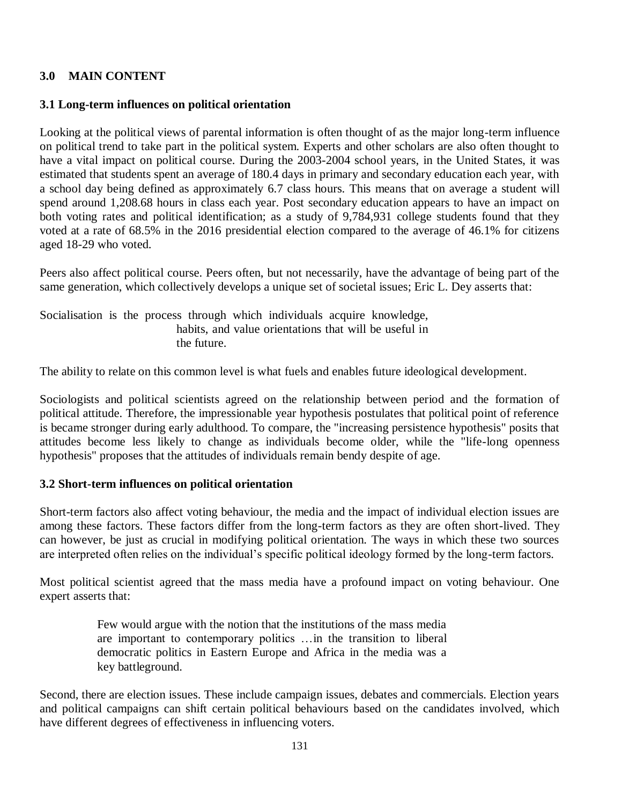## **3.0 MAIN CONTENT**

### **3.1 Long-term influences on political orientation**

Looking at the political views of parental information is often thought of as the major long-term influence on political trend to take part in the political system. Experts and other scholars are also often thought to have a vital impact on political course. During the 2003-2004 school years, in the United States, it was estimated that students spent an average of 180.4 days in primary and secondary education each year, with a school day being defined as approximately 6.7 class hours. This means that on average a student will spend around 1,208.68 hours in class each year. Post secondary education appears to have an impact on both voting rates and political identification; as a study of 9,784,931 college students found that they voted at a rate of 68.5% in the 2016 presidential election compared to the average of 46.1% for citizens aged 18-29 who voted.

Peers also affect political course. Peers often, but not necessarily, have the advantage of being part of the same generation, which collectively develops a unique set of societal issues; Eric L. Dey asserts that:

Socialisation is the process through which individuals acquire knowledge, habits, and value orientations that will be useful in the future.

The ability to relate on this common level is what fuels and enables future ideological development.

Sociologists and political scientists agreed on the relationship between period and the formation of political attitude. Therefore, the impressionable year hypothesis postulates that political point of reference is became stronger during early adulthood. To compare, the "increasing persistence hypothesis" posits that attitudes become less likely to change as individuals become older, while the "life-long openness hypothesis" proposes that the attitudes of individuals remain bendy despite of age.

### **3.2 Short-term influences on political orientation**

Short-term factors also affect voting behaviour, the media and the impact of individual election issues are among these factors. These factors differ from the long-term factors as they are often short-lived. They can however, be just as crucial in modifying political orientation. The ways in which these two sources are interpreted often relies on the individual's specific political ideology formed by the long-term factors.

Most political scientist agreed that the mass media have a profound impact on voting behaviour. One expert asserts that:

> Few would argue with the notion that the institutions of the mass media are important to contemporary politics …in the transition to liberal democratic politics in Eastern Europe and Africa in the media was a key battleground.

Second, there are election issues. These include campaign issues, debates and commercials. Election years and political campaigns can shift certain political behaviours based on the candidates involved, which have different degrees of effectiveness in influencing voters.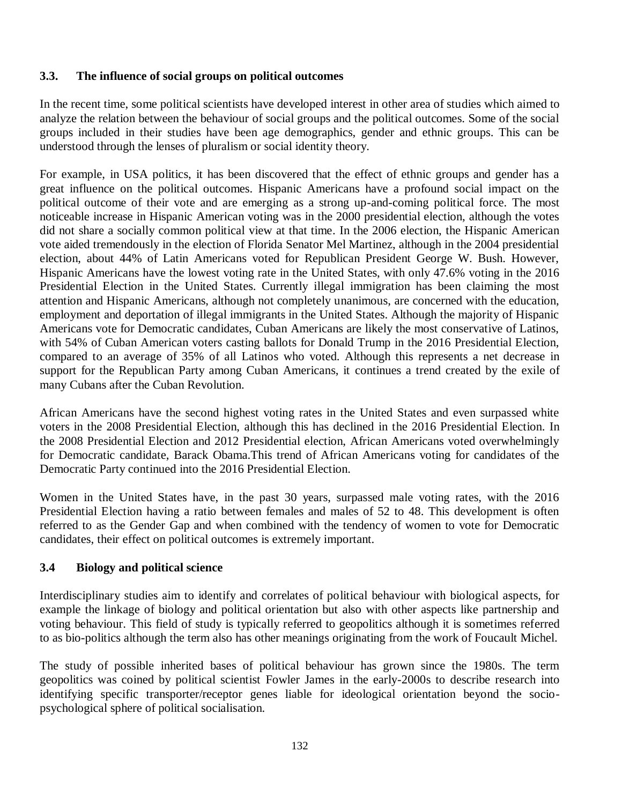## **3.3. The influence of social groups on political outcomes**

In the recent time, some political scientists have developed interest in other area of studies which aimed to analyze the relation between the behaviour of social groups and the political outcomes. Some of the social groups included in their studies have been age demographics, gender and ethnic groups. This can be understood through the lenses of pluralism or social identity theory.

For example, in USA politics, it has been discovered that the effect of ethnic groups and gender has a great influence on the political outcomes. Hispanic Americans have a profound social impact on the political outcome of their vote and are emerging as a strong up-and-coming political force. The most noticeable increase in Hispanic American voting was in the 2000 presidential election, although the votes did not share a socially common political view at that time. In the 2006 election, the Hispanic American vote aided tremendously in the election of Florida Senator Mel Martinez, although in the 2004 presidential election, about 44% of Latin Americans voted for Republican President George W. Bush. However, Hispanic Americans have the lowest voting rate in the United States, with only 47.6% voting in the 2016 Presidential Election in the United States. Currently illegal immigration has been claiming the most attention and Hispanic Americans, although not completely unanimous, are concerned with the education, employment and deportation of illegal immigrants in the United States. Although the majority of Hispanic Americans vote for Democratic candidates, Cuban Americans are likely the most conservative of Latinos, with 54% of Cuban American voters casting ballots for Donald Trump in the 2016 Presidential Election, compared to an average of 35% of all Latinos who voted. Although this represents a net decrease in support for the Republican Party among Cuban Americans, it continues a trend created by the exile of many Cubans after the Cuban Revolution.

African Americans have the second highest voting rates in the United States and even surpassed white voters in the 2008 Presidential Election, although this has declined in the 2016 Presidential Election. In the 2008 Presidential Election and 2012 Presidential election, African Americans voted overwhelmingly for Democratic candidate, Barack Obama.This trend of African Americans voting for candidates of the Democratic Party continued into the 2016 Presidential Election.

Women in the United States have, in the past 30 years, surpassed male voting rates, with the 2016 Presidential Election having a ratio between females and males of 52 to 48. This development is often referred to as the Gender Gap and when combined with the tendency of women to vote for Democratic candidates, their effect on political outcomes is extremely important.

## **3.4 Biology and political science**

Interdisciplinary studies aim to identify and correlates of political behaviour with biological aspects, for example the linkage of biology and political orientation but also with other aspects like partnership and voting behaviour. This field of study is typically referred to geopolitics although it is sometimes referred to as bio-politics although the term also has other meanings originating from the work of Foucault Michel.

The study of possible inherited bases of political behaviour has grown since the 1980s. The term geopolitics was coined by political scientist Fowler James in the early-2000s to describe research into identifying specific transporter/receptor genes liable for ideological orientation beyond the sociopsychological sphere of political socialisation.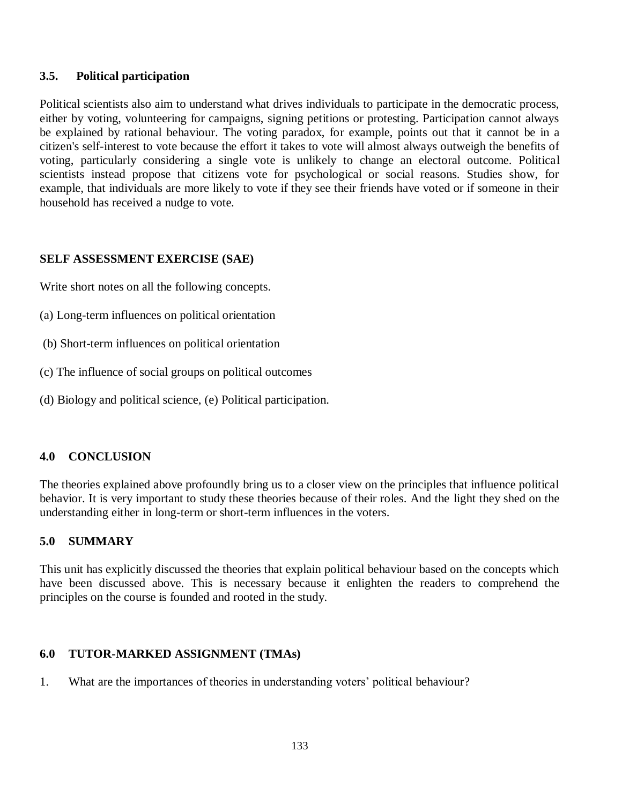### **3.5. Political participation**

Political scientists also aim to understand what drives individuals to participate in the democratic process, either by voting, volunteering for campaigns, signing petitions or protesting. Participation cannot always be explained by rational behaviour. The voting paradox, for example, points out that it cannot be in a citizen's self-interest to vote because the effort it takes to vote will almost always outweigh the benefits of voting, particularly considering a single vote is unlikely to change an electoral outcome. Political scientists instead propose that citizens vote for psychological or social reasons. Studies show, for example, that individuals are more likely to vote if they see their friends have voted or if someone in their household has received a nudge to vote.

### **SELF ASSESSMENT EXERCISE (SAE)**

Write short notes on all the following concepts.

- (a) Long-term influences on political orientation
- (b) Short-term influences on political orientation
- (c) The influence of social groups on political outcomes
- (d) Biology and political science, (e) Political participation.

## **4.0 CONCLUSION**

The theories explained above profoundly bring us to a closer view on the principles that influence political behavior. It is very important to study these theories because of their roles. And the light they shed on the understanding either in long-term or short-term influences in the voters.

## **5.0 SUMMARY**

This unit has explicitly discussed the theories that explain political behaviour based on the concepts which have been discussed above. This is necessary because it enlighten the readers to comprehend the principles on the course is founded and rooted in the study.

## **6.0 TUTOR-MARKED ASSIGNMENT (TMAs)**

1. What are the importances of theories in understanding voters' political behaviour?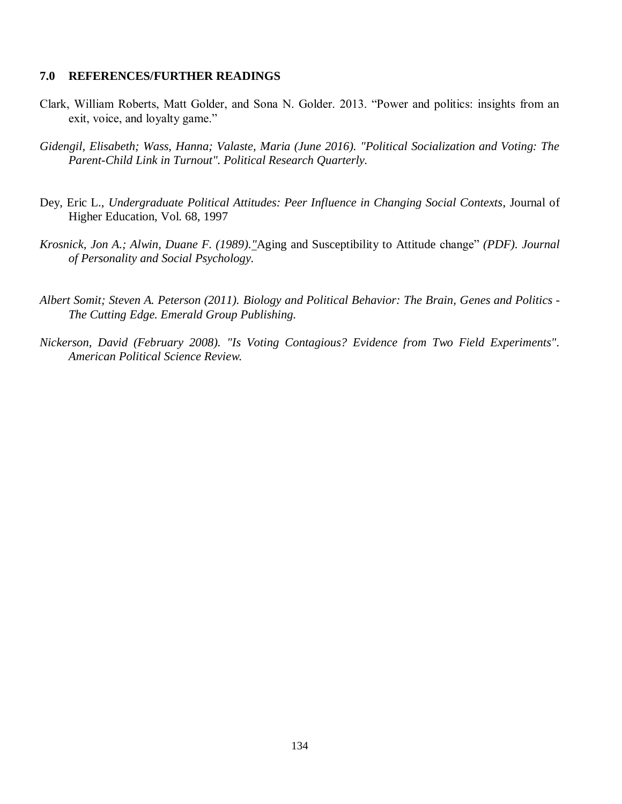#### **7.0 REFERENCES/FURTHER READINGS**

- Clark, William Roberts, Matt Golder, and Sona N. Golder. 2013. "Power and politics: insights from an exit, voice, and loyalty game."
- *Gidengil, Elisabeth; Wass, Hanna; Valaste, Maria (June 2016). "Political Socialization and Voting: The Parent-Child Link in Turnout". Political Research Quarterly.*
- Dey, Eric L., *Undergraduate Political Attitudes: Peer Influence in Changing Social Contexts*, Journal of Higher Education, Vol. 68, 1997
- *Krosnick, Jon A.; Alwin, Duane F. (1989).* "Aging and Susceptibility to Attitude change" *(PDF). Journal of Personality and Social Psychology.*
- *Albert Somit; Steven A. Peterson (2011). [Biology and Political Behavior: The Brain, Genes and Politics -](https://books.google.com/books?id=__M0gG5kWg8C&pg=PA232) [The Cutting Edge.](https://books.google.com/books?id=__M0gG5kWg8C&pg=PA232) Emerald Group Publishing.*
- *Nickerson, David (February 2008). ["Is Voting Contagious? Evidence from Two Field Experiments".](https://semanticscholar.org/paper/dcc484e0656b573138e883914275c4cf8a96eea6) American Political Science Review.*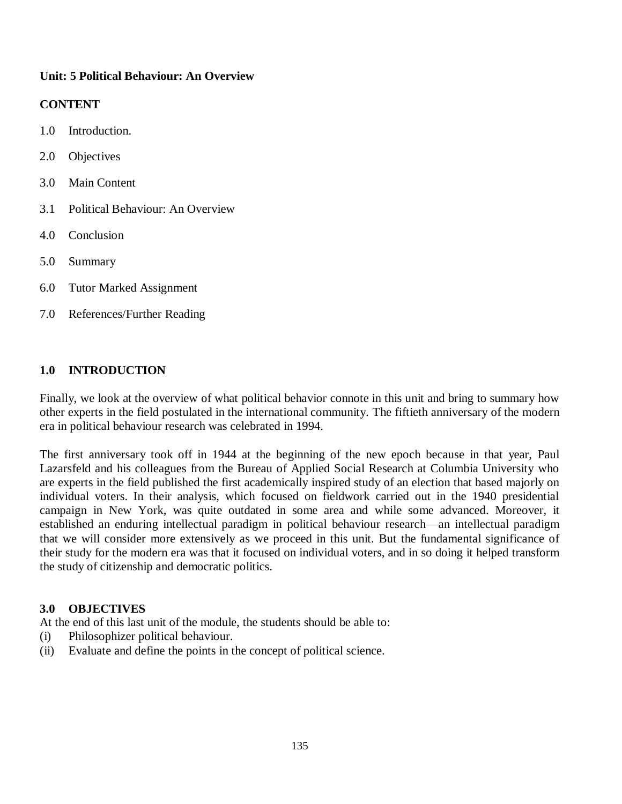## **Unit: 5 Political Behaviour: An Overview**

# **CONTENT**

- 1.0 Introduction.
- 2.0 Objectives
- 3.0 Main Content
- 3.1 Political Behaviour: An Overview
- 4.0 Conclusion
- 5.0 Summary
- 6.0 Tutor Marked Assignment
- 7.0 References/Further Reading

# **1.0 INTRODUCTION**

Finally, we look at the overview of what political behavior connote in this unit and bring to summary how other experts in the field postulated in the international community. The fiftieth anniversary of the modern era in political behaviour research was celebrated in 1994.

The first anniversary took off in 1944 at the beginning of the new epoch because in that year, Paul Lazarsfeld and his colleagues from the Bureau of Applied Social Research at Columbia University who are experts in the field published the first academically inspired study of an election that based majorly on individual voters. In their analysis, which focused on fieldwork carried out in the 1940 presidential campaign in New York, was quite outdated in some area and while some advanced. Moreover, it established an enduring intellectual paradigm in political behaviour research—an intellectual paradigm that we will consider more extensively as we proceed in this unit. But the fundamental significance of their study for the modern era was that it focused on individual voters, and in so doing it helped transform the study of citizenship and democratic politics.

# **3.0 OBJECTIVES**

At the end of this last unit of the module, the students should be able to:

- (i) Philosophizer political behaviour.
- (ii) Evaluate and define the points in the concept of political science.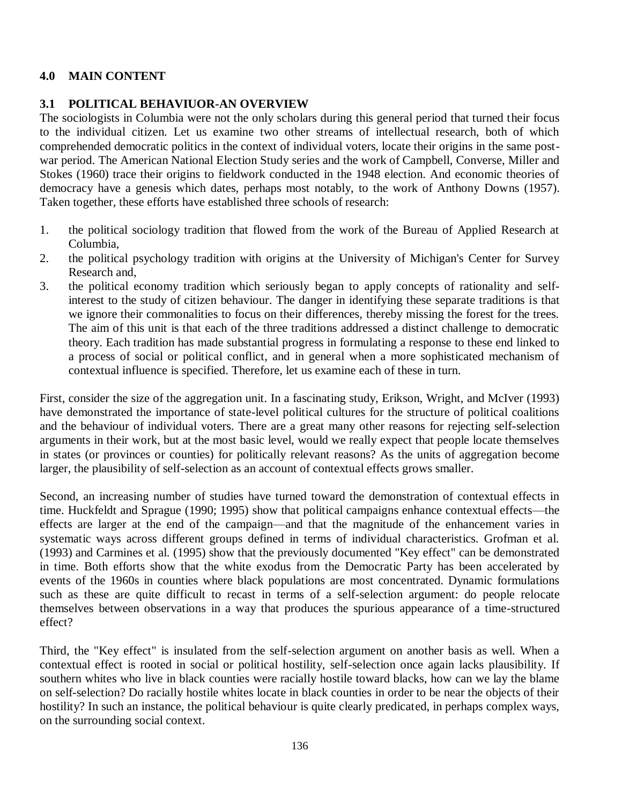## **4.0 MAIN CONTENT**

## **3.1 POLITICAL BEHAVIUOR-AN OVERVIEW**

The sociologists in Columbia were not the only scholars during this general period that turned their focus to the individual citizen. Let us examine two other streams of intellectual research, both of which comprehended democratic politics in the context of individual voters, locate their origins in the same postwar period. The American National Election Study series and the work of Campbell, Converse, Miller and Stokes (1960) trace their origins to fieldwork conducted in the 1948 election. And economic theories of democracy have a genesis which dates, perhaps most notably, to the work of Anthony Downs (1957). Taken together, these efforts have established three schools of research:

- 1. the political sociology tradition that flowed from the work of the Bureau of Applied Research at Columbia,
- 2. the political psychology tradition with origins at the University of Michigan's Center for Survey Research and,
- 3. the political economy tradition which seriously began to apply concepts of rationality and selfinterest to the study of citizen behaviour. The danger in identifying these separate traditions is that we ignore their commonalities to focus on their differences, thereby missing the forest for the trees. The aim of this unit is that each of the three traditions addressed a distinct challenge to democratic theory. Each tradition has made substantial progress in formulating a response to these end linked to a process of social or political conflict, and in general when a more sophisticated mechanism of contextual influence is specified. Therefore, let us examine each of these in turn.

First, consider the size of the aggregation unit. In a fascinating study, Erikson, Wright, and McIver (1993) have demonstrated the importance of state-level political cultures for the structure of political coalitions and the behaviour of individual voters. There are a great many other reasons for rejecting self-selection arguments in their work, but at the most basic level, would we really expect that people locate themselves in states (or provinces or counties) for politically relevant reasons? As the units of aggregation become larger, the plausibility of self-selection as an account of contextual effects grows smaller.

Second, an increasing number of studies have turned toward the demonstration of contextual effects in time. Huckfeldt and Sprague (1990; 1995) show that political campaigns enhance contextual effects—the effects are larger at the end of the campaign—and that the magnitude of the enhancement varies in systematic ways across different groups defined in terms of individual characteristics. Grofman et al. (1993) and Carmines et al. (1995) show that the previously documented "Key effect" can be demonstrated in time. Both efforts show that the white exodus from the Democratic Party has been accelerated by events of the 1960s in counties where black populations are most concentrated. Dynamic formulations such as these are quite difficult to recast in terms of a self-selection argument: do people relocate themselves between observations in a way that produces the spurious appearance of a time-structured effect?

Third, the "Key effect" is insulated from the self-selection argument on another basis as well. When a contextual effect is rooted in social or political hostility, self-selection once again lacks plausibility. If southern whites who live in black counties were racially hostile toward blacks, how can we lay the blame on self-selection? Do racially hostile whites locate in black counties in order to be near the objects of their hostility? In such an instance, the political behaviour is quite clearly predicated, in perhaps complex ways, on the surrounding social context.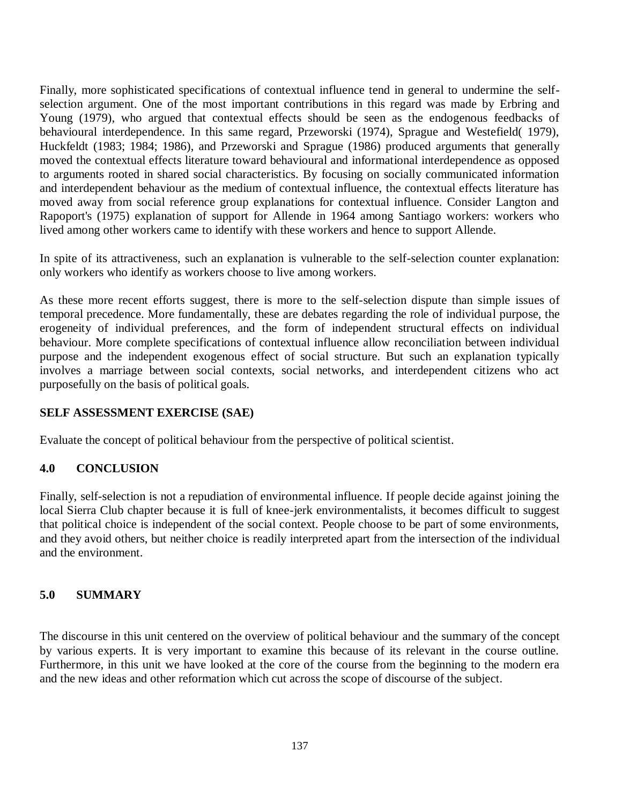Finally, more sophisticated specifications of contextual influence tend in general to undermine the selfselection argument. One of the most important contributions in this regard was made by Erbring and Young (1979), who argued that contextual effects should be seen as the endogenous feedbacks of behavioural interdependence. In this same regard, Przeworski (1974), Sprague and Westefield( 1979), Huckfeldt (1983; 1984; 1986), and Przeworski and Sprague (1986) produced arguments that generally moved the contextual effects literature toward behavioural and informational interdependence as opposed to arguments rooted in shared social characteristics. By focusing on socially communicated information and interdependent behaviour as the medium of contextual influence, the contextual effects literature has moved away from social reference group explanations for contextual influence. Consider Langton and Rapoport's (1975) explanation of support for Allende in 1964 among Santiago workers: workers who lived among other workers came to identify with these workers and hence to support Allende.

In spite of its attractiveness, such an explanation is vulnerable to the self-selection counter explanation: only workers who identify as workers choose to live among workers.

As these more recent efforts suggest, there is more to the self-selection dispute than simple issues of temporal precedence. More fundamentally, these are debates regarding the role of individual purpose, the erogeneity of individual preferences, and the form of independent structural effects on individual behaviour. More complete specifications of contextual influence allow reconciliation between individual purpose and the independent exogenous effect of social structure. But such an explanation typically involves a marriage between social contexts, social networks, and interdependent citizens who act purposefully on the basis of political goals.

### **SELF ASSESSMENT EXERCISE (SAE)**

Evaluate the concept of political behaviour from the perspective of political scientist.

## **4.0 CONCLUSION**

Finally, self-selection is not a repudiation of environmental influence. If people decide against joining the local Sierra Club chapter because it is full of knee-jerk environmentalists, it becomes difficult to suggest that political choice is independent of the social context. People choose to be part of some environments, and they avoid others, but neither choice is readily interpreted apart from the intersection of the individual and the environment.

## **5.0 SUMMARY**

The discourse in this unit centered on the overview of political behaviour and the summary of the concept by various experts. It is very important to examine this because of its relevant in the course outline. Furthermore, in this unit we have looked at the core of the course from the beginning to the modern era and the new ideas and other reformation which cut across the scope of discourse of the subject.